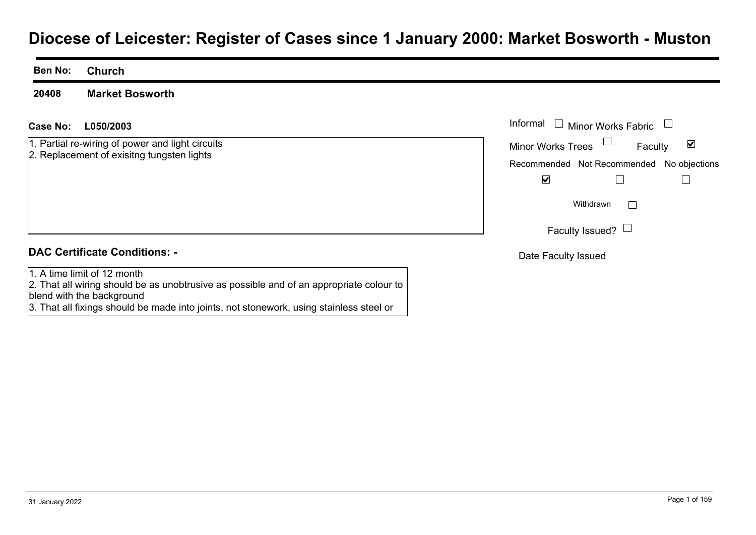# **Diocese of Leicester: Register of Cases since 1 January 2000: Market Bosworth - Muston**

**Ben No: Church**

**20408Market Bosworth**

#### **L050/2003Case No:** Informal

1. Partial re-wiring of power and light circuits 2. Replacement of exisitng tungsten lights

| Informal □ Minor Works Fabric |                                           |   |
|-------------------------------|-------------------------------------------|---|
| <b>Minor Works Trees</b>      | Faculty                                   | V |
|                               | Recommended Not Recommended No objections |   |
|                               |                                           |   |
|                               | Withdrawn                                 |   |
|                               | Faculty Issued?                           |   |
| Date Faculty Issued           |                                           |   |

#### **DAC Certificate Conditions: -**

1. A time limit of 12 month

2. That all wiring should be as unobtrusive as possible and of an appropriate colour to blend with the background

3. That all fixings should be made into joints, not stonework, using stainless steel or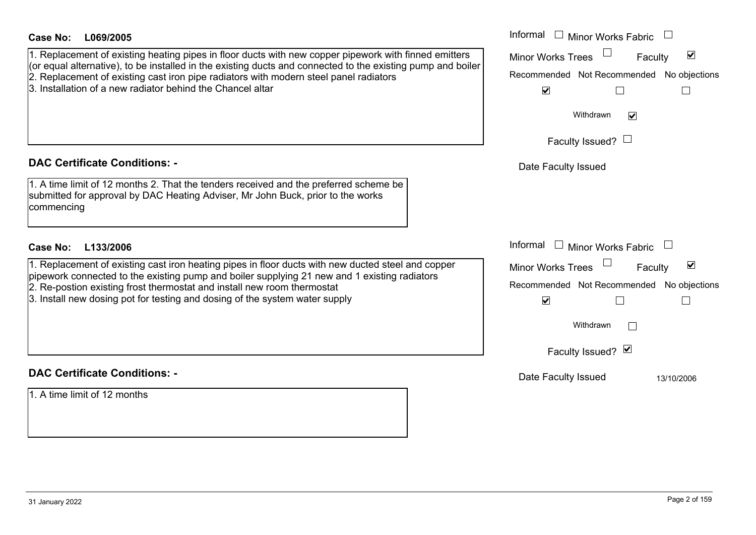| Case No:<br>L069/2005<br>1. Replacement of existing heating pipes in floor ducts with new copper pipework with finned emitters<br>(or equal alternative), to be installed in the existing ducts and connected to the existing pump and boiler<br>2. Replacement of existing cast iron pipe radiators with modern steel panel radiators<br>3. Installation of a new radiator behind the Chancel altar | Informal $\Box$ Minor Works Fabric $\Box$<br>Minor Works Trees<br>☑<br>Faculty<br>Recommended Not Recommended No objections<br>$\blacktriangleright$<br>Withdrawn<br>$\blacktriangledown$ |
|------------------------------------------------------------------------------------------------------------------------------------------------------------------------------------------------------------------------------------------------------------------------------------------------------------------------------------------------------------------------------------------------------|-------------------------------------------------------------------------------------------------------------------------------------------------------------------------------------------|
|                                                                                                                                                                                                                                                                                                                                                                                                      | Faculty Issued? $\Box$                                                                                                                                                                    |
| <b>DAC Certificate Conditions: -</b>                                                                                                                                                                                                                                                                                                                                                                 | Date Faculty Issued                                                                                                                                                                       |
| 1. A time limit of 12 months 2. That the tenders received and the preferred scheme be<br>submitted for approval by DAC Heating Adviser, Mr John Buck, prior to the works<br>commencing                                                                                                                                                                                                               |                                                                                                                                                                                           |
| Case No:<br>L133/2006                                                                                                                                                                                                                                                                                                                                                                                | Informal $\Box$ Minor Works Fabric $\Box$                                                                                                                                                 |
| 1. Replacement of existing cast iron heating pipes in floor ducts with new ducted steel and copper<br>pipework connected to the existing pump and boiler supplying 21 new and 1 existing radiators<br>2. Re-postion existing frost thermostat and install new room thermostat<br>3. Install new dosing pot for testing and dosing of the system water supply                                         | Minor Works Trees<br>$\blacktriangledown$<br>Faculty<br>Recommended Not Recommended No objections<br>$\blacktriangledown$<br>$\perp$                                                      |
|                                                                                                                                                                                                                                                                                                                                                                                                      | Withdrawn                                                                                                                                                                                 |
|                                                                                                                                                                                                                                                                                                                                                                                                      | Faculty Issued? Ø                                                                                                                                                                         |
| <b>DAC Certificate Conditions: -</b>                                                                                                                                                                                                                                                                                                                                                                 | Date Faculty Issued<br>13/10/2006                                                                                                                                                         |
| 1. A time limit of 12 months                                                                                                                                                                                                                                                                                                                                                                         |                                                                                                                                                                                           |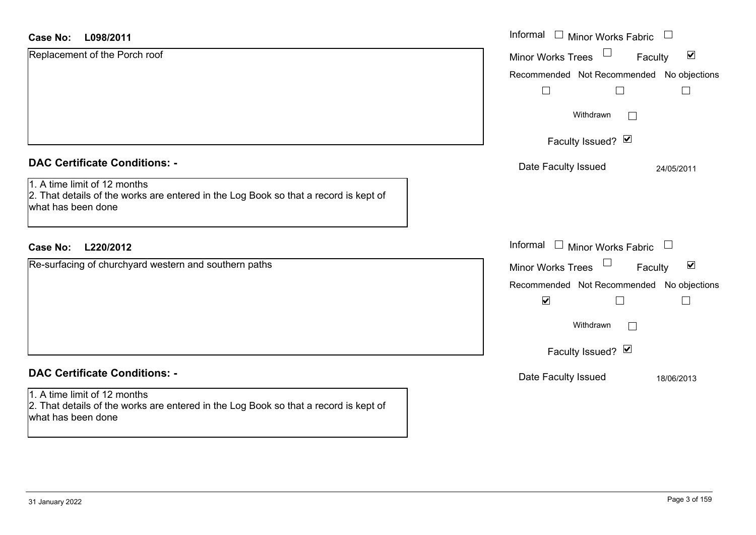| <b>Case No:</b><br>L098/2011                                                                                                               | Informal □ Minor Works Fabric □                            |
|--------------------------------------------------------------------------------------------------------------------------------------------|------------------------------------------------------------|
| Replacement of the Porch roof                                                                                                              | Minor Works Trees<br>$\blacktriangledown$<br>Faculty       |
|                                                                                                                                            | Recommended Not Recommended No objections                  |
|                                                                                                                                            | $\overline{\phantom{a}}$                                   |
|                                                                                                                                            | Withdrawn<br>$\mathbb{R}^n$                                |
|                                                                                                                                            | Faculty Issued? $\vee$                                     |
| <b>DAC Certificate Conditions: -</b>                                                                                                       | Date Faculty Issued<br>24/05/2011                          |
| 1. A time limit of 12 months<br>2. That details of the works are entered in the Log Book so that a record is kept of<br>what has been done |                                                            |
| L220/2012<br><b>Case No:</b>                                                                                                               | Informal $\Box$ Minor Works Fabric $\Box$                  |
| Re-surfacing of churchyard western and southern paths                                                                                      | Minor Works Trees<br>$\blacktriangledown$<br>Faculty       |
|                                                                                                                                            | Recommended Not Recommended No objections                  |
|                                                                                                                                            | $\blacktriangledown$<br>$\Box$<br>$\overline{\phantom{a}}$ |
|                                                                                                                                            | Withdrawn<br>Г                                             |
|                                                                                                                                            | Faculty Issued? Ø                                          |
| <b>DAC Certificate Conditions: -</b>                                                                                                       | Date Faculty Issued<br>18/06/2013                          |
| 1. A time limit of 12 months<br>2. That details of the works are entered in the Log Book so that a record is kept of<br>what has been done |                                                            |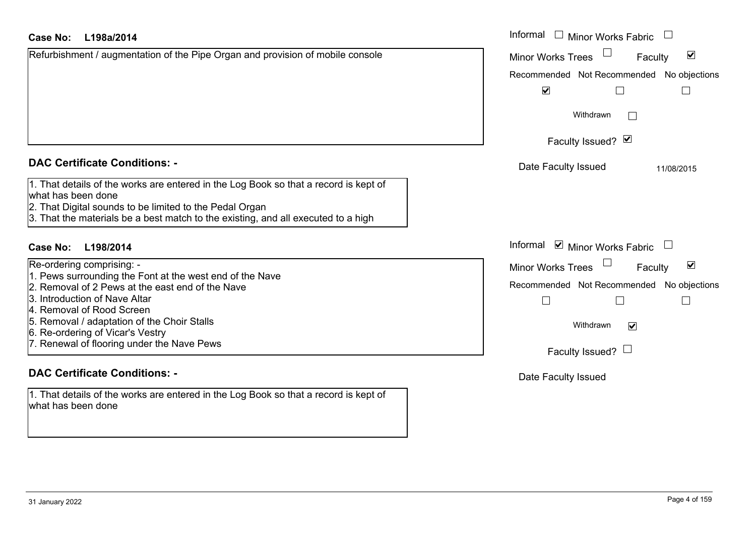| Case No:<br>L198a/2014                                                                                                                                                                                                                                     | Informal □ Minor Works Fabric                               |
|------------------------------------------------------------------------------------------------------------------------------------------------------------------------------------------------------------------------------------------------------------|-------------------------------------------------------------|
| Refurbishment / augmentation of the Pipe Organ and provision of mobile console                                                                                                                                                                             | $\blacktriangledown$<br><b>Minor Works Trees</b><br>Faculty |
|                                                                                                                                                                                                                                                            | Recommended Not Recommended No objections                   |
|                                                                                                                                                                                                                                                            | $\blacktriangledown$                                        |
|                                                                                                                                                                                                                                                            | Withdrawn<br>$\mathbb{R}^n$                                 |
|                                                                                                                                                                                                                                                            | Faculty Issued? Ø                                           |
| <b>DAC Certificate Conditions: -</b>                                                                                                                                                                                                                       | Date Faculty Issued<br>11/08/2015                           |
| 1. That details of the works are entered in the Log Book so that a record is kept of<br>what has been done<br>2. That Digital sounds to be limited to the Pedal Organ<br>3. That the materials be a best match to the existing, and all executed to a high |                                                             |
| <b>Case No:</b><br>L198/2014                                                                                                                                                                                                                               | Informal $\blacksquare$ Minor Works Fabric $\blacksquare$   |
| Re-ordering comprising: -                                                                                                                                                                                                                                  | $\blacktriangledown$<br>Minor Works Trees<br>Faculty        |
| 1. Pews surrounding the Font at the west end of the Nave                                                                                                                                                                                                   | Recommended Not Recommended No objections                   |
| 2. Removal of 2 Pews at the east end of the Nave<br><b>3. Introduction of Nave Altar</b>                                                                                                                                                                   |                                                             |
| 4. Removal of Rood Screen                                                                                                                                                                                                                                  |                                                             |
| 5. Removal / adaptation of the Choir Stalls                                                                                                                                                                                                                | Withdrawn<br>$\blacktriangledown$                           |
| 6. Re-ordering of Vicar's Vestry                                                                                                                                                                                                                           |                                                             |
| 7. Renewal of flooring under the Nave Pews                                                                                                                                                                                                                 | Faculty Issued? $\Box$                                      |
| <b>DAC Certificate Conditions: -</b>                                                                                                                                                                                                                       | Date Faculty Issued                                         |

1. That details of the works are entered in the Log Book so that a record is kept of what has been done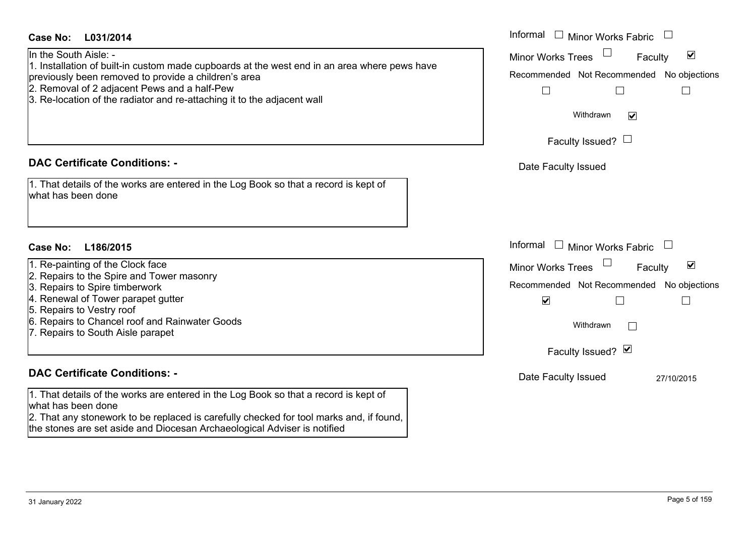| <b>Case No:</b><br>L031/2014                                                                                            | Informal $\Box$ Minor Works Fabric $\Box$                             |
|-------------------------------------------------------------------------------------------------------------------------|-----------------------------------------------------------------------|
| In the South Aisle: -                                                                                                   | $\Box$<br>$\blacktriangledown$<br><b>Minor Works Trees</b><br>Faculty |
| 1. Installation of built-in custom made cupboards at the west end in an area where pews have                            |                                                                       |
| previously been removed to provide a children's area                                                                    | Recommended Not Recommended No objections                             |
| 2. Removal of 2 adjacent Pews and a half-Pew<br>3. Re-location of the radiator and re-attaching it to the adjacent wall | $\Box$                                                                |
|                                                                                                                         |                                                                       |
|                                                                                                                         | Withdrawn<br>$\blacktriangledown$                                     |
|                                                                                                                         | Faculty Issued? $\Box$                                                |
|                                                                                                                         |                                                                       |
| <b>DAC Certificate Conditions: -</b>                                                                                    | Date Faculty Issued                                                   |
|                                                                                                                         |                                                                       |
| 1. That details of the works are entered in the Log Book so that a record is kept of<br>what has been done              |                                                                       |
|                                                                                                                         |                                                                       |
|                                                                                                                         |                                                                       |
|                                                                                                                         |                                                                       |
| L186/2015<br><b>Case No:</b>                                                                                            | Informal $\Box$ Minor Works Fabric $\Box$                             |
| 1. Re-painting of the Clock face                                                                                        | $\blacktriangledown$<br>Minor Works Trees<br>Faculty                  |
| 2. Repairs to the Spire and Tower masonry                                                                               |                                                                       |
| 3. Repairs to Spire timberwork                                                                                          | Recommended Not Recommended No objections                             |
| 4. Renewal of Tower parapet gutter                                                                                      | $\blacktriangledown$                                                  |
| 5. Repairs to Vestry roof<br>6. Repairs to Chancel roof and Rainwater Goods                                             |                                                                       |
| 7. Repairs to South Aisle parapet                                                                                       | Withdrawn                                                             |
|                                                                                                                         |                                                                       |
|                                                                                                                         | Faculty Issued? Ø                                                     |
| <b>DAC Certificate Conditions: -</b>                                                                                    | Date Faculty Issued<br>27/10/2015                                     |
|                                                                                                                         |                                                                       |
| 1. That details of the works are entered in the Log Book so that a record is kept of<br>what has been done              |                                                                       |
| 2. That any stonework to be replaced is carefully checked for tool marks and, if found,                                 |                                                                       |
| the stones are set aside and Diocesan Archaeological Adviser is notified                                                |                                                                       |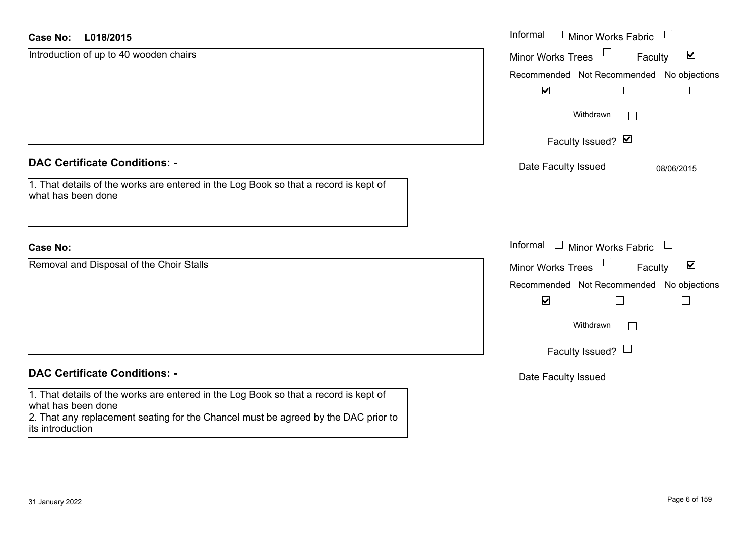| <b>Case No:</b><br>L018/2015                                                                               | Informal $\Box$ Minor Works Fabric                                             |
|------------------------------------------------------------------------------------------------------------|--------------------------------------------------------------------------------|
| Introduction of up to 40 wooden chairs                                                                     | $\blacktriangledown$<br><b>Minor Works Trees</b><br>Faculty                    |
|                                                                                                            | Recommended Not Recommended No objections                                      |
|                                                                                                            | $\blacktriangledown$                                                           |
|                                                                                                            | Withdrawn                                                                      |
|                                                                                                            | Faculty Issued? Ø                                                              |
| <b>DAC Certificate Conditions: -</b>                                                                       | Date Faculty Issued<br>08/06/2015                                              |
| 1. That details of the works are entered in the Log Book so that a record is kept of<br>what has been done |                                                                                |
| <b>Case No:</b>                                                                                            | Informal<br>$\Box$ Minor Works Fabric<br>$\begin{array}{c} \hline \end{array}$ |
| Removal and Disposal of the Choir Stalls                                                                   | $\blacktriangledown$<br>Minor Works Trees<br>Faculty                           |
|                                                                                                            | Recommended Not Recommended No objections                                      |
|                                                                                                            | $\blacktriangledown$                                                           |
|                                                                                                            | Withdrawn                                                                      |
|                                                                                                            | Faculty Issued? $\Box$                                                         |
| <b>DAC Certificate Conditions: -</b>                                                                       | Date Faculty Issued                                                            |
| 1. That details of the works are entered in the Log Book so that a record is kept of<br>what has been done |                                                                                |
| 2. That any replacement seating for the Chancel must be agreed by the DAC prior to<br>lits introduction    |                                                                                |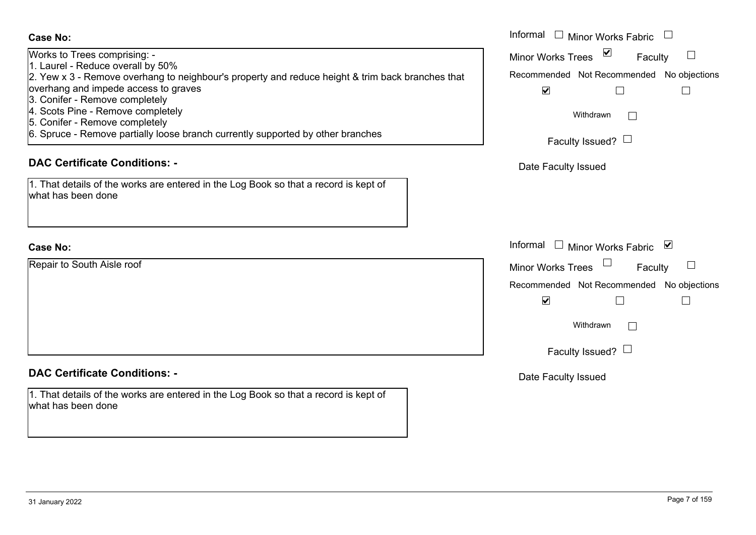| Works to Trees comprising: -                                                                     |
|--------------------------------------------------------------------------------------------------|
| 1. Laurel - Reduce overall by 50%                                                                |
| 2. Yew x 3 - Remove overhang to neighbour's property and reduce height & trim back branches that |
| overhang and impede access to graves                                                             |
| 3. Conifer - Remove completely                                                                   |
| 4. Scots Pine - Remove completely                                                                |
| 5. Conifer - Remove completely                                                                   |
| 6. Spruce - Remove partially loose branch currently supported by other branches                  |
|                                                                                                  |

#### **DAC Certificate Conditions: -**

|                    |  | 1. That details of the works are entered in the Log Book so that a record is kept of |
|--------------------|--|--------------------------------------------------------------------------------------|
| what has been done |  |                                                                                      |

#### **Case No:**

Repair to South Aisle roof

#### **DAC Certificate Conditions: -**

1. That details of the works are entered in the Log Book so that a record is kept of what has been done

|                                                                                                                                                 | Informal □ Minor Works Fabric                                               |
|-------------------------------------------------------------------------------------------------------------------------------------------------|-----------------------------------------------------------------------------|
| Trees comprising: -<br>- Reduce overall by 50%                                                                                                  | $\sum$<br>Minor Works Trees<br>Faculty                                      |
| 3 - Remove overhang to neighbour's property and reduce height & trim back branches that<br>and impede access to graves<br>r - Remove completely | Recommended Not Recommended No objections<br>$\blacktriangledown$<br>$\Box$ |
| Pine - Remove completely<br>r - Remove completely                                                                                               | Withdrawn                                                                   |
| e - Remove partially loose branch currently supported by other branches                                                                         | Faculty Issued? $\Box$                                                      |
| rtificate Conditions: -                                                                                                                         | Date Faculty Issued                                                         |
| etails of the works are entered in the Log Book so that a record is kept of<br>been done                                                        |                                                                             |
|                                                                                                                                                 | Informal<br>$\pm$<br><b>Minor Works Fabric</b><br>⊻                         |
| South Aisle roof                                                                                                                                | Minor Works Trees<br>Faculty                                                |
|                                                                                                                                                 | Recommended Not Recommended No objections<br>$\blacktriangledown$<br>$\Box$ |
|                                                                                                                                                 | Withdrawn<br>$\mathbf{I}$                                                   |
|                                                                                                                                                 | Faculty Issued? $\Box$                                                      |
|                                                                                                                                                 |                                                                             |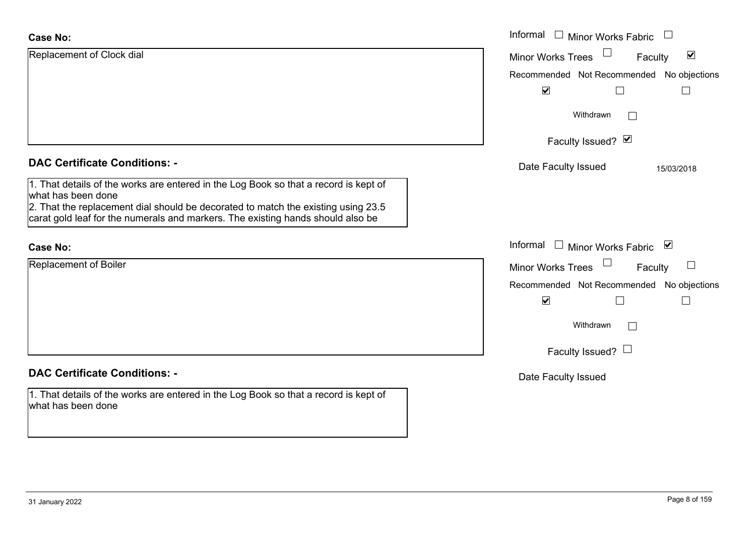| <b>Case No:</b>                                                                                                                                                                                                                                                                    | Informal $\Box$ Minor Works Fabric $\Box$            |
|------------------------------------------------------------------------------------------------------------------------------------------------------------------------------------------------------------------------------------------------------------------------------------|------------------------------------------------------|
| Replacement of Clock dial                                                                                                                                                                                                                                                          | $\blacktriangledown$<br>Minor Works Trees<br>Faculty |
|                                                                                                                                                                                                                                                                                    | Recommended Not Recommended No objections            |
|                                                                                                                                                                                                                                                                                    | $\blacktriangledown$<br>$\Box$                       |
|                                                                                                                                                                                                                                                                                    | Withdrawn<br>$\perp$                                 |
|                                                                                                                                                                                                                                                                                    | Faculty Issued? Ø                                    |
| <b>DAC Certificate Conditions: -</b>                                                                                                                                                                                                                                               | Date Faculty Issued<br>15/03/2018                    |
| 1. That details of the works are entered in the Log Book so that a record is kept of<br>what has been done<br>2. That the replacement dial should be decorated to match the existing using 23.5<br>carat gold leaf for the numerals and markers. The existing hands should also be |                                                      |
| <b>Case No:</b>                                                                                                                                                                                                                                                                    | Informal $\Box$ Minor Works Fabric $\Box$            |
| Replacement of Boiler                                                                                                                                                                                                                                                              | Minor Works Trees<br>Faculty<br>$\Box$               |
|                                                                                                                                                                                                                                                                                    | Recommended Not Recommended No objections            |
|                                                                                                                                                                                                                                                                                    | $\blacktriangledown$<br>$\Box$                       |
|                                                                                                                                                                                                                                                                                    | Withdrawn                                            |
|                                                                                                                                                                                                                                                                                    | Faculty Issued? $\Box$                               |
| <b>DAC Certificate Conditions: -</b>                                                                                                                                                                                                                                               | Date Faculty Issued                                  |
| 1. That details of the works are entered in the Log Book so that a record is kept of<br>what has been done                                                                                                                                                                         |                                                      |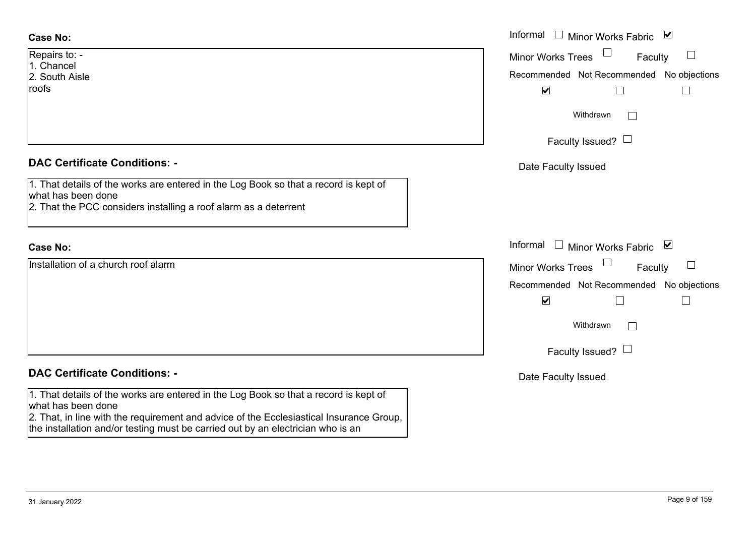| Repairs to: -  |
|----------------|
| 1. Chancel     |
| 2. South Aisle |
| roofs          |

#### **DAC Certificate Conditions: -**

| 1. That details of the works are entered in the Log Book so that a record is kept of |
|--------------------------------------------------------------------------------------|
| what has been done                                                                   |
| 2. That the PCC considers installing a roof alarm as a deterrent                     |

#### **Case No:**

Installation of a church roof alarm

#### **DAC Certificate Conditions: -**

1. That details of the works are entered in the Log Book so that a record is kept of what has been done

2. That, in line with the requirement and advice of the Ecclesiastical Insurance Group, the installation and/or testing must be carried out by an electrician who is an

|                                                                                                                                                    | Informal □ Minor Works Fabric ☑                                                                                       |
|----------------------------------------------------------------------------------------------------------------------------------------------------|-----------------------------------------------------------------------------------------------------------------------|
| $O: -$<br>el<br>Aisle                                                                                                                              | $\Box$<br>Minor Works Trees<br>Faculty<br>Recommended Not Recommended No objections<br>$\blacktriangledown$<br>$\Box$ |
|                                                                                                                                                    | Withdrawn<br>$\mathbf{I}$                                                                                             |
| rtificate Conditions: -                                                                                                                            | Faculty Issued? $\Box$<br>Date Faculty Issued                                                                         |
| etails of the works are entered in the Log Book so that a record is kept of<br>been done<br>e PCC considers installing a roof alarm as a deterrent |                                                                                                                       |
|                                                                                                                                                    | Informal □ Minor Works Fabric ⊠                                                                                       |
| on of a church roof alarm                                                                                                                          | Minor Works Trees<br>$\Box$<br>Faculty<br>Recommended Not Recommended No objections<br>$\blacktriangledown$           |
|                                                                                                                                                    | Withdrawn<br>$\mathbb{R}^n$<br>Faculty Issued? $\Box$                                                                 |
| rtificate Conditions: -                                                                                                                            | Date Faculty Issued                                                                                                   |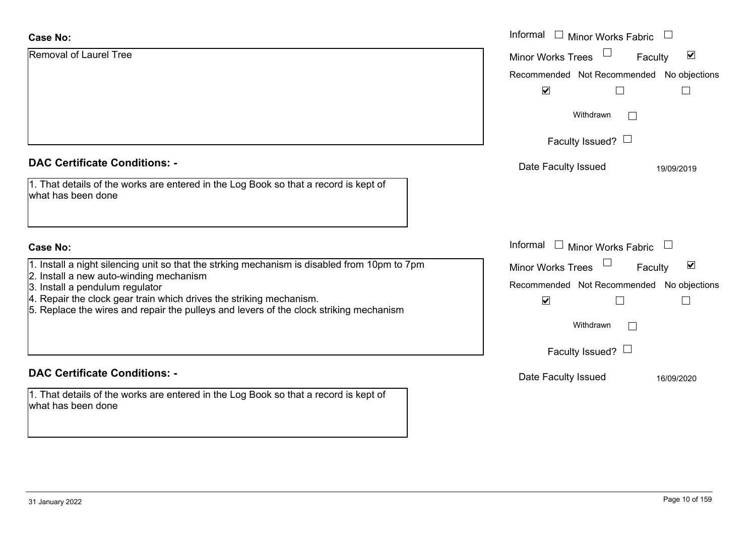| <b>Case No:</b>                                                                                                                                               | Informal Minor Works Fabric                                 |
|---------------------------------------------------------------------------------------------------------------------------------------------------------------|-------------------------------------------------------------|
| Removal of Laurel Tree                                                                                                                                        | $\blacktriangledown$<br><b>Minor Works Trees</b><br>Faculty |
|                                                                                                                                                               | Recommended Not Recommended No objections                   |
|                                                                                                                                                               | $\blacktriangledown$<br>$\mathbf{L}$                        |
|                                                                                                                                                               | Withdrawn                                                   |
|                                                                                                                                                               | Faculty Issued? $\Box$                                      |
| <b>DAC Certificate Conditions: -</b>                                                                                                                          | Date Faculty Issued<br>19/09/2019                           |
| 1. That details of the works are entered in the Log Book so that a record is kept of<br>what has been done                                                    |                                                             |
| <b>Case No:</b>                                                                                                                                               | Informal $\Box$ Minor Works Fabric $\Box$                   |
| 1. Install a night silencing unit so that the strking mechanism is disabled from 10pm to 7pm                                                                  | $\blacktriangledown$<br><b>Minor Works Trees</b><br>Faculty |
| 2. Install a new auto-winding mechanism<br>3. Install a pendulum regulator                                                                                    | Recommended Not Recommended No objections                   |
| 4. Repair the clock gear train which drives the striking mechanism.<br>5. Replace the wires and repair the pulleys and levers of the clock striking mechanism | $\blacktriangledown$                                        |
|                                                                                                                                                               | Withdrawn                                                   |
|                                                                                                                                                               | Faculty Issued? $\Box$                                      |
| <b>DAC Certificate Conditions: -</b>                                                                                                                          | Date Faculty Issued<br>16/09/2020                           |
| 1. That details of the works are entered in the Log Book so that a record is kept of<br>what has been done                                                    |                                                             |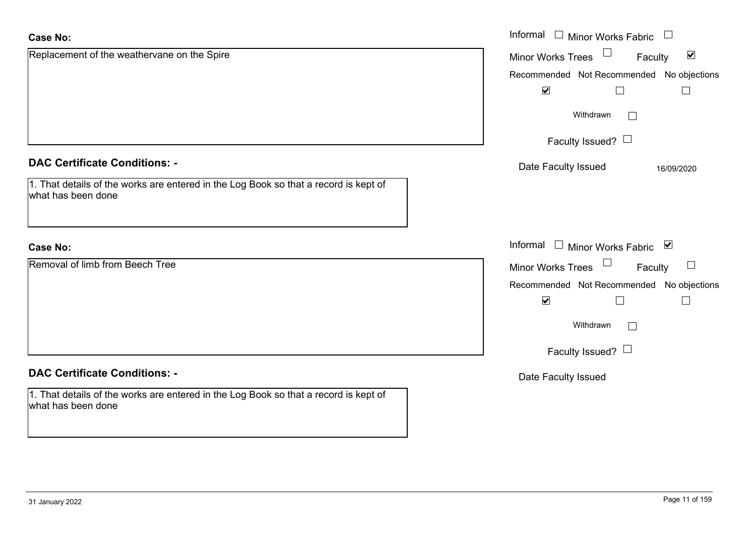| <b>Case No:</b>                                                                                            | Informal □ Minor Works Fabric                                  |
|------------------------------------------------------------------------------------------------------------|----------------------------------------------------------------|
| Replacement of the weathervane on the Spire                                                                | $\Box$<br>$\blacktriangledown$<br>Minor Works Trees<br>Faculty |
|                                                                                                            | Recommended Not Recommended No objections                      |
|                                                                                                            | $\blacktriangledown$<br>П                                      |
|                                                                                                            | Withdrawn                                                      |
|                                                                                                            | Faculty Issued? $\Box$                                         |
| <b>DAC Certificate Conditions: -</b>                                                                       | Date Faculty Issued<br>16/09/2020                              |
| 1. That details of the works are entered in the Log Book so that a record is kept of<br>what has been done |                                                                |
| <b>Case No:</b>                                                                                            | Informal $\Box$ Minor Works Fabric $\Box$                      |
| Removal of limb from Beech Tree                                                                            | $\Box$<br><b>Minor Works Trees</b><br>$\Box$<br>Faculty        |
|                                                                                                            | Recommended Not Recommended No objections                      |
|                                                                                                            | $\blacktriangledown$<br>$\Box$                                 |
|                                                                                                            | Withdrawn                                                      |
|                                                                                                            | Faculty Issued? $\Box$                                         |
| <b>DAC Certificate Conditions: -</b>                                                                       | Date Faculty Issued                                            |
| 1. That details of the works are entered in the Log Book so that a record is kept of<br>what has been done |                                                                |

 $\sim$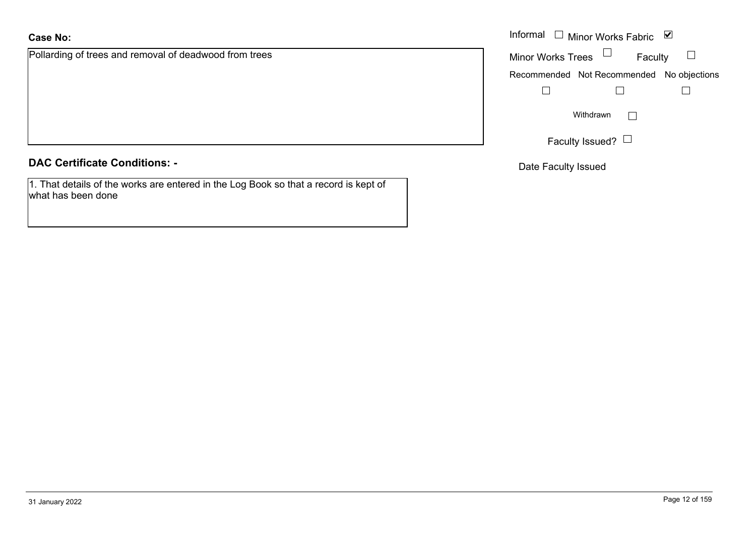Pollarding of trees and removal of deadwood from trees

**DAC Certificate Conditions: -**

1. That details of the works are entered in the Log Book so that a record is kept of what has been done

|                                               | Informal $\Box$ Minor Works Fabric $\Box$ |
|-----------------------------------------------|-------------------------------------------|
| g of trees and removal of deadwood from trees | Minor Works Trees $\Box$<br>Faculty       |
|                                               | Recommended Not Recommended No objections |
|                                               |                                           |
|                                               | Withdrawn                                 |
|                                               | Faculty Issued? $\Box$                    |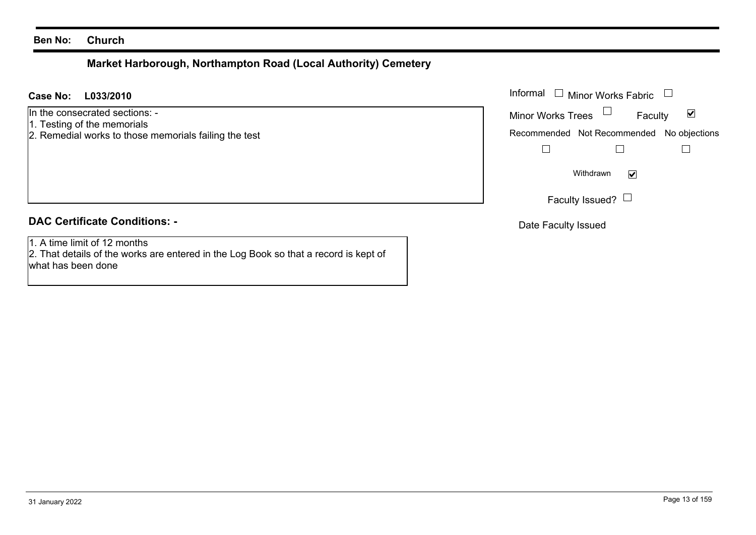# **Market Harborough, Northampton Road (Local Authority) Cemetery**

| L033/2010<br><b>Case No:</b>                                                                                                               | Informal $\Box$<br><b>Minor Works Fabric</b>                                                      |
|--------------------------------------------------------------------------------------------------------------------------------------------|---------------------------------------------------------------------------------------------------|
| In the consecrated sections: -<br>1. Testing of the memorials<br>2. Remedial works to those memorials failing the test                     | Minor Works Trees<br>$\blacktriangledown$<br>Faculty<br>Recommended Not Recommended No objections |
|                                                                                                                                            | $\blacktriangledown$<br>Withdrawn<br>Faculty Issued? $\Box$                                       |
| <b>DAC Certificate Conditions: -</b>                                                                                                       | Date Faculty Issued                                                                               |
| 1. A time limit of 12 months<br>2. That details of the works are entered in the Log Book so that a record is kept of<br>what has been done |                                                                                                   |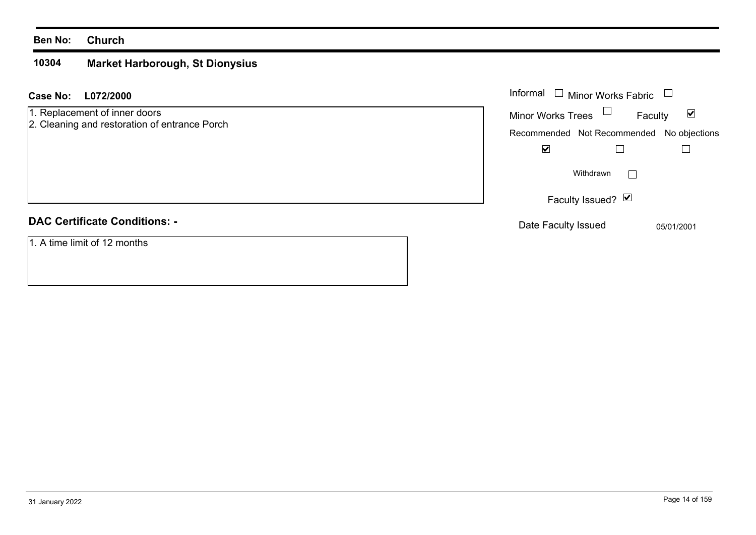#### **10304 Market Harborough, St Dionysius**

| L072/2000<br>Case No:                                                          | Informal □ Minor Works Fabric                               |
|--------------------------------------------------------------------------------|-------------------------------------------------------------|
| 1. Replacement of inner doors<br>2. Cleaning and restoration of entrance Porch | Minor Works Trees $\Box$<br>$\blacktriangledown$<br>Faculty |
|                                                                                | Recommended Not Recommended No objections                   |
|                                                                                | $\blacktriangledown$                                        |
|                                                                                | Withdrawn                                                   |
|                                                                                | Faculty Issued? Ø                                           |
| <b>DAC Certificate Conditions: -</b>                                           | Date Faculty Issued<br>05/01/2001                           |
| 1. A time limit of 12 months                                                   |                                                             |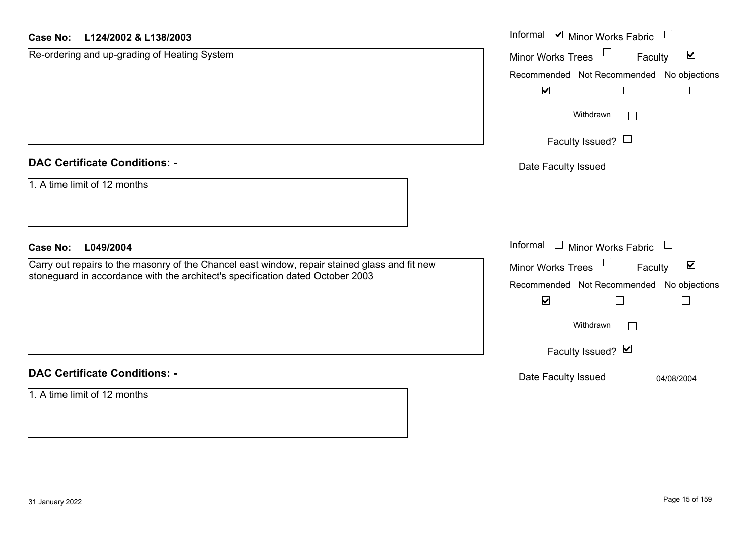#### **L124/2002 & L138/2003Case No:**

| <b>Case No:</b><br>L124/2002 & L138/2003                                                      | Informal ☑ Minor Works Fabric                        |
|-----------------------------------------------------------------------------------------------|------------------------------------------------------|
| Re-ordering and up-grading of Heating System                                                  | $\blacktriangledown$<br>Minor Works Trees<br>Faculty |
|                                                                                               | Recommended Not Recommended No objections            |
|                                                                                               | $\blacktriangledown$<br>$\Box$                       |
|                                                                                               | Withdrawn                                            |
|                                                                                               | Faculty Issued? $\Box$                               |
| <b>DAC Certificate Conditions: -</b>                                                          | Date Faculty Issued                                  |
| 1. A time limit of 12 months                                                                  |                                                      |
| L049/2004<br><b>Case No:</b>                                                                  | Informal $\Box$ Minor Works Fabric                   |
| Carry out repairs to the masonry of the Chancel east window, repair stained glass and fit new | $\blacktriangledown$<br>Minor Works Trees<br>Faculty |
| stoneguard in accordance with the architect's specification dated October 2003                | Recommended Not Recommended<br>No objections         |
|                                                                                               | $\blacktriangledown$<br>$\Box$                       |
|                                                                                               | Withdrawn                                            |
|                                                                                               | Faculty Issued? Ø                                    |
| <b>DAC Certificate Conditions: -</b>                                                          | Date Faculty Issued<br>04/08/2004                    |
| 1. A time limit of 12 months                                                                  |                                                      |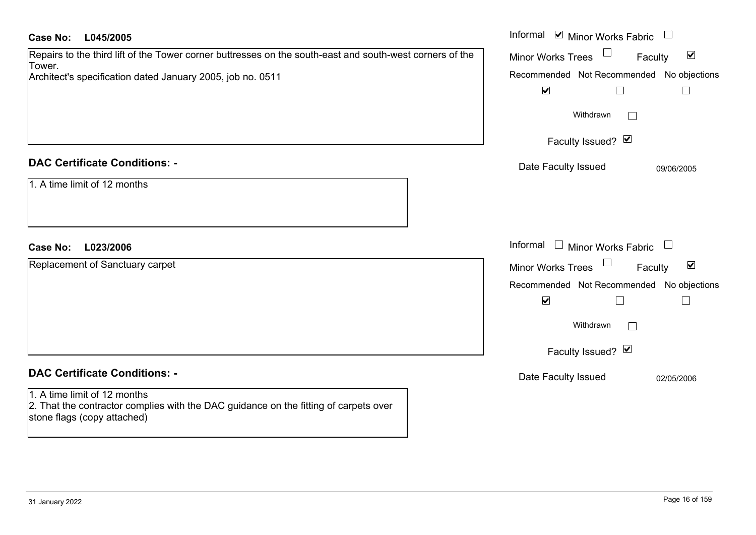| <b>Case No:</b><br>L045/2005                                                                                                                                                     | Informal $\blacksquare$ Minor Works Fabric $\blacksquare$                                                                                                               |
|----------------------------------------------------------------------------------------------------------------------------------------------------------------------------------|-------------------------------------------------------------------------------------------------------------------------------------------------------------------------|
| Repairs to the third lift of the Tower corner buttresses on the south-east and south-west corners of the<br>Tower.<br>Architect's specification dated January 2005, job no. 0511 | $\blacktriangledown$<br><b>Minor Works Trees</b><br>Faculty<br>Recommended Not Recommended No objections<br>$\blacktriangledown$<br>$\Box$<br>$\Box$<br>Withdrawn       |
|                                                                                                                                                                                  | Faculty Issued? Ø                                                                                                                                                       |
| <b>DAC Certificate Conditions: -</b><br>1. A time limit of 12 months                                                                                                             | Date Faculty Issued<br>09/06/2005                                                                                                                                       |
| <b>Case No:</b><br>L023/2006                                                                                                                                                     | Informal $\Box$ Minor Works Fabric<br>$\Box$                                                                                                                            |
| Replacement of Sanctuary carpet                                                                                                                                                  | $\blacktriangledown$<br><b>Minor Works Trees</b><br>Faculty<br>Recommended Not Recommended No objections<br>$\blacktriangledown$<br>П<br>Withdrawn<br>Faculty Issued? Ø |
| <b>DAC Certificate Conditions: -</b>                                                                                                                                             | Date Faculty Issued<br>02/05/2006                                                                                                                                       |
| 1. A time limit of 12 months<br>2. That the contractor complies with the DAC guidance on the fitting of carpets over<br>stone flags (copy attached)                              |                                                                                                                                                                         |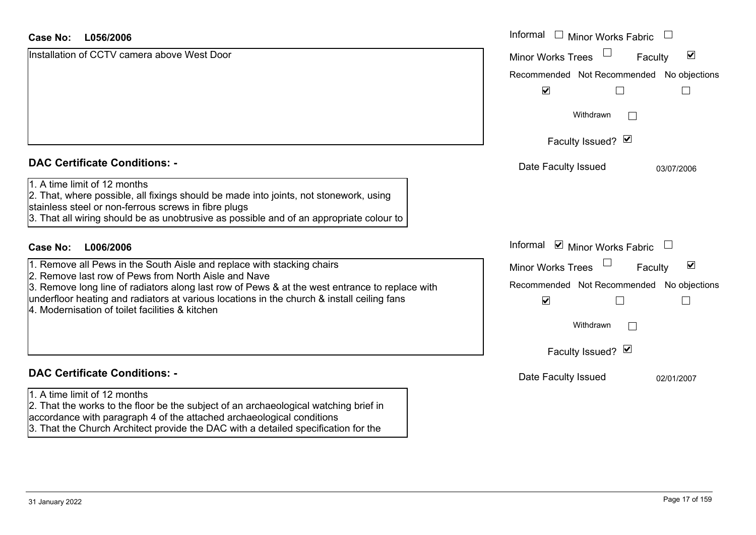| <b>Case No:</b><br>L056/2006                                                                                                                                                                                                                                                                            | Informal<br>Minor Works Fabric                                    |
|---------------------------------------------------------------------------------------------------------------------------------------------------------------------------------------------------------------------------------------------------------------------------------------------------------|-------------------------------------------------------------------|
| Installation of CCTV camera above West Door                                                                                                                                                                                                                                                             | $\blacktriangledown$<br><b>Minor Works Trees</b><br>Faculty       |
|                                                                                                                                                                                                                                                                                                         | Recommended Not Recommended No objections                         |
|                                                                                                                                                                                                                                                                                                         | $\blacktriangledown$                                              |
|                                                                                                                                                                                                                                                                                                         | Withdrawn<br>$\vert \ \ \vert$                                    |
|                                                                                                                                                                                                                                                                                                         | Faculty Issued? Ø                                                 |
| <b>DAC Certificate Conditions: -</b>                                                                                                                                                                                                                                                                    | Date Faculty Issued<br>03/07/2006                                 |
| 1. A time limit of 12 months<br>2. That, where possible, all fixings should be made into joints, not stonework, using<br>stainless steel or non-ferrous screws in fibre plugs<br>3. That all wiring should be as unobtrusive as possible and of an appropriate colour to                                |                                                                   |
| L006/2006<br><b>Case No:</b>                                                                                                                                                                                                                                                                            | Informal $\blacksquare$ Minor Works Fabric $\blacksquare$         |
| 1. Remove all Pews in the South Aisle and replace with stacking chairs                                                                                                                                                                                                                                  | $\blacktriangledown$<br>Minor Works Trees<br>Faculty              |
| 2. Remove last row of Pews from North Aisle and Nave<br>3. Remove long line of radiators along last row of Pews & at the west entrance to replace with<br>underfloor heating and radiators at various locations in the church & install ceiling fans<br>4. Modernisation of toilet facilities & kitchen | Recommended Not Recommended No objections<br>$\blacktriangledown$ |
|                                                                                                                                                                                                                                                                                                         | Withdrawn<br>$\vert \ \ \vert$                                    |
|                                                                                                                                                                                                                                                                                                         | Faculty Issued? Ø                                                 |
| <b>DAC Certificate Conditions: -</b>                                                                                                                                                                                                                                                                    | Date Faculty Issued<br>02/01/2007                                 |
| 1. A time limit of 12 months                                                                                                                                                                                                                                                                            |                                                                   |
| 2. That the works to the floor be the subject of an archaeological watching brief in                                                                                                                                                                                                                    |                                                                   |

accordance with paragraph 4 of the attached archaeological conditions

3. That the Church Architect provide the DAC with a detailed specification for the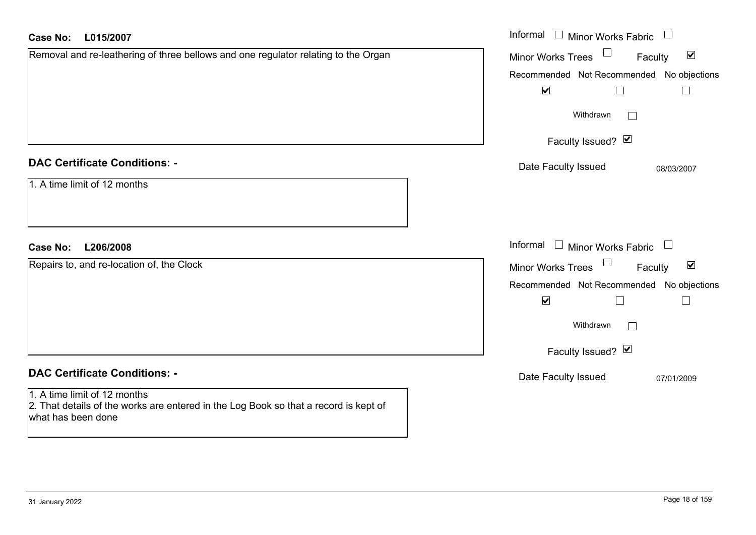| L015/2007<br><b>Case No:</b>                                                                               | Informal $\Box$ Minor Works Fabric $\Box$                   |
|------------------------------------------------------------------------------------------------------------|-------------------------------------------------------------|
| Removal and re-leathering of three bellows and one regulator relating to the Organ                         | $\blacktriangledown$<br><b>Minor Works Trees</b><br>Faculty |
|                                                                                                            | Recommended Not Recommended No objections                   |
|                                                                                                            | $\blacktriangledown$<br>$\Box$<br>$\vert \ \ \vert$         |
|                                                                                                            | Withdrawn<br>$\Box$                                         |
|                                                                                                            | Faculty Issued? Ø                                           |
| <b>DAC Certificate Conditions: -</b>                                                                       | Date Faculty Issued<br>08/03/2007                           |
| 1. A time limit of 12 months                                                                               |                                                             |
| <b>Case No:</b><br>L206/2008                                                                               | Informal $\Box$ Minor Works Fabric $\Box$                   |
| Repairs to, and re-location of, the Clock                                                                  | $\blacktriangledown$<br>Minor Works Trees<br>Faculty        |
|                                                                                                            | Recommended Not Recommended No objections                   |
|                                                                                                            | $\blacktriangledown$<br>П                                   |
|                                                                                                            | Withdrawn<br>$\Box$                                         |
|                                                                                                            | Faculty Issued? Ø                                           |
| <b>DAC Certificate Conditions: -</b>                                                                       | Date Faculty Issued<br>07/01/2009                           |
| 1. A time limit of 12 months                                                                               |                                                             |
| 2. That details of the works are entered in the Log Book so that a record is kept of<br>what has been done |                                                             |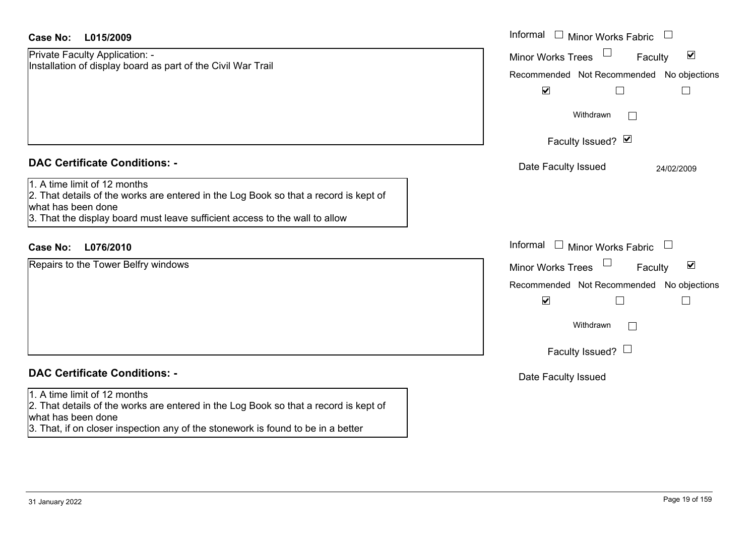| <b>Case No:</b><br>L015/2009                                                                                                                                                                                                                                      | Informal $\Box$ Minor Works Fabric<br>$\Box$                                                                                                                                           |
|-------------------------------------------------------------------------------------------------------------------------------------------------------------------------------------------------------------------------------------------------------------------|----------------------------------------------------------------------------------------------------------------------------------------------------------------------------------------|
| Private Faculty Application: -<br>Installation of display board as part of the Civil War Trail                                                                                                                                                                    | $\blacktriangledown$<br><b>Minor Works Trees</b><br>Faculty<br>Recommended Not Recommended No objections<br>$\blacktriangledown$<br>$\Box$                                             |
|                                                                                                                                                                                                                                                                   | Withdrawn                                                                                                                                                                              |
|                                                                                                                                                                                                                                                                   | Faculty Issued? Ø                                                                                                                                                                      |
| <b>DAC Certificate Conditions: -</b><br>1. A time limit of 12 months<br>2. That details of the works are entered in the Log Book so that a record is kept of<br>what has been done<br>3. That the display board must leave sufficient access to the wall to allow | Date Faculty Issued<br>24/02/2009                                                                                                                                                      |
| <b>Case No:</b><br>L076/2010                                                                                                                                                                                                                                      | Informal<br>$\Box$ Minor Works Fabric<br>$\Box$                                                                                                                                        |
| Repairs to the Tower Belfry windows                                                                                                                                                                                                                               | $\blacktriangledown$<br><b>Minor Works Trees</b><br>Faculty<br>Recommended Not Recommended No objections<br>$\blacktriangledown$<br>П<br>$\Box$<br>Withdrawn<br>Faculty Issued? $\Box$ |
| <b>DAC Certificate Conditions: -</b>                                                                                                                                                                                                                              | Date Faculty Issued                                                                                                                                                                    |
| 1. A time limit of 12 months<br>2. That details of the works are entered in the Log Book so that a record is kept of<br>what has been done<br>3. That, if on closer inspection any of the stonework is found to be in a better                                    |                                                                                                                                                                                        |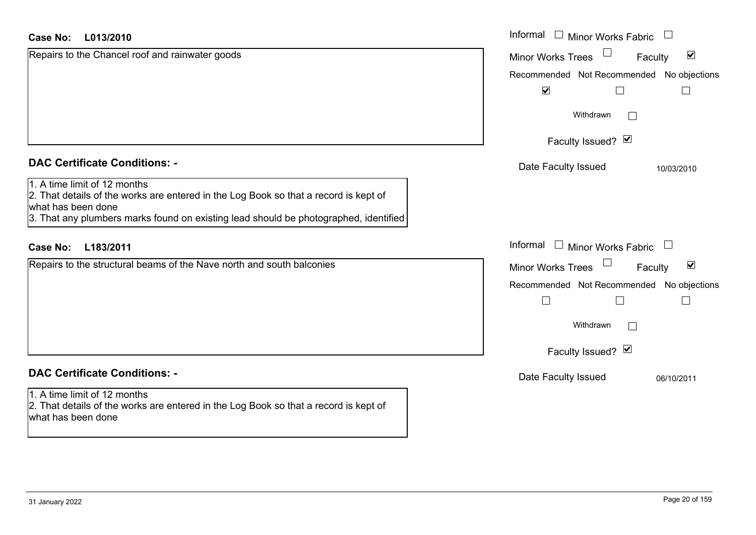| L013/2010<br><b>Case No:</b>                                                                                                                                                                                                       | Informal $\Box$ Minor Works Fabric $\Box$            |
|------------------------------------------------------------------------------------------------------------------------------------------------------------------------------------------------------------------------------------|------------------------------------------------------|
| Repairs to the Chancel roof and rainwater goods                                                                                                                                                                                    | Minor Works Trees<br>$\blacktriangledown$<br>Faculty |
|                                                                                                                                                                                                                                    | Recommended Not Recommended No objections            |
|                                                                                                                                                                                                                                    | $\blacktriangledown$                                 |
|                                                                                                                                                                                                                                    | Withdrawn<br>$\sim$                                  |
|                                                                                                                                                                                                                                    | Faculty Issued? Ø                                    |
| <b>DAC Certificate Conditions: -</b>                                                                                                                                                                                               | Date Faculty Issued<br>10/03/2010                    |
| 1. A time limit of 12 months<br>2. That details of the works are entered in the Log Book so that a record is kept of<br>what has been done<br>3. That any plumbers marks found on existing lead should be photographed, identified |                                                      |
| L183/2011<br><b>Case No:</b>                                                                                                                                                                                                       | Informal $\Box$ Minor Works Fabric $\Box$            |
| Repairs to the structural beams of the Nave north and south balconies                                                                                                                                                              | Minor Works Trees<br>$\blacktriangledown$<br>Faculty |
|                                                                                                                                                                                                                                    | Recommended Not Recommended No objections            |
|                                                                                                                                                                                                                                    |                                                      |
|                                                                                                                                                                                                                                    | Withdrawn<br>$\Box$                                  |
|                                                                                                                                                                                                                                    | Faculty Issued? Ø                                    |
| <b>DAC Certificate Conditions: -</b>                                                                                                                                                                                               | Date Faculty Issued<br>06/10/2011                    |
| 1. A time limit of 12 months<br>2. That details of the works are entered in the Log Book so that a record is kept of<br>what has been done                                                                                         |                                                      |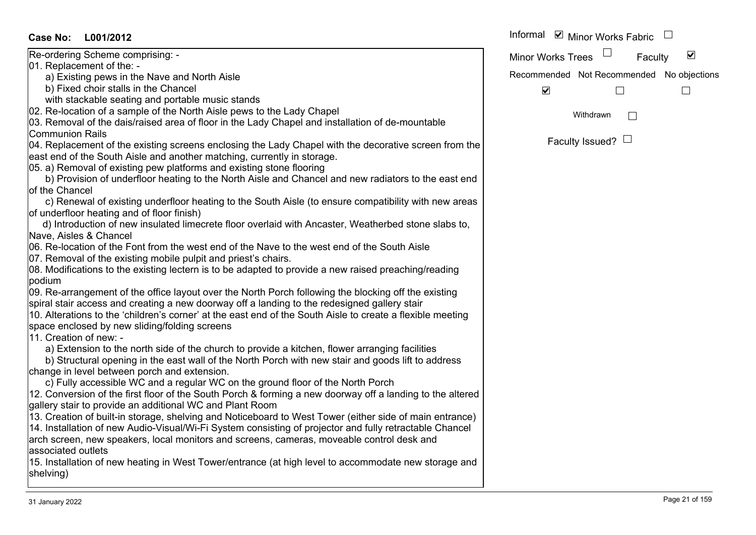| <b>Case No:</b><br>L001/2012                                                                               | Informal <b>v</b> Minor Works Fabric                 |
|------------------------------------------------------------------------------------------------------------|------------------------------------------------------|
| Re-ordering Scheme comprising: -                                                                           | $\blacktriangledown$<br>Minor Works Trees<br>Faculty |
| 01. Replacement of the: -                                                                                  |                                                      |
| a) Existing pews in the Nave and North Aisle                                                               | Recommended Not Recommended No objections            |
| b) Fixed choir stalls in the Chancel                                                                       | $\blacktriangledown$                                 |
| with stackable seating and portable music stands                                                           |                                                      |
| 02. Re-location of a sample of the North Aisle pews to the Lady Chapel                                     | Withdrawn<br>П                                       |
| 03. Removal of the dais/raised area of floor in the Lady Chapel and installation of de-mountable           |                                                      |
| <b>Communion Rails</b>                                                                                     |                                                      |
| 04. Replacement of the existing screens enclosing the Lady Chapel with the decorative screen from the      | Faculty Issued? $\Box$                               |
| east end of the South Aisle and another matching, currently in storage.                                    |                                                      |
| 05. a) Removal of existing pew platforms and existing stone flooring                                       |                                                      |
| b) Provision of underfloor heating to the North Aisle and Chancel and new radiators to the east end        |                                                      |
| of the Chancel                                                                                             |                                                      |
| c) Renewal of existing underfloor heating to the South Aisle (to ensure compatibility with new areas       |                                                      |
| of underfloor heating and of floor finish)                                                                 |                                                      |
| d) Introduction of new insulated limecrete floor overlaid with Ancaster, Weatherbed stone slabs to,        |                                                      |
| Nave, Aisles & Chancel                                                                                     |                                                      |
| 06. Re-location of the Font from the west end of the Nave to the west end of the South Aisle               |                                                      |
| 07. Removal of the existing mobile pulpit and priest's chairs.                                             |                                                      |
| 08. Modifications to the existing lectern is to be adapted to provide a new raised preaching/reading       |                                                      |
| podium                                                                                                     |                                                      |
| 09. Re-arrangement of the office layout over the North Porch following the blocking off the existing       |                                                      |
| spiral stair access and creating a new doorway off a landing to the redesigned gallery stair               |                                                      |
| 10. Alterations to the 'children's corner' at the east end of the South Aisle to create a flexible meeting |                                                      |
| space enclosed by new sliding/folding screens                                                              |                                                      |
| 11. Creation of new: -                                                                                     |                                                      |
| a) Extension to the north side of the church to provide a kitchen, flower arranging facilities             |                                                      |
| b) Structural opening in the east wall of the North Porch with new stair and goods lift to address         |                                                      |
| change in level between porch and extension.                                                               |                                                      |
| c) Fully accessible WC and a regular WC on the ground floor of the North Porch                             |                                                      |
| 12. Conversion of the first floor of the South Porch & forming a new doorway off a landing to the altered  |                                                      |
| gallery stair to provide an additional WC and Plant Room                                                   |                                                      |
| 13. Creation of built-in storage, shelving and Noticeboard to West Tower (either side of main entrance)    |                                                      |
| 14. Installation of new Audio-Visual/Wi-Fi System consisting of projector and fully retractable Chancel    |                                                      |
| arch screen, new speakers, local monitors and screens, cameras, moveable control desk and                  |                                                      |
| associated outlets                                                                                         |                                                      |
| 15. Installation of new heating in West Tower/entrance (at high level to accommodate new storage and       |                                                      |
| shelving)                                                                                                  |                                                      |
|                                                                                                            |                                                      |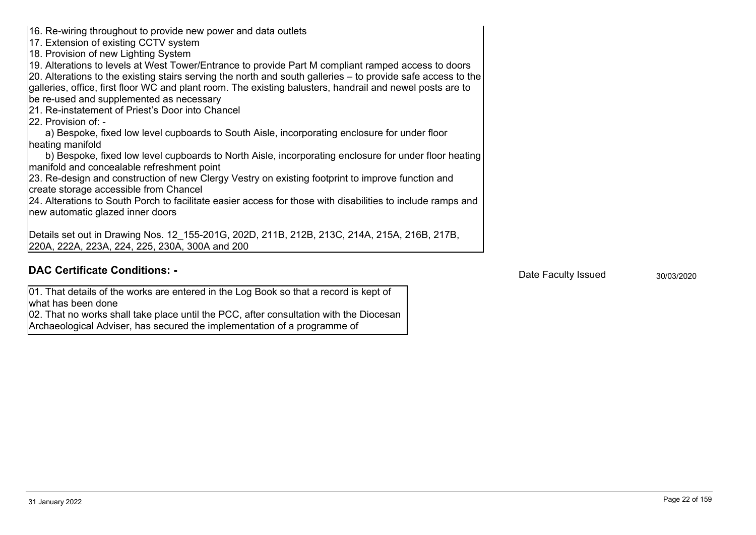what has been doneArchaeological Adviser, has secured the implementation of a programme of

02. That no works shall take place until the PCC, after consultation with the Diocesan

01. That details of the works are entered in the Log Book so that a record is kept of

**DAC Certificate Conditions: -** 30/03/2020 **DAC Certificate Conditions: -** 2003/2020 **Date Faculty Issued** 

220A, 222A, 223A, 224, 225, 230A, 300A and 200

16. Re-wiring throughout to provide new power and data outlets

17. Extension of existing CCTV system 18. Provision of new Lighting System

be re-used and supplemented as necessary 21. Re-instatement of Priest's Door into Chancel

22. Provision of: -

heating manifold

manifold and concealable refreshment point 23. Re-design and construction of new Clergy Vestry on existing footprint to improve function and

a) Bespoke, fixed low level cupboards to South Aisle, incorporating enclosure for under floor

19. Alterations to levels at West Tower/Entrance to provide Part M compliant ramped access to doors 20. Alterations to the existing stairs serving the north and south galleries – to provide safe access to the galleries, office, first floor WC and plant room. The existing balusters, handrail and newel posts are to

create storage accessible from Chancel

Details set out in Drawing Nos. 12\_155-201G, 202D, 211B, 212B, 213C, 214A, 215A, 216B, 217B,

b) Bespoke, fixed low level cupboards to North Aisle, incorporating enclosure for under floor heating

24. Alterations to South Porch to facilitate easier access for those with disabilities to include ramps and new automatic glazed inner doors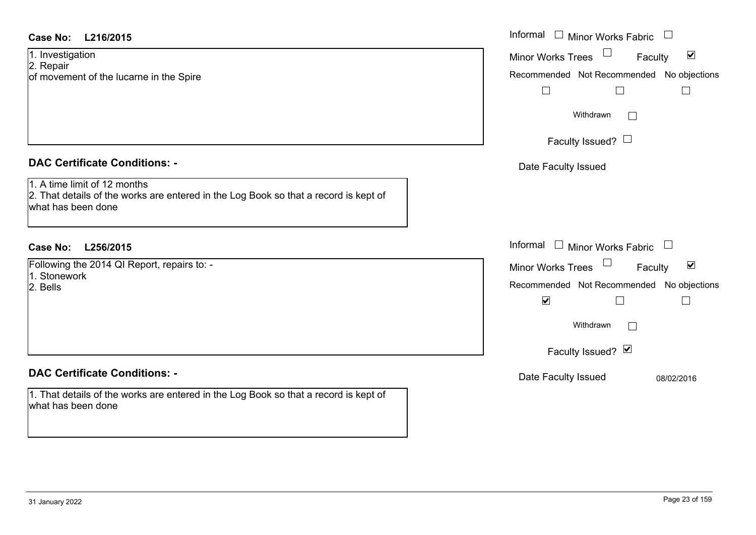1. Investigation 2. Repair

of movement of the lucarne in the Spire

#### **DAC Certificate Conditions: -**

1. A time limit of 12 months2. That details of the works are entered in the Log Book so that a record is kept of what has been done

# **L256/2015Case No:** Informal

Following the 2014 QI Report, repairs to: - 1. Stonework

2. Bells

# **DAC Certificate Conditions: -**

1. That details of the works are entered in the Log Book so that a record is kept of what has been done

| L216/2015                                                                                                      | Informal $\Box$ Minor Works Fabric $\Box$                   |
|----------------------------------------------------------------------------------------------------------------|-------------------------------------------------------------|
| gation                                                                                                         | Minor Works Trees $\Box$<br>$\blacktriangledown$<br>Faculty |
| nent of the lucarne in the Spire                                                                               | Recommended Not Recommended No objections                   |
|                                                                                                                | $\Box$                                                      |
|                                                                                                                | Withdrawn                                                   |
|                                                                                                                | Faculty Issued? $\Box$                                      |
| rtificate Conditions: -                                                                                        | Date Faculty Issued                                         |
| limit of 12 months<br>etails of the works are entered in the Log Book so that a record is kept of<br>been done |                                                             |
| L256/2015                                                                                                      | Informal $\Box$ Minor Works Fabric $\Box$                   |
| the 2014 QI Report, repairs to: -                                                                              | Minor Works Trees<br>$\blacktriangledown$<br>Faculty        |
| vork                                                                                                           | Recommended Not Recommended No objections                   |
|                                                                                                                | $\blacktriangledown$<br>$\Box$<br>$\mathsf{L}$              |
|                                                                                                                | Withdrawn                                                   |
|                                                                                                                | Faculty Issued? Ø                                           |
| rtificate Conditions: -                                                                                        | Date Faculty Issued<br>08/02/2016                           |
| etails of the works are entered in the Log Book so that a record is kept of<br>heen done                       |                                                             |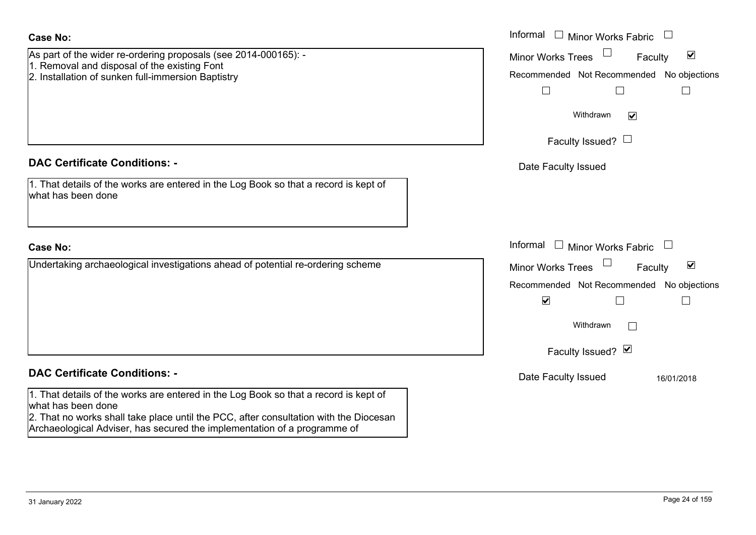| <b>Case No:</b>                                                                                                                                                                                                                                                                 | Informal $\Box$ Minor Works Fabric $\Box$                                                                                                                                               |
|---------------------------------------------------------------------------------------------------------------------------------------------------------------------------------------------------------------------------------------------------------------------------------|-----------------------------------------------------------------------------------------------------------------------------------------------------------------------------------------|
| As part of the wider re-ordering proposals (see 2014-000165): -<br>1. Removal and disposal of the existing Font<br>2. Installation of sunken full-immersion Baptistry                                                                                                           | $\blacktriangledown$<br><b>Minor Works Trees</b><br>Faculty<br>Recommended Not Recommended No objections<br>$\Box$<br>$\Box$<br>$\Box$<br>Withdrawn<br>$\overline{\mathbf{v}}$          |
|                                                                                                                                                                                                                                                                                 | Faculty Issued? $\Box$                                                                                                                                                                  |
| <b>DAC Certificate Conditions: -</b><br>1. That details of the works are entered in the Log Book so that a record is kept of<br>what has been done                                                                                                                              | Date Faculty Issued                                                                                                                                                                     |
| <b>Case No:</b>                                                                                                                                                                                                                                                                 | Informal<br>$\Box$ Minor Works Fabric<br>$\overline{\phantom{a}}$                                                                                                                       |
| Undertaking archaeological investigations ahead of potential re-ordering scheme                                                                                                                                                                                                 | Minor Works Trees<br>$\blacktriangledown$<br>Faculty<br>Recommended Not Recommended No objections<br>$\blacktriangledown$<br>$\mathbb{R}^n$<br>$\Box$<br>Withdrawn<br>Faculty Issued? Ø |
| <b>DAC Certificate Conditions: -</b>                                                                                                                                                                                                                                            | Date Faculty Issued<br>16/01/2018                                                                                                                                                       |
| 1. That details of the works are entered in the Log Book so that a record is kept of<br>what has been done<br>2. That no works shall take place until the PCC, after consultation with the Diocesan<br>Archaeological Adviser, has secured the implementation of a programme of |                                                                                                                                                                                         |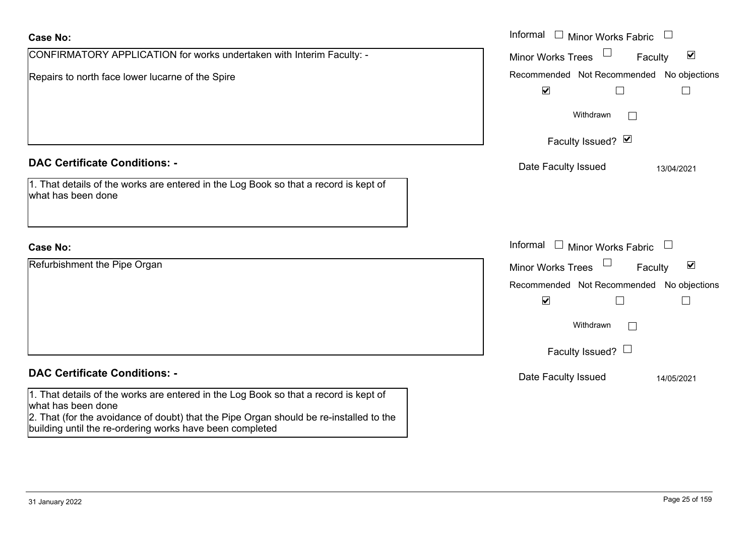| <b>Case No:</b>                                                                                                                                                                                      | Informal $\Box$ Minor Works Fabric                                                                         |
|------------------------------------------------------------------------------------------------------------------------------------------------------------------------------------------------------|------------------------------------------------------------------------------------------------------------|
| CONFIRMATORY APPLICATION for works undertaken with Interim Faculty: -                                                                                                                                | $\Box$<br>$\blacktriangledown$<br><b>Minor Works Trees</b><br>Faculty                                      |
| Repairs to north face lower lucarne of the Spire                                                                                                                                                     | Recommended Not Recommended No objections<br>$\blacktriangledown$                                          |
|                                                                                                                                                                                                      | Withdrawn                                                                                                  |
|                                                                                                                                                                                                      | Faculty Issued? Ø                                                                                          |
| <b>DAC Certificate Conditions: -</b>                                                                                                                                                                 | Date Faculty Issued<br>13/04/2021                                                                          |
| 1. That details of the works are entered in the Log Book so that a record is kept of<br>what has been done                                                                                           |                                                                                                            |
| <b>Case No:</b>                                                                                                                                                                                      | Informal $\Box$ Minor Works Fabric                                                                         |
| Refurbishment the Pipe Organ                                                                                                                                                                         | Minor Works Trees<br>$\blacktriangledown$<br>Faculty                                                       |
|                                                                                                                                                                                                      | Recommended Not Recommended No objections<br>$\blacktriangledown$<br>$\Box$<br>$\mathcal{L}_{\mathcal{A}}$ |
|                                                                                                                                                                                                      | Withdrawn                                                                                                  |
|                                                                                                                                                                                                      | Faculty Issued? $\Box$                                                                                     |
| <b>DAC Certificate Conditions: -</b>                                                                                                                                                                 | Date Faculty Issued<br>14/05/2021                                                                          |
| 1. That details of the works are entered in the Log Book so that a record is kept of<br>what has been done<br>2. That (for the avoidance of doubt) that the Pipe Organ should be re-installed to the |                                                                                                            |

building until the re-ordering works have been completed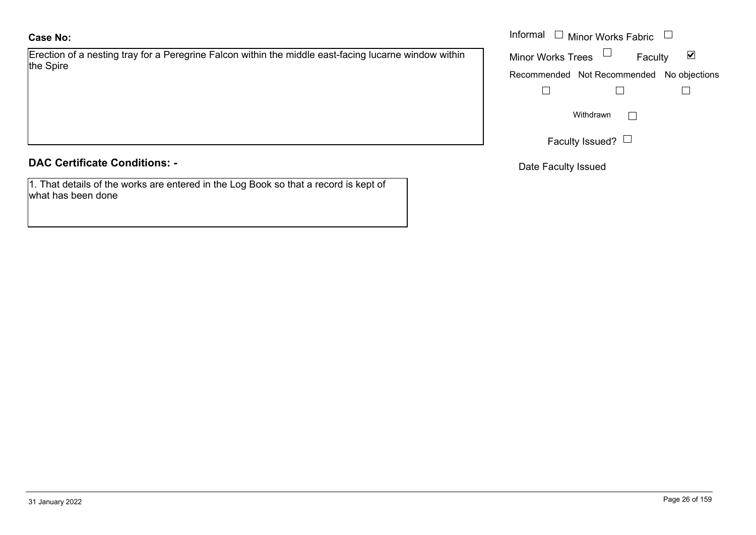Erection of a nesting tray for a Peregrine Falcon within the middle east-facing lucarne window within the Spire

#### **DAC Certificate Conditions: -**

1. That details of the works are entered in the Log Book so that a record is kept of what has been done

|                                                                                              | Informal<br>$\Box$ Minor Works Fabric $\Box$<br>$\Box$ |  |
|----------------------------------------------------------------------------------------------|--------------------------------------------------------|--|
| of a nesting tray for a Peregrine Falcon within the middle east-facing lucarne window within | Minor Works Trees<br>⊻<br>Faculty                      |  |
|                                                                                              | Recommended Not Recommended No objections              |  |
|                                                                                              |                                                        |  |
|                                                                                              | Withdrawn                                              |  |
|                                                                                              | Faculty Issued? $\Box$                                 |  |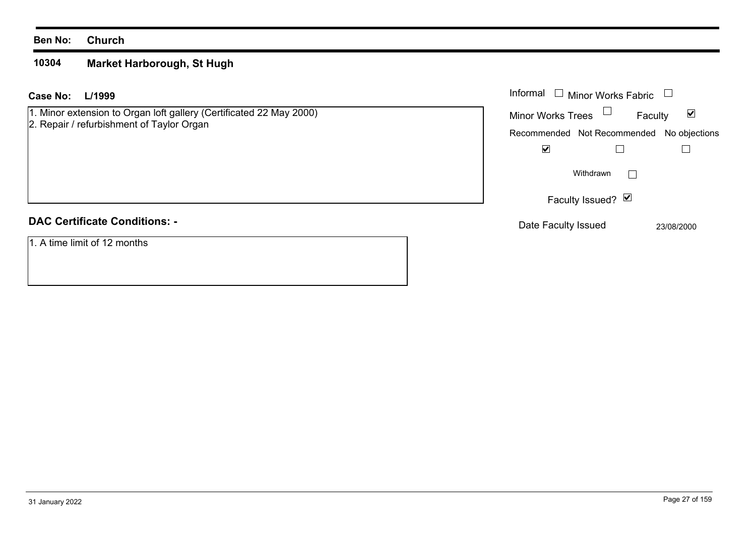#### **10304Market Harborough, St Hugh**

#### **L/1999Case No:**

1. Minor extension to Organ loft gallery (Certificated 22 May 2000)

# 2. Repair / refurbishment of Taylor Organ

# **DAC Certificate Conditions: -**

1. A time limit of 12 months

| L/1999                                                                                        | Informal $\Box$ Minor Works Fabric $\Box$ |
|-----------------------------------------------------------------------------------------------|-------------------------------------------|
| extension to Organ loft gallery (Certificated 22 May 2000)<br>/ refurbishment of Taylor Organ | Minor Works Trees $\Box$<br>Faculty<br>☑  |
|                                                                                               | Recommended Not Recommended No objections |
|                                                                                               | $\blacktriangledown$                      |
|                                                                                               | Withdrawn                                 |
|                                                                                               | Faculty Issued? Ø                         |
| rtificate Conditions: -                                                                       | Date Faculty Issued<br>23/08/2000         |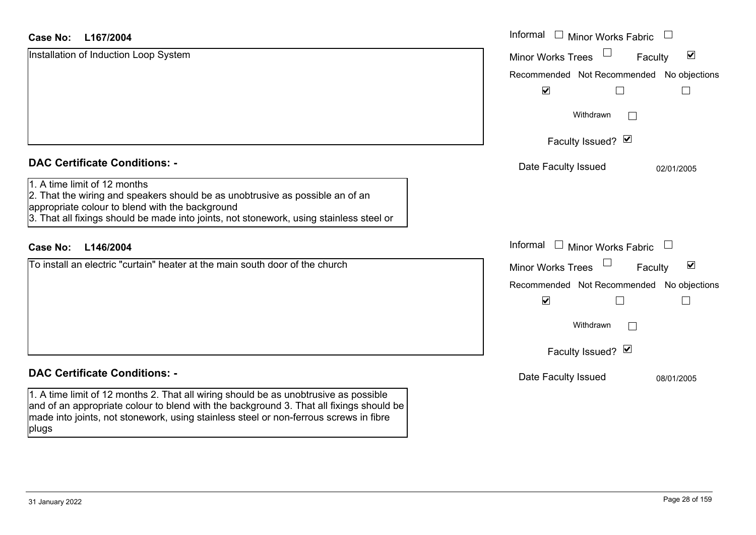| <b>Case No:</b><br>L167/2004                                                                                                                                                                                                                                             | Informal<br>$\Box$<br><b>Minor Works Fabric</b>             |
|--------------------------------------------------------------------------------------------------------------------------------------------------------------------------------------------------------------------------------------------------------------------------|-------------------------------------------------------------|
| Installation of Induction Loop System                                                                                                                                                                                                                                    | $\blacktriangledown$<br><b>Minor Works Trees</b><br>Faculty |
|                                                                                                                                                                                                                                                                          | Recommended Not Recommended No objections                   |
|                                                                                                                                                                                                                                                                          | $\blacktriangledown$                                        |
|                                                                                                                                                                                                                                                                          | Withdrawn<br>$\overline{\phantom{a}}$                       |
|                                                                                                                                                                                                                                                                          | Faculty Issued? Ø                                           |
| <b>DAC Certificate Conditions: -</b>                                                                                                                                                                                                                                     | Date Faculty Issued<br>02/01/2005                           |
| 1. A time limit of 12 months<br>2. That the wiring and speakers should be as unobtrusive as possible an of an<br>appropriate colour to blend with the background<br>3. That all fixings should be made into joints, not stonework, using stainless steel or              |                                                             |
| L146/2004<br><b>Case No:</b>                                                                                                                                                                                                                                             | Informal<br>$\Box$ Minor Works Fabric<br>$\Box$             |
| To install an electric "curtain" heater at the main south door of the church                                                                                                                                                                                             | $\blacktriangledown$<br>Minor Works Trees<br>Faculty        |
|                                                                                                                                                                                                                                                                          | Recommended Not Recommended No objections                   |
|                                                                                                                                                                                                                                                                          | $\blacktriangledown$                                        |
|                                                                                                                                                                                                                                                                          | Withdrawn<br>П                                              |
|                                                                                                                                                                                                                                                                          | Faculty Issued? Ø                                           |
| <b>DAC Certificate Conditions: -</b>                                                                                                                                                                                                                                     | Date Faculty Issued<br>08/01/2005                           |
| 1. A time limit of 12 months 2. That all wiring should be as unobtrusive as possible<br>and of an appropriate colour to blend with the background 3. That all fixings should be<br>made into joints, not stonework, using stainless steel or non-ferrous screws in fibre |                                                             |

plugs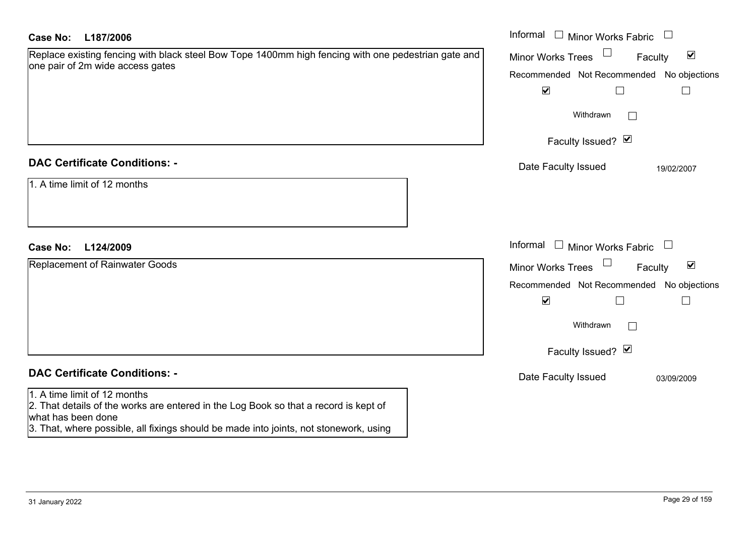| Case No:<br>L187/2006                                                                                                                                                                                                               | Informal $\Box$ Minor Works Fabric<br>$\begin{array}{c} \hline \end{array}$ |
|-------------------------------------------------------------------------------------------------------------------------------------------------------------------------------------------------------------------------------------|-----------------------------------------------------------------------------|
| Replace existing fencing with black steel Bow Tope 1400mm high fencing with one pedestrian gate and                                                                                                                                 | $\blacktriangledown$<br><b>Minor Works Trees</b><br>Faculty                 |
| one pair of 2m wide access gates                                                                                                                                                                                                    | Recommended Not Recommended No objections                                   |
|                                                                                                                                                                                                                                     | $\blacktriangledown$<br>$\Box$<br>$\Box$                                    |
|                                                                                                                                                                                                                                     | Withdrawn<br>$\Box$                                                         |
|                                                                                                                                                                                                                                     | Faculty Issued? Ø                                                           |
| <b>DAC Certificate Conditions: -</b>                                                                                                                                                                                                | Date Faculty Issued<br>19/02/2007                                           |
| 1. A time limit of 12 months                                                                                                                                                                                                        |                                                                             |
| L124/2009<br><b>Case No:</b>                                                                                                                                                                                                        | Informal $\Box$ Minor Works Fabric<br>$\Box$                                |
| Replacement of Rainwater Goods                                                                                                                                                                                                      | Minor Works Trees<br>$\blacktriangledown$<br>Faculty                        |
|                                                                                                                                                                                                                                     | Recommended Not Recommended No objections                                   |
|                                                                                                                                                                                                                                     | $\blacktriangledown$<br>⊔<br>$\mathbb{R}^n$                                 |
|                                                                                                                                                                                                                                     | Withdrawn<br>$\perp$                                                        |
|                                                                                                                                                                                                                                     | Faculty Issued? Ø                                                           |
| <b>DAC Certificate Conditions: -</b>                                                                                                                                                                                                | Date Faculty Issued<br>03/09/2009                                           |
| 1. A time limit of 12 months<br>2. That details of the works are entered in the Log Book so that a record is kept of<br>what has been done<br>3. That, where possible, all fixings should be made into joints, not stonework, using |                                                                             |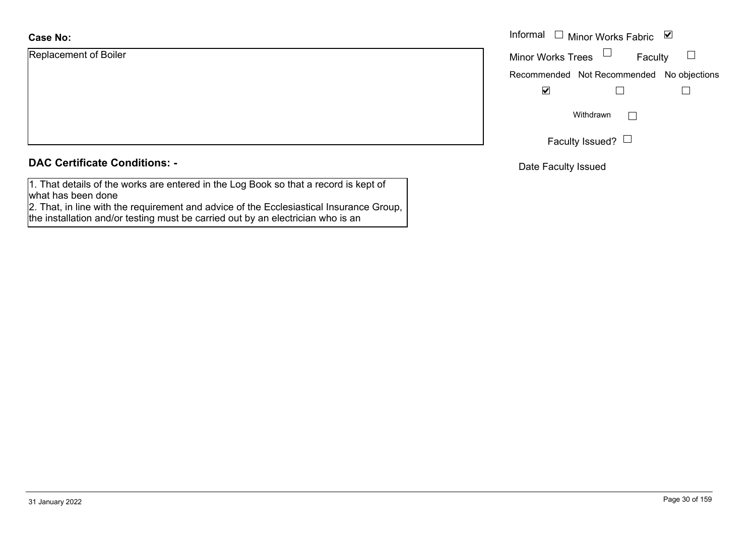| <b>Case No:</b>       | Informal |
|-----------------------|----------|
| Replacement of Boiler | Minor W  |
|                       | Recomm   |
|                       |          |
|                       |          |
|                       |          |
|                       |          |

## **DAC Certificate Conditions: -**

1. That details of the works are entered in the Log Book so that a record is kept of what has been done

2. That, in line with the requirement and advice of the Ecclesiastical Insurance Group, the installation and/or testing must be carried out by an electrician who is an

| Informal □ Minor Works Fabric<br>び        |                 |         |  |
|-------------------------------------------|-----------------|---------|--|
| <b>Minor Works Trees</b>                  |                 | Faculty |  |
| Recommended Not Recommended No objections |                 |         |  |
|                                           |                 |         |  |
|                                           | Withdrawn       |         |  |
|                                           | Faculty Issued? |         |  |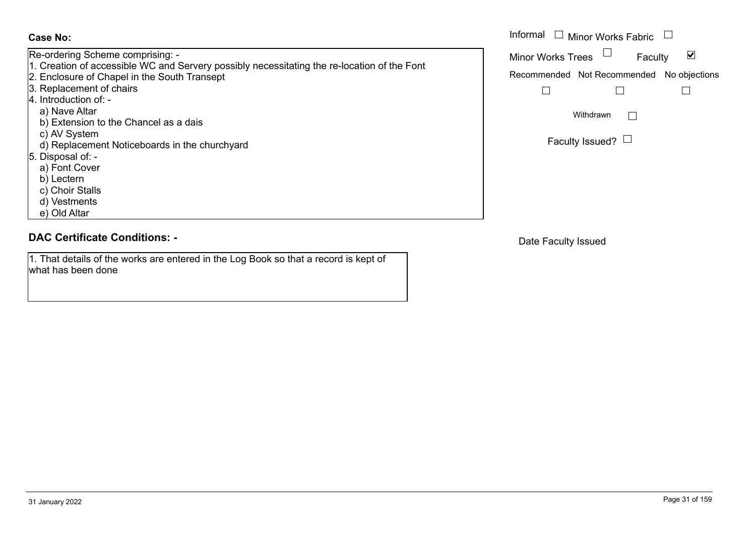Re-ordering Scheme comprising: - 1. Creation of accessible WC and Servery possibly necessitating the re-location of the Font 2. Enclosure of Chapel in the South Transept 3. Replacement of chairs 4. Introduction of: a) Nave Altar b) Extension to the Chancel as a dais c) AV System d) Replacement Noticeboards in the churchyard 5. Disposal of: a) Font Cover b) Lectern c) Choir Stalls d) Vestments e) Old Altar

## **DAC Certificate Conditions: -**

1. That details of the works are entered in the Log Book so that a record is kept of what has been done

|                                                                                                                | Informal $\Box$ Minor Works Fabric $\Box$ |  |
|----------------------------------------------------------------------------------------------------------------|-------------------------------------------|--|
| ing Scheme comprising: -<br>on of accessible WC and Servery possibly necessitating the re-location of the Font | <b>Minor Works Trees</b><br>Faculty       |  |
| ure of Chapel in the South Transept                                                                            | Recommended Not Recommended No objections |  |
| cement of chairs                                                                                               |                                           |  |
| - :loction of                                                                                                  |                                           |  |
| e Altar                                                                                                        | Withdrawn                                 |  |
| ension to the Chancel as a dais                                                                                |                                           |  |
| System                                                                                                         |                                           |  |
| lacement Noticeboards in the churchyard                                                                        | Faculty Issued? $\Box$                    |  |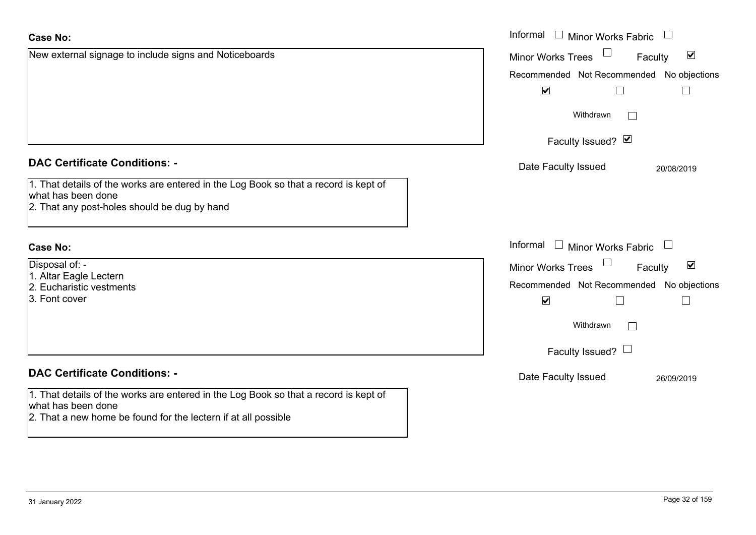| <b>Case No:</b>                                                                                                                                                              | Informal<br>$\Box$ Minor Works Fabric                       |
|------------------------------------------------------------------------------------------------------------------------------------------------------------------------------|-------------------------------------------------------------|
| New external signage to include signs and Noticeboards                                                                                                                       | $\blacktriangledown$<br><b>Minor Works Trees</b><br>Faculty |
|                                                                                                                                                                              | Recommended Not Recommended<br>No objections                |
|                                                                                                                                                                              | $\blacktriangledown$<br>$\Box$                              |
|                                                                                                                                                                              | Withdrawn<br>I.                                             |
|                                                                                                                                                                              | Faculty Issued? Ø                                           |
| <b>DAC Certificate Conditions: -</b>                                                                                                                                         | Date Faculty Issued<br>20/08/2019                           |
| 1. That details of the works are entered in the Log Book so that a record is kept of<br>what has been done<br>2. That any post-holes should be dug by hand                   |                                                             |
| <b>Case No:</b>                                                                                                                                                              | Informal<br>$\Box$ Minor Works Fabric $\Box$                |
| Disposal of: -                                                                                                                                                               | $\blacktriangledown$<br><b>Minor Works Trees</b><br>Faculty |
| 1. Altar Eagle Lectern<br>2. Eucharistic vestments                                                                                                                           | Recommended Not Recommended<br>No objections                |
| 3. Font cover                                                                                                                                                                | $\blacktriangledown$                                        |
|                                                                                                                                                                              | Withdrawn                                                   |
|                                                                                                                                                                              | Faculty Issued? $\Box$                                      |
| <b>DAC Certificate Conditions: -</b>                                                                                                                                         | Date Faculty Issued<br>26/09/2019                           |
| 1. That details of the works are entered in the Log Book so that a record is kept of<br>what has been done<br>2. That a new home be found for the lectern if at all possible |                                                             |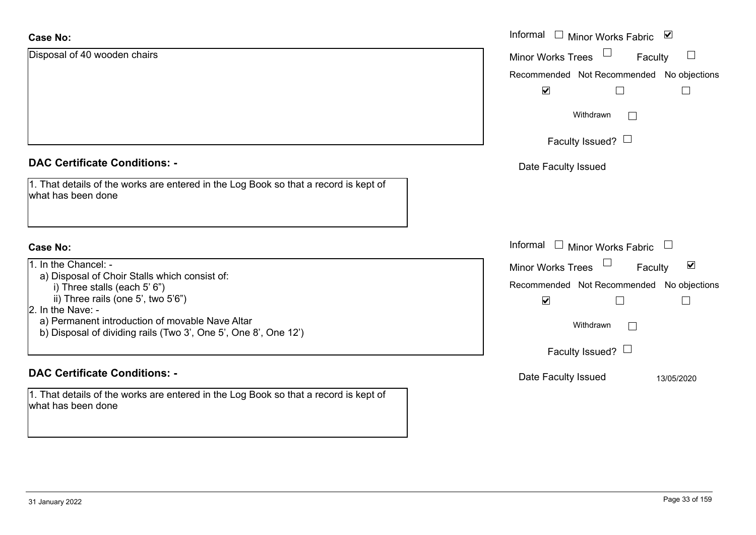| <b>Case No:</b>                                                                                                                         | Informal<br>Minor Works Fabric ⊠<br>$\mathcal{L}^{\mathcal{A}}$ |
|-----------------------------------------------------------------------------------------------------------------------------------------|-----------------------------------------------------------------|
| Disposal of 40 wooden chairs                                                                                                            | $\Box$<br>Minor Works Trees<br>Faculty                          |
|                                                                                                                                         | Recommended Not Recommended No objections                       |
|                                                                                                                                         | $\blacktriangledown$                                            |
|                                                                                                                                         | Withdrawn                                                       |
|                                                                                                                                         | Faculty Issued? $\Box$                                          |
| <b>DAC Certificate Conditions: -</b>                                                                                                    | Date Faculty Issued                                             |
| 1. That details of the works are entered in the Log Book so that a record is kept of<br>what has been done                              |                                                                 |
| <b>Case No:</b>                                                                                                                         | Informal<br>Minor Works Fabric                                  |
| 1. In the Chancel: -                                                                                                                    | $\blacktriangledown$<br>Minor Works Trees<br>Faculty            |
| a) Disposal of Choir Stalls which consist of:<br>i) Three stalls (each 5' 6")                                                           | Recommended Not Recommended No objections                       |
| ii) Three rails (one 5', two 5'6")                                                                                                      | $\blacktriangledown$                                            |
| 2. In the Nave: -<br>a) Permanent introduction of movable Nave Altar<br>b) Disposal of dividing rails (Two 3', One 5', One 8', One 12') | Withdrawn                                                       |
|                                                                                                                                         | Faculty Issued? $\Box$                                          |
| <b>DAC Certificate Conditions: -</b>                                                                                                    | Date Faculty Issued<br>13/05/2020                               |
| 1. That details of the works are entered in the Log Book so that a record is kept of<br>what has been done                              |                                                                 |
|                                                                                                                                         |                                                                 |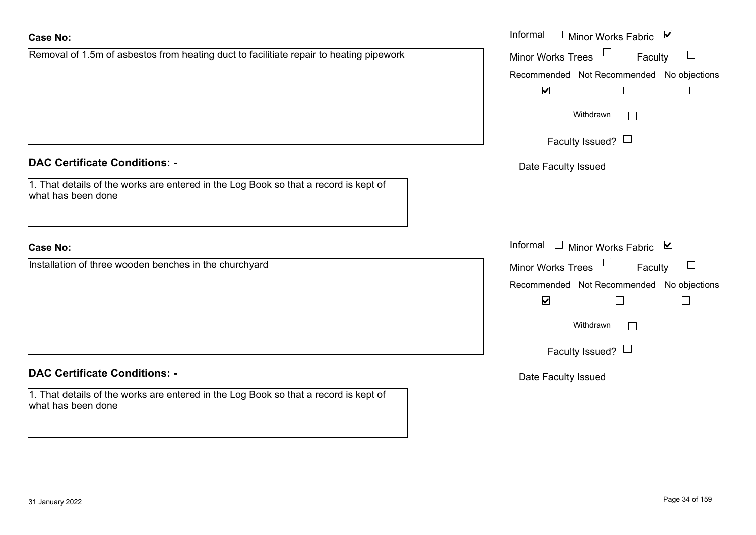| <b>Case No:</b>                                                                                            | Informal $\Box$ Minor Works Fabric $\Box$         |
|------------------------------------------------------------------------------------------------------------|---------------------------------------------------|
| Removal of 1.5m of asbestos from heating duct to facilitiate repair to heating pipework                    | Minor Works Trees<br>$\Box$<br>Faculty            |
|                                                                                                            | Recommended Not Recommended No objections         |
|                                                                                                            | $\blacktriangledown$<br>$\Box$                    |
|                                                                                                            | Withdrawn                                         |
|                                                                                                            | Faculty Issued? $\Box$                            |
| <b>DAC Certificate Conditions: -</b>                                                                       | Date Faculty Issued                               |
| 1. That details of the works are entered in the Log Book so that a record is kept of<br>what has been done |                                                   |
| <b>Case No:</b>                                                                                            | Informal<br>$\Box$ Minor Works Fabric $\boxtimes$ |
| Installation of three wooden benches in the churchyard                                                     | Minor Works Trees<br>Faculty                      |
|                                                                                                            | Recommended Not Recommended No objections         |
|                                                                                                            | $\blacktriangledown$                              |
|                                                                                                            | Withdrawn                                         |
|                                                                                                            | Faculty Issued? $\Box$                            |
| <b>DAC Certificate Conditions: -</b>                                                                       | Date Faculty Issued                               |
| 1. That details of the works are entered in the Log Book so that a record is kept of<br>what has been done |                                                   |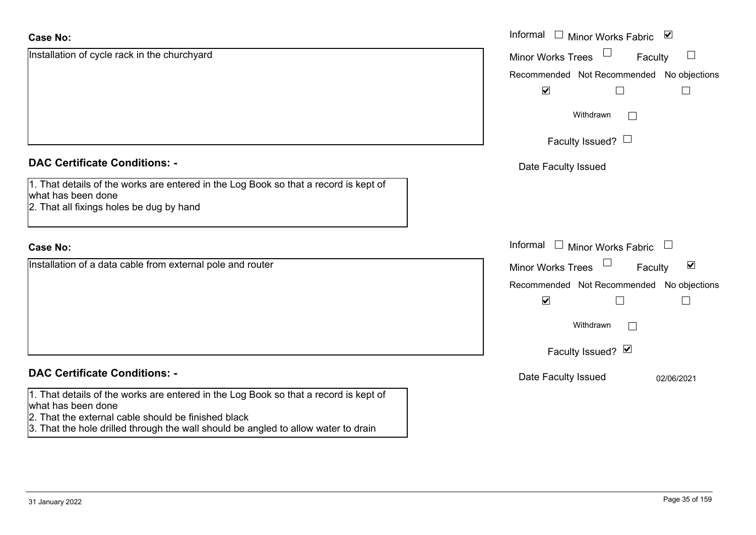| <b>Case No:</b>                                                                                                                                                                                                                                         | Informal $\Box$<br>Minor Works Fabric ⊠                     |
|---------------------------------------------------------------------------------------------------------------------------------------------------------------------------------------------------------------------------------------------------------|-------------------------------------------------------------|
| Installation of cycle rack in the churchyard                                                                                                                                                                                                            | $\Box$<br><b>Minor Works Trees</b><br>Faculty               |
|                                                                                                                                                                                                                                                         | Recommended Not Recommended No objections                   |
|                                                                                                                                                                                                                                                         | $\blacktriangledown$                                        |
|                                                                                                                                                                                                                                                         | Withdrawn<br>$\overline{\phantom{0}}$                       |
|                                                                                                                                                                                                                                                         | Faculty Issued? $\Box$                                      |
| <b>DAC Certificate Conditions: -</b>                                                                                                                                                                                                                    | Date Faculty Issued                                         |
| 1. That details of the works are entered in the Log Book so that a record is kept of<br>what has been done<br>2. That all fixings holes be dug by hand                                                                                                  |                                                             |
| <b>Case No:</b>                                                                                                                                                                                                                                         | Informal $\Box$ Minor Works Fabric $\Box$                   |
| Installation of a data cable from external pole and router                                                                                                                                                                                              | $\blacktriangledown$<br>Faculty<br><b>Minor Works Trees</b> |
|                                                                                                                                                                                                                                                         | Recommended Not Recommended No objections                   |
|                                                                                                                                                                                                                                                         | $\blacktriangledown$                                        |
|                                                                                                                                                                                                                                                         | Withdrawn                                                   |
|                                                                                                                                                                                                                                                         | Faculty Issued? Ø                                           |
| <b>DAC Certificate Conditions: -</b>                                                                                                                                                                                                                    | Date Faculty Issued<br>02/06/2021                           |
| 1. That details of the works are entered in the Log Book so that a record is kept of<br>what has been done<br>2. That the external cable should be finished black<br>3. That the hole drilled through the wall should be angled to allow water to drain |                                                             |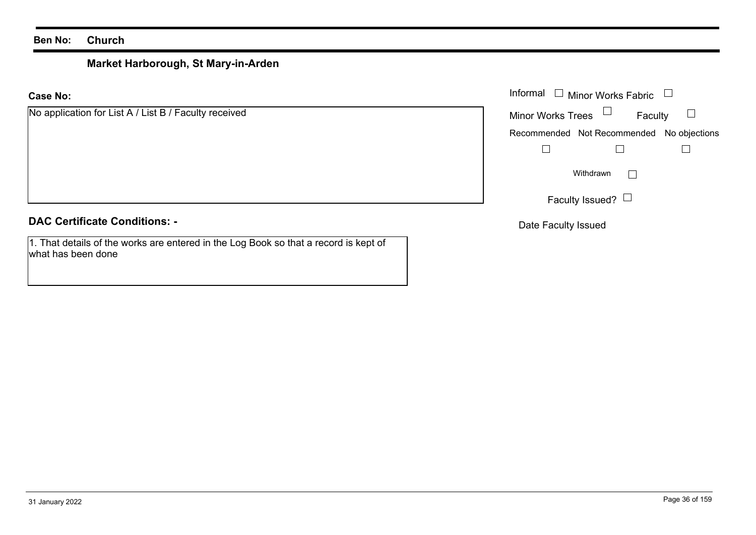# **Market Harborough, St Mary-in-Arden**

**Case No:**

|  | No application for List A / List B / Faculty received |  |  |  |  |  |
|--|-------------------------------------------------------|--|--|--|--|--|
|--|-------------------------------------------------------|--|--|--|--|--|

# **DAC Certificate Conditions: -**

1. That details of the works are entered in the Log Book so that a record is kept of what has been done

|                                               | Informal $\Box$ Minor Works Fabric $\Box$ |  |  |
|-----------------------------------------------|-------------------------------------------|--|--|
| cation for List A / List B / Faculty received | Faculty<br>Minor Works Trees $\Box$       |  |  |
|                                               | Recommended Not Recommended No objections |  |  |
|                                               |                                           |  |  |
|                                               | Withdrawn                                 |  |  |
|                                               | Faculty Issued? $\Box$                    |  |  |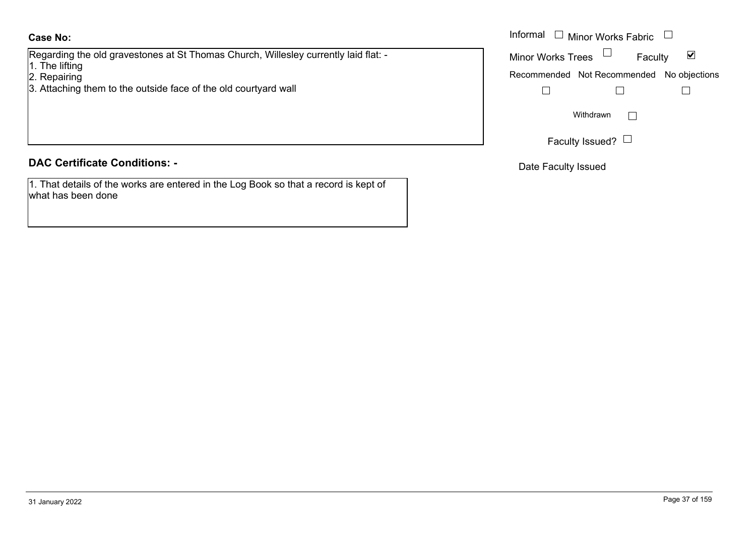#### **Case No:**

Regarding the old gravestones at St Thomas Church, Willesley currently laid flat: -

- 1. The lifting
- 2. Repairing
- 3. Attaching them to the outside face of the old courtyard wall

#### **DAC Certificate Conditions: -**

1. That details of the works are entered in the Log Book so that a record is kept of what has been done

|                                                                             | Informal $\Box$ Minor Works Fabric $\Box$ |
|-----------------------------------------------------------------------------|-------------------------------------------|
| g the old gravestones at St Thomas Church, Willesley currently laid flat: - | ⊻<br><b>Minor Works Trees</b><br>Faculty  |
| ting<br>ing<br>ing them to the outside face of the old courtyard wall       | Recommended Not Recommended No objections |
|                                                                             | Withdrawn                                 |
|                                                                             | Faculty Issued?                           |

Date Faculty Issued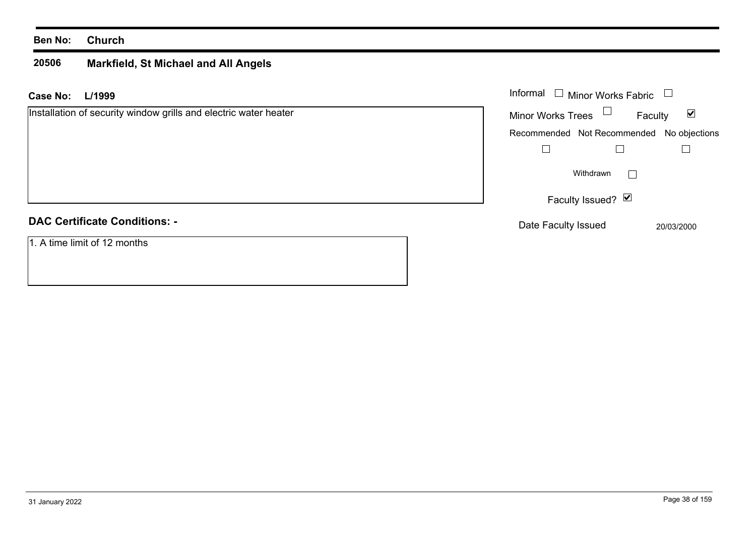#### **20506 Markfield, St Michael and All Angels**

| Case No:<br>L/1999                                               | Informal $\Box$ Minor Works Fabric        |
|------------------------------------------------------------------|-------------------------------------------|
| Installation of security window grills and electric water heater | <b>Minor Works Trees</b><br>☑<br>Faculty  |
|                                                                  | Recommended Not Recommended No objections |
|                                                                  |                                           |
|                                                                  | Withdrawn                                 |
|                                                                  | Faculty Issued? Ø                         |
| <b>DAC Certificate Conditions: -</b>                             | Date Faculty Issued<br>20/03/2000         |
| 1. A time limit of 12 months                                     |                                           |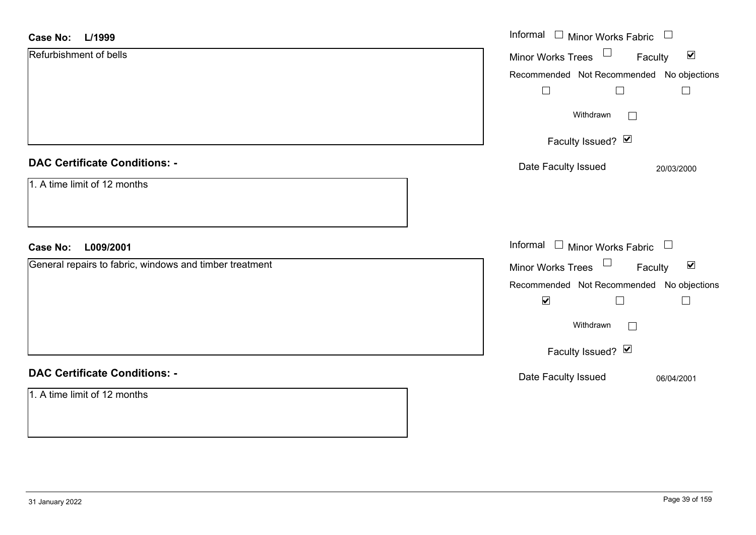# Informal  $\Box$  Minor Works Fabric  $\Box$  Informal **L/1999Case No:**Refurbishment of bellsFaculty Minor Works Trees Recommended Not Recommended No objections  $\Box$  $\Box$  $\Box$ Withdrawn Faculty Issued? Ø **DAC Certificate Conditions: -**Date Faculty Issued 20/03/2000 1. A time limit of 12 monthsInformal  $\Box$  Minor Works Fabric  $\Box$ **L009/2001Case No:** Informal General repairs to fabric, windows and timber treatment Faculty Minor Works Trees Recommended Not Recommended No objections  $\overline{\mathbf{v}}$  $\Box$ Withdrawn Faculty Issued? Ø

# **DAC Certificate Conditions: -**

1. A time limit of 12 months

Date Faculty Issued 06/04/2001

 $\blacktriangledown$ 

 $\Box$ 

 $\blacktriangledown$ 

 $\Box$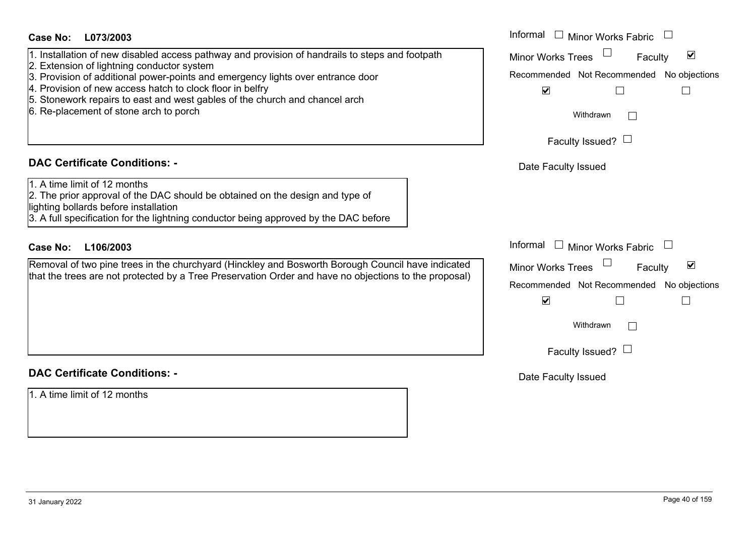| Case No:<br>L073/2003<br>1. Installation of new disabled access pathway and provision of handrails to steps and footpath<br>2. Extension of lightning conductor system<br>3. Provision of additional power-points and emergency lights over entrance door<br>4. Provision of new access hatch to clock floor in belfry<br>5. Stonework repairs to east and west gables of the church and chancel arch<br>6. Re-placement of stone arch to porch | Informal $\Box$ Minor Works Fabric $\Box$<br>$\blacktriangledown$<br><b>Minor Works Trees</b><br>Faculty<br>Recommended Not Recommended No objections<br>$\blacktriangledown$<br>Withdrawn<br>Faculty Issued? $\Box$ |
|-------------------------------------------------------------------------------------------------------------------------------------------------------------------------------------------------------------------------------------------------------------------------------------------------------------------------------------------------------------------------------------------------------------------------------------------------|----------------------------------------------------------------------------------------------------------------------------------------------------------------------------------------------------------------------|
| <b>DAC Certificate Conditions: -</b><br>1. A time limit of 12 months<br>2. The prior approval of the DAC should be obtained on the design and type of                                                                                                                                                                                                                                                                                           | Date Faculty Issued                                                                                                                                                                                                  |
| lighting bollards before installation<br>3. A full specification for the lightning conductor being approved by the DAC before<br><b>Case No:</b><br>L106/2003                                                                                                                                                                                                                                                                                   | Informal $\Box$ Minor Works Fabric                                                                                                                                                                                   |
| Removal of two pine trees in the churchyard (Hinckley and Bosworth Borough Council have indicated<br>that the trees are not protected by a Tree Preservation Order and have no objections to the proposal)                                                                                                                                                                                                                                      | Minor Works Trees<br>$\blacktriangledown$<br>Faculty<br>Recommended Not Recommended No objections<br>$\blacktriangledown$                                                                                            |
| <b>DAC Certificate Conditions: -</b>                                                                                                                                                                                                                                                                                                                                                                                                            | Withdrawn<br>$\mathbb{R}^n$<br>Faculty Issued? $\Box$                                                                                                                                                                |
| 1. A time limit of 12 months                                                                                                                                                                                                                                                                                                                                                                                                                    | Date Faculty Issued                                                                                                                                                                                                  |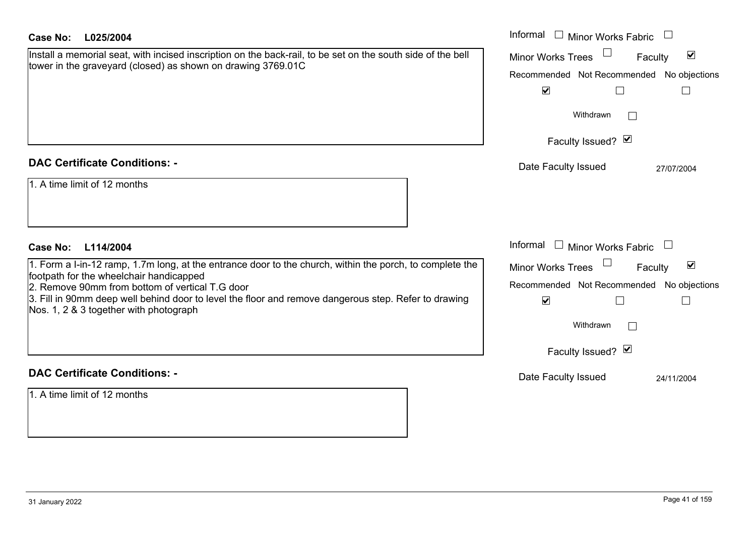| <b>Case No:</b><br>L025/2004                                                                                                                        | Informal $\Box$ Minor Works Fabric                          |
|-----------------------------------------------------------------------------------------------------------------------------------------------------|-------------------------------------------------------------|
| Install a memorial seat, with incised inscription on the back-rail, to be set on the south side of the bell                                         | $\blacktriangledown$<br><b>Minor Works Trees</b><br>Faculty |
| tower in the graveyard (closed) as shown on drawing 3769.01C                                                                                        | Recommended Not Recommended No objections                   |
|                                                                                                                                                     | $\blacktriangledown$<br>$\Box$                              |
|                                                                                                                                                     | Withdrawn                                                   |
|                                                                                                                                                     | Faculty Issued? Ø                                           |
| <b>DAC Certificate Conditions: -</b>                                                                                                                | Date Faculty Issued<br>27/07/2004                           |
| 1. A time limit of 12 months                                                                                                                        |                                                             |
|                                                                                                                                                     |                                                             |
|                                                                                                                                                     |                                                             |
| <b>Case No:</b><br>L114/2004                                                                                                                        | Informal $\Box$ Minor Works Fabric $\Box$                   |
| 1. Form a I-in-12 ramp, 1.7m long, at the entrance door to the church, within the porch, to complete the<br>footpath for the wheelchair handicapped | $\blacktriangledown$<br>Minor Works Trees<br>Faculty        |
| 2. Remove 90mm from bottom of vertical T.G door                                                                                                     | Recommended Not Recommended No objections                   |
| 3. Fill in 90mm deep well behind door to level the floor and remove dangerous step. Refer to drawing<br>Nos. 1, 2 & 3 together with photograph      | $\blacktriangledown$<br>$\Box$<br>$\mathbb{R}$              |
|                                                                                                                                                     | Withdrawn<br>$\vert \ \ \vert$                              |
|                                                                                                                                                     | Faculty Issued? Ø                                           |
| <b>DAC Certificate Conditions: -</b>                                                                                                                | Date Faculty Issued<br>24/11/2004                           |
| 1. A time limit of 12 months                                                                                                                        |                                                             |
|                                                                                                                                                     |                                                             |
|                                                                                                                                                     |                                                             |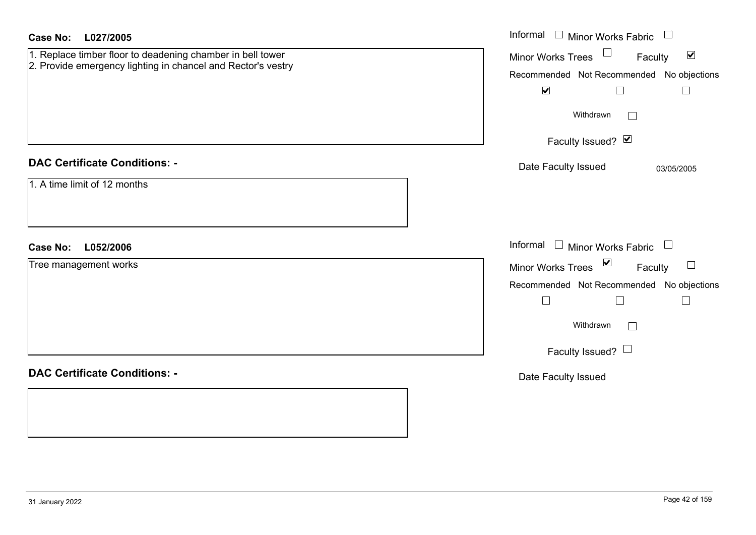| <b>Case No:</b><br>L027/2005                                                                                               | Informal □ Minor Works Fabric                                                                               |
|----------------------------------------------------------------------------------------------------------------------------|-------------------------------------------------------------------------------------------------------------|
| 1. Replace timber floor to deadening chamber in bell tower<br>2. Provide emergency lighting in chancel and Rector's vestry | $\Box$<br>$\blacktriangledown$<br>Minor Works Trees<br>Faculty<br>Recommended Not Recommended No objections |
|                                                                                                                            | $\blacktriangledown$<br>$\Box$<br>$\Box$                                                                    |
|                                                                                                                            | Withdrawn<br>$\perp$                                                                                        |
|                                                                                                                            | Faculty Issued? Ø                                                                                           |
| <b>DAC Certificate Conditions: -</b>                                                                                       | Date Faculty Issued<br>03/05/2005                                                                           |
| 1. A time limit of 12 months                                                                                               |                                                                                                             |
| L052/2006<br><b>Case No:</b>                                                                                               | Informal □ Minor Works Fabric<br>$\overline{\phantom{a}}$                                                   |
| Tree management works                                                                                                      | Minor Works Trees $\boxed{\triangleright}$<br>Faculty                                                       |
|                                                                                                                            | Recommended Not Recommended No objections                                                                   |
|                                                                                                                            | $\Box$<br>$\Box$<br>$\Box$                                                                                  |
|                                                                                                                            | Withdrawn<br>$\vert$ $\vert$                                                                                |
|                                                                                                                            | Faculty Issued? $\Box$                                                                                      |
| <b>DAC Certificate Conditions: -</b>                                                                                       | Date Faculty Issued                                                                                         |
|                                                                                                                            |                                                                                                             |
|                                                                                                                            |                                                                                                             |
|                                                                                                                            |                                                                                                             |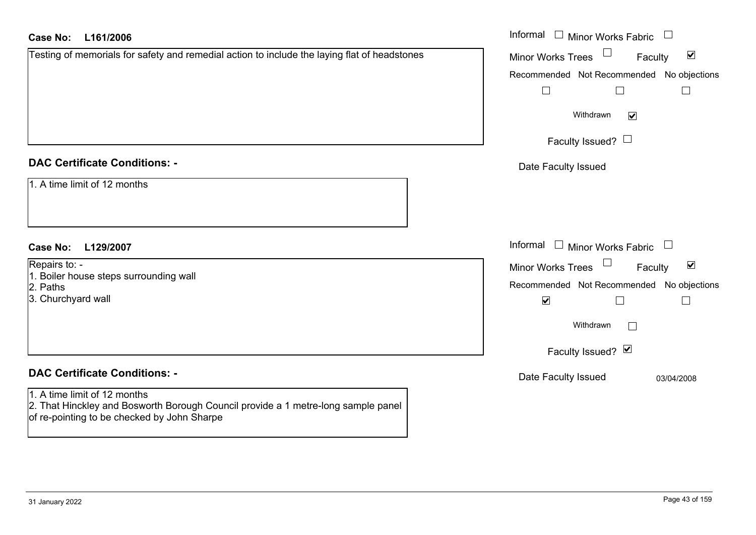#### **L161/2006**Ca

| <b>Case No:</b><br>L161/2006                                                                                                                                     | Informal □ Minor Works Fabric                                  |
|------------------------------------------------------------------------------------------------------------------------------------------------------------------|----------------------------------------------------------------|
| Testing of memorials for safety and remedial action to include the laying flat of headstones                                                                     | $\Box$<br>$\blacktriangledown$<br>Minor Works Trees<br>Faculty |
|                                                                                                                                                                  | Recommended Not Recommended No objections                      |
|                                                                                                                                                                  | $\mathbb{L}$                                                   |
|                                                                                                                                                                  | Withdrawn<br>$\blacktriangledown$                              |
|                                                                                                                                                                  | Faculty Issued? $\Box$                                         |
| <b>DAC Certificate Conditions: -</b>                                                                                                                             | Date Faculty Issued                                            |
| 1. A time limit of 12 months                                                                                                                                     |                                                                |
| <b>Case No:</b><br>L129/2007                                                                                                                                     | Informal $\Box$ Minor Works Fabric $\Box$                      |
| Repairs to: -                                                                                                                                                    | Minor Works Trees<br>$\blacktriangledown$<br>Faculty           |
| 1. Boiler house steps surrounding wall<br>2. Paths                                                                                                               | Recommended Not Recommended No objections                      |
| 3. Churchyard wall                                                                                                                                               | $\blacktriangledown$                                           |
|                                                                                                                                                                  | Withdrawn<br>$\Box$                                            |
|                                                                                                                                                                  | Faculty Issued? Ø                                              |
| <b>DAC Certificate Conditions: -</b>                                                                                                                             | Date Faculty Issued<br>03/04/2008                              |
| 1. A time limit of 12 months<br>2. That Hinckley and Bosworth Borough Council provide a 1 metre-long sample panel<br>of re-pointing to be checked by John Sharpe |                                                                |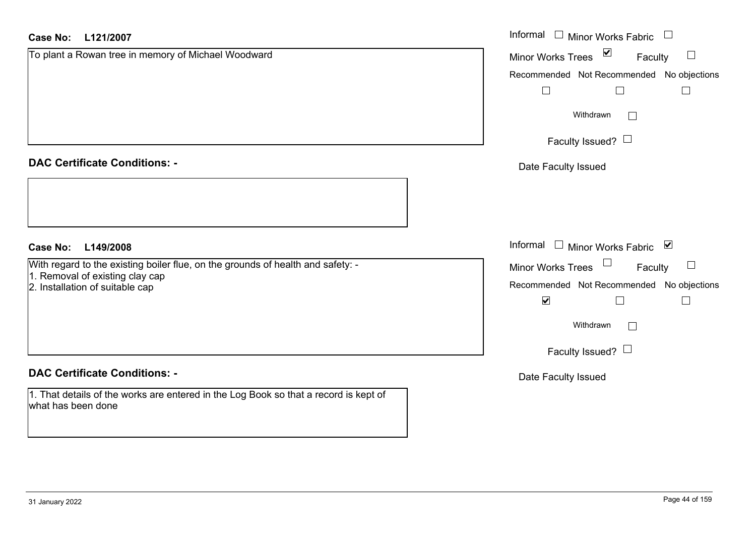| <b>Case No:</b><br>L121/2007                                                                               | Informal $\Box$ Minor Works Fabric $\Box$                     |
|------------------------------------------------------------------------------------------------------------|---------------------------------------------------------------|
| To plant a Rowan tree in memory of Michael Woodward                                                        | Minor Works Trees $\boxed{\blacksquare}$<br>Faculty<br>$\Box$ |
|                                                                                                            | Recommended Not Recommended No objections                     |
|                                                                                                            | $\Box$<br>$\Box$<br>Ш                                         |
|                                                                                                            | Withdrawn<br>$\Box$                                           |
|                                                                                                            | Faculty Issued? $\Box$                                        |
| <b>DAC Certificate Conditions: -</b>                                                                       | Date Faculty Issued                                           |
|                                                                                                            |                                                               |
| <b>Case No:</b><br>L149/2008                                                                               | Informal $\Box$ Minor Works Fabric $\Box$                     |
| With regard to the existing boiler flue, on the grounds of health and safety: -                            | Minor Works Trees $\Box$<br>$\Box$<br>Faculty                 |
| 1. Removal of existing clay cap<br>2. Installation of suitable cap                                         | Recommended Not Recommended No objections                     |
|                                                                                                            | $\blacktriangledown$                                          |
|                                                                                                            | Withdrawn<br>$\Box$                                           |
|                                                                                                            | Faculty Issued? $\Box$                                        |
| <b>DAC Certificate Conditions: -</b>                                                                       | Date Faculty Issued                                           |
| 1. That details of the works are entered in the Log Book so that a record is kept of<br>what has been done |                                                               |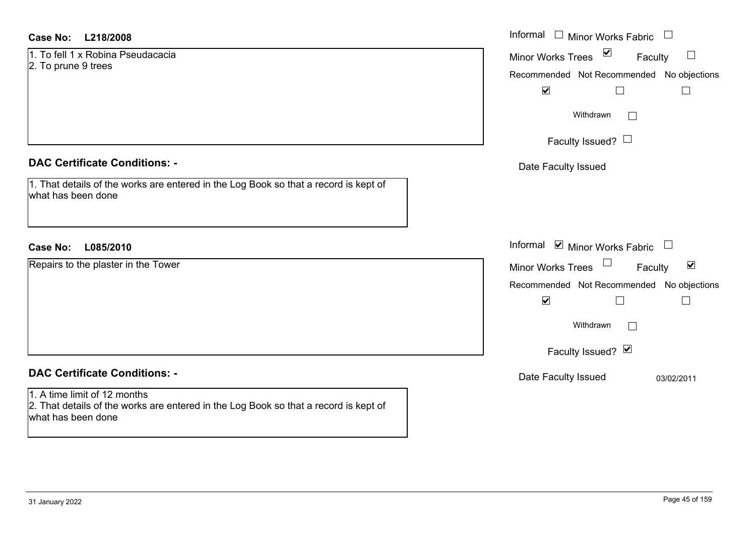#### **L218/2008Case No:** Informal

1. To fell 1 x Robina Pseudacacia2. To prune 9 trees

#### **DAC Certificate Conditions: -**

1. That details of the works are entered in the Log Book so that a record is kept of what has been done

#### **L085/2010Case No:** Informal

Repairs to the plaster in the Tower

## **DAC Certificate Conditions: -**

1. A time limit of 12 months 2. That details of the works are entered in the Log Book so that a record is kept of what has been done

| Informal<br>Minor Works Fabric                                                                                                                                                          |
|-----------------------------------------------------------------------------------------------------------------------------------------------------------------------------------------|
| ⊻<br><b>Minor Works Trees</b><br>Faculty<br>Recommended Not Recommended No objections<br>$\blacktriangledown$<br>Withdrawn<br>Faculty Issued? $\Box$                                    |
| Date Faculty Issued                                                                                                                                                                     |
| Informal ⊠ Minor Works Fabric $\Box$<br>⊻<br><b>Minor Works Trees</b><br>Faculty<br>Recommended Not Recommended No objections<br>$\blacktriangledown$<br>Withdrawn<br>Faculty Issued? Ø |
| Date Faculty Issued<br>03/02/2011                                                                                                                                                       |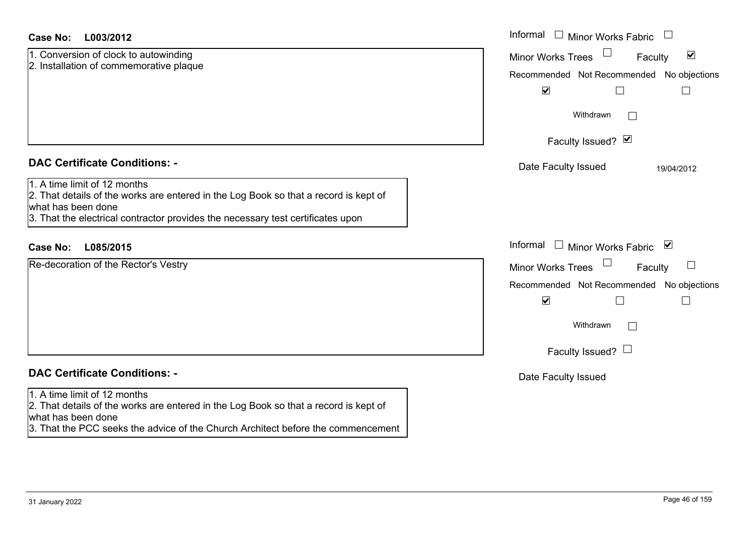| 1. Conversion of clock to autowinding   |
|-----------------------------------------|
| 2. Installation of commemorative plaque |

### **DAC Certificate Conditions: -**

1. A time limit of 12 months

 2. That details of the works are entered in the Log Book so that a record is kept of what has been done

3. That the electrical contractor provides the necessary test certificates upon

#### **L085/2015Case No:** Informal

Re-decoration of the Rector's Vestry

## **DAC Certificate Conditions: -**

#### 1. A time limit of 12 months

2. That details of the works are entered in the Log Book so that a record is kept of what has been done

3. That the PCC seeks the advice of the Church Architect before the commencement

| L003/2012                                                                                                                                                                               | Informal $\Box$ Minor Works Fabric $\Box$                                                                                                                       |
|-----------------------------------------------------------------------------------------------------------------------------------------------------------------------------------------|-----------------------------------------------------------------------------------------------------------------------------------------------------------------|
| rsion of clock to autowinding<br>ation of commemorative plaque                                                                                                                          | $\blacktriangledown$<br><b>Minor Works Trees</b><br>Faculty<br>Recommended Not Recommended No objections<br>$\blacktriangledown$<br>$\mathbf{I}$                |
|                                                                                                                                                                                         | Withdrawn                                                                                                                                                       |
|                                                                                                                                                                                         | Faculty Issued? Ø                                                                                                                                               |
| rtificate Conditions: -                                                                                                                                                                 | Date Faculty Issued<br>19/04/2012                                                                                                                               |
| limit of 12 months<br>etails of the works are entered in the Log Book so that a record is kept of<br>been done<br>e electrical contractor provides the necessary test certificates upon |                                                                                                                                                                 |
| L085/2015                                                                                                                                                                               | Informal<br>□ Minor Works Fabric $\blacksquare$                                                                                                                 |
| ation of the Rector's Vestry                                                                                                                                                            | Minor Works Trees<br>Faculty<br>Recommended Not Recommended No objections<br>$\blacktriangledown$<br>└<br>Withdrawn<br>$\mathbb{R}^n$<br>Faculty Issued? $\Box$ |
| rtificate Conditions: -                                                                                                                                                                 | Date Faculty Issued                                                                                                                                             |
|                                                                                                                                                                                         |                                                                                                                                                                 |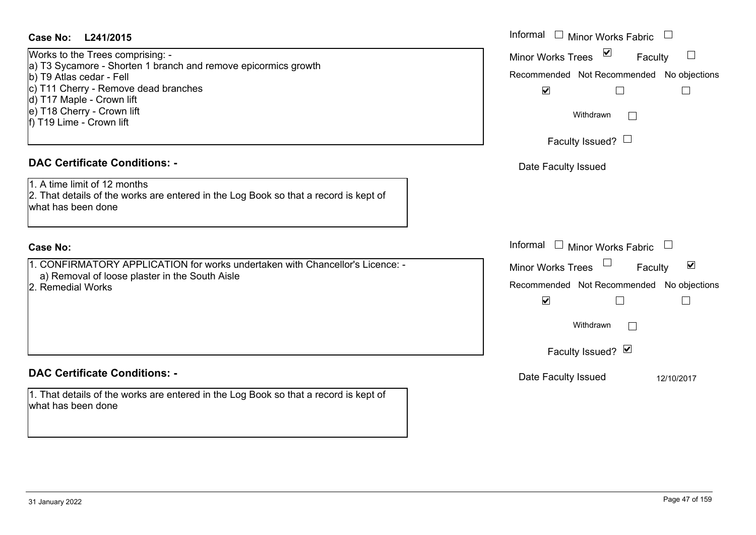| Case No: L241/2015                                                                                                                                                                                                                                            | Informal          |
|---------------------------------------------------------------------------------------------------------------------------------------------------------------------------------------------------------------------------------------------------------------|-------------------|
| Works to the Trees comprising: -<br>a) T3 Sycamore - Shorten 1 branch and remove epicormics growth<br>b) T9 Atlas cedar - Fell<br>c) T11 Cherry - Remove dead branches<br>d) T17 Maple - Crown lift<br>e) T18 Cherry - Crown lift<br>f) T19 Lime - Crown lift | Minor W<br>Recomm |
| <b>DAC Certificate Conditions: -</b><br>1. A time limit of 12 months                                                                                                                                                                                          | Date I            |
| 2. That details of the works are entered in the Log Book so that a record is kept of<br>what has been done                                                                                                                                                    |                   |
| <b>Case No:</b>                                                                                                                                                                                                                                               | Informal          |
| 1. CONFIRMATORY APPLICATION for works undertaken with Chancellor's Licence: -                                                                                                                                                                                 | Minor W           |
| a) Removal of loose plaster in the South Aisle<br>2. Remedial Works                                                                                                                                                                                           | Recomm            |

### **DAC Certificate Conditions: -**

1. That details of the works are entered in the Log Book so that a record is kept of what has been done

| Informal $\square$<br><b>Minor Works Fabric</b>                   |
|-------------------------------------------------------------------|
| ⊻<br><b>Minor Works Trees</b><br>Faculty                          |
| Recommended Not Recommended No objections<br>$\blacktriangledown$ |
| Withdrawn                                                         |
| Faculty Issued? $\Box$                                            |
| Date Faculty Issued                                               |
|                                                                   |
|                                                                   |
| Informal<br>Minor Works Fabric                                    |
| ⊻<br><b>Minor Works Trees</b><br>Faculty                          |
| Recommended Not Recommended No objections<br>$\blacktriangledown$ |
| Withdrawn                                                         |
| Faculty Issued? Ø                                                 |
| Date Faculty Issued<br>12/10/2017                                 |
|                                                                   |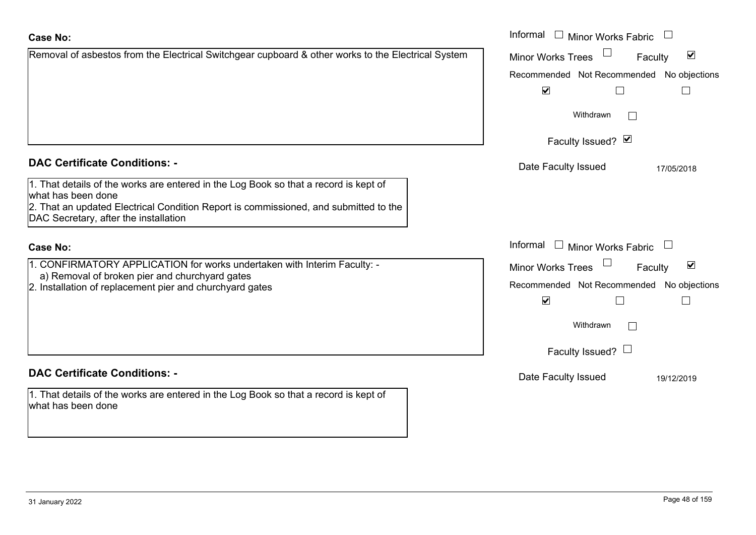|                                                                                                                                                                                                                                             | Withdrawn                                                                                 |                                 |
|---------------------------------------------------------------------------------------------------------------------------------------------------------------------------------------------------------------------------------------------|-------------------------------------------------------------------------------------------|---------------------------------|
|                                                                                                                                                                                                                                             | Faculty Issued? Ø                                                                         |                                 |
| <b>DAC Certificate Conditions: -</b>                                                                                                                                                                                                        | Date Faculty Issued                                                                       | 17/05/2018                      |
| 1. That details of the works are entered in the Log Book so that a record is kept of<br>what has been done<br>2. That an updated Electrical Condition Report is commissioned, and submitted to the<br>DAC Secretary, after the installation |                                                                                           |                                 |
| <b>Case No:</b>                                                                                                                                                                                                                             | Informal<br><b>Minor Works Fabric</b>                                                     |                                 |
| 1. CONFIRMATORY APPLICATION for works undertaken with Interim Faculty: -<br>a) Removal of broken pier and churchyard gates<br>2. Installation of replacement pier and churchyard gates                                                      | <b>Minor Works Trees</b><br>Recommended Not Recommended No object<br>$\blacktriangledown$ | $\blacktriangledown$<br>Faculty |
|                                                                                                                                                                                                                                             | Withdrawn                                                                                 |                                 |
|                                                                                                                                                                                                                                             | Faculty Issued? $\Box$                                                                    |                                 |
| <b>DAC Certificate Conditions: -</b>                                                                                                                                                                                                        | Date Faculty Issued                                                                       | 19/12/2019                      |

No objections

Recommended Not Recommended No objections

 $\Box$ 

 $\Box$ 

Minor Works Fabric

Minor Works Trees

 $\blacktriangledown$ 

Faculty

 $\blacktriangledown$ 

 $\Box$ 

1. That details of the works are entered in the Log Book so that a record is kept of what has been done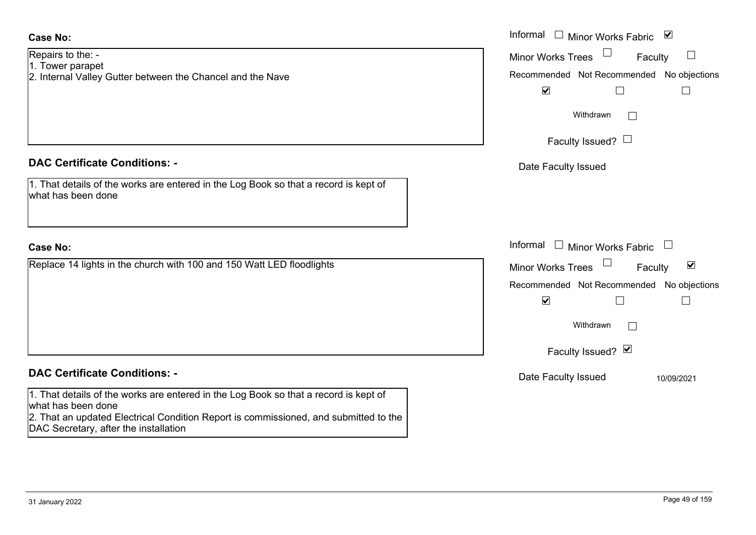| <b>Minor Works Trees</b> | $\blacktriangledown$<br>Faculty          |
|--------------------------|------------------------------------------|
|                          | Recommended Not Recommended No objection |
| $\blacktriangledown$     |                                          |
| Withdrawn                |                                          |
| Faculty Issued? Ø        |                                          |
| Date Faculty Issued      | 10/09/2021                               |
|                          |                                          |
|                          |                                          |
|                          |                                          |
|                          | Page 49 of 159                           |
|                          |                                          |

1. That details of the works are entered in the Log Book so that a record is kept of

2. Internal Valley Gutter between the Chancel and the Nave

|                                                                                          | Informal $\Box$ Minor Works Fabric $\Box$                      |
|------------------------------------------------------------------------------------------|----------------------------------------------------------------|
| $o$ the: -<br>parapet                                                                    | Minor Works Trees<br>Faculty                                   |
| al Valley Gutter between the Chancel and the Nave                                        | Recommended Not Recommended No objections                      |
|                                                                                          | $\blacktriangledown$                                           |
|                                                                                          | Withdrawn<br>$\mathbf{L}$                                      |
|                                                                                          | Faculty Issued? $\Box$                                         |
| rtificate Conditions: -                                                                  | Date Faculty Issued                                            |
| etails of the works are entered in the Log Book so that a record is kept of<br>been done |                                                                |
|                                                                                          | Informal $\Box$ Minor Works Fabric $\Box$                      |
| 14 lights in the church with 100 and 150 Watt LED floodlights                            | $\blacktriangledown$<br>Minor Works Trees<br>$\Box$<br>Faculty |
|                                                                                          | Recommended Not Recommended No objections                      |
|                                                                                          | $\blacktriangledown$                                           |
|                                                                                          | Withdrawn                                                      |
|                                                                                          | Faculty Issued? Ø                                              |
| rtificate Conditions: -                                                                  | Date Faculty Issued<br>10/09/2021                              |
| etails of the works are entered in the Log Book so that a record is kent of              |                                                                |

Repairs to the: - 1. Tower parapet

**DAC Certificate Conditions: -**

what has been done

**Case No:**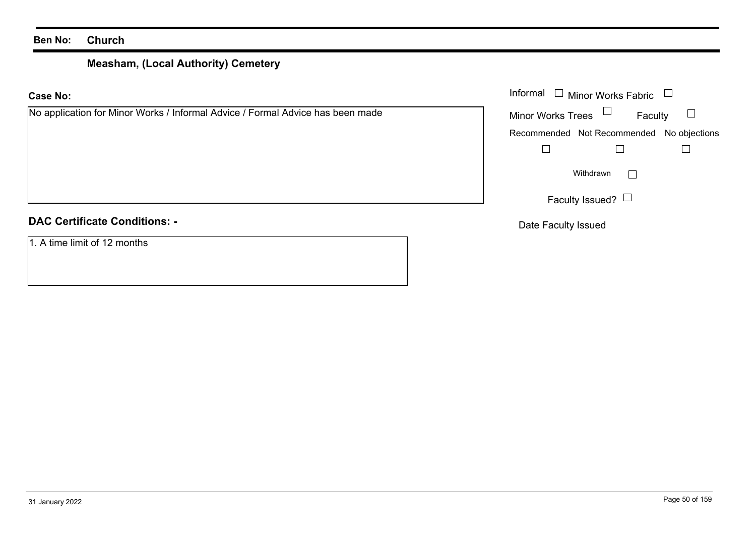# **Measham, (Local Authority) Cemetery**

| <b>Case No:</b>                                                                | Informal [<br>$\Box$ Minor Works Fabric   |
|--------------------------------------------------------------------------------|-------------------------------------------|
| No application for Minor Works / Informal Advice / Formal Advice has been made | Minor Works Trees $\Box$<br>Faculty       |
|                                                                                | Recommended Not Recommended No objections |
|                                                                                |                                           |
|                                                                                | Withdrawn<br>$\mathbb{R}^n$               |
|                                                                                | Faculty Issued? $\Box$                    |
| <b>DAC Certificate Conditions: -</b>                                           | Date Faculty Issued                       |
| 1. A time limit of 12 months                                                   |                                           |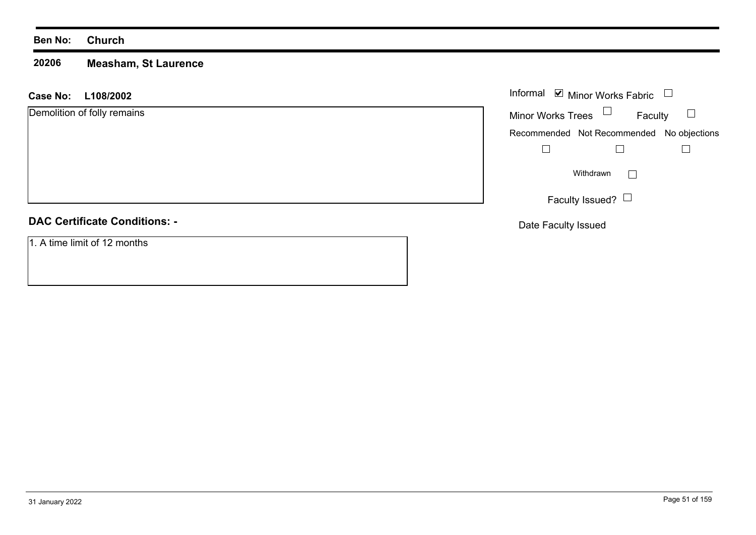#### **20206Measham, St Laurence**

#### **L108/2002 Case No:** Informal

Demolition of folly remains

#### **DAC Certificate Conditions: -**

1. A time limit of 12 months

|                          | Informal ■ Minor Works Fabric             |  |
|--------------------------|-------------------------------------------|--|
| <b>Minor Works Trees</b> | Faculty                                   |  |
|                          | Recommended Not Recommended No objections |  |
|                          |                                           |  |
|                          | Withdrawn                                 |  |
|                          | Faculty Issued?                           |  |

Date Faculty Issued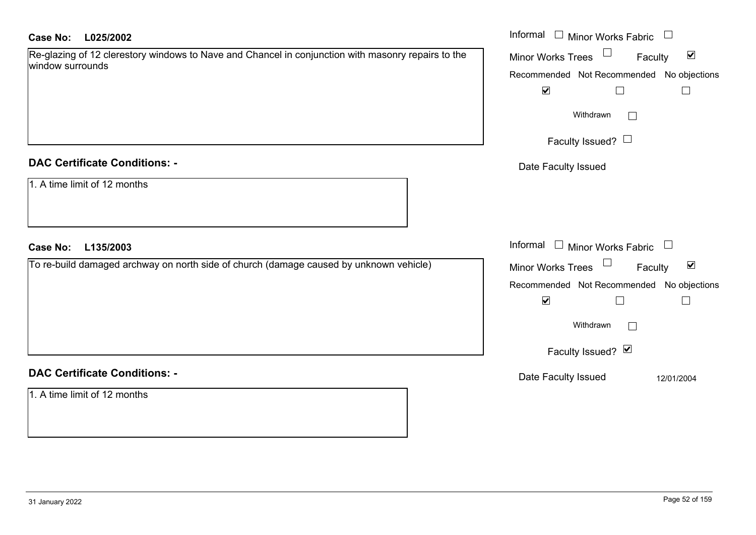| Re-glazing of 12 clerestory windows to Nave and Chancel in conjunction with masonry repairs to the |  |
|----------------------------------------------------------------------------------------------------|--|
| window surrounds                                                                                   |  |

#### **DAC Certificate Conditions: -**

| 1. A time limit of 12 months |  |
|------------------------------|--|
|------------------------------|--|

### **DAC Certificate Conditions: -**

1. A time limit of 12 months

| <b>Case No:</b><br>L025/2002                                                                                           | Informal $\Box$ Minor Works Fabric $\Box$            |
|------------------------------------------------------------------------------------------------------------------------|------------------------------------------------------|
| Re-glazing of 12 clerestory windows to Nave and Chancel in conjunction with masonry repairs to the<br>window surrounds | Minor Works Trees<br>$\blacktriangledown$<br>Faculty |
|                                                                                                                        | Recommended Not Recommended No objections            |
|                                                                                                                        | $\blacktriangledown$<br>$\mathbf{L}$                 |
|                                                                                                                        | Withdrawn<br>$\perp$                                 |
|                                                                                                                        | Faculty Issued? $\Box$                               |
| <b>DAC Certificate Conditions: -</b>                                                                                   | Date Faculty Issued                                  |
| 1. A time limit of 12 months                                                                                           |                                                      |
| <b>Case No:</b><br>L135/2003                                                                                           | Informal $\square$<br>Minor Works Fabric $\Box$      |
| To re-build damaged archway on north side of church (damage caused by unknown vehicle)                                 | Minor Works Trees<br>$\blacktriangledown$<br>Faculty |
|                                                                                                                        | Recommended Not Recommended No objections            |
|                                                                                                                        | $\blacktriangledown$                                 |
|                                                                                                                        | Withdrawn<br>$\mathbb{R}^n$                          |
|                                                                                                                        | Faculty Issued? Ø                                    |
| <b>DAC Certificate Conditions: -</b>                                                                                   | Date Faculty Issued<br>12/01/2004                    |
| 1. A time limit of 12 months                                                                                           |                                                      |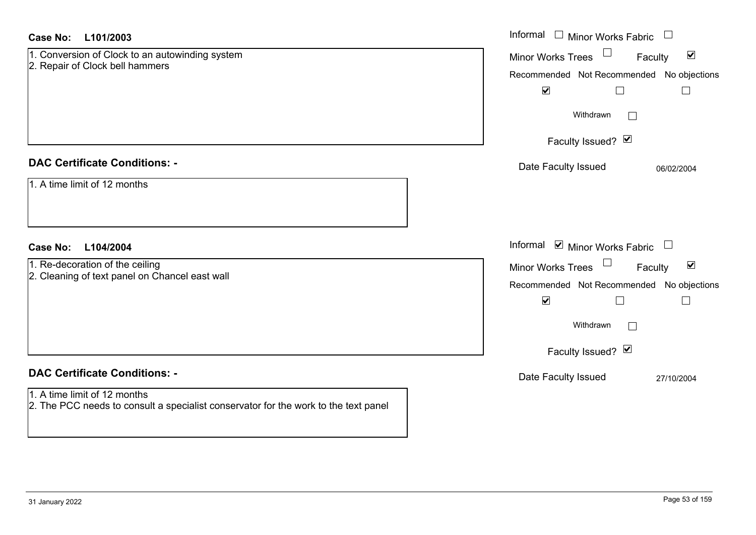| <b>Case No:</b><br>L101/2003                                                                                        | Informal $\square$<br><b>Minor Works Fabric</b>            |
|---------------------------------------------------------------------------------------------------------------------|------------------------------------------------------------|
| 1. Conversion of Clock to an autowinding system                                                                     | $\blacktriangledown$<br>Minor Works Trees<br>Faculty       |
| 2. Repair of Clock bell hammers                                                                                     | Recommended Not Recommended No objections                  |
|                                                                                                                     | $\blacktriangledown$<br>$\Box$<br>$\overline{\phantom{a}}$ |
|                                                                                                                     | Withdrawn                                                  |
|                                                                                                                     | Faculty Issued? Ø                                          |
| <b>DAC Certificate Conditions: -</b>                                                                                | Date Faculty Issued<br>06/02/2004                          |
| 1. A time limit of 12 months                                                                                        |                                                            |
|                                                                                                                     |                                                            |
| L104/2004<br><b>Case No:</b>                                                                                        | Informal $\blacksquare$ Minor Works Fabric $\blacksquare$  |
| 1. Re-decoration of the ceiling                                                                                     | $\blacktriangledown$<br>Minor Works Trees<br>Faculty       |
| 2. Cleaning of text panel on Chancel east wall                                                                      | Recommended Not Recommended No objections                  |
|                                                                                                                     | $\blacktriangledown$<br>$\Box$                             |
|                                                                                                                     | Withdrawn<br>$\vert \ \ \vert$                             |
|                                                                                                                     | Faculty Issued? Ø                                          |
| <b>DAC Certificate Conditions: -</b>                                                                                | Date Faculty Issued<br>27/10/2004                          |
| 1. A time limit of 12 months<br>2. The PCC needs to consult a specialist conservator for the work to the text panel |                                                            |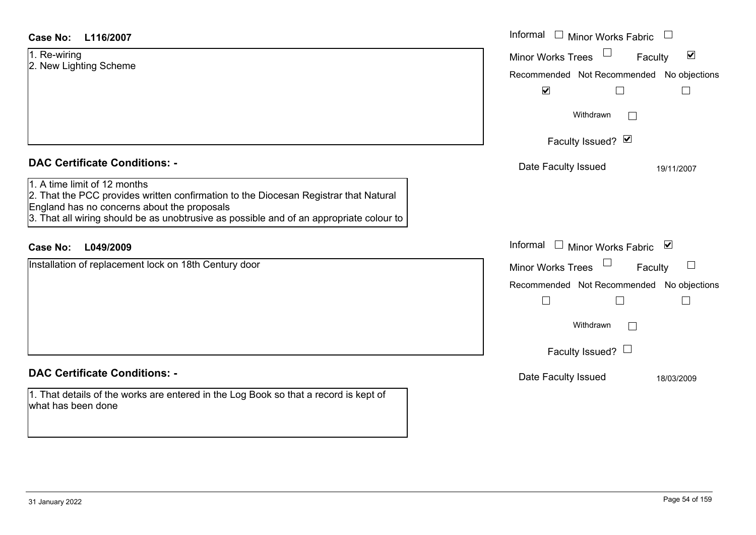| Case No:<br>L116/2007                                                                                                                                                                                                                                          | Informal □ Minor Works Fabric                                                                                                                            |
|----------------------------------------------------------------------------------------------------------------------------------------------------------------------------------------------------------------------------------------------------------------|----------------------------------------------------------------------------------------------------------------------------------------------------------|
| 1. Re-wiring<br>2. New Lighting Scheme                                                                                                                                                                                                                         | $\blacktriangledown$<br><b>Minor Works Trees</b><br>Faculty<br>Recommended Not Recommended<br>No objections<br>$\blacktriangledown$<br>Е<br>$\mathbb{R}$ |
|                                                                                                                                                                                                                                                                | Withdrawn<br>Faculty Issued? Ø                                                                                                                           |
| <b>DAC Certificate Conditions: -</b>                                                                                                                                                                                                                           | Date Faculty Issued<br>19/11/2007                                                                                                                        |
| 1. A time limit of 12 months<br>2. That the PCC provides written confirmation to the Diocesan Registrar that Natural<br>England has no concerns about the proposals<br>3. That all wiring should be as unobtrusive as possible and of an appropriate colour to |                                                                                                                                                          |
| L049/2009<br><b>Case No:</b>                                                                                                                                                                                                                                   | Informal<br>□ Minor Works Fabric $\vert \mathbf{v} \vert$                                                                                                |
| Installation of replacement lock on 18th Century door                                                                                                                                                                                                          | Minor Works Trees<br>Faculty<br>Recommended Not Recommended<br>No objections<br>Withdrawn<br>Faculty Issued? $\Box$                                      |
| <b>DAC Certificate Conditions: -</b>                                                                                                                                                                                                                           | Date Faculty Issued<br>18/03/2009                                                                                                                        |
| 1. That details of the works are entered in the Log Book so that a record is kept of<br>what has been done                                                                                                                                                     |                                                                                                                                                          |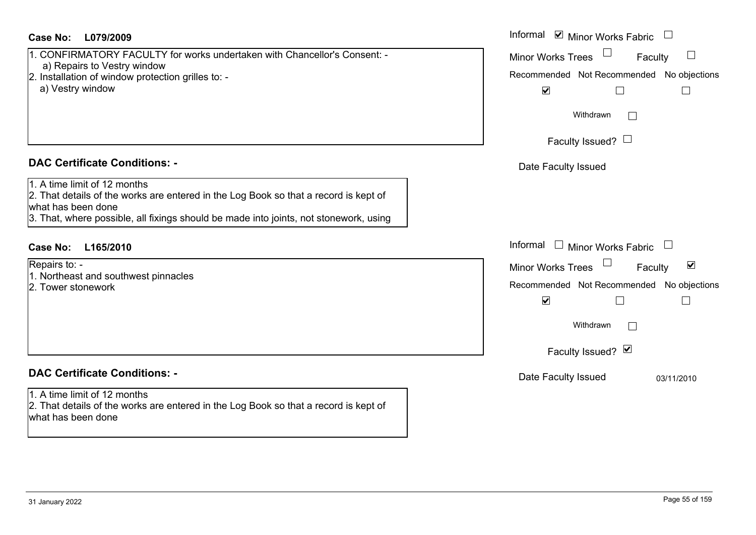#### **L079/2009Case No:** Informal

- 1. CONFIRMATORY FACULTY for works undertaken with Chancellor's Consent: a) Repairs to Vestry window 2. Installation of window protection grilles to:
	- a) Vestry window

#### **DAC Certificate Conditions: -**

1. A time limit of 12 months

2. That details of the works are entered in the Log Book so that a record is kept of what has been done

3. That, where possible, all fixings should be made into joints, not stonework, using

## **L165/2010Case No:** Informal

Repairs to: -

- 1. Northeast and southwest pinnacles
- 2. Tower stonework

## **DAC Certificate Conditions: -**

### 1. A time limit of 12 months

2. That details of the works are entered in the Log Book so that a record is kept of what has been done

| Informal ☑ Minor Works Fabric                                                    |                         |
|----------------------------------------------------------------------------------|-------------------------|
| <b>Minor Works Trees</b><br>Faculty<br>Recommended Not Recommended No objections |                         |
| $\blacktriangledown$<br>Withdrawn                                                |                         |
| Faculty Issued? L                                                                |                         |
| Date Faculty Issued                                                              |                         |
|                                                                                  |                         |
| Informal<br>Minor Works Fabric                                                   |                         |
| <b>Minor Works Trees</b><br>Faculty                                              | $\vert\mathcal{V}\vert$ |
| Recommended Not Recommended No objections<br>V                                   |                         |
| Withdrawn                                                                        |                         |
| Faculty Issued? Ø                                                                |                         |
| Date Faculty Issued                                                              | 03/11/2010              |
|                                                                                  |                         |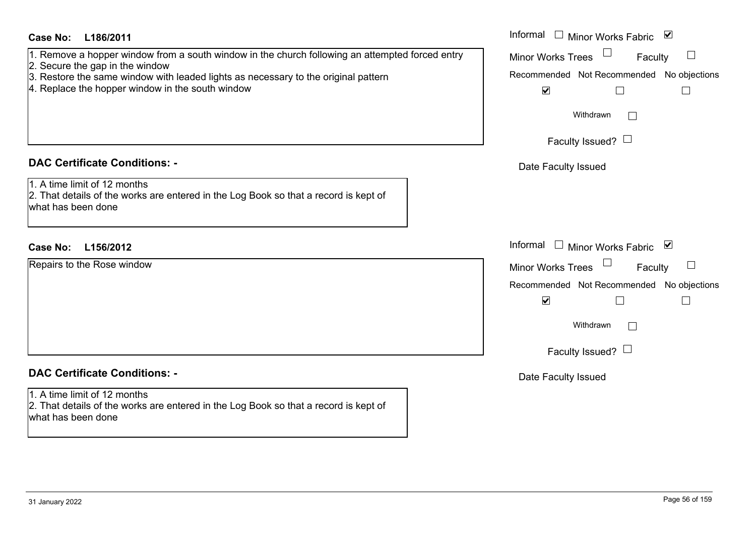| Case No:<br>L186/2011                                                                                                                                                                                                                                                        | Informal $\Box$ Minor Works Fabric $\Box$                                                                                                                                 |
|------------------------------------------------------------------------------------------------------------------------------------------------------------------------------------------------------------------------------------------------------------------------------|---------------------------------------------------------------------------------------------------------------------------------------------------------------------------|
| 1. Remove a hopper window from a south window in the church following an attempted forced entry<br>2. Secure the gap in the window<br>3. Restore the same window with leaded lights as necessary to the original pattern<br>4. Replace the hopper window in the south window | <b>Minor Works Trees</b><br>Faculty<br>Recommended Not Recommended No objections<br>$\blacktriangledown$<br>$\Box$<br>$\mathbb{R}$                                        |
|                                                                                                                                                                                                                                                                              | Withdrawn<br>Faculty Issued? $\Box$                                                                                                                                       |
| <b>DAC Certificate Conditions: -</b>                                                                                                                                                                                                                                         | Date Faculty Issued                                                                                                                                                       |
| 1. A time limit of 12 months<br>2. That details of the works are entered in the Log Book so that a record is kept of<br>what has been done                                                                                                                                   |                                                                                                                                                                           |
| <b>Case No:</b><br>L156/2012                                                                                                                                                                                                                                                 | Informal<br>□ Minor Works Fabric $\vert \mathbf{v} \vert$                                                                                                                 |
| Repairs to the Rose window                                                                                                                                                                                                                                                   | <b>Minor Works Trees</b><br>Faculty<br>Recommended Not Recommended No objections<br>$\blacktriangledown$<br>$\Box$<br>$\mathbb{R}$<br>Withdrawn<br>Faculty Issued? $\Box$ |
| <b>DAC Certificate Conditions: -</b>                                                                                                                                                                                                                                         | Date Faculty Issued                                                                                                                                                       |
| 1. A time limit of 12 months<br>2. That details of the works are entered in the Log Book so that a record is kept of<br>what has been done                                                                                                                                   |                                                                                                                                                                           |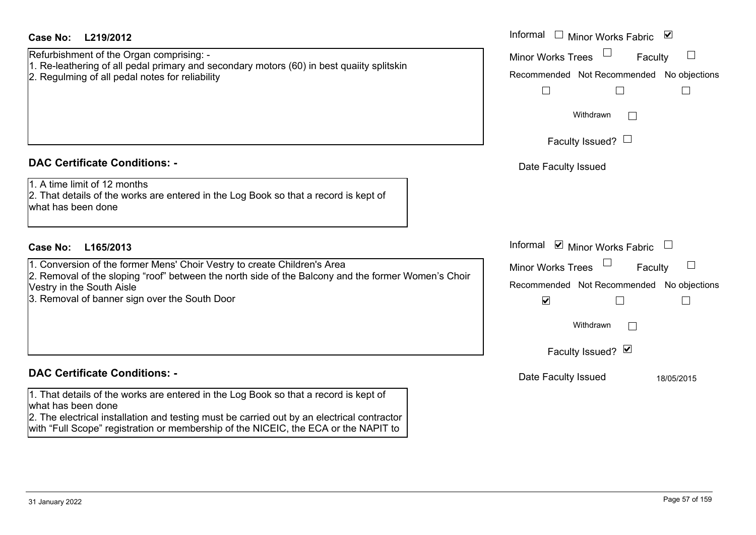#### **DAC Certificate Conditions: -**

#### **DAC Certificate Conditions: -**

1. That details of the works are entered in the Log Book so that a what has been done 2. The electrical installation and testing must be carried out by an electrical contractor

with "Full Scope" registration or membership of the NICEIC, the ECA or the NAPIT to

| Case No:<br>L219/2012                                                                                                                                                             | Informal □ Minor Works Fabric ⊠           |
|-----------------------------------------------------------------------------------------------------------------------------------------------------------------------------------|-------------------------------------------|
| Refurbishment of the Organ comprising: -                                                                                                                                          | Minor Works Trees<br>Faculty              |
| 1. Re-leathering of all pedal primary and secondary motors (60) in best quaiity splitskin<br>2. Regulming of all pedal notes for reliability                                      | Recommended Not Recommended No objections |
|                                                                                                                                                                                   |                                           |
|                                                                                                                                                                                   | Withdrawn                                 |
|                                                                                                                                                                                   | Faculty Issued? $\Box$                    |
| <b>DAC Certificate Conditions: -</b>                                                                                                                                              | Date Faculty Issued                       |
| 1. A time limit of 12 months<br>2. That details of the works are entered in the Log Book so that a record is kept of<br>what has been done                                        |                                           |
| Case No:<br>L165/2013                                                                                                                                                             | Informal ☑ Minor Works Fabric             |
| 1. Conversion of the former Mens' Choir Vestry to create Children's Area                                                                                                          | Minor Works Trees<br>Faculty              |
| 2. Removal of the sloping "roof" between the north side of the Balcony and the former Women's Choir<br>Vestry in the South Aisle<br>3. Removal of banner sign over the South Door | Recommended Not Recommended No objections |
|                                                                                                                                                                                   | $\blacktriangledown$                      |
|                                                                                                                                                                                   | Withdrawn                                 |
|                                                                                                                                                                                   | Faculty Issued? Ø                         |
| <b>DAC Certificate Conditions: -</b>                                                                                                                                              | Date Faculty Issued<br>18/05/2015         |
| 1. That details of the works are entered in the Log Book so that a record is kept of                                                                                              |                                           |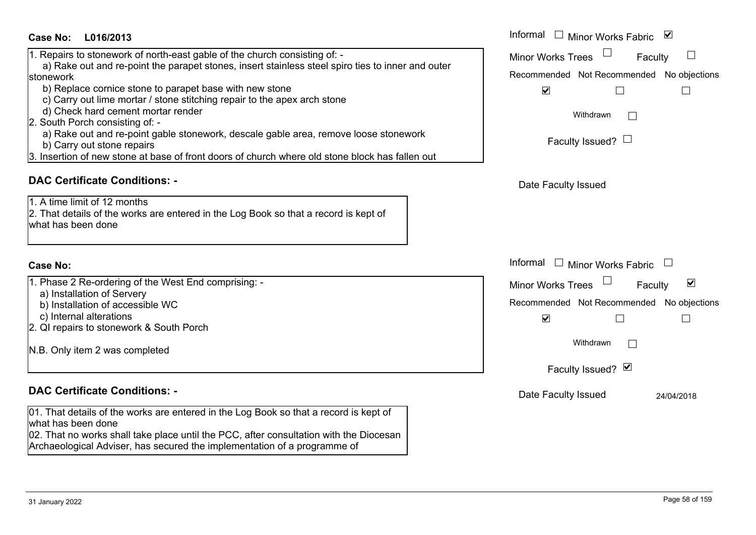| <b>Case No:</b><br>L016/2013                                                                                                                                                                                                                                                                                                                                                                                                                                                                                                                                                                                                          | Informal □ Minor Works Fabric<br>⊻                                                                                                                                              |
|---------------------------------------------------------------------------------------------------------------------------------------------------------------------------------------------------------------------------------------------------------------------------------------------------------------------------------------------------------------------------------------------------------------------------------------------------------------------------------------------------------------------------------------------------------------------------------------------------------------------------------------|---------------------------------------------------------------------------------------------------------------------------------------------------------------------------------|
| 1. Repairs to stonework of north-east gable of the church consisting of: -<br>a) Rake out and re-point the parapet stones, insert stainless steel spiro ties to inner and outer<br>stonework<br>b) Replace cornice stone to parapet base with new stone<br>c) Carry out lime mortar / stone stitching repair to the apex arch stone<br>d) Check hard cement mortar render<br>2. South Porch consisting of: -<br>a) Rake out and re-point gable stonework, descale gable area, remove loose stonework<br>b) Carry out stone repairs<br>3. Insertion of new stone at base of front doors of church where old stone block has fallen out | <b>Minor Works Trees</b><br>Faculty<br>Recommended Not Recommended No objections<br>$\blacktriangledown$<br>Withdrawn<br>$\mathbb{R}$<br>Faculty Issued? $\Box$                 |
| <b>DAC Certificate Conditions: -</b><br>1. A time limit of 12 months<br>2. That details of the works are entered in the Log Book so that a record is kept of<br>what has been done                                                                                                                                                                                                                                                                                                                                                                                                                                                    | Date Faculty Issued                                                                                                                                                             |
| <b>Case No:</b>                                                                                                                                                                                                                                                                                                                                                                                                                                                                                                                                                                                                                       | Informal<br>$\mathbf{1}$<br><b>Minor Works Fabric</b><br>$\mathcal{L}_{\mathcal{A}}$                                                                                            |
| 1. Phase 2 Re-ordering of the West End comprising: -<br>a) Installation of Servery<br>b) Installation of accessible WC<br>c) Internal alterations<br>2. QI repairs to stonework & South Porch<br>N.B. Only item 2 was completed                                                                                                                                                                                                                                                                                                                                                                                                       | $\overline{\mathbf{v}}$<br><b>Minor Works Trees</b><br>Faculty<br>Recommended Not Recommended No objections<br>$\blacktriangledown$<br>Withdrawn<br>$\Box$<br>Faculty Issued? Ø |
| <b>DAC Certificate Conditions: -</b><br>01. That details of the works are entered in the Log Book so that a record is kept of<br>what has been done<br>02. That no works shall take place until the PCC, after consultation with the Diocesan<br>Archaeological Adviser, has secured the implementation of a programme of                                                                                                                                                                                                                                                                                                             | Date Faculty Issued<br>24/04/2018                                                                                                                                               |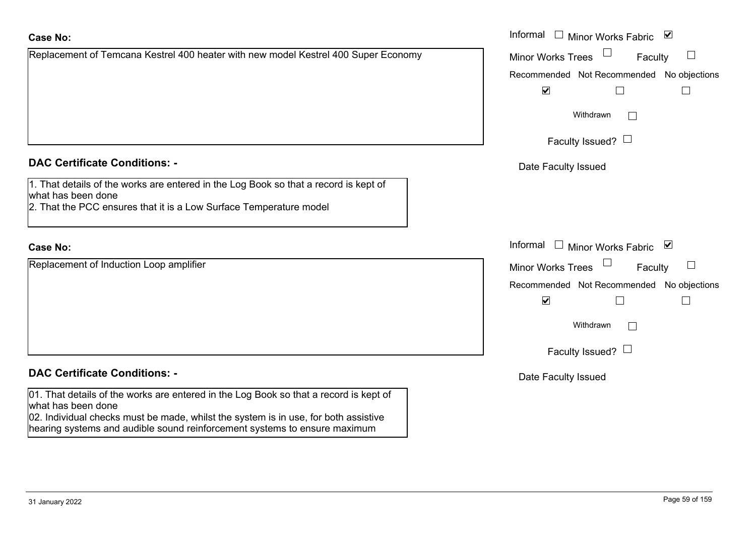| <b>Case No:</b>                                                                                                                                                                  | Informal □ Minor Works Fabric ⊠              |
|----------------------------------------------------------------------------------------------------------------------------------------------------------------------------------|----------------------------------------------|
| Replacement of Temcana Kestrel 400 heater with new model Kestrel 400 Super Economy                                                                                               | $\Box$<br>Minor Works Trees<br>Faculty       |
|                                                                                                                                                                                  | Recommended Not Recommended No objections    |
|                                                                                                                                                                                  | $\blacktriangledown$                         |
|                                                                                                                                                                                  | Withdrawn                                    |
|                                                                                                                                                                                  | Faculty Issued? $\Box$                       |
| <b>DAC Certificate Conditions: -</b>                                                                                                                                             | Date Faculty Issued                          |
| 1. That details of the works are entered in the Log Book so that a record is kept of<br>what has been done<br>2. That the PCC ensures that it is a Low Surface Temperature model |                                              |
| <b>Case No:</b>                                                                                                                                                                  | Informal<br>$\Box$ Minor Works Fabric $\Box$ |
| Replacement of Induction Loop amplifier                                                                                                                                          | Minor Works Trees<br>$\Box$<br>Faculty       |
|                                                                                                                                                                                  | Recommended Not Recommended No objections    |
|                                                                                                                                                                                  | $\blacktriangledown$                         |
|                                                                                                                                                                                  | Withdrawn                                    |
|                                                                                                                                                                                  | Faculty Issued? $\Box$                       |
| <b>DAC Certificate Conditions: -</b>                                                                                                                                             | Date Faculty Issued                          |
| 01. That details of the works are entered in the Log Book so that a record is kept of<br>what has been done                                                                      |                                              |
| 02. Individual checks must be made, whilst the system is in use, for both assistive<br>hearing systems and audible sound reinforcement systems to ensure maximum                 |                                              |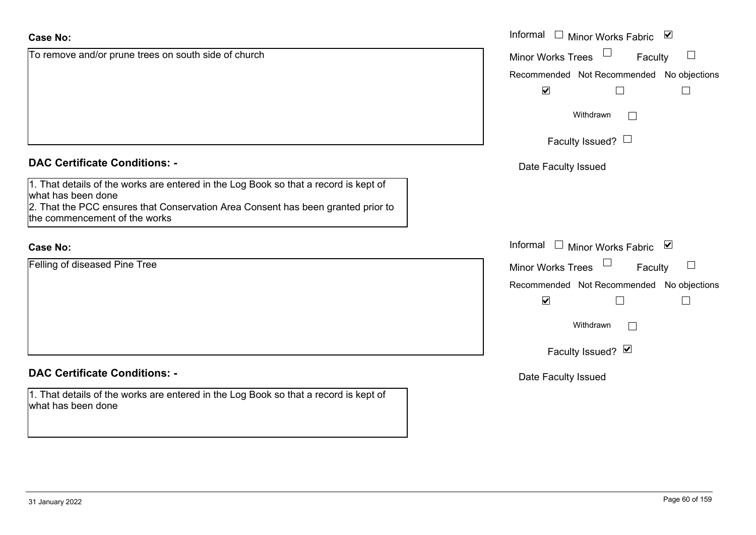| <b>Case No:</b>                                                                                                                                                                                                                 | Informal □ Minor Works Fabric ☑                                                                         |
|---------------------------------------------------------------------------------------------------------------------------------------------------------------------------------------------------------------------------------|---------------------------------------------------------------------------------------------------------|
| To remove and/or prune trees on south side of church                                                                                                                                                                            | <b>Minor Works Trees</b><br>Faculty                                                                     |
|                                                                                                                                                                                                                                 | Recommended Not Recommended No objections<br>$\blacktriangledown$<br>$\Box$<br>$\overline{\phantom{a}}$ |
|                                                                                                                                                                                                                                 | Withdrawn                                                                                               |
|                                                                                                                                                                                                                                 | Faculty Issued? $\Box$                                                                                  |
| <b>DAC Certificate Conditions: -</b>                                                                                                                                                                                            | Date Faculty Issued                                                                                     |
| 1. That details of the works are entered in the Log Book so that a record is kept of<br>what has been done<br>2. That the PCC ensures that Conservation Area Consent has been granted prior to<br>the commencement of the works |                                                                                                         |
| <b>Case No:</b>                                                                                                                                                                                                                 | Informal □ Minor Works Fabric ⊠                                                                         |
| Felling of diseased Pine Tree                                                                                                                                                                                                   | Minor Works Trees<br>Faculty                                                                            |
|                                                                                                                                                                                                                                 | Recommended Not Recommended No objections<br>$\blacktriangledown$                                       |
|                                                                                                                                                                                                                                 | Withdrawn                                                                                               |
|                                                                                                                                                                                                                                 | Faculty Issued? Ø                                                                                       |
| <b>DAC Certificate Conditions: -</b>                                                                                                                                                                                            | Date Faculty Issued                                                                                     |
| 1. That details of the works are entered in the Log Book so that a record is kept of<br>what has been done                                                                                                                      |                                                                                                         |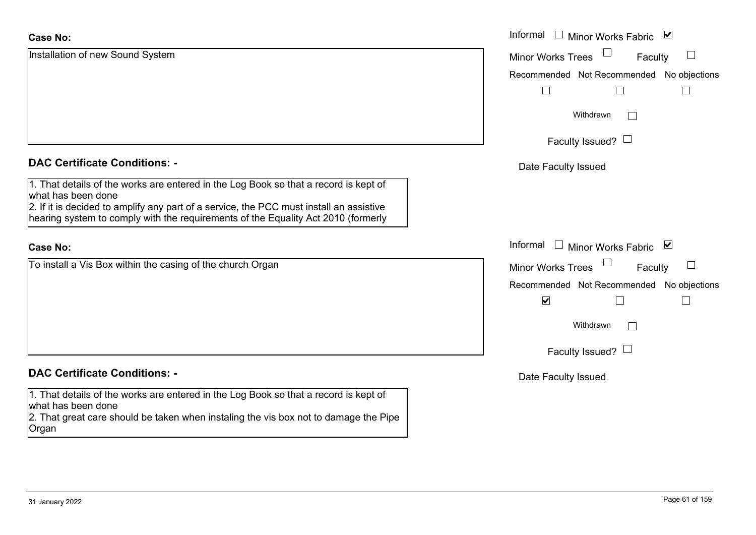| <b>Case No:</b>                                                                                                                                                                                                                                                                            | Informal $\Box$ Minor Works Fabric $\Box$    |
|--------------------------------------------------------------------------------------------------------------------------------------------------------------------------------------------------------------------------------------------------------------------------------------------|----------------------------------------------|
| Installation of new Sound System                                                                                                                                                                                                                                                           | $\Box$<br>Minor Works Trees<br>Faculty       |
|                                                                                                                                                                                                                                                                                            | Recommended Not Recommended No objections    |
|                                                                                                                                                                                                                                                                                            | $\mathbf{L}$                                 |
|                                                                                                                                                                                                                                                                                            | Withdrawn<br>$\mathbb{R}^n$                  |
|                                                                                                                                                                                                                                                                                            | Faculty Issued? $\Box$                       |
| <b>DAC Certificate Conditions: -</b>                                                                                                                                                                                                                                                       | Date Faculty Issued                          |
| 1. That details of the works are entered in the Log Book so that a record is kept of<br>what has been done<br>2. If it is decided to amplify any part of a service, the PCC must install an assistive<br>hearing system to comply with the requirements of the Equality Act 2010 (formerly |                                              |
| <b>Case No:</b>                                                                                                                                                                                                                                                                            | Informal<br>$\Box$ Minor Works Fabric $\Box$ |
| To install a Vis Box within the casing of the church Organ                                                                                                                                                                                                                                 | <b>Minor Works Trees</b><br>Faculty          |
|                                                                                                                                                                                                                                                                                            | Recommended Not Recommended No objections    |
|                                                                                                                                                                                                                                                                                            | $\blacktriangledown$<br>$\mathbf{I}$         |
|                                                                                                                                                                                                                                                                                            | Withdrawn<br>$\Box$                          |
|                                                                                                                                                                                                                                                                                            | Faculty Issued? $\Box$                       |
| <b>DAC Certificate Conditions: -</b>                                                                                                                                                                                                                                                       | Date Faculty Issued                          |
| 1. That details of the works are entered in the Log Book so that a record is kept of<br>what has been done                                                                                                                                                                                 |                                              |
| 2. That great care should be taken when instaling the vis box not to damage the Pipe<br>Organ                                                                                                                                                                                              |                                              |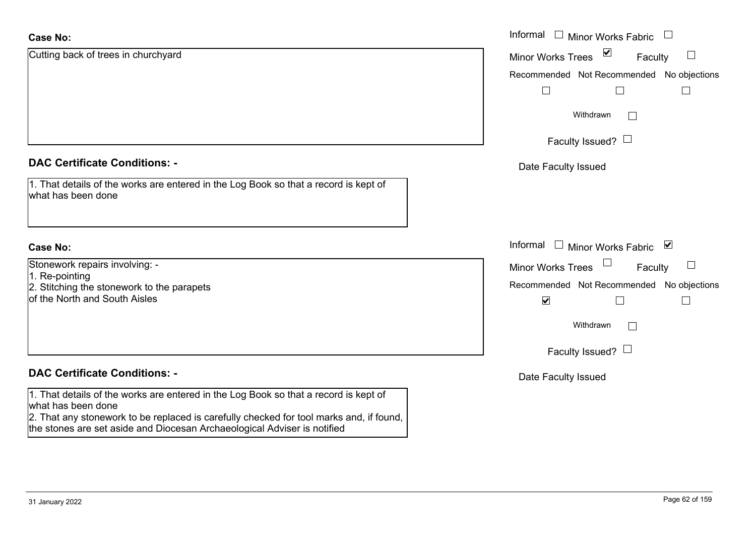| <b>Case No:</b>                                                                                                                                                     | Informal<br>Minor Works Fabric<br>$\mathcal{L}_{\mathcal{A}}$<br>$\overline{\phantom{a}}$ |
|---------------------------------------------------------------------------------------------------------------------------------------------------------------------|-------------------------------------------------------------------------------------------|
| Cutting back of trees in churchyard                                                                                                                                 | $\blacktriangledown$<br><b>Minor Works Trees</b><br>Faculty                               |
|                                                                                                                                                                     | Recommended Not Recommended No objections                                                 |
|                                                                                                                                                                     |                                                                                           |
|                                                                                                                                                                     | Withdrawn<br>$\perp$                                                                      |
|                                                                                                                                                                     | Faculty Issued? $\Box$                                                                    |
| <b>DAC Certificate Conditions: -</b>                                                                                                                                | Date Faculty Issued                                                                       |
| 1. That details of the works are entered in the Log Book so that a record is kept of<br>what has been done                                                          |                                                                                           |
| <b>Case No:</b>                                                                                                                                                     | Informal<br>⊻<br>Minor Works Fabric<br>$\perp$                                            |
| Stonework repairs involving: -<br>1. Re-pointing                                                                                                                    | <b>Minor Works Trees</b><br>Faculty<br>$\Box$                                             |
| 2. Stitching the stonework to the parapets                                                                                                                          | Recommended Not Recommended No objections                                                 |
| of the North and South Aisles                                                                                                                                       | $\blacktriangledown$<br>H                                                                 |
|                                                                                                                                                                     | Withdrawn<br>$\Box$                                                                       |
|                                                                                                                                                                     | Faculty Issued? $\Box$                                                                    |
| <b>DAC Certificate Conditions: -</b>                                                                                                                                | Date Faculty Issued                                                                       |
| 1. That details of the works are entered in the Log Book so that a record is kept of<br>what has been done                                                          |                                                                                           |
| 2. That any stonework to be replaced is carefully checked for tool marks and, if found,<br>the stones are set aside and Diocesan Archaeological Adviser is notified |                                                                                           |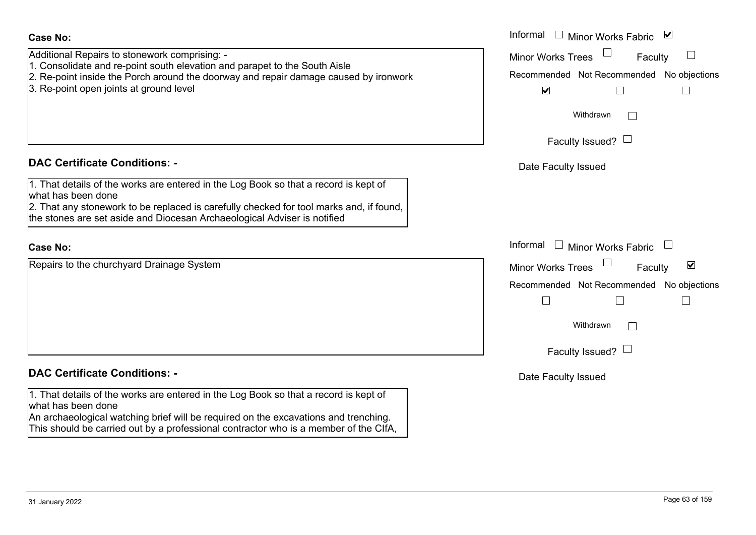|                                                                         | Date |
|-------------------------------------------------------------------------|------|
| Book so that a record is kept of                                        |      |
| on the excavations and trenching.<br>actor who is a member of the CIfA, |      |
|                                                                         |      |

| Il Repairs to stonework comprising: -<br>lidate and re-point south elevation and parapet to the South Aisle                                       | <b>Minor Works Trees</b><br>Faculty                         |
|---------------------------------------------------------------------------------------------------------------------------------------------------|-------------------------------------------------------------|
| int inside the Porch around the doorway and repair damage caused by ironwork                                                                      | Recommended Not Recommended No objections                   |
| int open joints at ground level                                                                                                                   | $\blacktriangledown$                                        |
|                                                                                                                                                   | Withdrawn                                                   |
|                                                                                                                                                   | Faculty Issued? $\Box$                                      |
| rtificate Conditions: -                                                                                                                           | Date Faculty Issued                                         |
| etails of the works are entered in the Log Book so that a record is kept of                                                                       |                                                             |
| been done                                                                                                                                         |                                                             |
| ny stonework to be replaced is carefully checked for tool marks and, if found,<br>s are set aside and Diocesan Archaeological Adviser is notified |                                                             |
|                                                                                                                                                   | Informal<br><b>Minor Works Fabric</b><br>$\Box$             |
| o the churchyard Drainage System                                                                                                                  | $\blacktriangledown$<br><b>Minor Works Trees</b><br>Faculty |
|                                                                                                                                                   | Recommended Not Recommended No objections                   |
|                                                                                                                                                   |                                                             |
|                                                                                                                                                   | Withdrawn                                                   |
|                                                                                                                                                   | Faculty Issued? $\Box$                                      |

Informal  $\Box$  Minor Works Fabric  $\Box$ 

**Faculty Issued** 

Additional Repairs to stonework comprising: -

- 1. Consolidate and re-point south elevation and parapet to the South Aisle
- 2. Re-point inside the Porch around the doorway and repair damage caused by ironwork
- 3. Re-point open joints at ground level

# **DAC Certificate Conditions: -**

1. That details of the works are entered in the Log Book so that a record is kept of what has been done

2. That any stonework to be replaced is carefully checked for tool marks and, if found, the stones are set aside and Diocesan Archaeological Adviser is notified

#### **Case No:**

Repairs to the churchyard Drainage System

## **DAC Certificate Conditions: -**

1. That details of the works are entered in the Log what has been done An archaeological watching brief will be required on

This should be carried out by a professional contra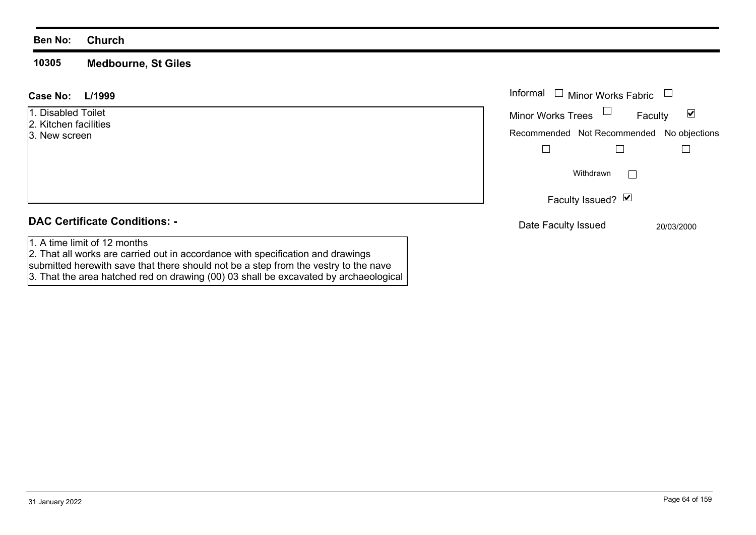**10305 Medbourne, St Giles**

| L/1999<br>Case No:                                                                                              | Informal<br>Minor Works Fabric<br>$\overline{\phantom{a}}$               |
|-----------------------------------------------------------------------------------------------------------------|--------------------------------------------------------------------------|
| 1. Disabled Toilet<br>2. Kitchen facilities                                                                     | $\Box$<br><b>Minor Works Trees</b><br>$\overline{\mathbf{v}}$<br>Faculty |
| 3. New screen                                                                                                   | Recommended Not Recommended<br>No objections                             |
|                                                                                                                 |                                                                          |
|                                                                                                                 | Withdrawn                                                                |
|                                                                                                                 | Faculty Issued? Ø                                                        |
| <b>DAC Certificate Conditions: -</b>                                                                            | Date Faculty Issued<br>20/03/2000                                        |
| 1. A time limit of 12 months<br>2. That all works are carried out in accordance with specification and drawings |                                                                          |

submitted herewith save that there should not be a step from the vestry to the nave

3. That the area hatched red on drawing (00) 03 shall be excavated by archaeological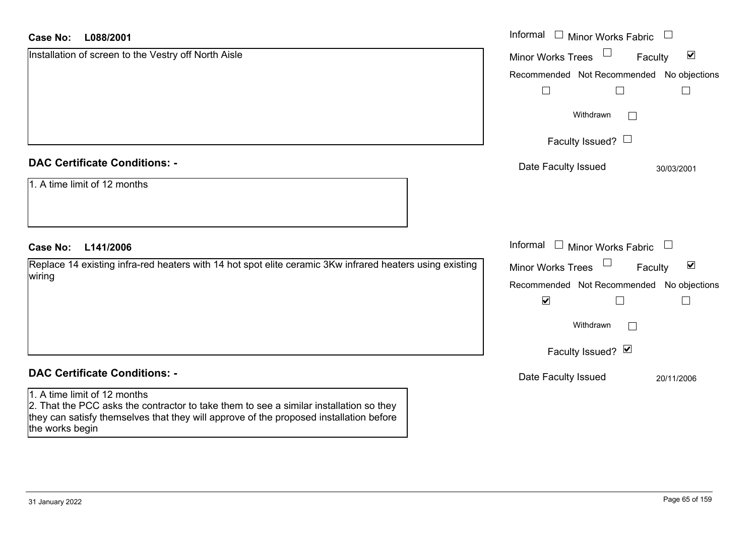| <b>Case No:</b><br>L088/2001                                                                                                                                                                                                        | Informal<br>$\begin{array}{c} \square \end{array}$<br><b>Minor Works Fabric</b> |
|-------------------------------------------------------------------------------------------------------------------------------------------------------------------------------------------------------------------------------------|---------------------------------------------------------------------------------|
| Installation of screen to the Vestry off North Aisle                                                                                                                                                                                | $\blacktriangledown$<br><b>Minor Works Trees</b><br>Faculty                     |
|                                                                                                                                                                                                                                     | No objections<br>Recommended Not Recommended                                    |
|                                                                                                                                                                                                                                     |                                                                                 |
|                                                                                                                                                                                                                                     | Withdrawn                                                                       |
|                                                                                                                                                                                                                                     | Faculty Issued? $\Box$                                                          |
| <b>DAC Certificate Conditions: -</b>                                                                                                                                                                                                | Date Faculty Issued<br>30/03/2001                                               |
| 1. A time limit of 12 months                                                                                                                                                                                                        |                                                                                 |
| <b>Case No:</b><br>L141/2006                                                                                                                                                                                                        | Informal<br>$\Box$ Minor Works Fabric $\Box$                                    |
| Replace 14 existing infra-red heaters with 14 hot spot elite ceramic 3Kw infrared heaters using existing                                                                                                                            | $\blacktriangledown$<br><b>Minor Works Trees</b><br>Faculty                     |
| wiring                                                                                                                                                                                                                              | Recommended Not Recommended No objections                                       |
|                                                                                                                                                                                                                                     | $\blacktriangledown$                                                            |
|                                                                                                                                                                                                                                     | Withdrawn                                                                       |
|                                                                                                                                                                                                                                     | Faculty Issued? Ø                                                               |
| <b>DAC Certificate Conditions: -</b>                                                                                                                                                                                                | Date Faculty Issued<br>20/11/2006                                               |
| 1. A time limit of 12 months<br>2. That the PCC asks the contractor to take them to see a similar installation so they<br>they can satisfy themselves that they will approve of the proposed installation before<br>the works begin |                                                                                 |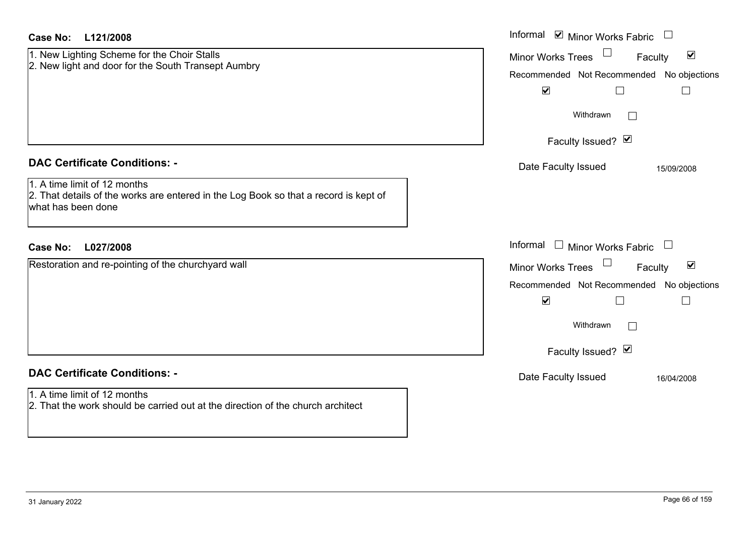| Case No:<br>L121/2008                                                                                                                                                              | Informal $\blacksquare$ Minor Works Fabric $\blacksquare$                                                                                                                                                |
|------------------------------------------------------------------------------------------------------------------------------------------------------------------------------------|----------------------------------------------------------------------------------------------------------------------------------------------------------------------------------------------------------|
| 1. New Lighting Scheme for the Choir Stalls<br>2. New light and door for the South Transept Aumbry                                                                                 | $\blacktriangledown$<br><b>Minor Works Trees</b><br>Faculty<br>Recommended Not Recommended No objections<br>$\blacktriangledown$<br>$\Box$<br>$\Box$<br>Withdrawn<br>$\Box$                              |
|                                                                                                                                                                                    | Faculty Issued? Ø                                                                                                                                                                                        |
| <b>DAC Certificate Conditions: -</b><br>1. A time limit of 12 months<br>2. That details of the works are entered in the Log Book so that a record is kept of<br>what has been done | Date Faculty Issued<br>15/09/2008                                                                                                                                                                        |
| <b>Case No:</b><br>L027/2008                                                                                                                                                       | Informal<br>$\Box$ Minor Works Fabric $\Box$                                                                                                                                                             |
| Restoration and re-pointing of the churchyard wall                                                                                                                                 | $\blacktriangledown$<br><b>Minor Works Trees</b><br>Faculty<br>Recommended Not Recommended No objections<br>$\blacktriangledown$<br>$\Box$<br>$\overline{\phantom{a}}$<br>Withdrawn<br>Faculty Issued? Ø |
| <b>DAC Certificate Conditions: -</b>                                                                                                                                               | Date Faculty Issued<br>16/04/2008                                                                                                                                                                        |
| 1. A time limit of 12 months<br>2. That the work should be carried out at the direction of the church architect                                                                    |                                                                                                                                                                                                          |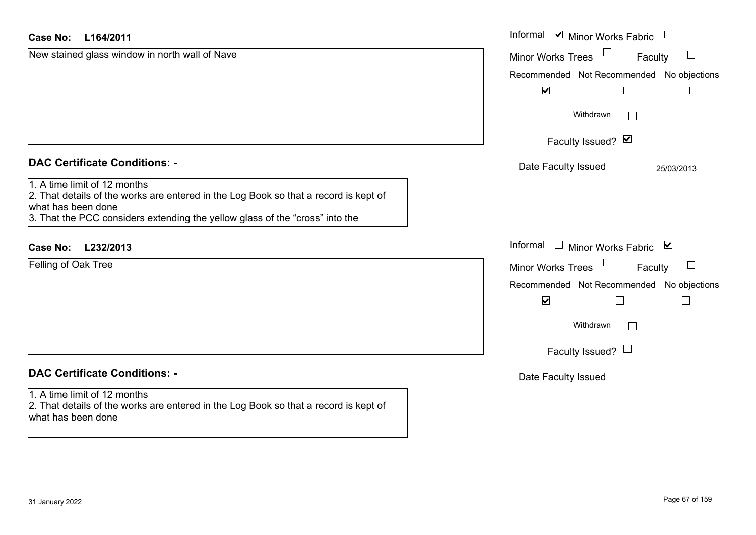| <b>Case No:</b><br>L164/2011                                                                                                                                                                                               | Informal <b>V</b> Minor Works Fabric                         |
|----------------------------------------------------------------------------------------------------------------------------------------------------------------------------------------------------------------------------|--------------------------------------------------------------|
| New stained glass window in north wall of Nave                                                                                                                                                                             | $\Box$<br><b>Minor Works Trees</b><br>Faculty                |
|                                                                                                                                                                                                                            | Recommended Not Recommended No objections                    |
|                                                                                                                                                                                                                            | $\blacktriangledown$                                         |
|                                                                                                                                                                                                                            | Withdrawn<br>$\mathbf{L}$                                    |
|                                                                                                                                                                                                                            | Faculty Issued? Ø                                            |
| <b>DAC Certificate Conditions: -</b>                                                                                                                                                                                       | Date Faculty Issued<br>25/03/2013                            |
| 1. A time limit of 12 months<br>2. That details of the works are entered in the Log Book so that a record is kept of<br>what has been done<br>3. That the PCC considers extending the yellow glass of the "cross" into the |                                                              |
| L232/2013<br><b>Case No:</b>                                                                                                                                                                                               | Informal $\Box$ Minor Works Fabric $\Box$                    |
| <b>Felling of Oak Tree</b>                                                                                                                                                                                                 | Minor Works Trees<br>Faculty<br>$\Box$                       |
|                                                                                                                                                                                                                            | Recommended Not Recommended No objections                    |
|                                                                                                                                                                                                                            | $\blacktriangledown$<br>$\sqcup$<br>$\overline{\phantom{a}}$ |
|                                                                                                                                                                                                                            | Withdrawn<br>$\Box$                                          |
|                                                                                                                                                                                                                            | Faculty Issued? $\Box$                                       |
| <b>DAC Certificate Conditions: -</b>                                                                                                                                                                                       | Date Faculty Issued                                          |
| 1. A time limit of 12 months<br>2. That details of the works are entered in the Log Book so that a record is kept of<br>what has been done                                                                                 |                                                              |
|                                                                                                                                                                                                                            |                                                              |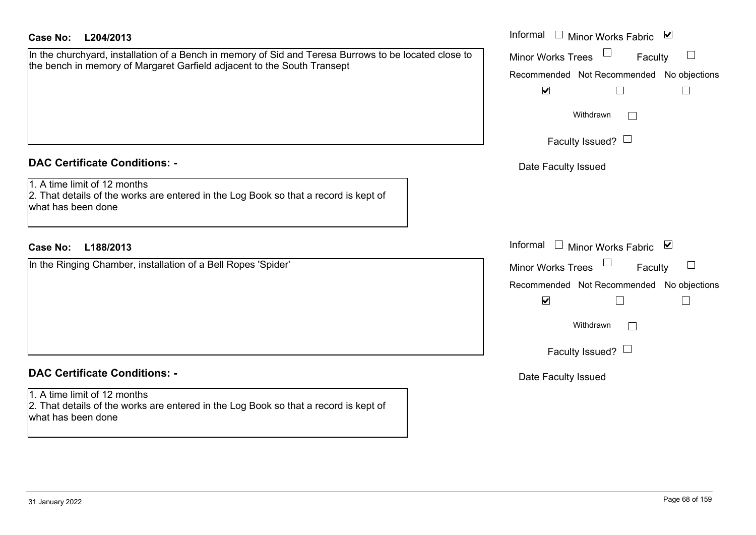| Case No:<br>L204/2013                                                                                                                                                            | Informal $\Box$ Minor Works Fabric $\Box$                                                         |
|----------------------------------------------------------------------------------------------------------------------------------------------------------------------------------|---------------------------------------------------------------------------------------------------|
| In the churchyard, installation of a Bench in memory of Sid and Teresa Burrows to be located close to<br>the bench in memory of Margaret Garfield adjacent to the South Transept | Minor Works Trees<br>Faculty<br>Recommended Not Recommended No objections<br>$\blacktriangledown$ |
|                                                                                                                                                                                  | Withdrawn<br>Faculty Issued? $\Box$                                                               |
| <b>DAC Certificate Conditions: -</b>                                                                                                                                             | Date Faculty Issued                                                                               |
| 1. A time limit of 12 months<br>2. That details of the works are entered in the Log Book so that a record is kept of<br>what has been done                                       |                                                                                                   |
| <b>Case No:</b><br>L188/2013                                                                                                                                                     | Informal $\Box$ Minor Works Fabric $\Box$                                                         |
| In the Ringing Chamber, installation of a Bell Ropes 'Spider'                                                                                                                    | Minor Works Trees<br>Faculty                                                                      |
|                                                                                                                                                                                  | Recommended Not Recommended No objections<br>$\blacktriangledown$<br>$\Box$<br>$\Box$             |
|                                                                                                                                                                                  | Withdrawn<br>$\perp$                                                                              |
|                                                                                                                                                                                  | Faculty Issued? $\Box$                                                                            |
| <b>DAC Certificate Conditions: -</b>                                                                                                                                             | Date Faculty Issued                                                                               |
| 1. A time limit of 12 months<br>2. That details of the works are entered in the Log Book so that a record is kept of<br>what has been done                                       |                                                                                                   |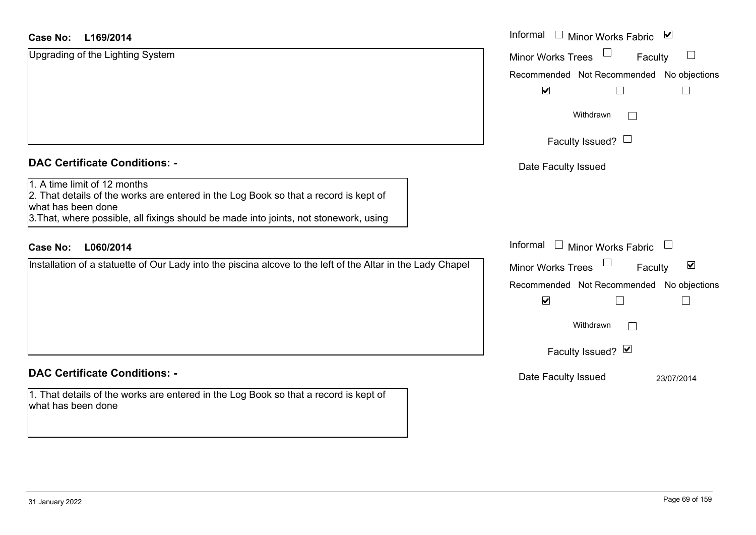#### **L169/2014Case No:**

| Case No:<br>L169/2014                                                                                                                                                                                                               | Informal □ Minor Works Fabric ⊠                             |
|-------------------------------------------------------------------------------------------------------------------------------------------------------------------------------------------------------------------------------------|-------------------------------------------------------------|
| Upgrading of the Lighting System                                                                                                                                                                                                    | <b>Minor Works Trees</b><br>Faculty                         |
|                                                                                                                                                                                                                                     | Recommended Not Recommended No objections                   |
|                                                                                                                                                                                                                                     | $\blacktriangledown$                                        |
|                                                                                                                                                                                                                                     | Withdrawn                                                   |
|                                                                                                                                                                                                                                     | Faculty Issued? $\Box$                                      |
| <b>DAC Certificate Conditions: -</b>                                                                                                                                                                                                | Date Faculty Issued                                         |
| 1. A time limit of 12 months<br>2. That details of the works are entered in the Log Book so that a record is kept of<br>what has been done<br>3. That, where possible, all fixings should be made into joints, not stonework, using |                                                             |
| <b>Case No:</b><br>L060/2014                                                                                                                                                                                                        | Informal<br>$\Box$ Minor Works Fabric                       |
| Installation of a statuette of Our Lady into the piscina alcove to the left of the Altar in the Lady Chapel                                                                                                                         | $\blacktriangledown$<br><b>Minor Works Trees</b><br>Faculty |
|                                                                                                                                                                                                                                     | Recommended Not Recommended No objections                   |
|                                                                                                                                                                                                                                     | $\blacktriangledown$                                        |
|                                                                                                                                                                                                                                     | Withdrawn<br>$\Box$                                         |
|                                                                                                                                                                                                                                     | Faculty Issued? Ø                                           |
| <b>DAC Certificate Conditions: -</b>                                                                                                                                                                                                | Date Faculty Issued<br>23/07/2014                           |
| 1. That details of the works are entered in the Log Book so that a record is kept of<br>what has been done                                                                                                                          |                                                             |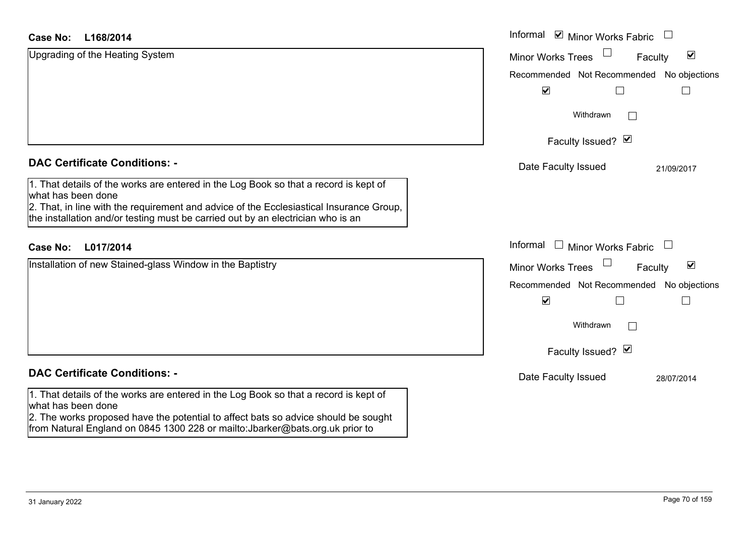| L168/2014<br>Case No:                                                                                                                                                      | Informal <b>☑</b> Minor Works Fabric                           |
|----------------------------------------------------------------------------------------------------------------------------------------------------------------------------|----------------------------------------------------------------|
| Upgrading of the Heating System                                                                                                                                            | $\Box$<br>$\blacktriangledown$<br>Minor Works Trees<br>Faculty |
|                                                                                                                                                                            | Recommended Not Recommended<br>No objections                   |
|                                                                                                                                                                            | $\blacktriangledown$                                           |
|                                                                                                                                                                            | Withdrawn<br>$\vert \ \ \vert$                                 |
|                                                                                                                                                                            | Faculty Issued? Ø                                              |
| <b>DAC Certificate Conditions: -</b>                                                                                                                                       | Date Faculty Issued<br>21/09/2017                              |
| 1. That details of the works are entered in the Log Book so that a record is kept of<br>what has been done                                                                 |                                                                |
| 2. That, in line with the requirement and advice of the Ecclesiastical Insurance Group,<br>the installation and/or testing must be carried out by an electrician who is an |                                                                |
| L017/2014<br><b>Case No:</b>                                                                                                                                               | Informal<br>Minor Works Fabric                                 |
| Installation of new Stained-glass Window in the Baptistry                                                                                                                  | $\blacktriangledown$<br><b>Minor Works Trees</b><br>Faculty    |
|                                                                                                                                                                            | Recommended Not Recommended No objections                      |
|                                                                                                                                                                            | $\blacktriangledown$<br>L                                      |
|                                                                                                                                                                            | Withdrawn                                                      |
|                                                                                                                                                                            | Faculty Issued? Ø                                              |
| <b>DAC Certificate Conditions: -</b>                                                                                                                                       | Date Faculty Issued<br>28/07/2014                              |
| 1. That details of the works are entered in the Log Book so that a record is kept of<br>what has been done                                                                 |                                                                |
| 2. The works proposed have the potential to affect bats so advice should be sought<br>from Natural England on 0845 1300 228 or mailto: Jbarker@bats.org.uk prior to        |                                                                |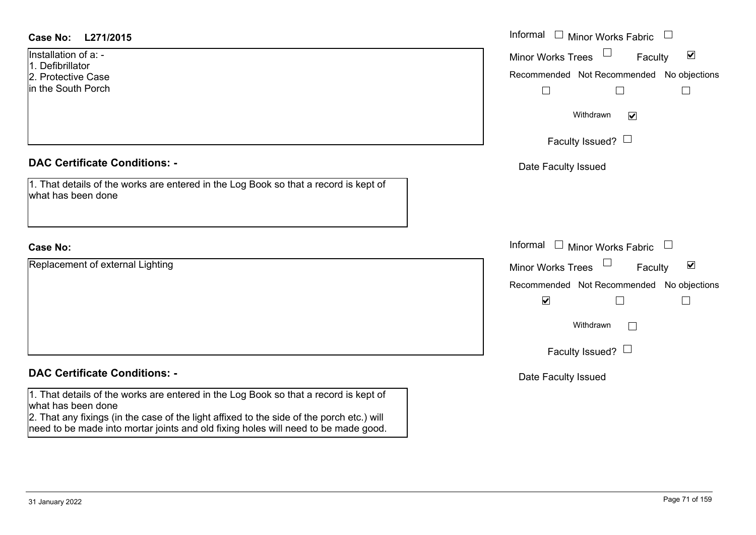| <b>Case No:</b><br>L271/2015                                                                               | Informal $\Box$ Minor Works Fabric $\Box$            |
|------------------------------------------------------------------------------------------------------------|------------------------------------------------------|
| Installation of a: -<br>1. Defibrillator                                                                   | Minor Works Trees<br>$\blacktriangledown$<br>Faculty |
| 2. Protective Case                                                                                         | Recommended Not Recommended No objections            |
| in the South Porch                                                                                         | $\Box$                                               |
|                                                                                                            | Withdrawn<br>$\blacktriangledown$                    |
|                                                                                                            | Faculty Issued? $\Box$                               |
| <b>DAC Certificate Conditions: -</b>                                                                       | Date Faculty Issued                                  |
| 1. That details of the works are entered in the Log Book so that a record is kept of<br>what has been done |                                                      |
|                                                                                                            |                                                      |
| <b>Case No:</b>                                                                                            | Informal $\Box$ Minor Works Fabric $\Box$            |
| Replacement of external Lighting                                                                           | Minor Works Trees<br>$\blacktriangledown$<br>Faculty |
|                                                                                                            | Recommended Not Recommended No objections            |
|                                                                                                            | $\blacktriangledown$<br>$\perp$                      |
|                                                                                                            | Withdrawn<br>$\mathbf{L}$                            |
|                                                                                                            | Faculty Issued? $\Box$                               |
| <b>DAC Certificate Conditions: -</b>                                                                       | Date Faculty Issued                                  |
| 1. That details of the works are entered in the Log Book so that a record is kept of<br>what has been done |                                                      |
| 2. That any fixings (in the case of the light affixed to the side of the porch etc.) will                  |                                                      |
| need to be made into mortar joints and old fixing holes will need to be made good.                         |                                                      |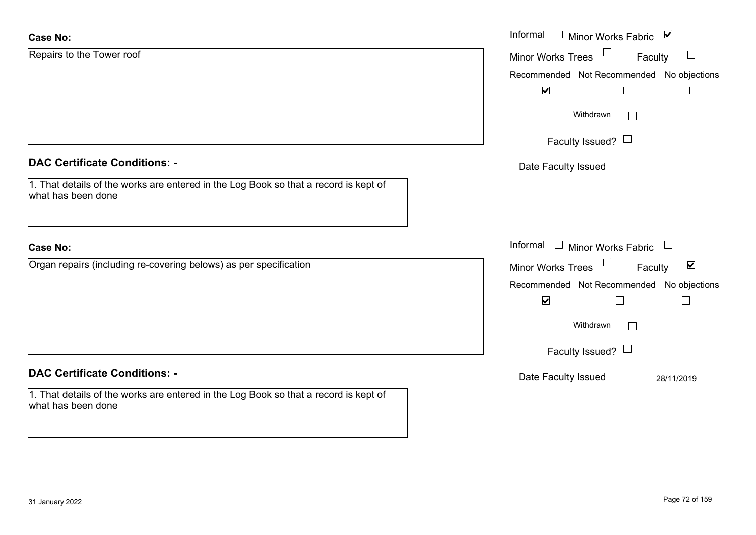| <b>Case No:</b>                                                                                            | Informal □ Minor Works Fabric ⊠                      |
|------------------------------------------------------------------------------------------------------------|------------------------------------------------------|
| Repairs to the Tower roof                                                                                  | Minor Works Trees<br>$\Box$<br>Faculty               |
|                                                                                                            | Recommended Not Recommended No objections            |
|                                                                                                            | $\blacktriangledown$<br>$\mathsf{L}$                 |
|                                                                                                            | Withdrawn<br>$\mathbf{L}$                            |
|                                                                                                            | Faculty Issued? $\Box$                               |
| <b>DAC Certificate Conditions: -</b>                                                                       | Date Faculty Issued                                  |
| 1. That details of the works are entered in the Log Book so that a record is kept of<br>what has been done |                                                      |
|                                                                                                            |                                                      |
| <b>Case No:</b>                                                                                            | Informal<br>$\Box$ Minor Works Fabric $\Box$         |
| Organ repairs (including re-covering belows) as per specification                                          | Minor Works Trees<br>$\blacktriangledown$<br>Faculty |
|                                                                                                            | Recommended Not Recommended No objections            |
|                                                                                                            | $\blacktriangledown$                                 |
|                                                                                                            | Withdrawn<br>$\Box$                                  |
|                                                                                                            | Faculty Issued? $\Box$                               |
| <b>DAC Certificate Conditions: -</b>                                                                       | Date Faculty Issued<br>28/11/2019                    |
| 1. That details of the works are entered in the Log Book so that a record is kept of<br>what has been done |                                                      |
|                                                                                                            |                                                      |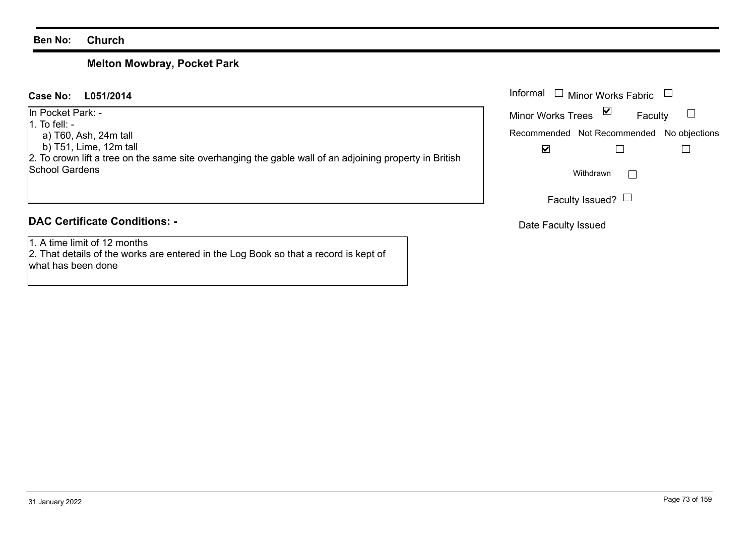#### **Ben No: Church**

# **Melton Mowbray, Pocket Park**

| L051/2014<br>Case No:                                                                                                                                                                                    | Informal<br>Minor Works Fabric                                                                                   |
|----------------------------------------------------------------------------------------------------------------------------------------------------------------------------------------------------------|------------------------------------------------------------------------------------------------------------------|
| In Pocket Park: -<br>$\vert$ 1. To fell: -<br>a) T60, Ash, 24m tall<br>b) T51, Lime, 12m tall<br>2. To crown lift a tree on the same site overhanging the gable wall of an adjoining property in British | M<br><b>Minor Works Trees</b><br>Faculty<br>Recommended Not Recommended No objections<br>$\overline{\mathbf{v}}$ |
| <b>School Gardens</b>                                                                                                                                                                                    | Withdrawn                                                                                                        |
|                                                                                                                                                                                                          | Faculty Issued? $\Box$                                                                                           |
| <b>DAC Certificate Conditions: -</b>                                                                                                                                                                     | Date Faculty Issued                                                                                              |
| 1. A time limit of 12 months                                                                                                                                                                             |                                                                                                                  |

1. A time limit of 12 months 2. That details of the works are entered in the Log Book so that a record is kept of what has been done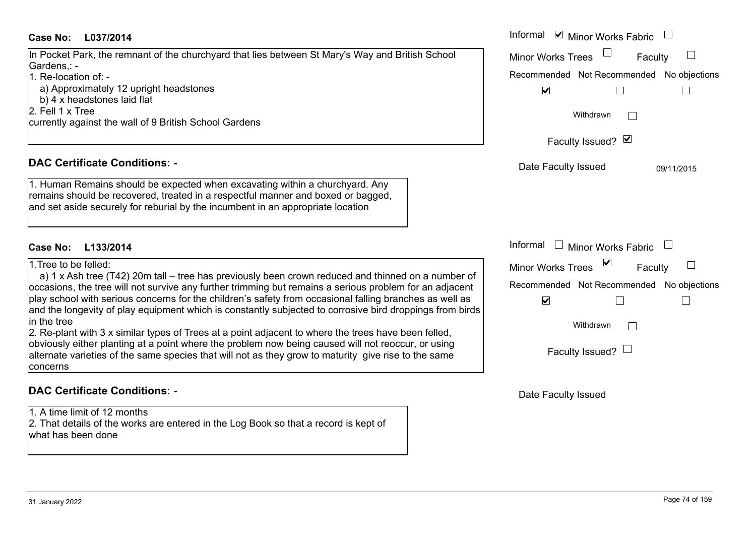# **L037/2014Case No:** Informal

In Pocket Park, the remnant of the churchyard that lies between St Mary's Way and British School Gardens,: - 1. Re-location of: -

a) Approximately 12 upright headstones

b) 4 x headstones laid flat

2. Fell 1 x Tree

currently against the wall of 9 British School Gardens

# **DAC Certificate Conditions: -**

1. Human Remains should be expected when excavating within a churchyard. Any remains should be recovered, treated in a respectful manner and boxed or bagged, and set aside securely for reburial by the incumbent in an appropriate location

### **L133/2014Case No:**

#### 1.Tree to be felled:

a) 1 x Ash tree (T42) 20m tall – tree has previously been crown reduced and thinned on a number occasions, the tree will not survive any further trimming but remains a serious problem for an adjac play school with serious concerns for the children's safety from occasional falling branches as well and the longevity of play equipment which is constantly subjected to corrosive bird droppings from in the tree

2. Re-plant with 3 x similar types of Trees at a point adjacent to where the trees have been felled, obviously either planting at a point where the problem now being caused will not reoccur, or using alternate varieties of the same species that will not as they grow to maturity give rise to the same concerns

# **DAC Certificate Conditions: -**

1. A time limit of 12 months

2. That details of the works are entered in the Log Book so that a record is kept of what has been done

| L037/2014                                                                                                                                                                                                                                                                                                                                                                                                                                                                                                                                                                                                                                                                                                   | Informal ⊠ Minor Works Fabric                                                                                                                 |
|-------------------------------------------------------------------------------------------------------------------------------------------------------------------------------------------------------------------------------------------------------------------------------------------------------------------------------------------------------------------------------------------------------------------------------------------------------------------------------------------------------------------------------------------------------------------------------------------------------------------------------------------------------------------------------------------------------------|-----------------------------------------------------------------------------------------------------------------------------------------------|
| Park, the remnant of the churchyard that lies between St Mary's Way and British School                                                                                                                                                                                                                                                                                                                                                                                                                                                                                                                                                                                                                      | <b>Minor Works Trees</b><br>Faculty                                                                                                           |
| ation of: -<br>roximately 12 upright headstones<br>headstones laid flat<br>x Tree<br>against the wall of 9 British School Gardens                                                                                                                                                                                                                                                                                                                                                                                                                                                                                                                                                                           | Recommended Not Recommended No objections<br>$\blacktriangledown$<br>Withdrawn                                                                |
|                                                                                                                                                                                                                                                                                                                                                                                                                                                                                                                                                                                                                                                                                                             | Faculty Issued? Ø                                                                                                                             |
| rtificate Conditions: -<br>n Remains should be expected when excavating within a churchyard. Any<br>should be recovered, treated in a respectful manner and boxed or bagged,<br>iside securely for reburial by the incumbent in an appropriate location                                                                                                                                                                                                                                                                                                                                                                                                                                                     | Date Faculty Issued<br>09/11/2015                                                                                                             |
| L133/2014                                                                                                                                                                                                                                                                                                                                                                                                                                                                                                                                                                                                                                                                                                   | Informal<br>Minor Works Fabric                                                                                                                |
| be felled:<br>Ash tree (T42) 20m tall – tree has previously been crown reduced and thinned on a number of<br>s, the tree will not survive any further trimming but remains a serious problem for an adjacent<br>ool with serious concerns for the children's safety from occasional falling branches as well as<br>ongevity of play equipment which is constantly subjected to corrosive bird droppings from birds<br>nt with 3 x similar types of Trees at a point adjacent to where the trees have been felled,<br>either planting at a point where the problem now being caused will not reoccur, or using<br>varieties of the same species that will not as they grow to maturity give rise to the same | ⊻<br>Minor Works Trees<br>Faculty<br>Recommended Not Recommended No objections<br>$\blacktriangledown$<br>Withdrawn<br>Faculty Issued? $\Box$ |

Date Faculty Issued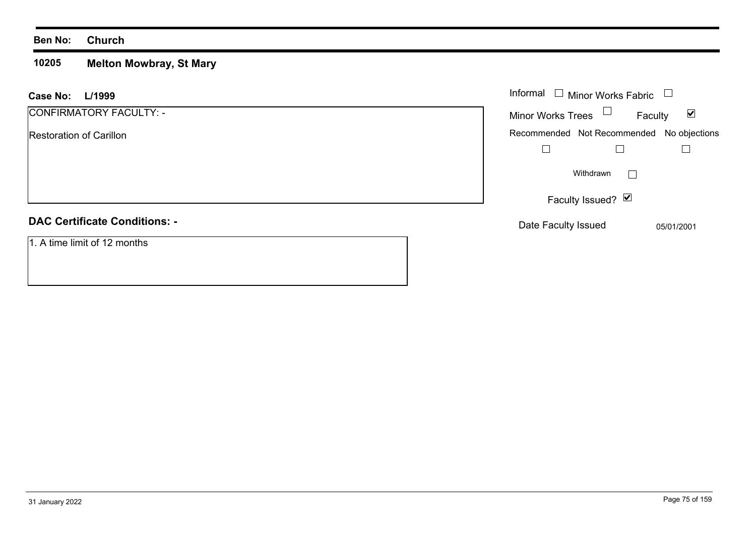#### **Ben No: Church**

#### **10205 Melton Mowbray, St Mary**

| L/1999<br><b>Case No:</b>            | Informal $\square$<br>Minor Works Fabric                    |
|--------------------------------------|-------------------------------------------------------------|
| CONFIRMATORY FACULTY: -              | Minor Works Trees $\Box$<br>$\blacktriangledown$<br>Faculty |
| <b>Restoration of Carillon</b>       | Recommended Not Recommended No objections                   |
|                                      |                                                             |
|                                      | Withdrawn                                                   |
|                                      | Faculty Issued? $\boxed{\triangleright}$                    |
| <b>DAC Certificate Conditions: -</b> | Date Faculty Issued<br>05/01/2001                           |
| 1. A time limit of 12 months         |                                                             |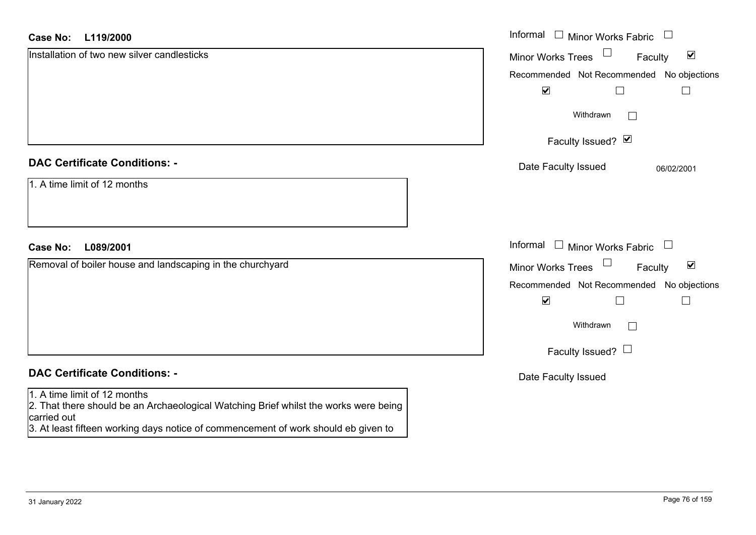#### **L119/2000Case No:**

| <b>Case No:</b><br>L119/2000                                                                                                        | Informal □ Minor Works Fabric □                      |
|-------------------------------------------------------------------------------------------------------------------------------------|------------------------------------------------------|
| Installation of two new silver candlesticks                                                                                         | Minor Works Trees<br>$\blacktriangledown$<br>Faculty |
|                                                                                                                                     | Recommended Not Recommended No objections            |
|                                                                                                                                     | $\blacktriangledown$<br>$\Box$<br>$\Box$             |
|                                                                                                                                     | Withdrawn<br>$\Box$                                  |
|                                                                                                                                     | Faculty Issued? Ø                                    |
| <b>DAC Certificate Conditions: -</b>                                                                                                | Date Faculty Issued<br>06/02/2001                    |
| 1. A time limit of 12 months                                                                                                        |                                                      |
| <b>Case No:</b><br>L089/2001                                                                                                        | Informal $\Box$ Minor Works Fabric $\Box$            |
| Removal of boiler house and landscaping in the churchyard                                                                           | Minor Works Trees<br>$\blacktriangledown$<br>Faculty |
|                                                                                                                                     | Recommended Not Recommended No objections            |
|                                                                                                                                     | $\blacktriangledown$<br>$\overline{\phantom{a}}$     |
|                                                                                                                                     | Withdrawn<br>$\Box$                                  |
|                                                                                                                                     | Faculty Issued? $\Box$                               |
| <b>DAC Certificate Conditions: -</b>                                                                                                | Date Faculty Issued                                  |
| 1. A time limit of 12 months<br>2. That there should be an Archaeological Watching Brief whilst the works were being<br>carried out |                                                      |

3. At least fifteen working days notice of commencement of work should eb given to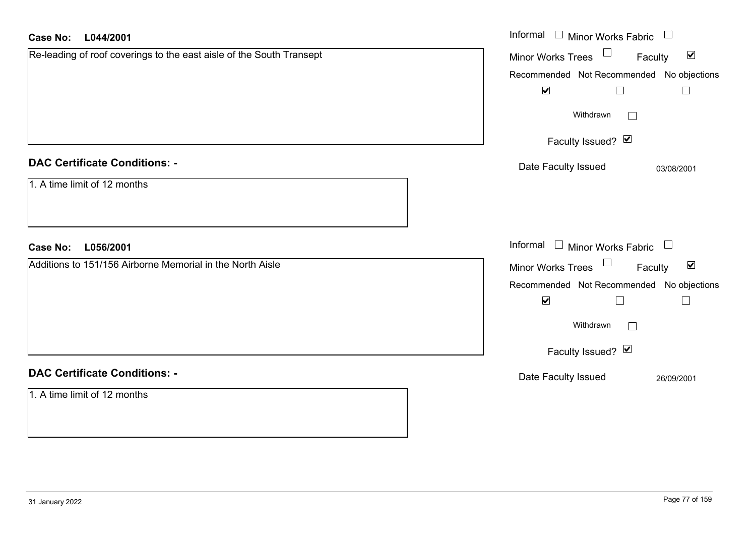| <b>Case No:</b><br>L044/2001                                         | Informal<br>$\perp$<br>Minor Works Fabric                        |
|----------------------------------------------------------------------|------------------------------------------------------------------|
| Re-leading of roof coverings to the east aisle of the South Transept | Minor Works Trees<br>$\blacktriangledown$<br>Faculty             |
|                                                                      | No objections<br>Recommended Not Recommended                     |
|                                                                      | $\blacktriangledown$<br>$\Box$<br>$\Box$                         |
|                                                                      | Withdrawn<br>$\mathbf{L}$                                        |
|                                                                      | Faculty Issued? Ø                                                |
| <b>DAC Certificate Conditions: -</b>                                 | Date Faculty Issued<br>03/08/2001                                |
| 1. A time limit of 12 months                                         |                                                                  |
| <b>Case No:</b><br>L056/2001                                         | Informal<br>$\Box$ Minor Works Fabric $\Box$                     |
| Additions to 151/156 Airborne Memorial in the North Aisle            | Minor Works Trees<br>$\blacktriangledown$<br>Faculty             |
|                                                                      | Recommended Not Recommended<br>No objections                     |
|                                                                      | $\blacktriangledown$<br>$\overline{\phantom{a}}$<br>$\mathsf{L}$ |
|                                                                      | Withdrawn<br>$\mathbb{R}^n$                                      |
|                                                                      | Faculty Issued? Ø                                                |
| <b>DAC Certificate Conditions: -</b>                                 | Date Faculty Issued<br>26/09/2001                                |
| 1. A time limit of 12 months                                         |                                                                  |
|                                                                      |                                                                  |
|                                                                      |                                                                  |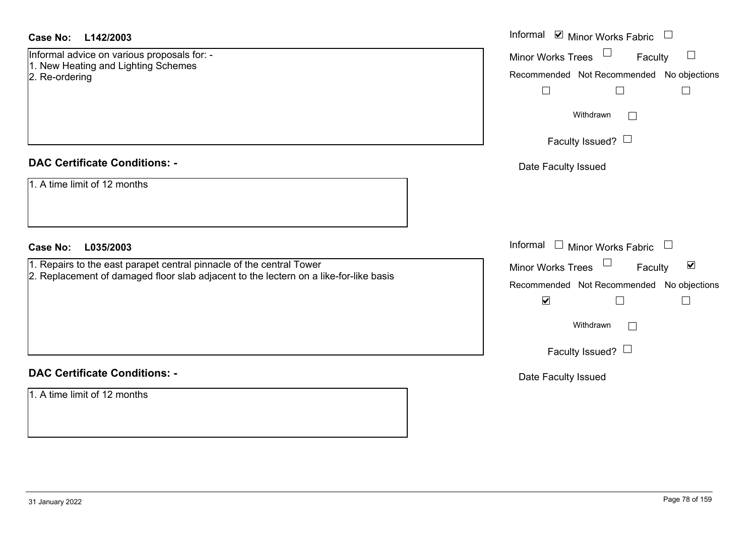# **DAC Certificate Conditions: -**

| Case No:<br>L142/2003                                                                                                                                         | Informal <b>v</b> Minor Works Fabric                                                                                                                                                                  |
|---------------------------------------------------------------------------------------------------------------------------------------------------------------|-------------------------------------------------------------------------------------------------------------------------------------------------------------------------------------------------------|
| Informal advice on various proposals for: -<br>1. New Heating and Lighting Schemes<br>2. Re-ordering                                                          | <b>Minor Works Trees</b><br>Faculty<br>Recommended Not Recommended No objections<br>Withdrawn<br>Faculty Issued? $\Box$                                                                               |
| <b>DAC Certificate Conditions: -</b>                                                                                                                          | Date Faculty Issued                                                                                                                                                                                   |
| 1. A time limit of 12 months<br><b>Case No:</b><br>L035/2003                                                                                                  | Informal $\Box$ Minor Works Fabric $\Box$                                                                                                                                                             |
| 1. Repairs to the east parapet central pinnacle of the central Tower<br>2. Replacement of damaged floor slab adjacent to the lectern on a like-for-like basis | Minor Works Trees<br>$\blacktriangledown$<br>Faculty<br>Recommended Not Recommended No objections<br>$\blacktriangledown$<br>$\Box$<br>$\perp$<br>Withdrawn<br>$\mathbf{1}$<br>Faculty Issued? $\Box$ |
| <b>DAC Certificate Conditions: -</b>                                                                                                                          | Date Faculty Issued                                                                                                                                                                                   |
| 1. A time limit of 12 months                                                                                                                                  |                                                                                                                                                                                                       |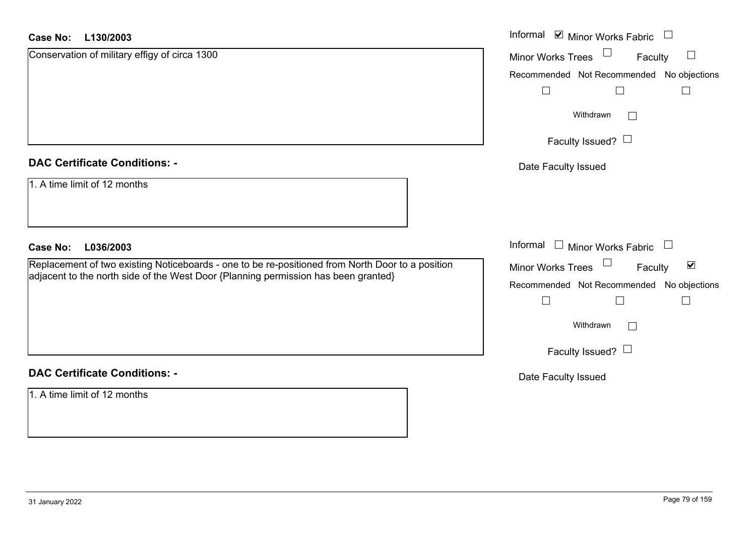#### **L130/2003Case No:**

| <b>Case No:</b><br>L130/2003                                                                     | Informal ⊠ Minor Works Fabric                                  |
|--------------------------------------------------------------------------------------------------|----------------------------------------------------------------|
| Conservation of military effigy of circa 1300                                                    | Minor Works Trees<br>Faculty<br>$\Box$                         |
|                                                                                                  | Recommended Not Recommended No objections                      |
|                                                                                                  | $\Box$<br>$\Box$                                               |
|                                                                                                  | Withdrawn<br>$\vert \ \ \vert$                                 |
|                                                                                                  | Faculty Issued? $\Box$                                         |
| <b>DAC Certificate Conditions: -</b>                                                             | Date Faculty Issued                                            |
| 1. A time limit of 12 months                                                                     |                                                                |
| <b>Case No:</b><br>L036/2003                                                                     | Informal<br>$\Box$ Minor Works Fabric<br>$\Box$                |
| Replacement of two existing Noticeboards - one to be re-positioned from North Door to a position | $\Box$<br>$\blacktriangledown$<br>Minor Works Trees<br>Faculty |
| adjacent to the north side of the West Door {Planning permission has been granted}               | Recommended Not Recommended No objections                      |
|                                                                                                  | $\Box$<br>$\Box$                                               |
|                                                                                                  | Withdrawn<br>$\mathbb{R}^n$                                    |
|                                                                                                  | Faculty Issued? $\Box$                                         |
| <b>DAC Certificate Conditions: -</b>                                                             | Date Faculty Issued                                            |
| 1. A time limit of 12 months                                                                     |                                                                |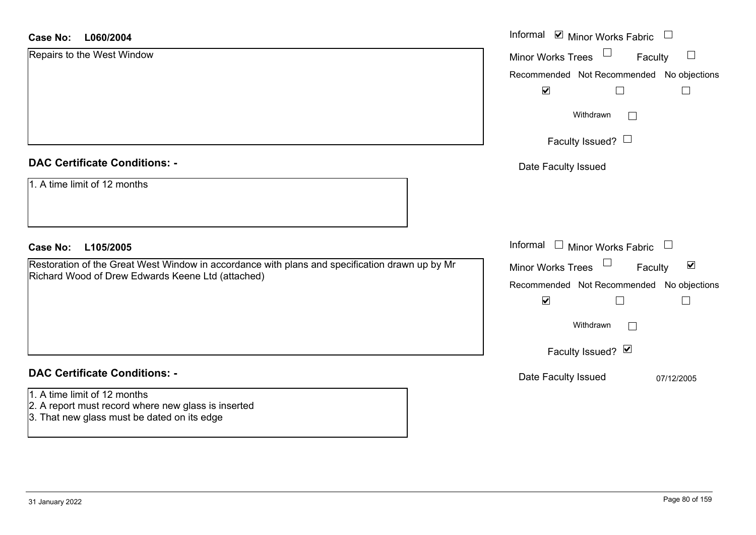| <b>Case No:</b><br>L060/2004                                                                                                       | Informal ⊠ Minor Works Fabric □                            |
|------------------------------------------------------------------------------------------------------------------------------------|------------------------------------------------------------|
| Repairs to the West Window                                                                                                         | $\Box$<br><b>Minor Works Trees</b><br>Faculty<br>$\Box$    |
|                                                                                                                                    | Recommended Not Recommended No objections                  |
|                                                                                                                                    | $\blacktriangledown$<br>$\Box$                             |
|                                                                                                                                    | Withdrawn<br>$\sim$                                        |
|                                                                                                                                    | Faculty Issued? $\Box$                                     |
| <b>DAC Certificate Conditions: -</b>                                                                                               | Date Faculty Issued                                        |
| 1. A time limit of 12 months                                                                                                       |                                                            |
| <b>Case No:</b><br>L105/2005                                                                                                       | Informal $\Box$ Minor Works Fabric $\Box$                  |
| Restoration of the Great West Window in accordance with plans and specification drawn up by Mr                                     | Minor Works Trees<br>$\blacktriangledown$<br>Faculty       |
| Richard Wood of Drew Edwards Keene Ltd (attached)                                                                                  | Recommended Not Recommended No objections                  |
|                                                                                                                                    | $\blacktriangledown$<br>$\overline{\phantom{a}}$<br>$\Box$ |
|                                                                                                                                    | Withdrawn<br>$\mathbb{R}^n$                                |
|                                                                                                                                    | Faculty Issued? Ø                                          |
| <b>DAC Certificate Conditions: -</b>                                                                                               | Date Faculty Issued<br>07/12/2005                          |
| 1. A time limit of 12 months<br>2. A report must record where new glass is inserted<br>3. That new glass must be dated on its edge |                                                            |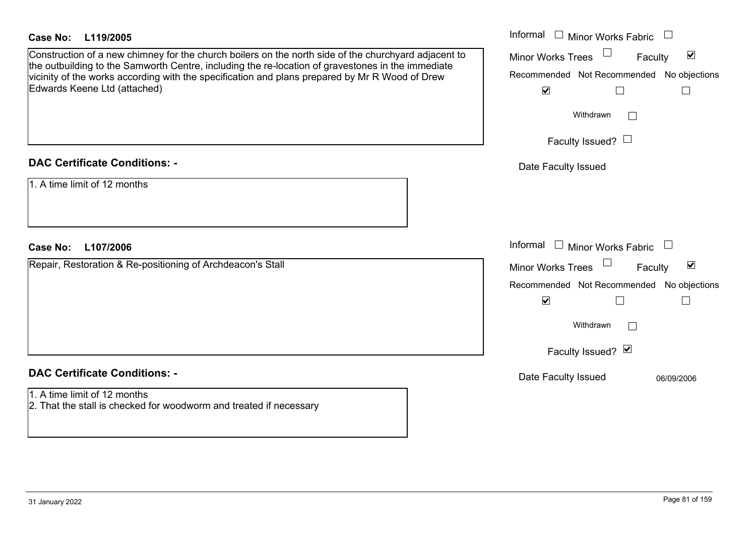| <b>Case No:</b>                                            | L119/2005                                                                                                                                                                                                 | Informal □ Minor Works Fabric □           |                                 |
|------------------------------------------------------------|-----------------------------------------------------------------------------------------------------------------------------------------------------------------------------------------------------------|-------------------------------------------|---------------------------------|
|                                                            | Construction of a new chimney for the church boilers on the north side of the churchyard adjacent to<br>the outbuilding to the Samworth Centre, including the re-location of gravestones in the immediate | <b>Minor Works Trees</b>                  | $\blacktriangledown$<br>Faculty |
|                                                            | vicinity of the works according with the specification and plans prepared by Mr R Wood of Drew                                                                                                            | Recommended Not Recommended No objections |                                 |
|                                                            | Edwards Keene Ltd (attached)                                                                                                                                                                              | $\blacktriangledown$                      |                                 |
|                                                            |                                                                                                                                                                                                           | Withdrawn                                 |                                 |
|                                                            |                                                                                                                                                                                                           | Faculty Issued? $\Box$                    |                                 |
|                                                            | <b>DAC Certificate Conditions: -</b>                                                                                                                                                                      | Date Faculty Issued                       |                                 |
|                                                            | 1. A time limit of 12 months                                                                                                                                                                              |                                           |                                 |
|                                                            |                                                                                                                                                                                                           |                                           |                                 |
| Case No:                                                   | L107/2006                                                                                                                                                                                                 | Informal $\Box$ Minor Works Fabric $\Box$ |                                 |
| Repair, Restoration & Re-positioning of Archdeacon's Stall |                                                                                                                                                                                                           | <b>Minor Works Trees</b>                  | $\blacktriangledown$<br>Faculty |
|                                                            |                                                                                                                                                                                                           | Recommended Not Recommended No objections |                                 |
|                                                            |                                                                                                                                                                                                           | $\blacktriangledown$                      |                                 |
|                                                            |                                                                                                                                                                                                           | Withdrawn                                 |                                 |
|                                                            |                                                                                                                                                                                                           | Faculty Issued? Ø                         |                                 |
|                                                            | <b>DAC Certificate Conditions: -</b>                                                                                                                                                                      | Date Faculty Issued                       | 06/09/2006                      |
|                                                            | 1. A time limit of 12 months                                                                                                                                                                              |                                           |                                 |
|                                                            | 2. That the stall is checked for woodworm and treated if necessary                                                                                                                                        |                                           |                                 |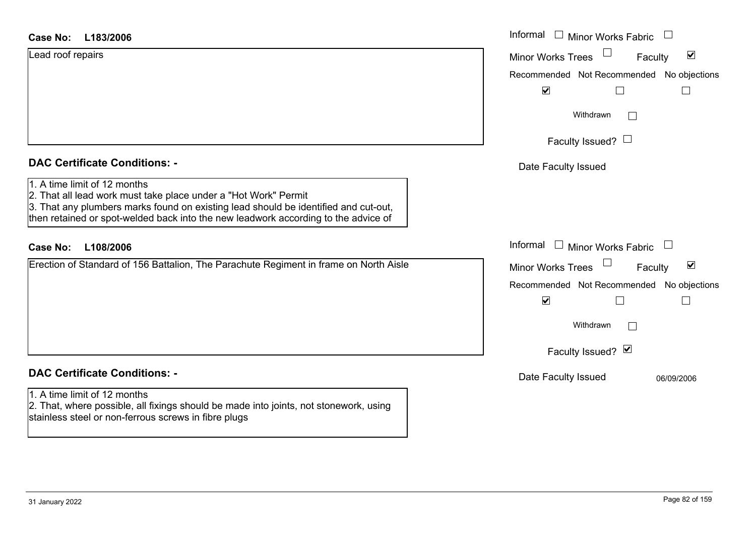| Case No: | L183/2006 |
|----------|-----------|
|----------|-----------|

| Lead roof repairs |  |  |
|-------------------|--|--|
|                   |  |  |
|                   |  |  |
|                   |  |  |

# **DAC Certificate Conditions: -**

# 1. A time limit of 12 months

# **DAC Certificate Conditions: -**

# 1. A time limit of 12 months

2. That, where possible, all fixings should be made into joints, not stonework, using stainless steel or non-ferrous screws in fibre plugs

| <b>Case No:</b><br>L183/2006                                                                                                                                                                                                                                                 | Informal $\Box$ Minor Works Fabric $\Box$                                                                                                                             |
|------------------------------------------------------------------------------------------------------------------------------------------------------------------------------------------------------------------------------------------------------------------------------|-----------------------------------------------------------------------------------------------------------------------------------------------------------------------|
| Lead roof repairs                                                                                                                                                                                                                                                            | $\blacktriangledown$<br><b>Minor Works Trees</b><br>Faculty<br>Recommended Not Recommended No objections<br>$\blacktriangledown$                                      |
|                                                                                                                                                                                                                                                                              | Withdrawn<br>$\Box$<br>Faculty Issued? $\Box$                                                                                                                         |
| <b>DAC Certificate Conditions: -</b>                                                                                                                                                                                                                                         | Date Faculty Issued                                                                                                                                                   |
| 1. A time limit of 12 months<br>2. That all lead work must take place under a "Hot Work" Permit<br>3. That any plumbers marks found on existing lead should be identified and cut-out,<br>then retained or spot-welded back into the new leadwork according to the advice of |                                                                                                                                                                       |
| L108/2006<br><b>Case No:</b>                                                                                                                                                                                                                                                 | Informal $\Box$ Minor Works Fabric $\Box$                                                                                                                             |
| Erection of Standard of 156 Battalion, The Parachute Regiment in frame on North Aisle                                                                                                                                                                                        | $\blacktriangledown$<br>Minor Works Trees<br>Faculty<br>Recommended Not Recommended No objections<br>$\blacktriangledown$<br>Withdrawn<br>$\Box$<br>Faculty Issued? Ø |
| <b>DAC Certificate Conditions: -</b>                                                                                                                                                                                                                                         | Date Faculty Issued<br>06/09/2006                                                                                                                                     |
| 1. A time limit of 12 months                                                                                                                                                                                                                                                 |                                                                                                                                                                       |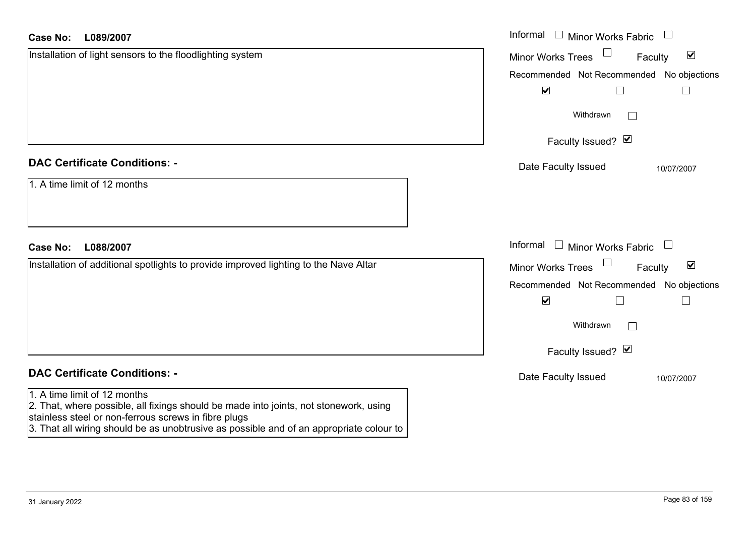| Case No:<br>L089/2007                                                                                                                                                                                                                                                    | Informal □ Minor Works Fabric                               |
|--------------------------------------------------------------------------------------------------------------------------------------------------------------------------------------------------------------------------------------------------------------------------|-------------------------------------------------------------|
| Installation of light sensors to the floodlighting system                                                                                                                                                                                                                | $\blacktriangledown$<br><b>Minor Works Trees</b><br>Faculty |
|                                                                                                                                                                                                                                                                          | Recommended Not Recommended No objections                   |
|                                                                                                                                                                                                                                                                          | $\blacktriangledown$<br>$\Box$<br>$\Box$                    |
|                                                                                                                                                                                                                                                                          | Withdrawn                                                   |
|                                                                                                                                                                                                                                                                          | Faculty Issued? Ø                                           |
| <b>DAC Certificate Conditions: -</b>                                                                                                                                                                                                                                     | Date Faculty Issued<br>10/07/2007                           |
| 1. A time limit of 12 months                                                                                                                                                                                                                                             |                                                             |
| <b>Case No:</b><br>L088/2007                                                                                                                                                                                                                                             | Informal □ Minor Works Fabric                               |
| Installation of additional spotlights to provide improved lighting to the Nave Altar                                                                                                                                                                                     | $\blacktriangledown$<br><b>Minor Works Trees</b><br>Faculty |
|                                                                                                                                                                                                                                                                          | Recommended Not Recommended No objections                   |
|                                                                                                                                                                                                                                                                          | $\blacktriangledown$<br>П<br>$\overline{\phantom{a}}$       |
|                                                                                                                                                                                                                                                                          | Withdrawn                                                   |
|                                                                                                                                                                                                                                                                          | Faculty Issued? Ø                                           |
| <b>DAC Certificate Conditions: -</b>                                                                                                                                                                                                                                     | Date Faculty Issued<br>10/07/2007                           |
| 1. A time limit of 12 months<br>2. That, where possible, all fixings should be made into joints, not stonework, using<br>stainless steel or non-ferrous screws in fibre plugs<br>3. That all wiring should be as unobtrusive as possible and of an appropriate colour to |                                                             |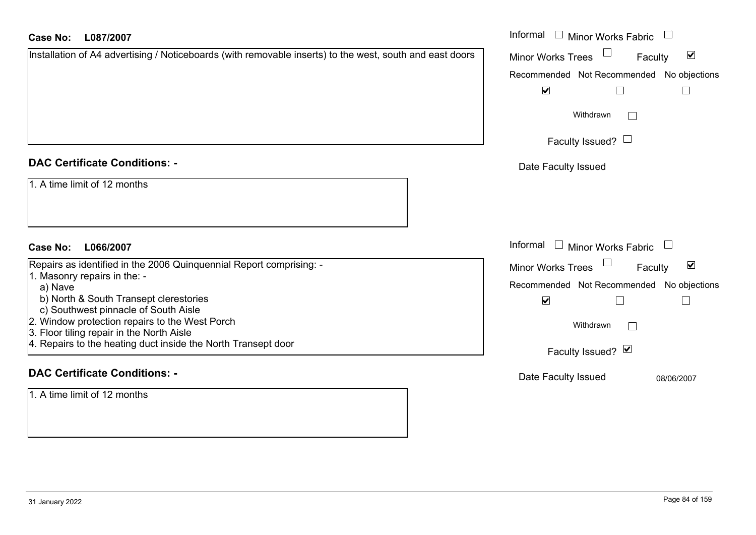| <b>Case No:</b><br>L087/2007                                                                                                           | Informal<br>$\Box$ Minor Works Fabric                       |
|----------------------------------------------------------------------------------------------------------------------------------------|-------------------------------------------------------------|
| Installation of A4 advertising / Noticeboards (with removable inserts) to the west, south and east doors                               | $\blacktriangledown$<br><b>Minor Works Trees</b><br>Faculty |
|                                                                                                                                        | No objections<br>Recommended Not Recommended                |
|                                                                                                                                        | $\blacktriangledown$<br>$\Box$<br>$\Box$                    |
|                                                                                                                                        | Withdrawn                                                   |
|                                                                                                                                        | Faculty Issued? $\Box$                                      |
| <b>DAC Certificate Conditions: -</b>                                                                                                   | Date Faculty Issued                                         |
| 1. A time limit of 12 months                                                                                                           |                                                             |
| <b>Case No:</b><br>L066/2007                                                                                                           | Informal □ Minor Works Fabric                               |
| Repairs as identified in the 2006 Quinquennial Report comprising: -                                                                    | $\blacktriangledown$<br>Minor Works Trees<br>Faculty        |
| 1. Masonry repairs in the: -<br>a) Nave                                                                                                | Recommended Not Recommended<br>No objections                |
| b) North & South Transept clerestories                                                                                                 | $\blacktriangledown$<br>$\Box$<br>$\Box$                    |
| c) Southwest pinnacle of South Aisle<br>Window protection repairs to the West Porch<br>2.<br>3. Floor tiling repair in the North Aisle | Withdrawn                                                   |
| 4. Repairs to the heating duct inside the North Transept door                                                                          | Faculty Issued? Ø                                           |
| <b>DAC Certificate Conditions: -</b>                                                                                                   | Date Faculty Issued<br>08/06/2007                           |
| 1. A time limit of 12 months                                                                                                           |                                                             |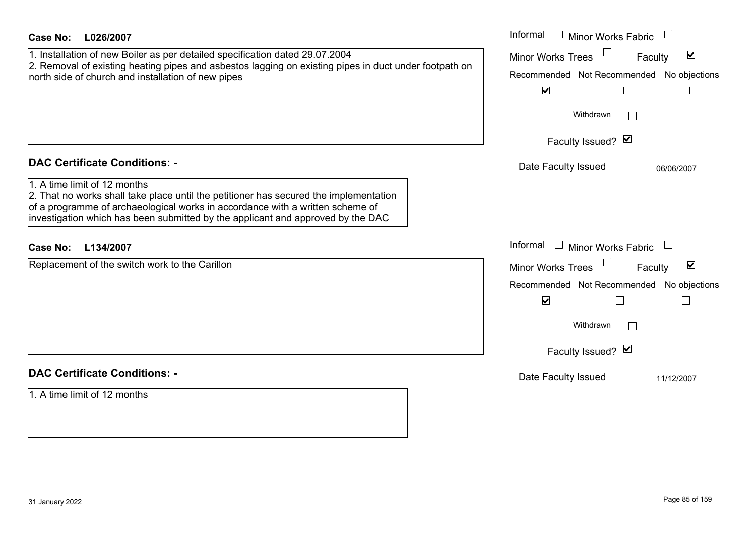| <b>Case No:</b><br>L026/2007                                                                                                                                                                                                                                                              | Informal $\Box$ Minor Works Fabric                                                                                                                                                               |
|-------------------------------------------------------------------------------------------------------------------------------------------------------------------------------------------------------------------------------------------------------------------------------------------|--------------------------------------------------------------------------------------------------------------------------------------------------------------------------------------------------|
| 1. Installation of new Boiler as per detailed specification dated 29.07.2004<br>2. Removal of existing heating pipes and asbestos lagging on existing pipes in duct under footpath on<br>north side of church and installation of new pipes                                               | $\blacktriangledown$<br><b>Minor Works Trees</b><br>Faculty<br>Recommended Not Recommended No objections<br>$\blacktriangledown$<br>Withdrawn<br>$\sim$<br>Faculty Issued? Ø                     |
| <b>DAC Certificate Conditions: -</b>                                                                                                                                                                                                                                                      | Date Faculty Issued<br>06/06/2007                                                                                                                                                                |
| 1. A time limit of 12 months<br>2. That no works shall take place until the petitioner has secured the implementation<br>of a programme of archaeological works in accordance with a written scheme of<br>investigation which has been submitted by the applicant and approved by the DAC |                                                                                                                                                                                                  |
| Case No:<br>L134/2007                                                                                                                                                                                                                                                                     | Informal $\Box$ Minor Works Fabric                                                                                                                                                               |
| Replacement of the switch work to the Carillon                                                                                                                                                                                                                                            | $\blacktriangledown$<br><b>Minor Works Trees</b><br>Faculty<br>Recommended Not Recommended No objections<br>$\blacktriangledown$<br>$\Box$<br>$\Box$<br>Withdrawn<br>$\sim$<br>Faculty Issued? Ø |
| <b>DAC Certificate Conditions: -</b>                                                                                                                                                                                                                                                      | Date Faculty Issued<br>11/12/2007                                                                                                                                                                |
| 1. A time limit of 12 months                                                                                                                                                                                                                                                              |                                                                                                                                                                                                  |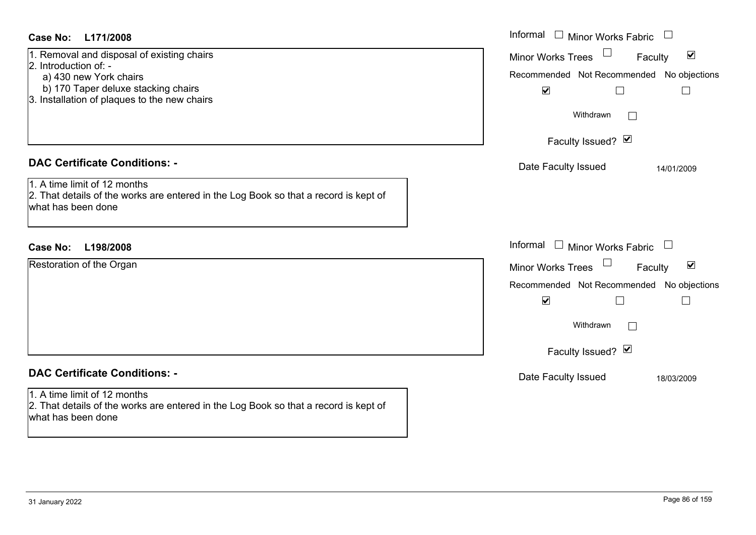| Case No:<br>L171/2008                                                                                                                                                                | Informal $\Box$ Minor Works Fabric $\Box$                                                                                                                                                      |
|--------------------------------------------------------------------------------------------------------------------------------------------------------------------------------------|------------------------------------------------------------------------------------------------------------------------------------------------------------------------------------------------|
| 1. Removal and disposal of existing chairs<br>2. Introduction of: -<br>a) 430 new York chairs<br>b) 170 Taper deluxe stacking chairs<br>3. Installation of plaques to the new chairs | Minor Works Trees <sup>1</sup><br>$\blacktriangledown$<br>Faculty<br>Recommended Not Recommended No objections<br>$\blacktriangledown$<br>$\Box$<br>$\Box$<br>Withdrawn                        |
|                                                                                                                                                                                      | Faculty Issued? Ø                                                                                                                                                                              |
| <b>DAC Certificate Conditions: -</b><br>1. A time limit of 12 months<br>2. That details of the works are entered in the Log Book so that a record is kept of<br>what has been done   | Date Faculty Issued<br>14/01/2009                                                                                                                                                              |
| <b>Case No:</b><br>L198/2008                                                                                                                                                         | Informal<br>$\Box$ Minor Works Fabric $\Box$                                                                                                                                                   |
| Restoration of the Organ                                                                                                                                                             | $\blacktriangledown$<br><b>Minor Works Trees</b><br>Faculty<br>Recommended Not Recommended No objections<br>$\blacktriangledown$<br>$\Box$<br>$\mathbb{R}^n$<br>Withdrawn<br>Faculty Issued? Ø |
| <b>DAC Certificate Conditions: -</b>                                                                                                                                                 | Date Faculty Issued<br>18/03/2009                                                                                                                                                              |
| 1. A time limit of 12 months                                                                                                                                                         |                                                                                                                                                                                                |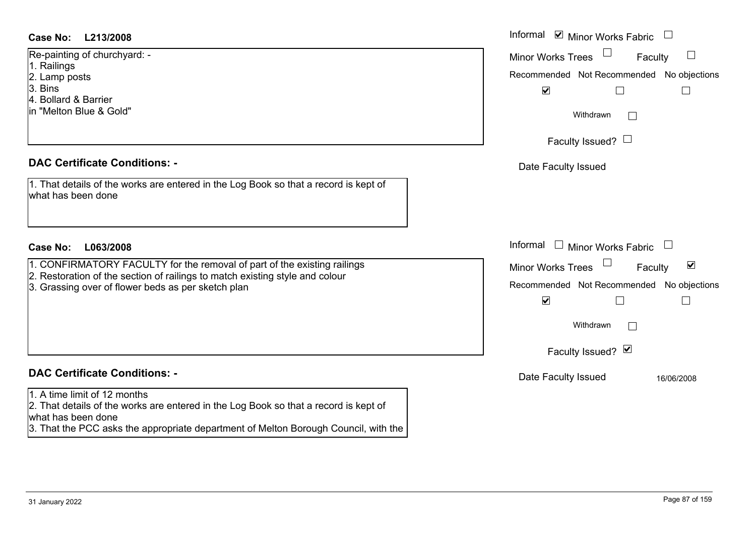- 1. Railings
- 2. Lamp posts
- 3. Bins
- 4. Bollard & Barrier
- in "Melton Blue & Gold"

## **DAC Certificate Conditions: -**

- 1. CONFIRMATORY FACULTY for the removal of part of the existing railings
- 2. Restoration of the section of railings to match existing style and colour
- 3. Grassing over of flower beds as per sketch plan

# **DAC Certificate Conditions: -**

# 1. A time limit of 12 months

2. That details of the works are entered in the Log Book so that a record is kept of what has been done

3. That the PCC asks the appropriate department of Melton Borough Council, with the

| Case No:<br>L213/2008                                                                                                                                                                                          | Informal Ø Minor Works Fabric □                                                                                                                  |
|----------------------------------------------------------------------------------------------------------------------------------------------------------------------------------------------------------------|--------------------------------------------------------------------------------------------------------------------------------------------------|
| Re-painting of churchyard: -<br>1. Railings<br>2. Lamp posts                                                                                                                                                   | Minor Works Trees<br>Faculty<br>$\Box$<br>Recommended Not Recommended No objections                                                              |
| 3. Bins<br>4. Bollard & Barrier<br>in "Melton Blue & Gold"                                                                                                                                                     | $\blacktriangledown$<br>Г<br>$\Box$<br>Withdrawn                                                                                                 |
|                                                                                                                                                                                                                | Faculty Issued? $\Box$                                                                                                                           |
| <b>DAC Certificate Conditions: -</b>                                                                                                                                                                           | Date Faculty Issued                                                                                                                              |
| 1. That details of the works are entered in the Log Book so that a record is kept of<br>what has been done                                                                                                     |                                                                                                                                                  |
| <b>Case No:</b><br>L063/2008                                                                                                                                                                                   | Informal □ Minor Works Fabric                                                                                                                    |
| 1. CONFIRMATORY FACULTY for the removal of part of the existing railings<br>2. Restoration of the section of railings to match existing style and colour<br>3. Grassing over of flower beds as per sketch plan | $\blacktriangledown$<br><b>Minor Works Trees</b><br>Faculty<br>Recommended Not Recommended No objections<br>$\blacktriangledown$<br>$\mathbf{L}$ |
|                                                                                                                                                                                                                | Withdrawn<br>$\vert \ \ \vert$                                                                                                                   |
|                                                                                                                                                                                                                | Faculty Issued? Ø                                                                                                                                |
| <b>DAC Certificate Conditions: -</b>                                                                                                                                                                           | Date Faculty Issued<br>16/06/2008                                                                                                                |
| 1. A time limit of 12 months                                                                                                                                                                                   |                                                                                                                                                  |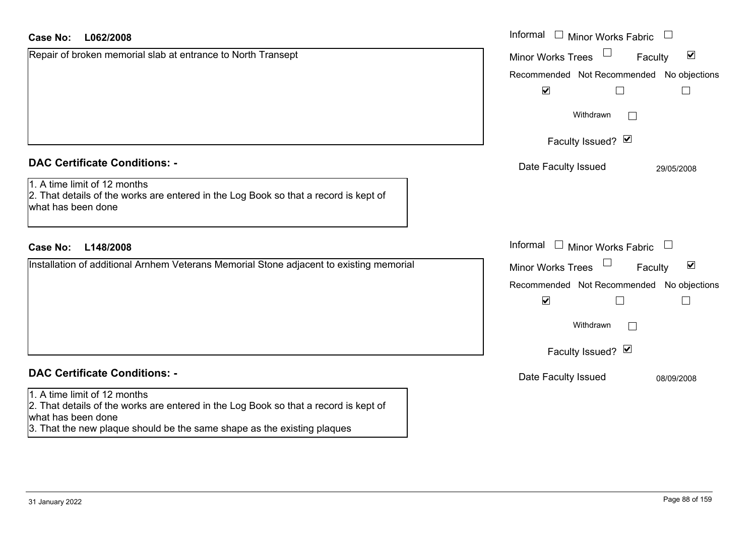| <b>Case No:</b><br>L062/2008                                                                                                                                                                                          | Informal $\Box$ Minor Works Fabric $\Box$                   |
|-----------------------------------------------------------------------------------------------------------------------------------------------------------------------------------------------------------------------|-------------------------------------------------------------|
| Repair of broken memorial slab at entrance to North Transept                                                                                                                                                          | $\blacktriangledown$<br><b>Minor Works Trees</b><br>Faculty |
|                                                                                                                                                                                                                       | Recommended Not Recommended No objections                   |
|                                                                                                                                                                                                                       | $\blacktriangledown$<br>$\Box$                              |
|                                                                                                                                                                                                                       | Withdrawn                                                   |
|                                                                                                                                                                                                                       | Faculty Issued? Ø                                           |
| <b>DAC Certificate Conditions: -</b>                                                                                                                                                                                  | Date Faculty Issued<br>29/05/2008                           |
| 1. A time limit of 12 months<br>2. That details of the works are entered in the Log Book so that a record is kept of<br>what has been done                                                                            |                                                             |
| L148/2008<br><b>Case No:</b>                                                                                                                                                                                          | Informal<br>$\Box$ Minor Works Fabric<br>$\Box$             |
| Installation of additional Arnhem Veterans Memorial Stone adjacent to existing memorial                                                                                                                               | $\blacktriangledown$<br><b>Minor Works Trees</b><br>Faculty |
|                                                                                                                                                                                                                       | Recommended Not Recommended No objections                   |
|                                                                                                                                                                                                                       | $\blacktriangledown$                                        |
|                                                                                                                                                                                                                       | Withdrawn                                                   |
|                                                                                                                                                                                                                       | Faculty Issued? Ø                                           |
| <b>DAC Certificate Conditions: -</b>                                                                                                                                                                                  | Date Faculty Issued<br>08/09/2008                           |
| 1. A time limit of 12 months<br>2. That details of the works are entered in the Log Book so that a record is kept of<br>what has been done<br>3. That the new plaque should be the same shape as the existing plaques |                                                             |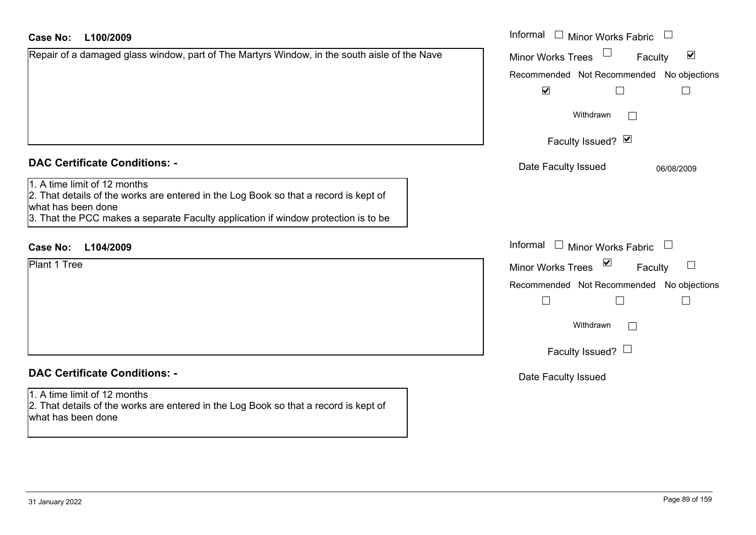#### Informal  $\Box$  Minor Works Fabric  $\Box$ **L100/2009Case No:** Informal Repair of a damaged glass window, part of The Martyrs Window, in the south aisle of the Nave  $\blacktriangledown$ Faculty Minor Works Trees Recommended Not Recommended No objections  $\overline{\mathbf{v}}$  $\Box$  $\Box$ Withdrawn $\Box$ Faculty Issued? Ø **DAC Certificate Conditions: -**Date Faculty Issued 06/08/2009 1. A time limit of 12 months2. That details of the works are entered in the Log Book so that a record is kept of what has been done 3. That the PCC makes a separate Faculty application if window protection is to be Informal  $\Box$  Minor Works Fabric  $\Box$ **L104/2009Case No:** Informal Plant 1 Tree $\Box$ Faculty Minor Works Trees Recommended Not Recommended No objections  $\Box$  $\Box$  $\Box$ Withdrawn $\Box$ Faculty Issued?  $\Box$ **DAC Certificate Conditions: -**Date Faculty Issued 1. A time limit of 12 months2. That details of the works are entered in the Log Book so that a record is kept of what has been done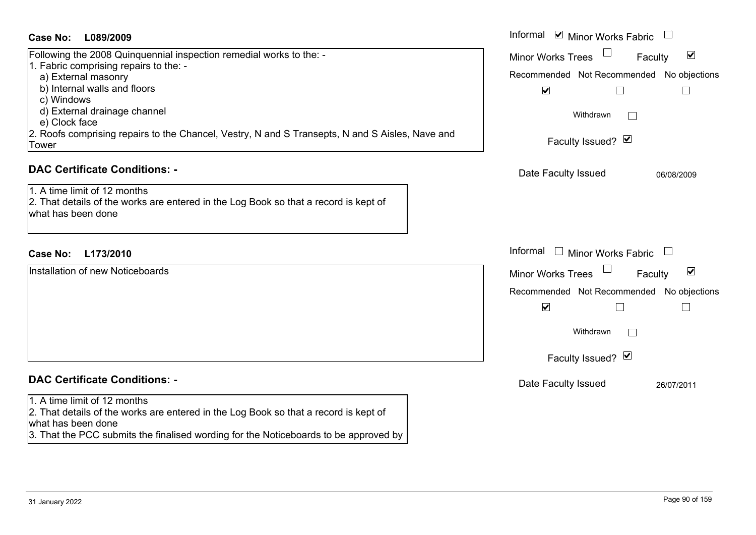## **L089/2009Case No:** Informal

Following the 2008 Quinquennial inspection remedial works to the: - 1. Fabric comprising repairs to the: a) External masonry b) Internal walls and floors c) Windows d) External drainage channel e) Clock face 2. Roofs comprising repairs to the Chancel, Vestry, N and S Transepts, N and S Aisles, Nave and Tower

# **DAC Certificate Conditions: -**

1. A time limit of 12 months 2. That details of the works are entered in the Log Book so that a record is kept of what has been done

# **L173/2010Case No:** Informal

Installation of new Noticeboards

# **DAC Certificate Conditions: -**

1. A time limit of 12 months

2. That details of the works are entered in the Log Book so that a record is kept of what has been done

3. That the PCC submits the finalised wording for the Noticeboards to be approved by

| Informal<br>Minor Works Fabric            |                        |
|-------------------------------------------|------------------------|
| <b>Minor Works Trees</b><br>Faculty       | ⊻                      |
| Recommended Not Recommended No objections |                        |
| $\blacktriangledown$                      |                        |
| Withdrawn                                 |                        |
| Faculty Issued? Ø                         |                        |
| Date Faculty Issued                       | 06/08/2009             |
|                                           |                        |
|                                           |                        |
| Informal<br><b>Minor Works Fabric</b>     |                        |
| <b>Minor Works Trees</b><br>Faculty       | $\vert\mathbf{v}\vert$ |
| Recommended Not Recommended No objections |                        |
| $\blacktriangledown$                      |                        |
| Withdrawn                                 |                        |
| Faculty Issued? Ø                         |                        |
| Date Faculty Issued                       | 26/07/2011             |
|                                           |                        |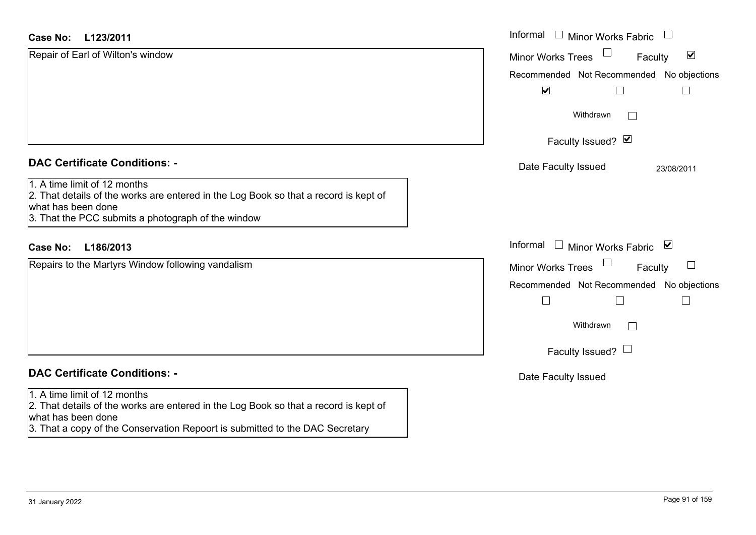| <b>Case No:</b><br>L123/2011                                                                                                                                                                                               | Informal □ Minor Works Fabric<br>$\mathcal{L}$              |
|----------------------------------------------------------------------------------------------------------------------------------------------------------------------------------------------------------------------------|-------------------------------------------------------------|
| Repair of Earl of Wilton's window                                                                                                                                                                                          | $\blacktriangledown$<br><b>Minor Works Trees</b><br>Faculty |
|                                                                                                                                                                                                                            | Recommended Not Recommended No objections                   |
|                                                                                                                                                                                                                            | $\blacktriangledown$                                        |
|                                                                                                                                                                                                                            | Withdrawn                                                   |
|                                                                                                                                                                                                                            | Faculty Issued? Ø                                           |
| <b>DAC Certificate Conditions: -</b>                                                                                                                                                                                       | Date Faculty Issued<br>23/08/2011                           |
| 1. A time limit of 12 months<br>2. That details of the works are entered in the Log Book so that a record is kept of<br>what has been done<br>3. That the PCC submits a photograph of the window                           |                                                             |
| L186/2013<br><b>Case No:</b>                                                                                                                                                                                               | Informal □ Minor Works Fabric<br>⊻                          |
| Repairs to the Martyrs Window following vandalism                                                                                                                                                                          | <b>Minor Works Trees</b><br>Faculty                         |
|                                                                                                                                                                                                                            | Recommended Not Recommended No objections                   |
|                                                                                                                                                                                                                            |                                                             |
|                                                                                                                                                                                                                            | Withdrawn                                                   |
|                                                                                                                                                                                                                            | Faculty Issued? $\Box$                                      |
| <b>DAC Certificate Conditions: -</b>                                                                                                                                                                                       | Date Faculty Issued                                         |
| 1. A time limit of 12 months<br>2. That details of the works are entered in the Log Book so that a record is kept of<br>what has been done<br>3. That a copy of the Conservation Repoort is submitted to the DAC Secretary |                                                             |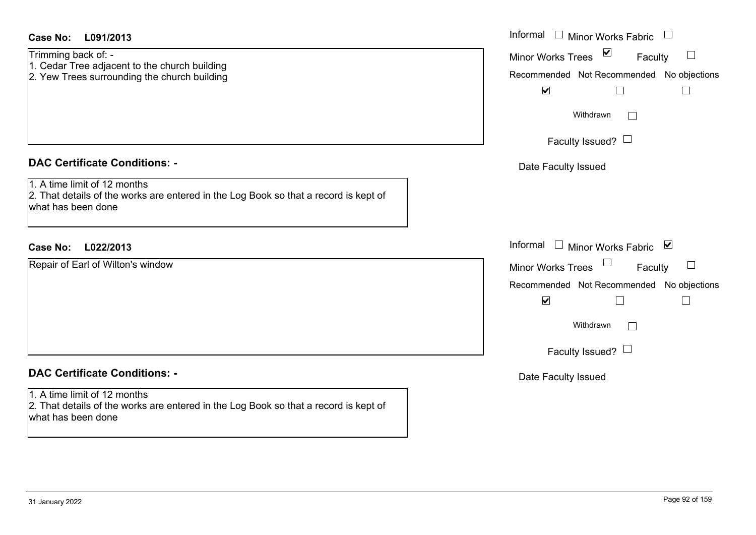| <b>Case No:</b><br>L091/2013                                                                                                               | Informal $\square$<br><b>Minor Works Fabric</b>                                                                                                                       |
|--------------------------------------------------------------------------------------------------------------------------------------------|-----------------------------------------------------------------------------------------------------------------------------------------------------------------------|
| Trimming back of: -<br>1. Cedar Tree adjacent to the church building<br>2. Yew Trees surrounding the church building                       | $\triangledown$<br>Minor Works Trees<br>$\Box$<br>Faculty<br>Recommended Not Recommended No objections<br>$\blacktriangledown$<br>$\mathbb{R}^n$<br>$\vert \ \ \vert$ |
|                                                                                                                                            | Withdrawn<br>$\Box$                                                                                                                                                   |
|                                                                                                                                            | Faculty Issued? $\Box$                                                                                                                                                |
| <b>DAC Certificate Conditions: -</b>                                                                                                       | Date Faculty Issued                                                                                                                                                   |
| 1. A time limit of 12 months<br>2. That details of the works are entered in the Log Book so that a record is kept of<br>what has been done |                                                                                                                                                                       |
| <b>Case No:</b><br>L022/2013                                                                                                               | Informal<br>$\Box$<br>Minor Works Fabric ⊠                                                                                                                            |
| Repair of Earl of Wilton's window                                                                                                          | Minor Works Trees<br>$\Box$<br>Faculty                                                                                                                                |
|                                                                                                                                            | Recommended Not Recommended No objections                                                                                                                             |
|                                                                                                                                            | $\blacktriangledown$                                                                                                                                                  |
|                                                                                                                                            | Withdrawn<br>$\Box$                                                                                                                                                   |
|                                                                                                                                            | Faculty Issued? $\Box$                                                                                                                                                |
| <b>DAC Certificate Conditions: -</b>                                                                                                       | Date Faculty Issued                                                                                                                                                   |
| 1. A time limit of 12 months<br>2. That details of the works are entered in the Log Book so that a record is kept of<br>what has been done |                                                                                                                                                                       |
|                                                                                                                                            |                                                                                                                                                                       |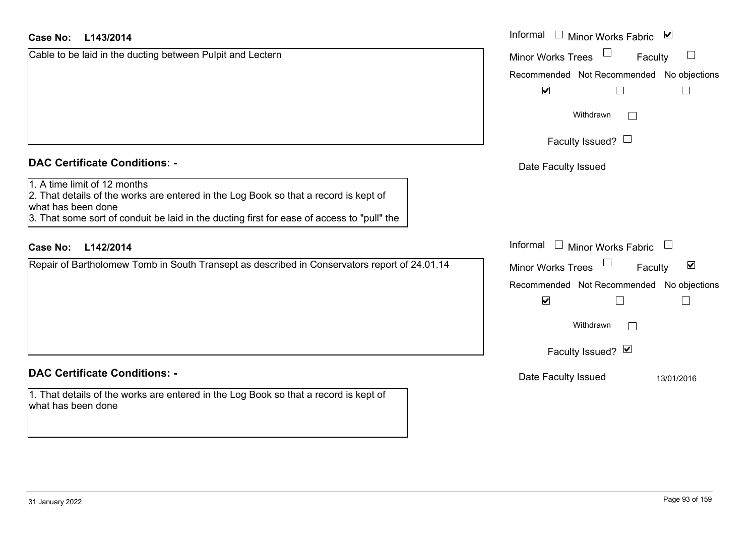# **L143/2014 Case No:** Informal

Cable to be laid in the ducting between Pulpit and Lectern

|                                                                                                                                                                                                                                          | Recomm            |
|------------------------------------------------------------------------------------------------------------------------------------------------------------------------------------------------------------------------------------------|-------------------|
|                                                                                                                                                                                                                                          |                   |
| <b>DAC Certificate Conditions: -</b>                                                                                                                                                                                                     | Date I            |
| 1. A time limit of 12 months<br>2. That details of the works are entered in the Log Book so that a record is kept of<br>what has been done<br>3. That some sort of conduit be laid in the ducting first for ease of access to "pull" the |                   |
| Case No:<br>L142/2014                                                                                                                                                                                                                    | Informal          |
| Repair of Bartholomew Tomb in South Transept as described in Conservators report of 24.01.14                                                                                                                                             | Minor W<br>Recomm |
|                                                                                                                                                                                                                                          |                   |

### **DAC Certificate Conditions: -**

1. That details of the works are entered in the Log Book so that a record is kept of what has been done

| Informal<br>□ Minor Works Fabric $\vert \mathbf{v} \vert$<br><b>Minor Works Trees</b><br>Faculty<br>Recommended Not Recommended No objections<br>$\blacktriangledown$<br>Withdrawn |
|------------------------------------------------------------------------------------------------------------------------------------------------------------------------------------|
| Faculty Issued? $\Box$                                                                                                                                                             |
| Date Faculty Issued                                                                                                                                                                |
| Informal<br>Minor Works Fabric                                                                                                                                                     |
| ☑<br><b>Minor Works Trees</b><br>Faculty                                                                                                                                           |
| Recommended Not Recommended No objections<br>V<br>Withdrawn                                                                                                                        |
| Faculty Issued? Ø                                                                                                                                                                  |
| Date Faculty Issued<br>13/01/2016                                                                                                                                                  |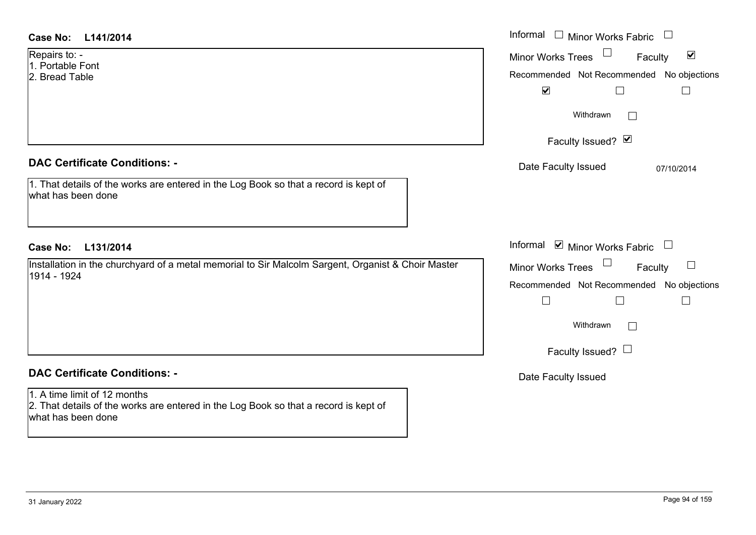| <b>Case No:</b><br>L141/2014                                                                                                               | Informal $\Box$ Minor Works Fabric $\Box$                                                         |
|--------------------------------------------------------------------------------------------------------------------------------------------|---------------------------------------------------------------------------------------------------|
| Repairs to: -<br>1. Portable Font<br>2. Bread Table                                                                                        | Minor Works Trees<br>$\blacktriangledown$<br>Faculty<br>Recommended Not Recommended No objections |
|                                                                                                                                            | $\blacktriangledown$<br>$\Box$<br>$\Box$                                                          |
|                                                                                                                                            | Withdrawn<br>$\mathbf{1}$                                                                         |
|                                                                                                                                            | Faculty Issued? Ø                                                                                 |
| <b>DAC Certificate Conditions: -</b>                                                                                                       | Date Faculty Issued<br>07/10/2014                                                                 |
| 1. That details of the works are entered in the Log Book so that a record is kept of<br>what has been done                                 |                                                                                                   |
|                                                                                                                                            |                                                                                                   |
| <b>Case No:</b><br>L131/2014                                                                                                               | Informal $\blacksquare$ Minor Works Fabric $\Box$                                                 |
| Installation in the churchyard of a metal memorial to Sir Malcolm Sargent, Organist & Choir Master<br>1914 - 1924                          | Minor Works Trees<br>$\sqcup$<br>Faculty<br>Recommended Not Recommended No objections             |
|                                                                                                                                            | $\Box$<br>$\Box$<br>$\Box$                                                                        |
|                                                                                                                                            | Withdrawn<br>$\mathbb{R}^n$                                                                       |
|                                                                                                                                            | Faculty Issued? $\Box$                                                                            |
| <b>DAC Certificate Conditions: -</b>                                                                                                       | Date Faculty Issued                                                                               |
| 1. A time limit of 12 months<br>2. That details of the works are entered in the Log Book so that a record is kept of<br>what has been done |                                                                                                   |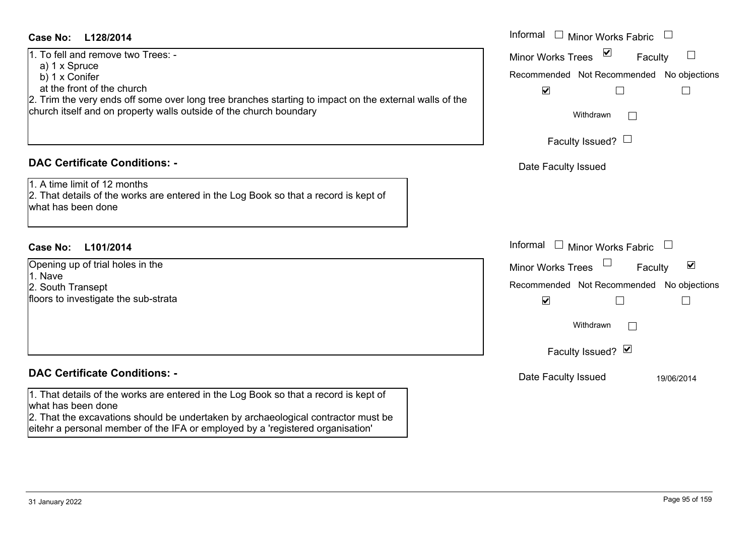# **L128/2014Case No:** Informal

1. To fell and remove two Trees: -

- a) 1 x Spruce
- b) 1 x Conifer

at the front of the church

2. Trim the very ends off some over long tree branches starting to impact on the external walls of the church itself and on property walls outside of the church boundary

# **DAC Certificate Conditions: -**

1. A time limit of 12 months2. That details of the works are entered in the Log Book so that a record is kept of what has been done

# **L101/2014Case No:** Informal

Opening up of trial holes in the 1. Nave2. South Transept floors to investigate the sub-strata

# **DAC Certificate Conditions: -**

1. That details of the works are entered in the Log Book so that a record is kept of what has been done

2. That the excavations should be undertaken by archaeological contractor must be eitehr a personal member of the IFA or employed by a 'registered organisation'

| Informal<br><b>Minor Works Fabric</b>     |
|-------------------------------------------|
| ⊻<br><b>Minor Works Trees</b><br>Faculty  |
| Recommended Not Recommended No objections |
| $\blacktriangledown$                      |
| Withdrawn                                 |
| Faculty Issued? $\Box$                    |
| Date Faculty Issued                       |
|                                           |
|                                           |
|                                           |
| Informal<br>$\Box$ Minor Works Fabric     |
| ⊻<br><b>Minor Works Trees</b><br>Faculty  |
| Recommended Not Recommended No objections |
| $\blacktriangledown$                      |
| Withdrawn                                 |
| Faculty Issued? Ø                         |
| Date Faculty Issued<br>19/06/2014         |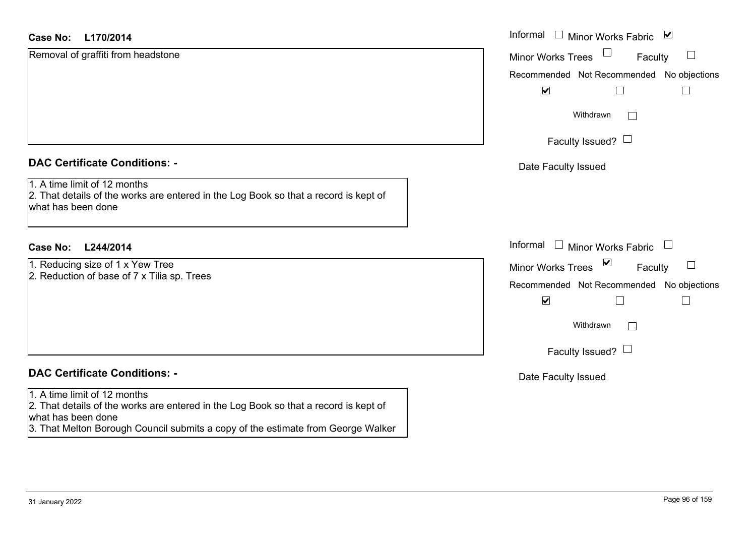| Case No:<br>L170/2014                                                                                                                      | Informal □ Minor Works Fabric<br>$\blacktriangledown$       |
|--------------------------------------------------------------------------------------------------------------------------------------------|-------------------------------------------------------------|
| Removal of graffiti from headstone                                                                                                         | <b>Minor Works Trees</b><br>ப<br>Faculty                    |
|                                                                                                                                            | Recommended Not Recommended No objections                   |
|                                                                                                                                            | $\blacktriangledown$                                        |
|                                                                                                                                            | Withdrawn                                                   |
|                                                                                                                                            | Faculty Issued? $\Box$                                      |
| <b>DAC Certificate Conditions: -</b>                                                                                                       | Date Faculty Issued                                         |
| 1. A time limit of 12 months<br>2. That details of the works are entered in the Log Book so that a record is kept of<br>what has been done |                                                             |
| <b>Case No:</b><br>L244/2014                                                                                                               | Informal □ Minor Works Fabric                               |
| 1. Reducing size of 1 x Yew Tree                                                                                                           | $\blacktriangledown$<br><b>Minor Works Trees</b><br>Faculty |
| 2. Reduction of base of 7 x Tilia sp. Trees                                                                                                | Recommended Not Recommended No objections                   |
|                                                                                                                                            | $\blacktriangledown$<br>$\Box$<br>$\Box$                    |
|                                                                                                                                            | Withdrawn<br>$\sim$                                         |
|                                                                                                                                            | Faculty Issued? $\Box$                                      |
| <b>DAC Certificate Conditions: -</b>                                                                                                       | Date Faculty Issued                                         |
| 1. A time limit of 12 months<br>2. That details of the works are entered in the Log Book so that a record is kept of<br>what has been done |                                                             |
| 3. That Melton Borough Council submits a copy of the estimate from George Walker                                                           |                                                             |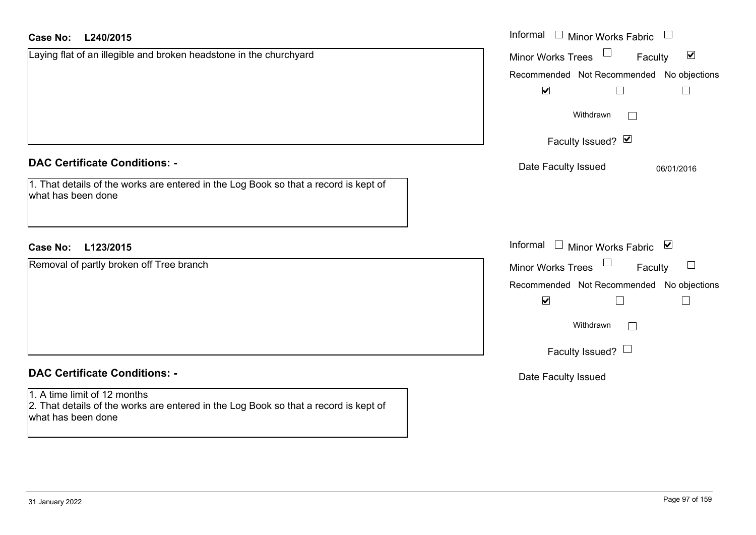| <b>Case No:</b><br>L240/2015                                                                               | Informal $\Box$ Minor Works Fabric $\Box$                   |
|------------------------------------------------------------------------------------------------------------|-------------------------------------------------------------|
| Laying flat of an illegible and broken headstone in the churchyard                                         | $\blacktriangledown$<br>Faculty<br><b>Minor Works Trees</b> |
|                                                                                                            | Recommended Not Recommended No objections                   |
|                                                                                                            | $\blacktriangledown$<br>$\Box$<br>$\Box$                    |
|                                                                                                            | Withdrawn<br>$\overline{\phantom{a}}$                       |
|                                                                                                            | Faculty Issued? Ø                                           |
| <b>DAC Certificate Conditions: -</b>                                                                       | Date Faculty Issued<br>06/01/2016                           |
| 1. That details of the works are entered in the Log Book so that a record is kept of<br>what has been done |                                                             |
| L123/2015<br>Case No:                                                                                      | Informal □ Minor Works Fabric ⊠                             |
| Removal of partly broken off Tree branch                                                                   | Minor Works Trees<br>Faculty                                |
|                                                                                                            | Recommended Not Recommended No objections                   |
|                                                                                                            | $\blacktriangledown$<br>$\Box$<br>$\Box$                    |
|                                                                                                            | Withdrawn<br>$\Box$                                         |
|                                                                                                            | Faculty Issued? $\Box$                                      |
| <b>DAC Certificate Conditions: -</b>                                                                       | Date Faculty Issued                                         |
| 1. A time limit of 12 months                                                                               |                                                             |
| 2. That details of the works are entered in the Log Book so that a record is kept of<br>what has been done |                                                             |
|                                                                                                            |                                                             |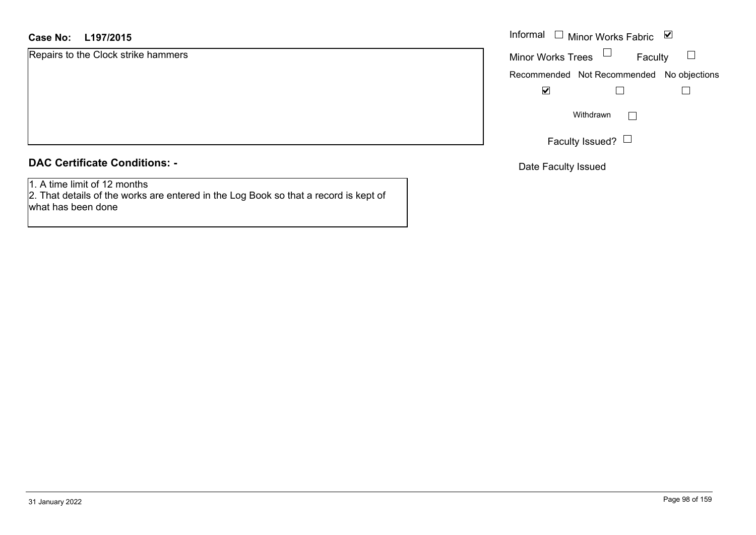# **L197/2015Case No:** Informal

Repairs to the Clock strike hammers

# **DAC Certificate Conditions: -**

1. A time limit of 12 months

 2. That details of the works are entered in the Log Book so that a record is kept of what has been done

| Informal                 | $\Box$ Minor Works Fabric                 | ⊻ |
|--------------------------|-------------------------------------------|---|
| <b>Minor Works Trees</b> | Faculty                                   |   |
|                          | Recommended Not Recommended No objections |   |
|                          |                                           |   |
| Withdrawn                |                                           |   |
|                          | Faculty Issued?                           |   |

Date Faculty Issued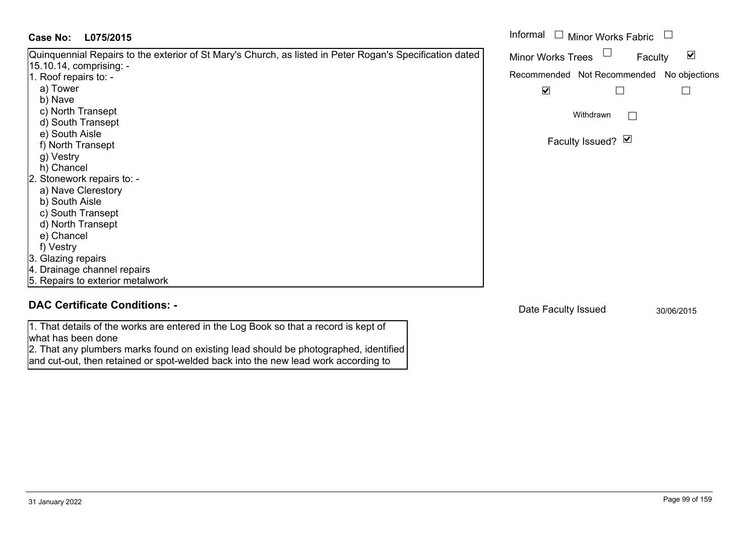| Case No:<br>L075/2015                                                                                      | Informal □ Minor Works Fabric                               |
|------------------------------------------------------------------------------------------------------------|-------------------------------------------------------------|
| Quinquennial Repairs to the exterior of St Mary's Church, as listed in Peter Rogan's Specification dated   | $\blacktriangledown$<br><b>Minor Works Trees</b><br>Faculty |
| 15.10.14, comprising: -                                                                                    |                                                             |
| 1. Roof repairs to: -                                                                                      | Recommended Not Recommended No objections                   |
| a) Tower                                                                                                   | $\blacktriangledown$                                        |
| b) Nave                                                                                                    |                                                             |
| c) North Transept                                                                                          | Withdrawn<br>$\mathbf{L}$                                   |
| d) South Transept                                                                                          |                                                             |
| e) South Aisle                                                                                             |                                                             |
| f) North Transept                                                                                          | Faculty Issued? $\Box$                                      |
| g) Vestry                                                                                                  |                                                             |
| h) Chancel                                                                                                 |                                                             |
| 2. Stonework repairs to: -                                                                                 |                                                             |
| a) Nave Clerestory                                                                                         |                                                             |
| b) South Aisle                                                                                             |                                                             |
| c) South Transept                                                                                          |                                                             |
| d) North Transept                                                                                          |                                                             |
| e) Chancel                                                                                                 |                                                             |
| f) Vestry                                                                                                  |                                                             |
| 3. Glazing repairs                                                                                         |                                                             |
| 4. Drainage channel repairs                                                                                |                                                             |
| 5. Repairs to exterior metalwork                                                                           |                                                             |
| <b>DAC Certificate Conditions: -</b>                                                                       | Date Faculty Issued<br>30/06/2015                           |
| 1. That details of the works are entered in the Log Book so that a record is kept of<br>what has been done |                                                             |

2. That any plumbers marks found on existing lead should be photographed, identified and cut-out, then retained or spot-welded back into the new lead work according to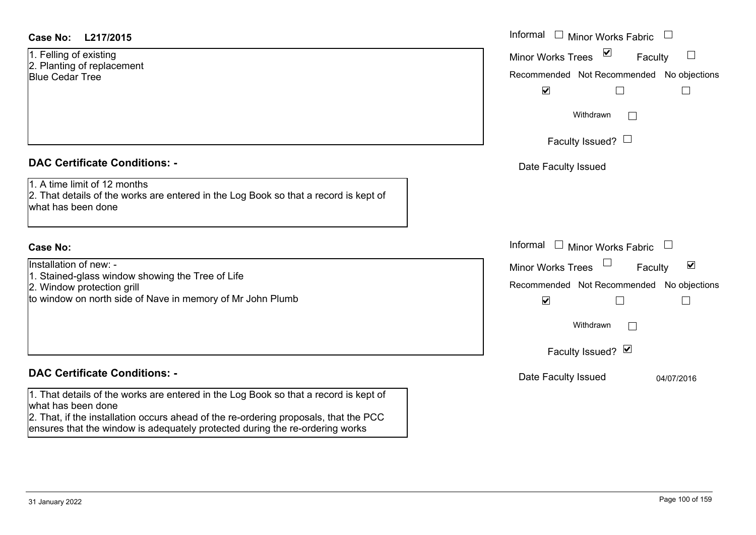| <b>Case No:</b> | L217/2015 |
|-----------------|-----------|
|-----------------|-----------|

1. Felling of existing 2. Planting of replacement Blue Cedar Tree

# **DAC Certificate Conditions: -**

1. A time limit of 12 months

2. That details of the works are entered in the Log Book so that a record is kept of what has been done

### **Case No:**

Installation of new: -

- 1. Stained-glass window showing the Tree of Life
- 2. Window protection grill

to window on north side of Nave in memory of Mr John Plumb

# **DAC Certificate Conditions: -**

1. That details of the works are entered in the Log Book so that a record is kept of what has been done

2. That, if the installation occurs ahead of the re-ordering proposals, that the PCC ensures that the window is adequately protected during the re-ordering works

| L217/2015                                                                                                                           | Informal $\Box$ Minor Works Fabric $\Box$                                                                                                                                                                |
|-------------------------------------------------------------------------------------------------------------------------------------|----------------------------------------------------------------------------------------------------------------------------------------------------------------------------------------------------------|
| of existing<br>g of replacement<br>lar Tree                                                                                         | $\overline{\mathbf{v}}$<br>$\begin{array}{c} \hline \end{array}$<br><b>Minor Works Trees</b><br>Faculty<br>Recommended Not Recommended No objections<br>$\blacktriangledown$<br>$\overline{\phantom{a}}$ |
|                                                                                                                                     | Withdrawn<br>$\mathbb{R}^n$<br>Faculty Issued? $\Box$                                                                                                                                                    |
| rtificate Conditions: -                                                                                                             | Date Faculty Issued                                                                                                                                                                                      |
| limit of 12 months<br>etails of the works are entered in the Log Book so that a record is kept of<br>been done                      |                                                                                                                                                                                                          |
|                                                                                                                                     | Informal $\Box$ Minor Works Fabric $\Box$                                                                                                                                                                |
| on of new: -<br>d-glass window showing the Tree of Life<br>w protection grill<br>w on north side of Nave in memory of Mr John Plumb | $\blacktriangledown$<br>Minor Works Trees<br>Faculty<br>Recommended Not Recommended No objections<br>$\blacktriangledown$                                                                                |
|                                                                                                                                     | Withdrawn<br>$\mathbf{L}$<br>Faculty Issued? V                                                                                                                                                           |
| rtificate Conditions: -                                                                                                             | Date Faculty Issued<br>04/07/2016                                                                                                                                                                        |
| etails of the works are entered in the Log Book so that a record is kept of                                                         |                                                                                                                                                                                                          |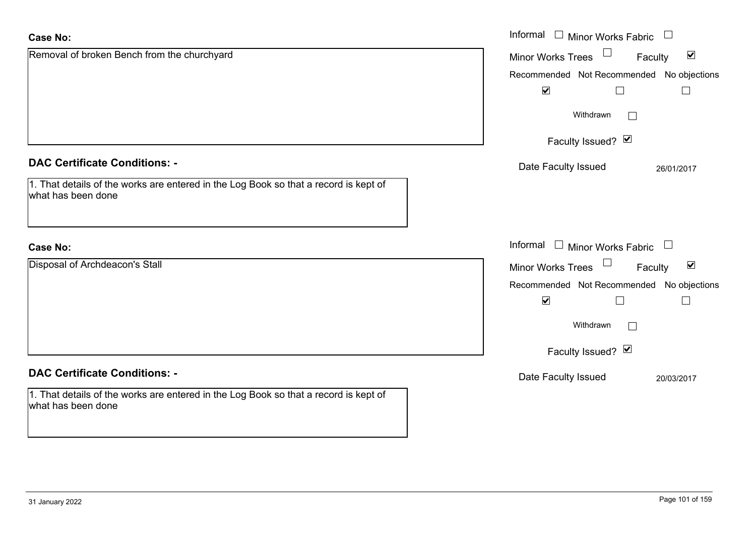| <b>Case No:</b>                                                                                            | Informal $\Box$ Minor Works Fabric $\Box$            |
|------------------------------------------------------------------------------------------------------------|------------------------------------------------------|
| Removal of broken Bench from the churchyard                                                                | Minor Works Trees<br>$\blacktriangledown$<br>Faculty |
|                                                                                                            | Recommended Not Recommended No objections            |
|                                                                                                            | $\blacktriangledown$<br>$\Box$<br>⊔                  |
|                                                                                                            | Withdrawn<br>$\Box$                                  |
|                                                                                                            | Faculty Issued? Ø                                    |
| <b>DAC Certificate Conditions: -</b>                                                                       | Date Faculty Issued<br>26/01/2017                    |
| 1. That details of the works are entered in the Log Book so that a record is kept of<br>what has been done |                                                      |
| <b>Case No:</b>                                                                                            | Informal $\Box$ Minor Works Fabric $\Box$            |
| Disposal of Archdeacon's Stall                                                                             | Minor Works Trees<br>$\blacktriangledown$<br>Faculty |
|                                                                                                            | Recommended Not Recommended No objections            |
|                                                                                                            | $\blacktriangledown$<br>$\overline{\phantom{a}}$     |
|                                                                                                            | Withdrawn<br>$\overline{a}$                          |
|                                                                                                            | Faculty Issued? Ø                                    |
| <b>DAC Certificate Conditions: -</b>                                                                       | Date Faculty Issued<br>20/03/2017                    |
| 1. That details of the works are entered in the Log Book so that a record is kept of<br>what has been done |                                                      |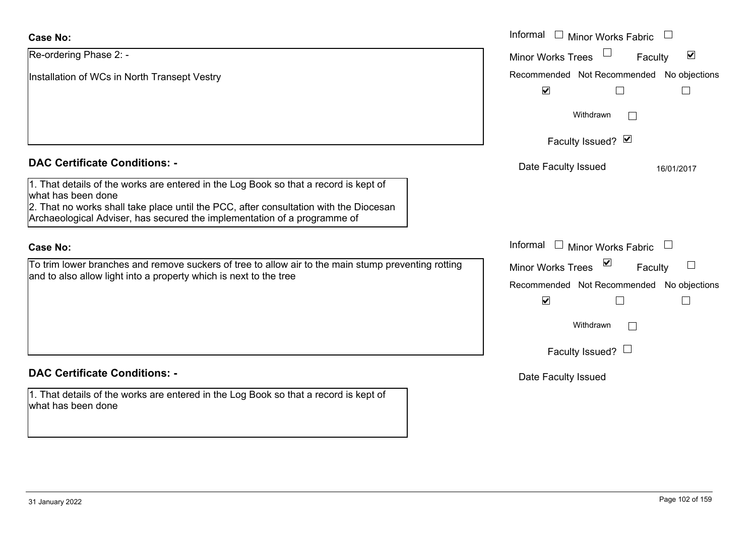| <b>Case No:</b>                                                                                                                                                                                                                                                                 | Informal $\Box$ Minor Works Fabric $\Box$                                                                     |
|---------------------------------------------------------------------------------------------------------------------------------------------------------------------------------------------------------------------------------------------------------------------------------|---------------------------------------------------------------------------------------------------------------|
| Re-ordering Phase 2: -                                                                                                                                                                                                                                                          | $\blacktriangledown$<br><b>Minor Works Trees</b><br>Faculty                                                   |
| Installation of WCs in North Transept Vestry                                                                                                                                                                                                                                    | Recommended Not Recommended No objections<br>$\blacktriangledown$                                             |
|                                                                                                                                                                                                                                                                                 | Withdrawn<br>$\mathbf{I}$                                                                                     |
|                                                                                                                                                                                                                                                                                 | Faculty Issued? Ø                                                                                             |
| <b>DAC Certificate Conditions: -</b>                                                                                                                                                                                                                                            | Date Faculty Issued<br>16/01/2017                                                                             |
| 1. That details of the works are entered in the Log Book so that a record is kept of<br>what has been done<br>2. That no works shall take place until the PCC, after consultation with the Diocesan<br>Archaeological Adviser, has secured the implementation of a programme of |                                                                                                               |
| <b>Case No:</b>                                                                                                                                                                                                                                                                 | Informal<br>$\Box$ Minor Works Fabric $\Box$                                                                  |
| To trim lower branches and remove suckers of tree to allow air to the main stump preventing rotting<br>and to also allow light into a property which is next to the tree                                                                                                        | ⊻<br><b>Minor Works Trees</b><br>Faculty<br>Recommended Not Recommended No objections<br>$\blacktriangledown$ |
|                                                                                                                                                                                                                                                                                 | Withdrawn                                                                                                     |
|                                                                                                                                                                                                                                                                                 | Faculty Issued? $\Box$                                                                                        |
| <b>DAC Certificate Conditions: -</b>                                                                                                                                                                                                                                            | Date Faculty Issued                                                                                           |
| 1. That details of the works are entered in the Log Book so that a record is kept of<br>what has been done                                                                                                                                                                      |                                                                                                               |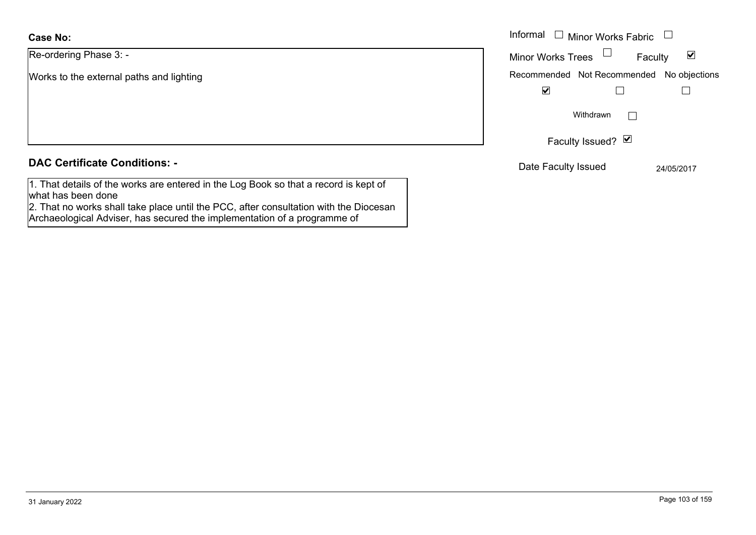Re-ordering Phase 3: -

Works to the external paths and lighting

# **DAC Certificate Conditions: -**

1. That details of the works are entered in the Log Book so that a record is kept of what has been done

2. That no works shall take place until the PCC, after consultation with the Diocesan Archaeological Adviser, has secured the implementation of a programme of

|                                 | Informal [<br>$\Box$ Minor Works Fabric $\Box$              |
|---------------------------------|-------------------------------------------------------------|
| ing Phase 3: -                  | Minor Works Trees $\Box$<br>$\blacktriangledown$<br>Faculty |
| the external paths and lighting | Recommended Not Recommended No objections                   |
|                                 | $\blacktriangledown$                                        |
|                                 | Withdrawn<br>$\mathbf{L}$                                   |
|                                 | Faculty Issued? Ø                                           |
| rtificate Conditions: -         | Date Faculty Issued<br>24/05/2017                           |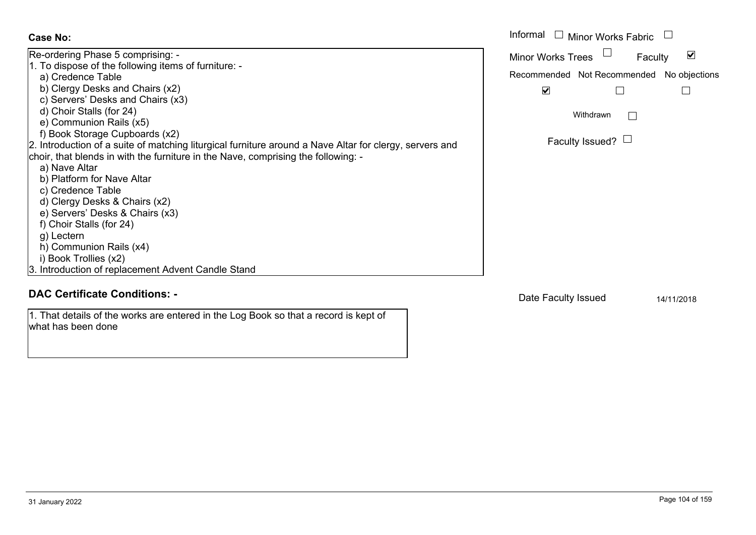| Case No:                                                                                                                                                                                                                                                                                                                                                                                                                                                                                                                                                                                                                                                                                                              | Informal $\Box$ Minor Works Fabric $\Box$                                                                                                            |
|-----------------------------------------------------------------------------------------------------------------------------------------------------------------------------------------------------------------------------------------------------------------------------------------------------------------------------------------------------------------------------------------------------------------------------------------------------------------------------------------------------------------------------------------------------------------------------------------------------------------------------------------------------------------------------------------------------------------------|------------------------------------------------------------------------------------------------------------------------------------------------------|
| Re-ordering Phase 5 comprising: -<br>1. To dispose of the following items of furniture: -<br>a) Credence Table<br>b) Clergy Desks and Chairs (x2)<br>c) Servers' Desks and Chairs (x3)<br>d) Choir Stalls (for 24)<br>e) Communion Rails (x5)<br>f) Book Storage Cupboards (x2)<br>2. Introduction of a suite of matching liturgical furniture around a Nave Altar for clergy, servers and<br>choir, that blends in with the furniture in the Nave, comprising the following: -<br>a) Nave Altar<br>b) Platform for Nave Altar<br>c) Credence Table<br>d) Clergy Desks & Chairs (x2)<br>e) Servers' Desks & Chairs (x3)<br>f) Choir Stalls (for 24)<br>g) Lectern<br>h) Communion Rails (x4)<br>i) Book Trollies (x2) | <b>Minor Works Trees</b><br>V<br>Faculty<br>Recommended Not Recommended No objections<br>$\blacktriangledown$<br>Withdrawn<br>Faculty Issued? $\Box$ |
| 3. Introduction of replacement Advent Candle Stand<br><b>DAC Certificate Conditions: -</b>                                                                                                                                                                                                                                                                                                                                                                                                                                                                                                                                                                                                                            | Date Faculty Issued<br>14/11/2018                                                                                                                    |

1. That details of the works are entered in the Log Book so that a record is kept of what has been done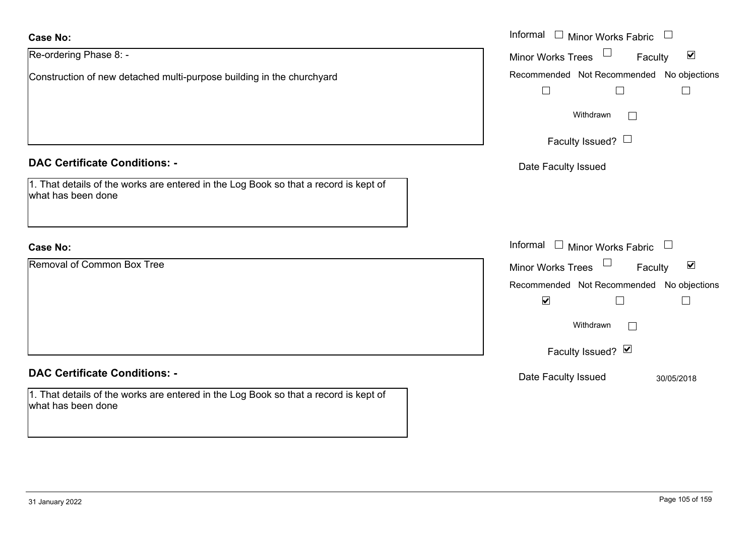| <b>Case No:</b>                                                                                            | Informal $\Box$ Minor Works Fabric $\Box$                   |
|------------------------------------------------------------------------------------------------------------|-------------------------------------------------------------|
| Re-ordering Phase 8: -                                                                                     | Minor Works Trees<br>$\blacktriangledown$<br>Faculty        |
| Construction of new detached multi-purpose building in the churchyard                                      | Recommended Not Recommended No objections<br>$\Box$         |
|                                                                                                            | Withdrawn<br>$\Box$                                         |
|                                                                                                            | Faculty Issued? $\Box$                                      |
| <b>DAC Certificate Conditions: -</b>                                                                       | Date Faculty Issued                                         |
| 1. That details of the works are entered in the Log Book so that a record is kept of<br>what has been done |                                                             |
| <b>Case No:</b>                                                                                            | Informal $\Box$ Minor Works Fabric $\Box$                   |
| Removal of Common Box Tree                                                                                 | $\blacktriangledown$<br><b>Minor Works Trees</b><br>Faculty |
|                                                                                                            | Recommended Not Recommended No objections                   |
|                                                                                                            | $\blacktriangledown$<br>$\Box$                              |
|                                                                                                            | Withdrawn<br>$\Box$                                         |
|                                                                                                            | Faculty Issued? Ø                                           |
| <b>DAC Certificate Conditions: -</b>                                                                       | Date Faculty Issued<br>30/05/2018                           |
| 1. That details of the works are entered in the Log Book so that a record is kept of<br>what has been done |                                                             |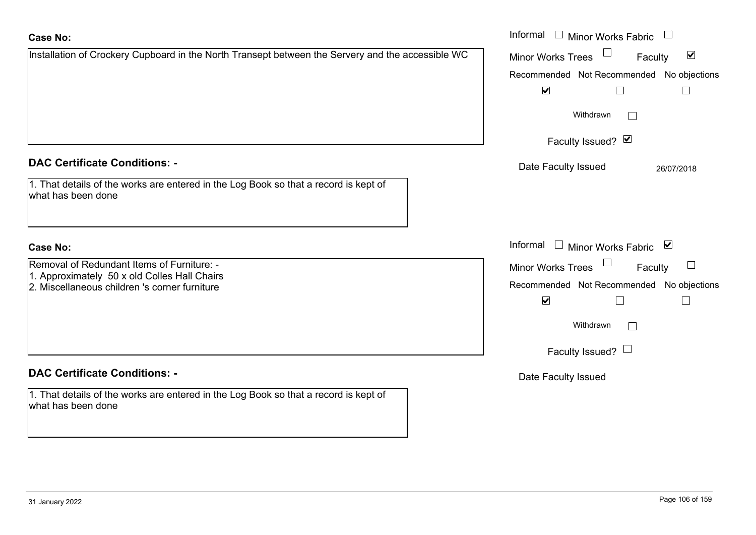| <b>Case No:</b>                                                                                            | Informal □ Minor Works Fabric                        |
|------------------------------------------------------------------------------------------------------------|------------------------------------------------------|
| Installation of Crockery Cupboard in the North Transept between the Servery and the accessible WC          | $\blacktriangledown$<br>Minor Works Trees<br>Faculty |
|                                                                                                            | Recommended Not Recommended No objections            |
|                                                                                                            | $\blacktriangledown$                                 |
|                                                                                                            | Withdrawn<br>$\mathbb{R}^n$                          |
|                                                                                                            | Faculty Issued? Ø                                    |
| <b>DAC Certificate Conditions: -</b>                                                                       | Date Faculty Issued<br>26/07/2018                    |
| 1. That details of the works are entered in the Log Book so that a record is kept of<br>what has been done |                                                      |
| <b>Case No:</b>                                                                                            | Informal $\Box$ Minor Works Fabric $\Box$            |
| Removal of Redundant Items of Furniture: -                                                                 | $\Box$<br>Minor Works Trees<br>Faculty               |
| 1. Approximately 50 x old Colles Hall Chairs<br>2. Miscellaneous children 's corner furniture              | Recommended Not Recommended No objections            |
|                                                                                                            | $\blacktriangledown$                                 |
|                                                                                                            | Withdrawn<br>$\mathcal{L}^{\mathcal{A}}$             |
|                                                                                                            | Faculty Issued? $\Box$                               |
| <b>DAC Certificate Conditions: -</b>                                                                       | Date Faculty Issued                                  |
| 1. That details of the works are entered in the Log Book so that a record is kept of<br>what has been done |                                                      |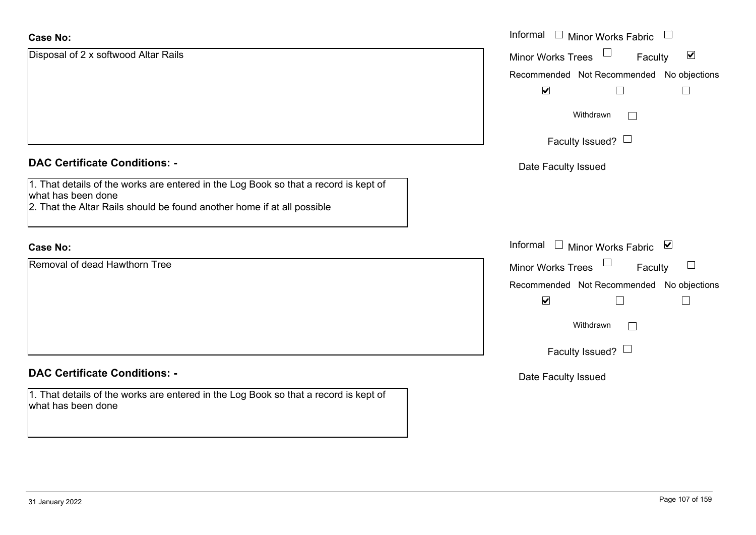| <b>Case No:</b>                                                                                                                                                                       | Informal □ Minor Works Fabric                        |
|---------------------------------------------------------------------------------------------------------------------------------------------------------------------------------------|------------------------------------------------------|
| Disposal of 2 x softwood Altar Rails                                                                                                                                                  | $\blacktriangledown$<br>Minor Works Trees<br>Faculty |
|                                                                                                                                                                                       | Recommended Not Recommended No objections            |
|                                                                                                                                                                                       | $\blacktriangledown$<br>$\mathsf{L}$                 |
|                                                                                                                                                                                       | Withdrawn                                            |
|                                                                                                                                                                                       | Faculty Issued? $\Box$                               |
| <b>DAC Certificate Conditions: -</b>                                                                                                                                                  | Date Faculty Issued                                  |
| 1. That details of the works are entered in the Log Book so that a record is kept of<br>what has been done<br>2. That the Altar Rails should be found another home if at all possible |                                                      |
| <b>Case No:</b>                                                                                                                                                                       | Informal $\Box$ Minor Works Fabric $\Box$            |
| Removal of dead Hawthorn Tree                                                                                                                                                         | $\Box$<br><b>Minor Works Trees</b><br>Faculty        |
|                                                                                                                                                                                       | Recommended Not Recommended No objections            |
|                                                                                                                                                                                       | $\blacktriangledown$<br>Г                            |
|                                                                                                                                                                                       | Withdrawn                                            |
|                                                                                                                                                                                       | Faculty Issued? $\Box$                               |
| <b>DAC Certificate Conditions: -</b>                                                                                                                                                  | Date Faculty Issued                                  |
| 1. That details of the works are entered in the Log Book so that a record is kept of<br>what has been done                                                                            |                                                      |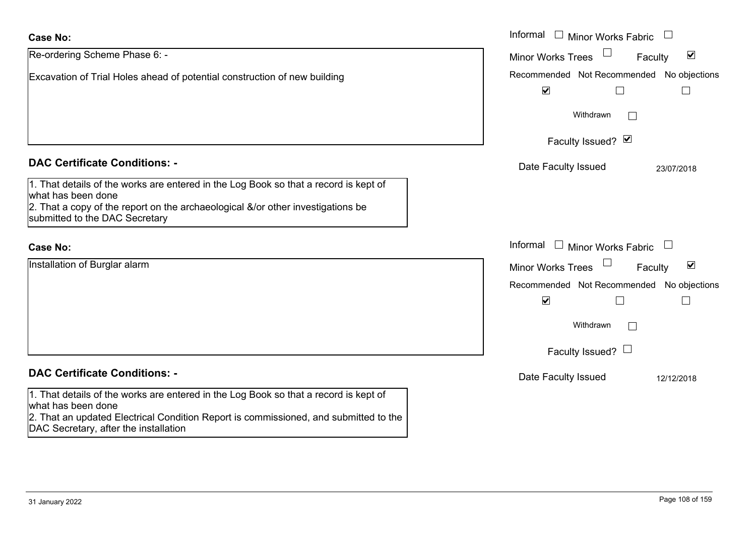| <b>Case No:</b>                                                                                                                                                                                                                             | Informal $\Box$ Minor Works Fabric                                |
|---------------------------------------------------------------------------------------------------------------------------------------------------------------------------------------------------------------------------------------------|-------------------------------------------------------------------|
| Re-ordering Scheme Phase 6: -                                                                                                                                                                                                               | $\blacktriangledown$<br><b>Minor Works Trees</b><br>Faculty       |
| Excavation of Trial Holes ahead of potential construction of new building                                                                                                                                                                   | Recommended Not Recommended No objections<br>$\blacktriangledown$ |
|                                                                                                                                                                                                                                             | Withdrawn                                                         |
|                                                                                                                                                                                                                                             | Faculty Issued? Ø                                                 |
| <b>DAC Certificate Conditions: -</b>                                                                                                                                                                                                        | Date Faculty Issued<br>23/07/2018                                 |
| 1. That details of the works are entered in the Log Book so that a record is kept of<br>what has been done<br>2. That a copy of the report on the archaeological &/or other investigations be<br>submitted to the DAC Secretary             |                                                                   |
| <b>Case No:</b>                                                                                                                                                                                                                             | Informal<br>$\Box$ Minor Works Fabric                             |
| Installation of Burglar alarm                                                                                                                                                                                                               | $\blacktriangledown$<br><b>Minor Works Trees</b><br>Faculty       |
|                                                                                                                                                                                                                                             | Recommended Not Recommended No objections<br>$\blacktriangledown$ |
|                                                                                                                                                                                                                                             | Withdrawn                                                         |
|                                                                                                                                                                                                                                             | Faculty Issued? $\Box$                                            |
| <b>DAC Certificate Conditions: -</b>                                                                                                                                                                                                        | Date Faculty Issued<br>12/12/2018                                 |
| 1. That details of the works are entered in the Log Book so that a record is kept of<br>what has been done<br>2. That an updated Electrical Condition Report is commissioned, and submitted to the<br>DAC Secretary, after the installation |                                                                   |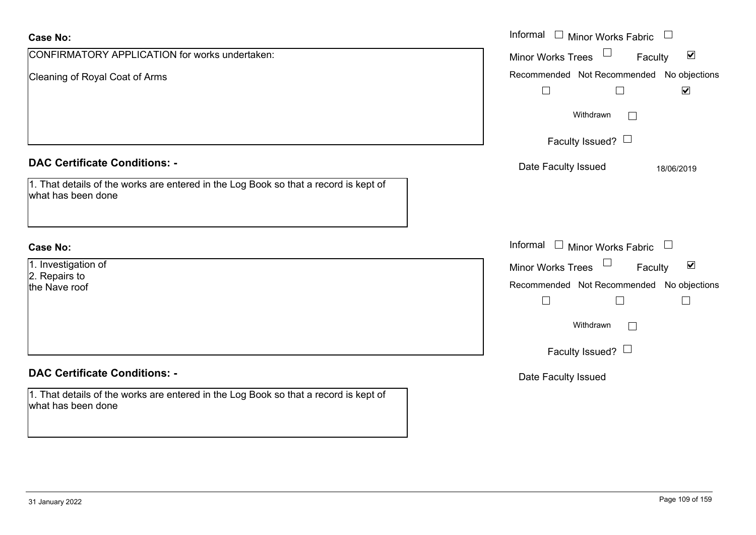| <b>Case No:</b>                                                                                                              | Informal $\Box$ Minor Works Fabric $\Box$                                                                                                                                              |
|------------------------------------------------------------------------------------------------------------------------------|----------------------------------------------------------------------------------------------------------------------------------------------------------------------------------------|
| CONFIRMATORY APPLICATION for works undertaken:                                                                               | $\Box$<br>$\blacktriangledown$<br>Minor Works Trees<br>Faculty                                                                                                                         |
| Cleaning of Royal Coat of Arms                                                                                               | Recommended Not Recommended No objections<br>$\hfill \square$<br>$\Box$<br>$\blacktriangledown$                                                                                        |
|                                                                                                                              | Withdrawn<br>$\vert \hspace{.06cm} \vert$                                                                                                                                              |
|                                                                                                                              | Faculty Issued? $\Box$                                                                                                                                                                 |
| <b>DAC Certificate Conditions: -</b><br>1. That details of the works are entered in the Log Book so that a record is kept of | Date Faculty Issued<br>18/06/2019                                                                                                                                                      |
| what has been done                                                                                                           |                                                                                                                                                                                        |
| <b>Case No:</b>                                                                                                              | Informal<br>$\Box$ Minor Works Fabric $\Box$                                                                                                                                           |
| 1. Investigation of<br>2. Repairs to<br>the Nave roof                                                                        | $\Box$<br>$\blacktriangledown$<br>Minor Works Trees<br>Faculty<br>Recommended Not Recommended No objections<br>$\Box$<br>$\Box$<br>$\Box$<br>Withdrawn<br>L.<br>Faculty Issued? $\Box$ |
| <b>DAC Certificate Conditions: -</b>                                                                                         | Date Faculty Issued                                                                                                                                                                    |
| 1. That details of the works are entered in the Log Book so that a record is kept of<br>what has been done                   |                                                                                                                                                                                        |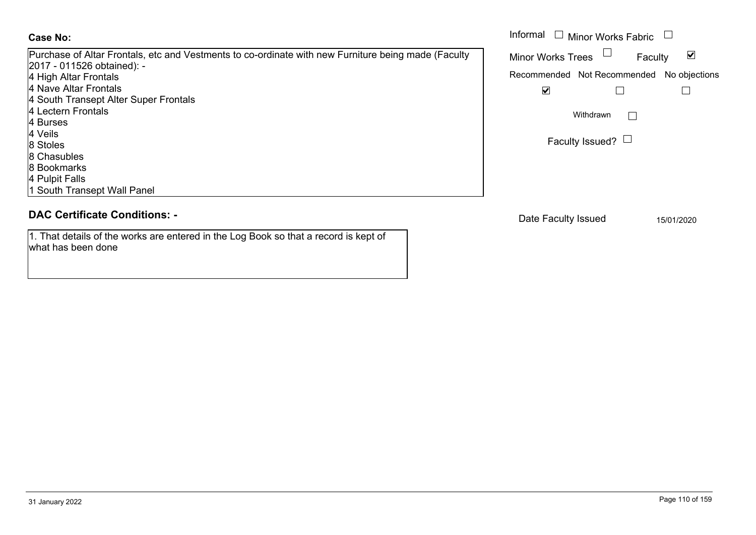#### **Case No:**

Purchase of Altar Frontals, etc and Vestments to co-ordinate with new Furniture being made (Faculty 2017 - 011526 obtained): - 4 High Altar Frontals 4 Nave Altar Frontals 4 South Transept Alter Super Frontals 4 Lectern Frontals4 Burses4 Veils8 Stoles 8 Chasubles8 Bookmarks4 Pulpit Falls 1 South Transept Wall Panel

# **DAC Certificate Conditions: -**

1. That details of the works are entered in the Log Book so that a record is kept of what has been done

|                                                                                                                                                                                              | Informal<br>$\Box$ Minor Works Fabric                                                                         |
|----------------------------------------------------------------------------------------------------------------------------------------------------------------------------------------------|---------------------------------------------------------------------------------------------------------------|
| e of Altar Frontals, etc and Vestments to co-ordinate with new Furniture being made (Faculty<br>l 1526 obtained): -<br>tar Frontals<br>ltar Frontals<br><b>Transept Alter Super Frontals</b> | <b>Minor Works Trees</b><br>⊻<br>Faculty<br>Recommended Not Recommended No objections<br>$\blacktriangledown$ |
| ì Frontals                                                                                                                                                                                   | Withdrawn                                                                                                     |
|                                                                                                                                                                                              | Faculty Issued? $\Box$                                                                                        |
| bles<br>arks<br>alls <sup>-</sup><br>Transent Wall Panel                                                                                                                                     |                                                                                                               |

Date Faculty Issued 15/01/2020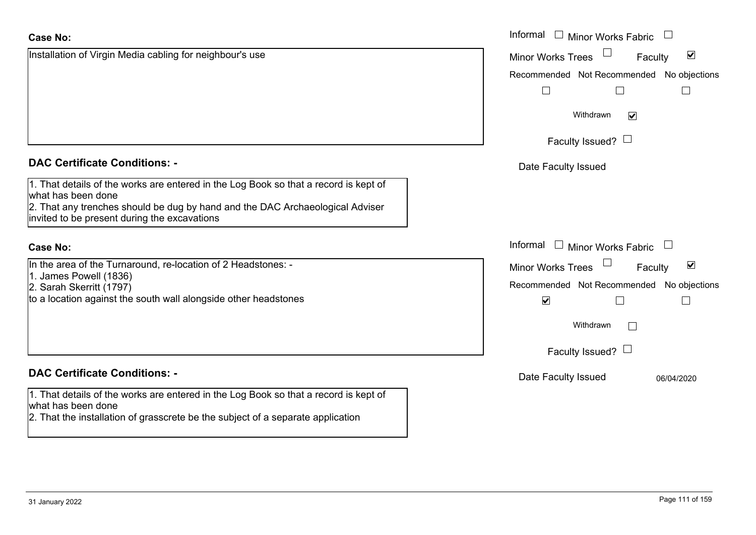| <b>Case No:</b>                                                                                                                                                                                                                             | Informal<br>$\Box$ Minor Works Fabric                       |
|---------------------------------------------------------------------------------------------------------------------------------------------------------------------------------------------------------------------------------------------|-------------------------------------------------------------|
| Installation of Virgin Media cabling for neighbour's use                                                                                                                                                                                    | $\blacktriangledown$<br><b>Minor Works Trees</b><br>Faculty |
|                                                                                                                                                                                                                                             | Recommended Not Recommended No objections                   |
|                                                                                                                                                                                                                                             |                                                             |
|                                                                                                                                                                                                                                             | Withdrawn<br>$\blacktriangledown$                           |
|                                                                                                                                                                                                                                             | Faculty Issued? $\Box$                                      |
| <b>DAC Certificate Conditions: -</b>                                                                                                                                                                                                        | Date Faculty Issued                                         |
| 1. That details of the works are entered in the Log Book so that a record is kept of<br>what has been done<br>2. That any trenches should be dug by hand and the DAC Archaeological Adviser<br>invited to be present during the excavations |                                                             |
| <b>Case No:</b>                                                                                                                                                                                                                             | Informal<br>$\Box$ Minor Works Fabric                       |
| In the area of the Turnaround, re-location of 2 Headstones: -                                                                                                                                                                               | $\blacktriangledown$<br><b>Minor Works Trees</b><br>Faculty |
| 1. James Powell (1836)<br>2. Sarah Skerritt (1797)                                                                                                                                                                                          | Recommended Not Recommended No objections                   |
| to a location against the south wall alongside other headstones                                                                                                                                                                             | $\blacktriangledown$                                        |
|                                                                                                                                                                                                                                             | Withdrawn                                                   |
|                                                                                                                                                                                                                                             | Faculty Issued? $\Box$                                      |
| <b>DAC Certificate Conditions: -</b>                                                                                                                                                                                                        | Date Faculty Issued<br>06/04/2020                           |
| 1. That details of the works are entered in the Log Book so that a record is kept of<br>what has been done                                                                                                                                  |                                                             |
| 2. That the installation of grasscrete be the subject of a separate application                                                                                                                                                             |                                                             |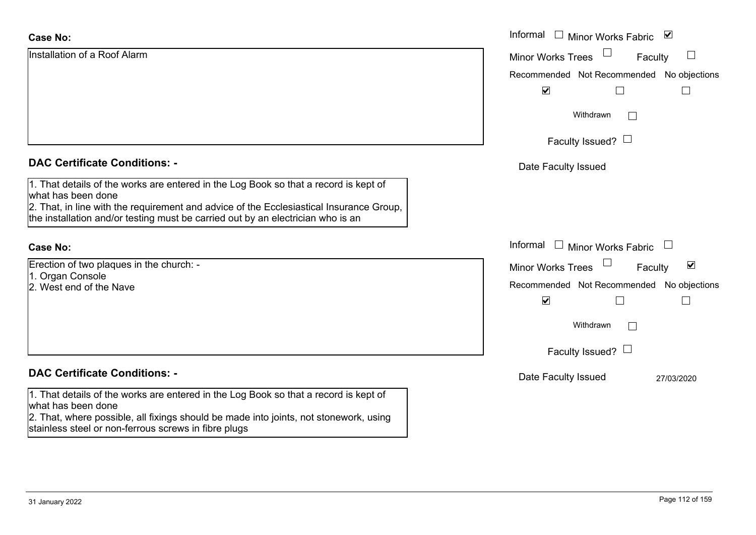| <b>Case No:</b>                                                                                                                                                            | Informal □ Minor Works Fabric<br>⊻                   |
|----------------------------------------------------------------------------------------------------------------------------------------------------------------------------|------------------------------------------------------|
| Installation of a Roof Alarm                                                                                                                                               | $\sqcup$<br><b>Minor Works Trees</b><br>Faculty      |
|                                                                                                                                                                            | Recommended Not Recommended<br>No objections         |
|                                                                                                                                                                            | $\blacktriangledown$                                 |
|                                                                                                                                                                            | Withdrawn<br>$\perp$                                 |
|                                                                                                                                                                            | Faculty Issued? $\Box$                               |
| <b>DAC Certificate Conditions: -</b>                                                                                                                                       | Date Faculty Issued                                  |
| 1. That details of the works are entered in the Log Book so that a record is kept of<br>what has been done                                                                 |                                                      |
| 2. That, in line with the requirement and advice of the Ecclesiastical Insurance Group,<br>the installation and/or testing must be carried out by an electrician who is an |                                                      |
| <b>Case No:</b>                                                                                                                                                            | Informal $\Box$ Minor Works Fabric                   |
| Erection of two plaques in the church: -<br>1. Organ Console                                                                                                               | $\blacktriangledown$<br>Minor Works Trees<br>Faculty |
| 2. West end of the Nave                                                                                                                                                    | Recommended Not Recommended No objections            |
|                                                                                                                                                                            | $\blacktriangledown$                                 |
|                                                                                                                                                                            | Withdrawn<br>$\Box$                                  |
|                                                                                                                                                                            | Faculty Issued? $\Box$                               |
| <b>DAC Certificate Conditions: -</b>                                                                                                                                       | Date Faculty Issued<br>27/03/2020                    |
| 1. That details of the works are entered in the Log Book so that a record is kept of<br>what has been done                                                                 |                                                      |
| 2. That, where possible, all fixings should be made into joints, not stonework, using<br>stainless steel or non-ferrous screws in fibre plugs                              |                                                      |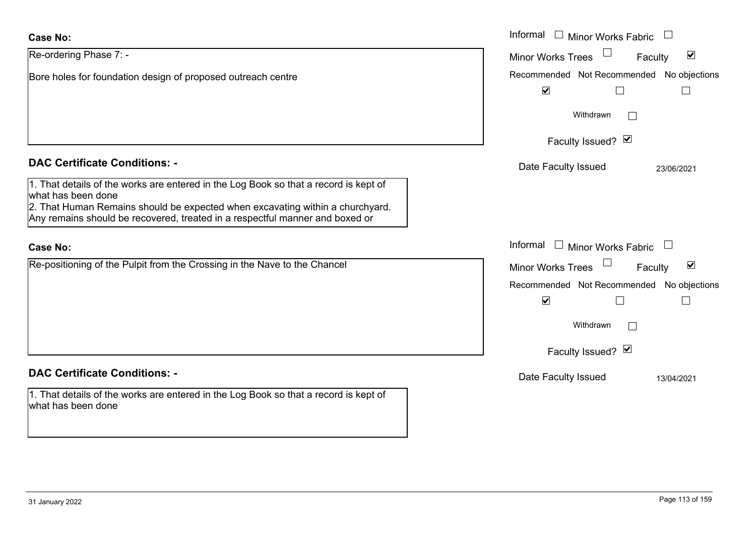| <b>Case No:</b>                                                                                                                                                                                                                                                             | Informal $\Box$ Minor Works Fabric $\Box$                         |
|-----------------------------------------------------------------------------------------------------------------------------------------------------------------------------------------------------------------------------------------------------------------------------|-------------------------------------------------------------------|
| Re-ordering Phase 7: -                                                                                                                                                                                                                                                      | $\blacktriangledown$<br><b>Minor Works Trees</b><br>Faculty       |
| Bore holes for foundation design of proposed outreach centre                                                                                                                                                                                                                | Recommended Not Recommended No objections<br>$\blacktriangledown$ |
|                                                                                                                                                                                                                                                                             | Withdrawn                                                         |
|                                                                                                                                                                                                                                                                             | Faculty Issued? Ø                                                 |
| <b>DAC Certificate Conditions: -</b>                                                                                                                                                                                                                                        | Date Faculty Issued<br>23/06/2021                                 |
| 1. That details of the works are entered in the Log Book so that a record is kept of<br>what has been done<br>2. That Human Remains should be expected when excavating within a churchyard.<br>Any remains should be recovered, treated in a respectful manner and boxed or |                                                                   |
| <b>Case No:</b>                                                                                                                                                                                                                                                             | Informal $\Box$ Minor Works Fabric                                |
| Re-positioning of the Pulpit from the Crossing in the Nave to the Chancel                                                                                                                                                                                                   | $\blacktriangledown$<br><b>Minor Works Trees</b><br>Faculty       |
|                                                                                                                                                                                                                                                                             | Recommended Not Recommended No objections                         |
|                                                                                                                                                                                                                                                                             | $\blacktriangledown$                                              |
|                                                                                                                                                                                                                                                                             | Withdrawn                                                         |
|                                                                                                                                                                                                                                                                             | Faculty Issued? Ø                                                 |
| <b>DAC Certificate Conditions: -</b>                                                                                                                                                                                                                                        | Date Faculty Issued<br>13/04/2021                                 |
| 1. That details of the works are entered in the Log Book so that a record is kept of<br>what has been done                                                                                                                                                                  |                                                                   |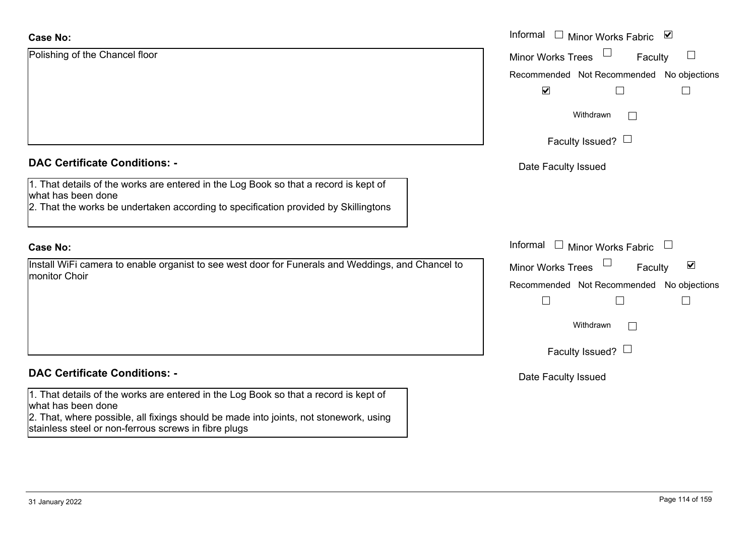| <b>Case No:</b>                                                                                                                               | Informal □ Minor Works Fabric<br>$\blacktriangledown$       |
|-----------------------------------------------------------------------------------------------------------------------------------------------|-------------------------------------------------------------|
| Polishing of the Chancel floor                                                                                                                | $\Box$<br><b>Minor Works Trees</b><br>⊔<br>Faculty          |
|                                                                                                                                               | Recommended Not Recommended No objections                   |
|                                                                                                                                               | $\blacktriangledown$                                        |
|                                                                                                                                               | Withdrawn                                                   |
|                                                                                                                                               | Faculty Issued? $\Box$                                      |
| <b>DAC Certificate Conditions: -</b>                                                                                                          | Date Faculty Issued                                         |
| 1. That details of the works are entered in the Log Book so that a record is kept of<br>what has been done                                    |                                                             |
| 2. That the works be undertaken according to specification provided by Skillingtons                                                           |                                                             |
| <b>Case No:</b>                                                                                                                               | Informal □ Minor Works Fabric                               |
| Install WiFi camera to enable organist to see west door for Funerals and Weddings, and Chancel to                                             | $\blacktriangledown$<br><b>Minor Works Trees</b><br>Faculty |
| monitor Choir                                                                                                                                 | Recommended Not Recommended No objections                   |
|                                                                                                                                               | $\sqcup$<br>$\Box$                                          |
|                                                                                                                                               | Withdrawn<br>$\mathbf{L}$                                   |
|                                                                                                                                               | Faculty Issued?                                             |
| <b>DAC Certificate Conditions: -</b>                                                                                                          | Date Faculty Issued                                         |
| 1. That details of the works are entered in the Log Book so that a record is kept of<br>what has been done                                    |                                                             |
| 2. That, where possible, all fixings should be made into joints, not stonework, using<br>stainless steel or non-ferrous screws in fibre plugs |                                                             |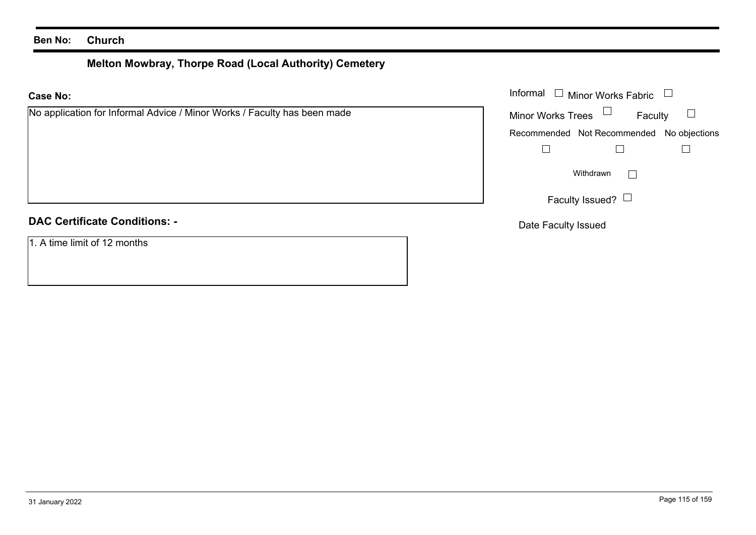#### **Ben No: Church**

# **Melton Mowbray, Thorpe Road (Local Authority) Cemetery**

| Informal $\square$<br><b>Minor Works Fabric</b><br><b>Case No:</b>       |                                           |
|--------------------------------------------------------------------------|-------------------------------------------|
| No application for Informal Advice / Minor Works / Faculty has been made | Minor Works Trees $\Box$<br>Faculty       |
|                                                                          | Recommended Not Recommended No objections |
|                                                                          |                                           |
|                                                                          | Withdrawn                                 |
|                                                                          | Faculty Issued? $\Box$                    |
| <b>DAC Certificate Conditions: -</b>                                     | Date Faculty Issued                       |
| 1. A time limit of 12 months                                             |                                           |
|                                                                          |                                           |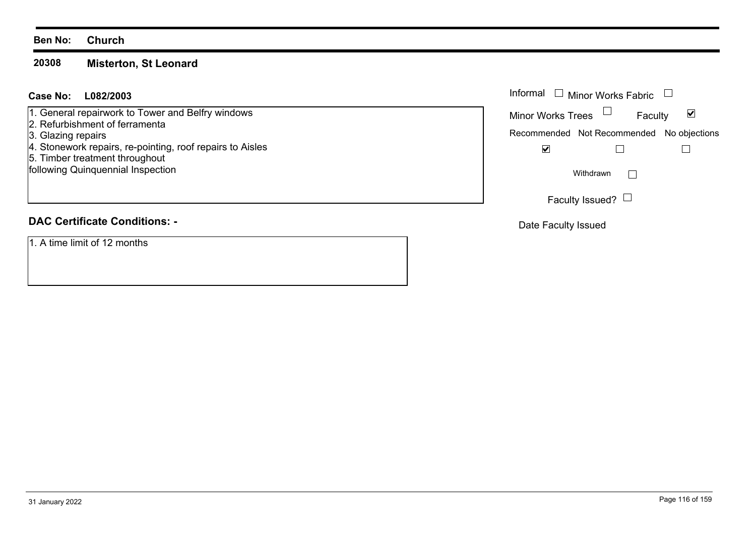#### **Ben No: Church**

#### **20308Misterton, St Leonard**

#### **L082/2003Case No:** Informal

1. General repairwork to Tower and Belfry windows

- 2. Refurbishment of ferramenta
- 3. Glazing repairs
- 4. Stonework repairs, re-pointing, roof repairs to Aisles
- 5. Timber treatment throughout

following Quinquennial Inspection

# **DAC Certificate Conditions: -**

1. A time limit of 12 months

| Informal<br>$\Box$                        | Minor Works Fabric |         |  |
|-------------------------------------------|--------------------|---------|--|
| <b>Minor Works Trees</b>                  |                    | Faculty |  |
| Recommended Not Recommended No objections |                    |         |  |
|                                           |                    |         |  |
|                                           | Withdrawn          |         |  |
|                                           | Faculty Issued?    |         |  |

Date Faculty Issued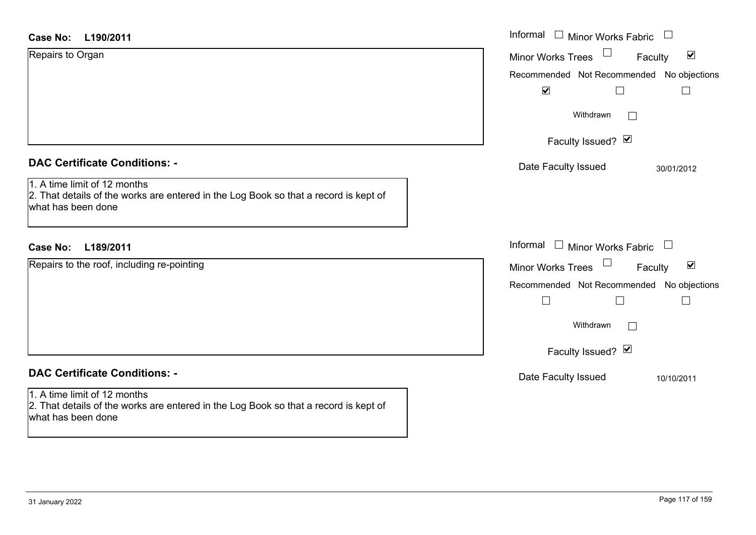| <b>Case No:</b><br>L190/2011                                                                                                                                                       | Informal $\Box$ Minor Works Fabric<br>$\Box$                                                                                                                      |
|------------------------------------------------------------------------------------------------------------------------------------------------------------------------------------|-------------------------------------------------------------------------------------------------------------------------------------------------------------------|
| Repairs to Organ                                                                                                                                                                   | $\blacktriangledown$<br>Minor Works Trees<br>Faculty<br>Recommended Not Recommended No objections<br>$\blacktriangledown$<br>$\Box$                               |
|                                                                                                                                                                                    | Withdrawn<br>$\perp$<br>Faculty Issued? Ø                                                                                                                         |
| <b>DAC Certificate Conditions: -</b><br>1. A time limit of 12 months<br>2. That details of the works are entered in the Log Book so that a record is kept of<br>what has been done | Date Faculty Issued<br>30/01/2012                                                                                                                                 |
| <b>Case No:</b><br>L189/2011                                                                                                                                                       | Informal $\Box$ Minor Works Fabric $\Box$                                                                                                                         |
| Repairs to the roof, including re-pointing                                                                                                                                         | Minor Works Trees<br>$\blacktriangledown$<br>Faculty<br>Recommended Not Recommended No objections<br>$\Box$<br>$\Box$<br>Withdrawn<br>$\Box$<br>Faculty Issued? Ø |
| <b>DAC Certificate Conditions: -</b>                                                                                                                                               | Date Faculty Issued<br>10/10/2011                                                                                                                                 |
| 1. A time limit of 12 months<br>2. That details of the works are entered in the Log Book so that a record is kept of<br>what has been done                                         |                                                                                                                                                                   |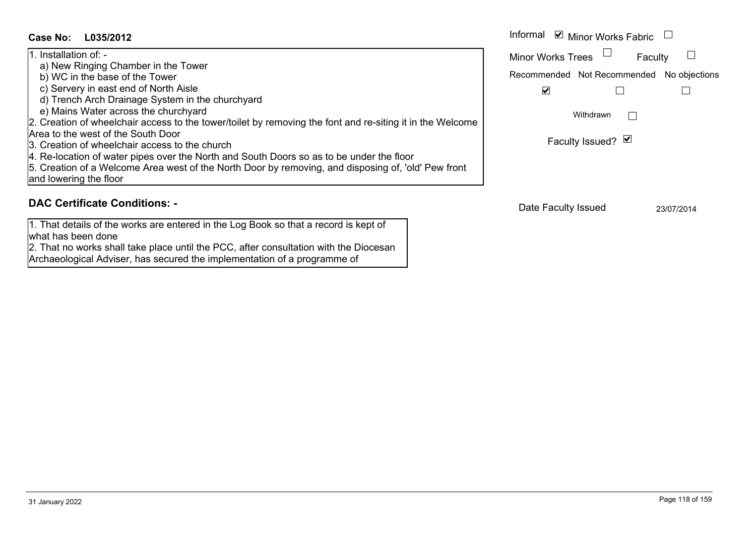## **L035/2012Case No:** Informal

| 1. Installation of: -                                                                                     |
|-----------------------------------------------------------------------------------------------------------|
| a) New Ringing Chamber in the Tower                                                                       |
| b) WC in the base of the Tower                                                                            |
| c) Servery in east end of North Aisle                                                                     |
| d) Trench Arch Drainage System in the churchyard                                                          |
| e) Mains Water across the churchyard                                                                      |
| 2. Creation of wheelchair access to the tower/toilet by removing the font and re-siting it in the Welcome |
| Area to the west of the South Door                                                                        |
| 3. Creation of wheelchair access to the church                                                            |
| 4. Re-location of water pipes over the North and South Doors so as to be under the floor                  |
| 5. Creation of a Welcome Area west of the North Door by removing, and disposing of, 'old' Pew front       |
| and lowering the floor                                                                                    |

## **DAC Certificate Conditions: -**

1. That details of the works are entered in the Log Book so that a record is kept of what has been done2. That no works shall take place until the PCC, after consultation with the Diocesan

Archaeological Adviser, has secured the implementation of a programme of

|   | Informal<br>$\triangleright$ Minor Works Fabric |  |
|---|-------------------------------------------------|--|
|   | <b>Minor Works Trees</b><br>Faculty             |  |
|   | Recommended Not Recommended No objections       |  |
|   |                                                 |  |
| e | Withdrawn                                       |  |
|   | Faculty Issued? Ø                               |  |
|   |                                                 |  |

Date Faculty Issued 23/07/2014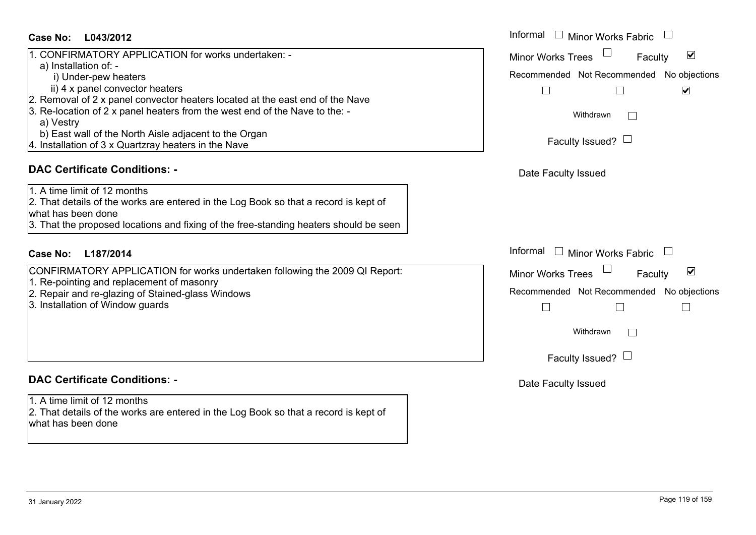#### **L043/2012Case No:** Informal

| 1. CONFIRMATORY APPLICATION for works undertaken: -                           |
|-------------------------------------------------------------------------------|
| a) Installation of: -                                                         |
| i) Under-pew heaters                                                          |
| ii) 4 x panel convector heaters                                               |
| 2. Removal of 2 x panel convector heaters located at the east end of the Nave |
| [3. Re-location of 2 x panel heaters from the west end of the Nave to the: -  |
| a) Vestry                                                                     |
| b) East wall of the North Aisle adjacent to the Organ                         |
| 4. Installation of 3 x Quartzray heaters in the Nave                          |

#### **DAC Certificate Conditions: -**

#### 1. A time limit of 12 months

2. That details of the works are entered in the Log Book so that a record is kept of what has been done

3. That the proposed locations and fixing of the free-standing heaters should be seen

## **L187/2014Case No:** Informal

CONFIRMATORY APPLICATION for works undertaken following the 2009 QI Report:

- 1. Re-pointing and replacement of masonry
- 2. Repair and re-glazing of Stained-glass Windows
- 3. Installation of Window guards

#### **DAC Certificate Conditions: -**

1. A time limit of 12 months

2. That details of the works are entered in the Log Book so that a record is kept of what has been done

| Informal<br>Minor Works Fabric                              |  |  |
|-------------------------------------------------------------|--|--|
| $\blacktriangledown$<br><b>Minor Works Trees</b><br>Faculty |  |  |
| Recommended Not Recommended No objections                   |  |  |
| $\overline{\mathsf{v}}$                                     |  |  |
| Withdrawn                                                   |  |  |
| Faculty Issued? $\Box$                                      |  |  |
| Date Faculty Issued                                         |  |  |
|                                                             |  |  |
|                                                             |  |  |
| Informal<br>$\mathrel{\boxdot}$ Minor Works Fabric          |  |  |
| $\blacktriangledown$<br><b>Minor Works Trees</b><br>Faculty |  |  |
| Recommended Not Recommended No objections                   |  |  |
|                                                             |  |  |
| Withdrawn                                                   |  |  |
| Faculty Issued? $\Box$                                      |  |  |
| Date Faculty Issued                                         |  |  |
|                                                             |  |  |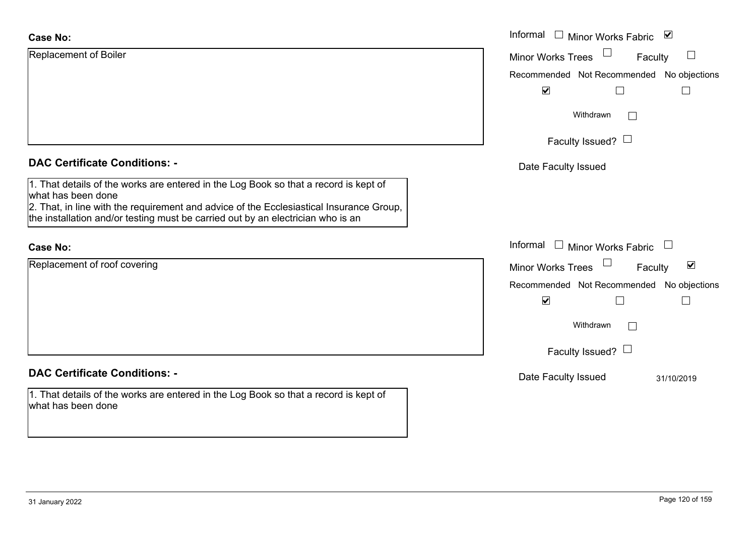| <b>Case No:</b>                                                                                                                                                                                                                                                                          | Informal □ Minor Works Fabric ⊠                      |
|------------------------------------------------------------------------------------------------------------------------------------------------------------------------------------------------------------------------------------------------------------------------------------------|------------------------------------------------------|
| Replacement of Boiler                                                                                                                                                                                                                                                                    | Minor Works Trees<br>$\Box$<br>Faculty               |
|                                                                                                                                                                                                                                                                                          | Recommended Not Recommended No objections            |
|                                                                                                                                                                                                                                                                                          | $\blacktriangledown$<br>$\Box$                       |
|                                                                                                                                                                                                                                                                                          | Withdrawn<br>$\mathbb{R}^n$                          |
|                                                                                                                                                                                                                                                                                          | Faculty Issued? $\Box$                               |
| <b>DAC Certificate Conditions: -</b>                                                                                                                                                                                                                                                     | Date Faculty Issued                                  |
| 1. That details of the works are entered in the Log Book so that a record is kept of<br>what has been done<br>2. That, in line with the requirement and advice of the Ecclesiastical Insurance Group,<br>the installation and/or testing must be carried out by an electrician who is an |                                                      |
| <b>Case No:</b>                                                                                                                                                                                                                                                                          | Informal<br>$\Box$ Minor Works Fabric                |
| Replacement of roof covering                                                                                                                                                                                                                                                             | $\blacktriangledown$<br>Minor Works Trees<br>Faculty |
|                                                                                                                                                                                                                                                                                          | Recommended Not Recommended No objections            |
|                                                                                                                                                                                                                                                                                          | $\blacktriangledown$<br>$\mathbf{L}$                 |
|                                                                                                                                                                                                                                                                                          | Withdrawn<br>$\mathbf{1}$                            |
|                                                                                                                                                                                                                                                                                          | Faculty Issued? $\Box$                               |
| <b>DAC Certificate Conditions: -</b>                                                                                                                                                                                                                                                     | Date Faculty Issued<br>31/10/2019                    |
| 1. That details of the works are entered in the Log Book so that a record is kept of<br>what has been done                                                                                                                                                                               |                                                      |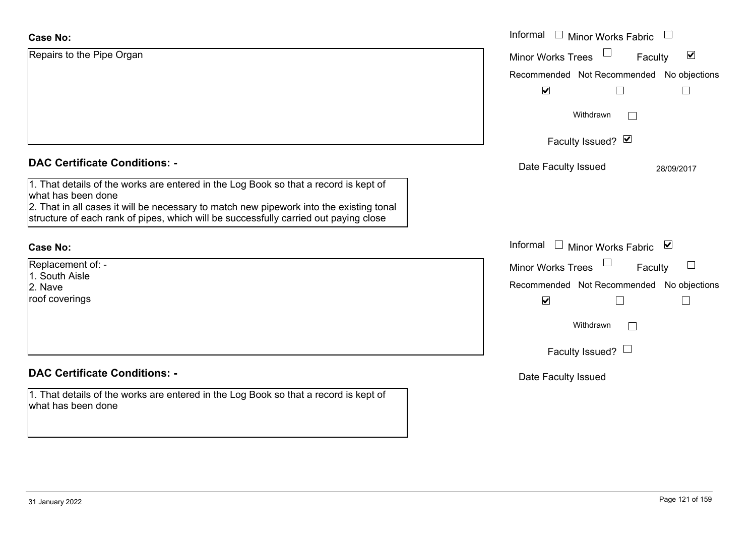| <b>Case No:</b>                                                                                               | Informal $\square$<br><b>Minor Works Fabric</b>             |
|---------------------------------------------------------------------------------------------------------------|-------------------------------------------------------------|
| Repairs to the Pipe Organ                                                                                     | $\blacktriangledown$<br><b>Minor Works Trees</b><br>Faculty |
|                                                                                                               | Recommended Not Recommended No objections                   |
|                                                                                                               | $\blacktriangledown$                                        |
|                                                                                                               | Withdrawn<br>$\vert \ \ \vert$                              |
|                                                                                                               | Faculty Issued? Ø                                           |
| <b>DAC Certificate Conditions: -</b>                                                                          | Date Faculty Issued<br>28/09/2017                           |
| 1. That details of the works are entered in the Log Book so that a record is kept of                          |                                                             |
| what has been done<br>2. That in all cases it will be necessary to match new pipework into the existing tonal |                                                             |
| structure of each rank of pipes, which will be successfully carried out paying close                          |                                                             |
|                                                                                                               |                                                             |
| <b>Case No:</b>                                                                                               | Informal □ Minor Works Fabric ⊠                             |
| Replacement of: -                                                                                             | <b>Minor Works Trees</b><br>Faculty                         |
| 1. South Aisle<br>2. Nave                                                                                     | Recommended Not Recommended No objections                   |
| roof coverings                                                                                                | $\blacktriangledown$<br>$\Box$                              |
|                                                                                                               | Withdrawn<br>$\Box$                                         |
|                                                                                                               | Faculty Issued? $\Box$                                      |
|                                                                                                               |                                                             |
| <b>DAC Certificate Conditions: -</b>                                                                          | Date Faculty Issued                                         |
| 1. That details of the works are entered in the Log Book so that a record is kept of<br>what has been done    |                                                             |
|                                                                                                               |                                                             |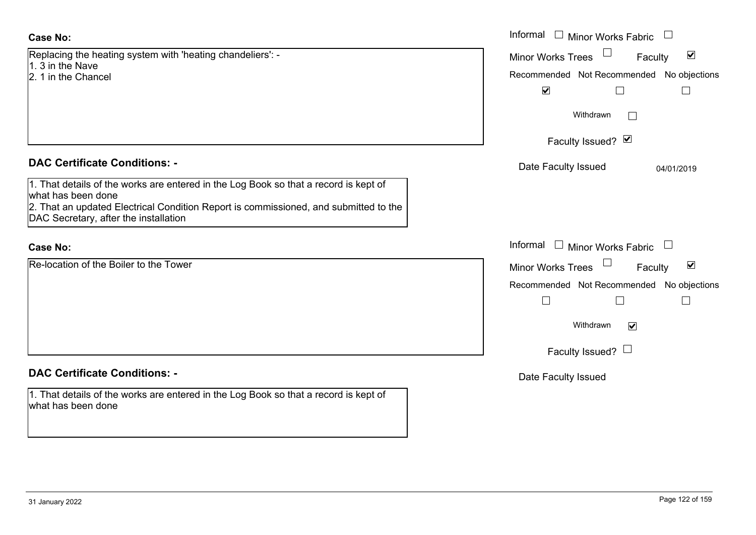| <b>Case No:</b>                                                                                                                                                                                                                             | Informal $\Box$ Minor Works Fabric $\Box$                        |
|---------------------------------------------------------------------------------------------------------------------------------------------------------------------------------------------------------------------------------------------|------------------------------------------------------------------|
| Replacing the heating system with 'heating chandeliers': -                                                                                                                                                                                  | Minor Works Trees<br>$\blacktriangledown$<br>Faculty             |
| 1. 3 in the Nave<br>2. 1 in the Chancel                                                                                                                                                                                                     | Recommended Not Recommended No objections                        |
|                                                                                                                                                                                                                                             | $\blacktriangledown$<br>$\Box$                                   |
|                                                                                                                                                                                                                                             | Withdrawn                                                        |
|                                                                                                                                                                                                                                             | Faculty Issued? Ø                                                |
| <b>DAC Certificate Conditions: -</b>                                                                                                                                                                                                        | Date Faculty Issued<br>04/01/2019                                |
| 1. That details of the works are entered in the Log Book so that a record is kept of<br>what has been done<br>2. That an updated Electrical Condition Report is commissioned, and submitted to the<br>DAC Secretary, after the installation |                                                                  |
| <b>Case No:</b>                                                                                                                                                                                                                             | Informal $\Box$ Minor Works Fabric $\Box$                        |
| Re-location of the Boiler to the Tower                                                                                                                                                                                                      | $\blacktriangledown$<br>Minor Works Trees<br>Faculty             |
|                                                                                                                                                                                                                                             | Recommended Not Recommended No objections<br>Г<br>$\mathbb{R}^n$ |
|                                                                                                                                                                                                                                             | Withdrawn<br>$\blacktriangledown$                                |
|                                                                                                                                                                                                                                             | Faculty Issued? $\Box$                                           |
| <b>DAC Certificate Conditions: -</b>                                                                                                                                                                                                        | Date Faculty Issued                                              |
| 1. That details of the works are entered in the Log Book so that a record is kept of<br>what has been done                                                                                                                                  |                                                                  |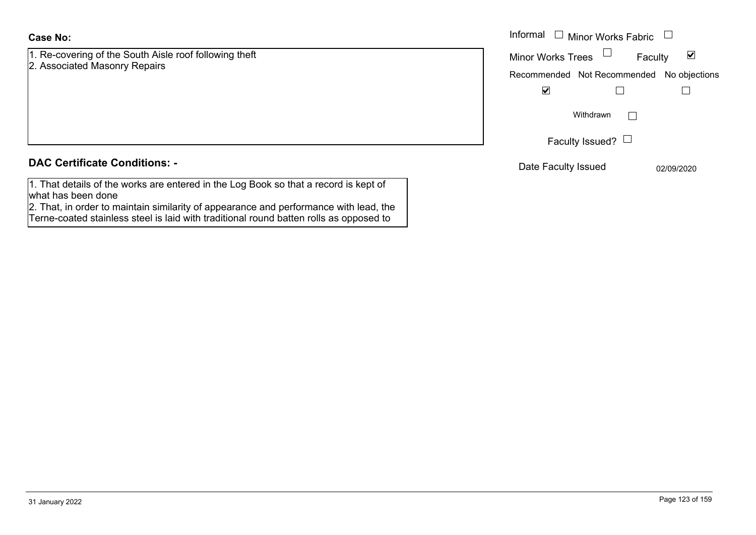#### **Case No:**

1. Re-covering of the South Aisle roof following theft 2. Associated Masonry Repairs

|                                                                        | Informal<br>$\mathrel{\boxdot}$ Minor Works Fabric          |
|------------------------------------------------------------------------|-------------------------------------------------------------|
| vering of the South Aisle roof following theft<br>ated Masonry Repairs | $\blacktriangledown$<br><b>Minor Works Trees</b><br>Faculty |
|                                                                        | Recommended Not Recommended No objections                   |
|                                                                        | $\overline{\mathbf{v}}$                                     |
|                                                                        | Withdrawn<br>$\mathbf{L}$                                   |
|                                                                        | Faculty Issued? $\Box$                                      |
| rtificate Conditions: -                                                | Date Faculty Issued<br>02/09/2020                           |

#### **DAC Certificate Conditions: -**

1. That details of the works are entered in the Log Book so that a record is kept of what has been done

2. That, in order to maintain similarity of appearance and performance with lead, the Terne-coated stainless steel is laid with traditional round batten rolls as opposed to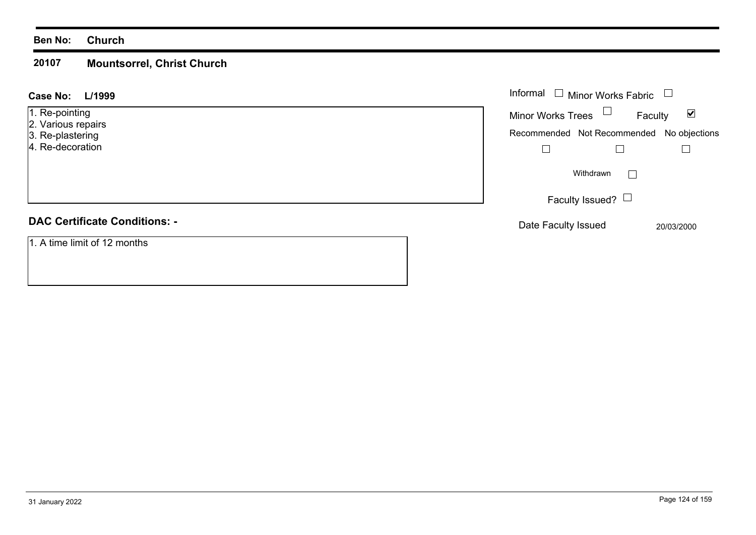#### **Ben No: Church**

#### **20107Mountsorrel, Christ Church**

#### **L/1999 Case No:**

- 1. Re-pointing
- 2. Various repairs
- 3. Re-plastering
- 4. Re-decoration

# **DAC Certificate Conditions: -**

1. A time limit of 12 months

| L/1999<br>$\mathbf{L}$         | Informal $\Box$ Minor Works Fabric $\Box$                                                                |
|--------------------------------|----------------------------------------------------------------------------------------------------------|
| inting<br>s repairs<br>stering | Minor Works Trees $\Box$<br>Faculty<br>$\blacktriangledown$<br>Recommended Not Recommended No objections |
| coration                       | Withdrawn                                                                                                |
|                                | Faculty Issued? $\Box$                                                                                   |
| rtificate Conditions: -        | Date Faculty Issued<br>20/03/2000                                                                        |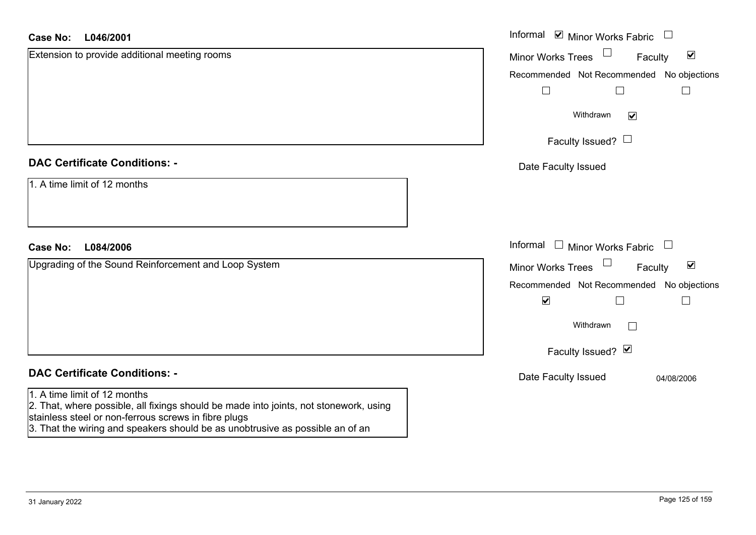#### **L046/2001Case No:**

| L046/2001<br>Case No:                                                                                                                                                                                                                                          | Informal Ø Minor Works Fabric □                                                 |
|----------------------------------------------------------------------------------------------------------------------------------------------------------------------------------------------------------------------------------------------------------------|---------------------------------------------------------------------------------|
| Extension to provide additional meeting rooms                                                                                                                                                                                                                  | $\blacktriangledown$<br>Minor Works Trees<br>Faculty                            |
|                                                                                                                                                                                                                                                                | Recommended Not Recommended No objections                                       |
|                                                                                                                                                                                                                                                                |                                                                                 |
|                                                                                                                                                                                                                                                                | Withdrawn<br>$\blacktriangledown$                                               |
|                                                                                                                                                                                                                                                                | Faculty Issued? $\Box$                                                          |
| <b>DAC Certificate Conditions: -</b>                                                                                                                                                                                                                           | Date Faculty Issued                                                             |
| 1. A time limit of 12 months                                                                                                                                                                                                                                   |                                                                                 |
| L084/2006<br><b>Case No:</b>                                                                                                                                                                                                                                   | Informal<br>$\Box$ Minor Works Fabric<br>$\begin{array}{c} \square \end{array}$ |
| Upgrading of the Sound Reinforcement and Loop System                                                                                                                                                                                                           | $\Box$<br>$\blacktriangledown$<br><b>Minor Works Trees</b><br>Faculty           |
|                                                                                                                                                                                                                                                                | Recommended Not Recommended No objections                                       |
|                                                                                                                                                                                                                                                                | $\blacktriangledown$                                                            |
|                                                                                                                                                                                                                                                                | Withdrawn                                                                       |
|                                                                                                                                                                                                                                                                | Faculty Issued? Ø                                                               |
| <b>DAC Certificate Conditions: -</b>                                                                                                                                                                                                                           | Date Faculty Issued<br>04/08/2006                                               |
| 1. A time limit of 12 months<br>2. That, where possible, all fixings should be made into joints, not stonework, using<br>stainless steel or non-ferrous screws in fibre plugs<br>3. That the wiring and speakers should be as unobtrusive as possible an of an |                                                                                 |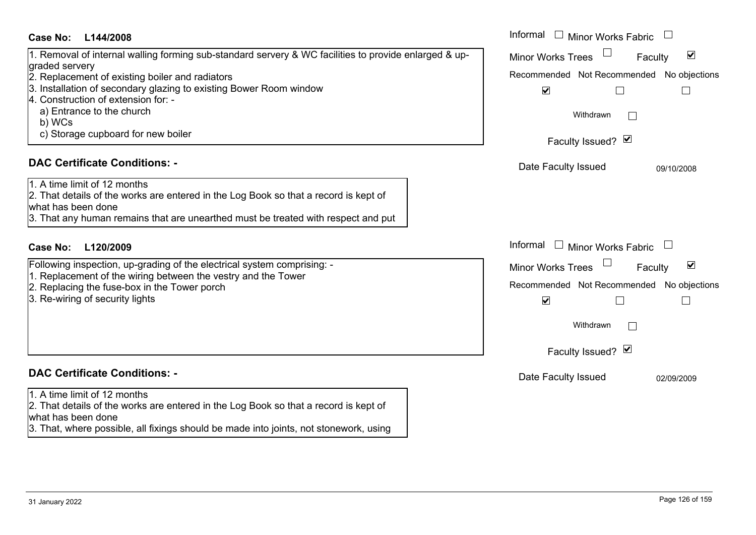| Case No:<br>L144/2008                                                                                       | Informal<br><b>Minor Works Fabric</b>                       |
|-------------------------------------------------------------------------------------------------------------|-------------------------------------------------------------|
| 1. Removal of internal walling forming sub-standard servery & WC facilities to provide enlarged & up-       | $\blacktriangledown$<br><b>Minor Works Trees</b><br>Faculty |
| graded servery<br>2. Replacement of existing boiler and radiators                                           | Recommended Not Recommended No objections                   |
| 3. Installation of secondary glazing to existing Bower Room window                                          | $\blacktriangledown$                                        |
| 4. Construction of extension for: -                                                                         |                                                             |
| a) Entrance to the church                                                                                   | Withdrawn                                                   |
| b) WCs                                                                                                      |                                                             |
| c) Storage cupboard for new boiler                                                                          | Faculty Issued? Ø                                           |
|                                                                                                             |                                                             |
| <b>DAC Certificate Conditions: -</b>                                                                        | Date Faculty Issued<br>09/10/2008                           |
| 1. A time limit of 12 months                                                                                |                                                             |
| 2. That details of the works are entered in the Log Book so that a record is kept of                        |                                                             |
| what has been done                                                                                          |                                                             |
| 3. That any human remains that are unearthed must be treated with respect and put                           |                                                             |
| <b>Case No:</b><br>L120/2009                                                                                | Informal<br>Minor Works Fabric                              |
| Following inspection, up-grading of the electrical system comprising: -                                     | $\blacktriangledown$                                        |
| 1. Replacement of the wiring between the vestry and the Tower                                               | <b>Minor Works Trees</b><br>Faculty                         |
| 2. Replacing the fuse-box in the Tower porch                                                                | Recommended Not Recommended No objections                   |
| 3. Re-wiring of security lights                                                                             | $\blacktriangledown$                                        |
|                                                                                                             |                                                             |
|                                                                                                             | Withdrawn<br>$\Box$                                         |
|                                                                                                             |                                                             |
|                                                                                                             | Faculty Issued? M                                           |
| <b>DAC Certificate Conditions: -</b>                                                                        | Date Faculty Issued<br>02/09/2009                           |
| 1. A time limit of 12 months                                                                                |                                                             |
| 2. That details of the works are entered in the Log Book so that a record is kept of                        |                                                             |
| what has been done<br>3. That, where possible, all fixings should be made into joints, not stonework, using |                                                             |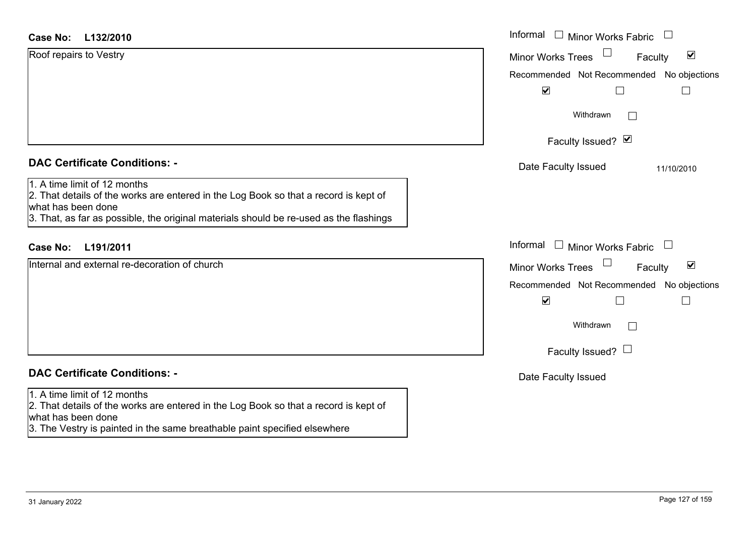| Case No: | L132/2010 |
|----------|-----------|
|----------|-----------|

| <b>Case No:</b><br>L132/2010                                                                                                                                                                                                         | Informal □ Minor Works Fabric                                  |
|--------------------------------------------------------------------------------------------------------------------------------------------------------------------------------------------------------------------------------------|----------------------------------------------------------------|
| Roof repairs to Vestry                                                                                                                                                                                                               | $\Box$<br>$\blacktriangledown$<br>Minor Works Trees<br>Faculty |
|                                                                                                                                                                                                                                      | Recommended Not Recommended No objections                      |
|                                                                                                                                                                                                                                      | $\blacktriangledown$                                           |
|                                                                                                                                                                                                                                      | Withdrawn                                                      |
|                                                                                                                                                                                                                                      | Faculty Issued? Ø                                              |
| <b>DAC Certificate Conditions: -</b>                                                                                                                                                                                                 | Date Faculty Issued<br>11/10/2010                              |
| 1. A time limit of 12 months<br>2. That details of the works are entered in the Log Book so that a record is kept of<br>what has been done<br>3. That, as far as possible, the original materials should be re-used as the flashings |                                                                |
| <b>Case No:</b><br>L191/2011                                                                                                                                                                                                         | Informal<br>$\Box$ Minor Works Fabric                          |
| Internal and external re-decoration of church                                                                                                                                                                                        | $\blacktriangledown$<br><b>Minor Works Trees</b><br>Faculty    |
|                                                                                                                                                                                                                                      | Recommended Not Recommended No objections                      |
|                                                                                                                                                                                                                                      | $\blacktriangledown$                                           |
|                                                                                                                                                                                                                                      | Withdrawn<br>$\vert \ \ \vert$                                 |
|                                                                                                                                                                                                                                      | Faculty Issued? $\Box$                                         |
| <b>DAC Certificate Conditions: -</b>                                                                                                                                                                                                 | Date Faculty Issued                                            |
| 1. A time limit of 12 months<br>2. That details of the works are entered in the Log Book so that a record is kept of<br>what has been done                                                                                           |                                                                |

3. The Vestry is painted in the same breathable paint specified elsewhere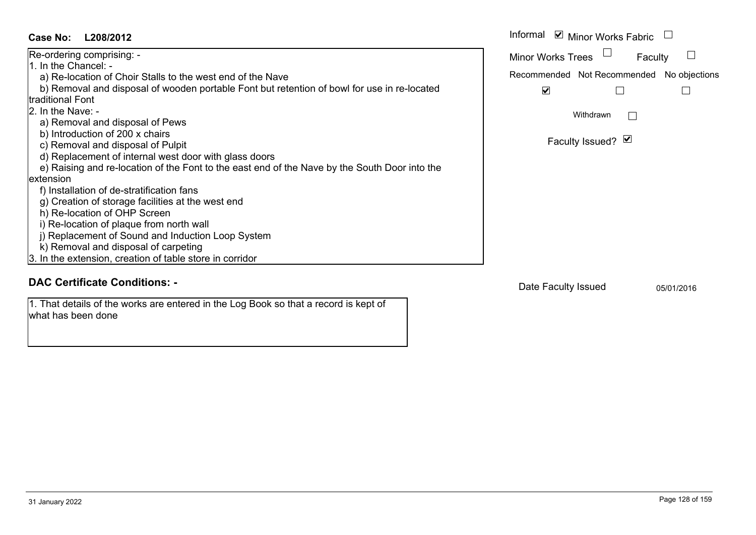| Case No:<br>L208/2012                                                                                      | Informal ☑ Minor Works Fabric                |
|------------------------------------------------------------------------------------------------------------|----------------------------------------------|
| Re-ordering comprising: -                                                                                  | <b>Minor Works Trees</b><br>Faculty          |
| 1. In the Chancel: -                                                                                       |                                              |
| a) Re-location of Choir Stalls to the west end of the Nave                                                 | Recommended Not Recommended<br>No objections |
| b) Removal and disposal of wooden portable Font but retention of bowl for use in re-located                | $\blacktriangledown$                         |
| traditional Font                                                                                           |                                              |
| 2. In the Nave: -                                                                                          | Withdrawn                                    |
| a) Removal and disposal of Pews                                                                            |                                              |
| b) Introduction of 200 x chairs                                                                            |                                              |
| c) Removal and disposal of Pulpit                                                                          | Faculty Issued? Ø                            |
| d) Replacement of internal west door with glass doors                                                      |                                              |
| e) Raising and re-location of the Font to the east end of the Nave by the South Door into the              |                                              |
| extension                                                                                                  |                                              |
| f) Installation of de-stratification fans                                                                  |                                              |
| g) Creation of storage facilities at the west end                                                          |                                              |
| h) Re-location of OHP Screen                                                                               |                                              |
| i) Re-location of plaque from north wall                                                                   |                                              |
| j) Replacement of Sound and Induction Loop System                                                          |                                              |
| k) Removal and disposal of carpeting                                                                       |                                              |
| 3. In the extension, creation of table store in corridor                                                   |                                              |
|                                                                                                            |                                              |
| <b>DAC Certificate Conditions: -</b>                                                                       | Date Faculty Issued<br>05/01/2016            |
| 1. That details of the works are entered in the Log Book so that a record is kept of<br>what has been done |                                              |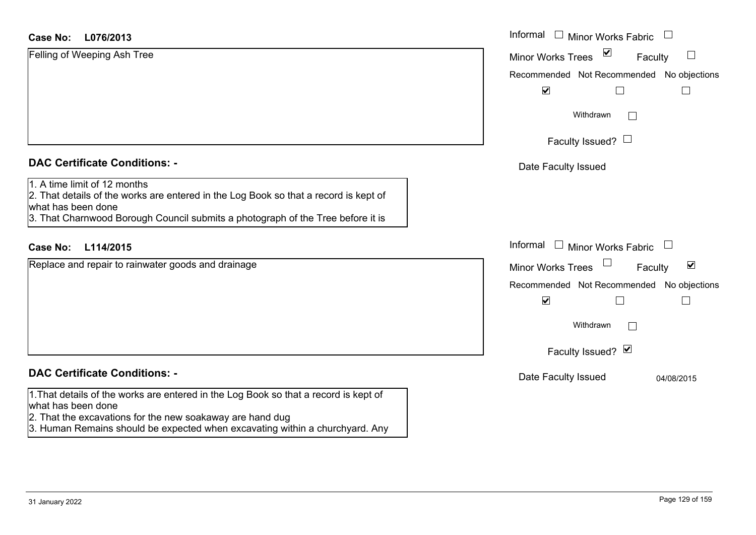#### **L076/2013Case No:**

| <b>Case No:</b><br>L076/2013                                                                                                                                                                                                  | Informal □ Minor Works Fabric                               |
|-------------------------------------------------------------------------------------------------------------------------------------------------------------------------------------------------------------------------------|-------------------------------------------------------------|
| Felling of Weeping Ash Tree                                                                                                                                                                                                   | $\sum$<br><b>Minor Works Trees</b><br>ப<br>Faculty          |
|                                                                                                                                                                                                                               | Recommended Not Recommended No objections                   |
|                                                                                                                                                                                                                               | $\blacktriangledown$<br>$\Box$<br>$\overline{\phantom{a}}$  |
|                                                                                                                                                                                                                               | Withdrawn                                                   |
|                                                                                                                                                                                                                               | Faculty Issued? $\Box$                                      |
| <b>DAC Certificate Conditions: -</b>                                                                                                                                                                                          | Date Faculty Issued                                         |
| 1. A time limit of 12 months<br>2. That details of the works are entered in the Log Book so that a record is kept of<br>what has been done<br>3. That Charnwood Borough Council submits a photograph of the Tree before it is |                                                             |
| <b>Case No:</b><br>L114/2015                                                                                                                                                                                                  | Informal $\Box$ Minor Works Fabric $\Box$                   |
| Replace and repair to rainwater goods and drainage                                                                                                                                                                            | $\blacktriangledown$<br><b>Minor Works Trees</b><br>Faculty |
|                                                                                                                                                                                                                               | Recommended Not Recommended No objections                   |
|                                                                                                                                                                                                                               | $\blacktriangledown$<br>$\Box$<br>$\Box$                    |
|                                                                                                                                                                                                                               | Withdrawn                                                   |
|                                                                                                                                                                                                                               | Faculty Issued? Ø                                           |
| <b>DAC Certificate Conditions: -</b>                                                                                                                                                                                          | Date Faculty Issued<br>04/08/2015                           |
| 1. That details of the works are entered in the Log Book so that a record is kept of<br>what has been done<br>2. That the excavations for the new soakaway are hand dug                                                       |                                                             |

3. Human Remains should be expected when excavating within a churchyard. Any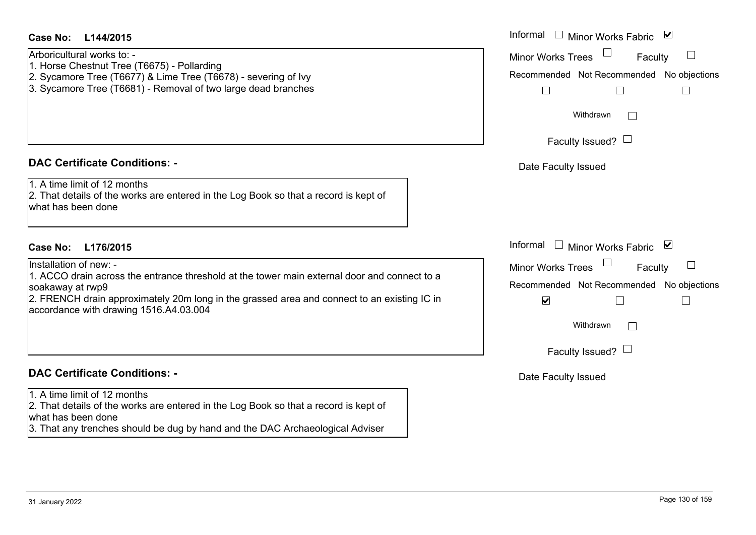#### **L144/2015Case No:** Informal

Arboricultural works to: -

- 1. Horse Chestnut Tree (T6675) Pollarding
- 2. Sycamore Tree (T6677) & Lime Tree (T6678) severing of Ivy
- 3. Sycamore Tree (T6681) Removal of two large dead branches

#### **DAC Certificate Conditions: -**

1. A time limit of 12 months

2. That details of the works are entered in the Log Book so that a record is kept of what has been done

# **L176/2015Case No:** Informal

#### Installation of new: -

1. ACCO drain across the entrance threshold at the tower main external door and connect to a soakaway at rwp9

2. FRENCH drain approximately 20m long in the grassed area and connect to an existing IC in accordance with drawing 1516.A4.03.004

## **DAC Certificate Conditions: -**

#### 1. A time limit of 12 months

2. That details of the works are entered in the Log Book so that a record is kept of what has been done

3. That any trenches should be dug by hand and the DAC Archaeological Adviser

| Informal $\Box$ Minor Works Fabric $\Box$ |   |
|-------------------------------------------|---|
| <b>Minor Works Trees</b><br>Faculty       |   |
| Recommended Not Recommended No objections |   |
|                                           |   |
| Withdrawn                                 |   |
| Faculty Issued? I                         |   |
| Date Faculty Issued                       |   |
|                                           |   |
|                                           |   |
| Informal<br>Minor Works Fabric            | ▁ |
| <b>Minor Works Trees</b><br>Faculty       |   |
| Recommended Not Recommended No objections |   |
| $\blacktriangledown$                      |   |
| Withdrawn                                 |   |
| Faculty Issued? $\Box$                    |   |
|                                           |   |

Date Faculty Issued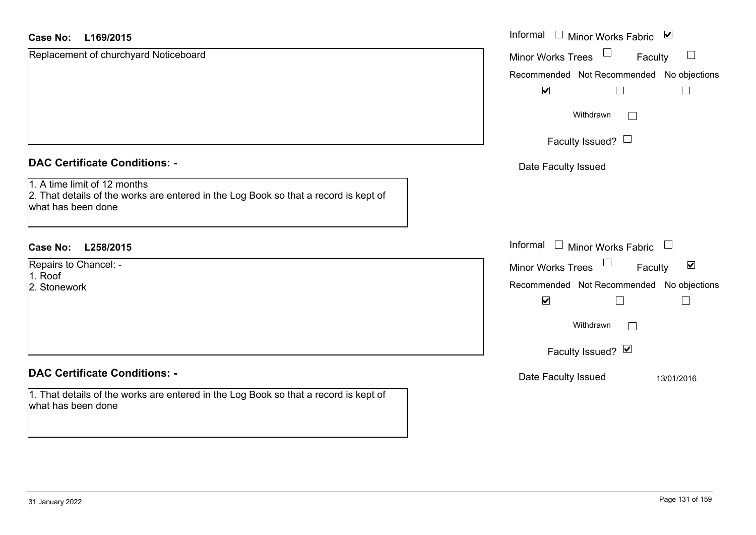| Replacement of churchyard Noticeboard<br>Minor Works Trees<br>Faculty<br>Recommended Not Recommended No objections<br>$\blacktriangledown$ | $\Box$               |
|--------------------------------------------------------------------------------------------------------------------------------------------|----------------------|
|                                                                                                                                            |                      |
|                                                                                                                                            |                      |
|                                                                                                                                            |                      |
| Withdrawn<br>$\mathbb{R}^n$                                                                                                                |                      |
| Faculty Issued? $\Box$                                                                                                                     |                      |
| <b>DAC Certificate Conditions: -</b><br>Date Faculty Issued                                                                                |                      |
| 1. A time limit of 12 months<br>2. That details of the works are entered in the Log Book so that a record is kept of<br>what has been done |                      |
| Informal<br>$\Box$ Minor Works Fabric $\Box$<br><b>Case No:</b><br>L258/2015                                                               |                      |
| Repairs to Chancel: -<br>Minor Works Trees<br>Faculty                                                                                      | $\blacktriangledown$ |
| 1. Roof<br>Recommended Not Recommended No objections<br>2. Stonework                                                                       |                      |
| $\blacktriangledown$                                                                                                                       |                      |
| Withdrawn<br>$\mathbf{L}$                                                                                                                  |                      |
| Faculty Issued? Ø                                                                                                                          |                      |
| <b>DAC Certificate Conditions: -</b><br>Date Faculty Issued                                                                                | 13/01/2016           |
| 1. That details of the works are entered in the Log Book so that a record is kept of<br>what has been done                                 |                      |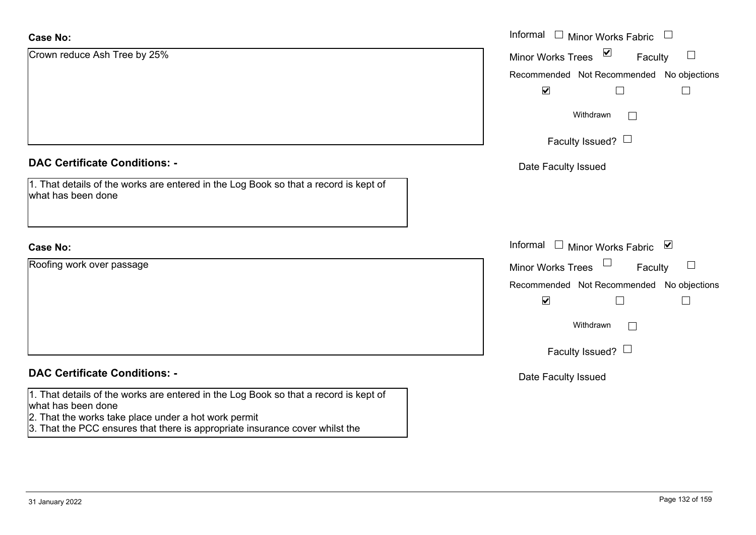| <b>Case No:</b>                                                                                                                                                                                                                                    | Informal □ Minor Works Fabric<br>$\Box$       |
|----------------------------------------------------------------------------------------------------------------------------------------------------------------------------------------------------------------------------------------------------|-----------------------------------------------|
| Crown reduce Ash Tree by 25%                                                                                                                                                                                                                       | $\sum$<br><b>Minor Works Trees</b><br>Faculty |
|                                                                                                                                                                                                                                                    | Recommended Not Recommended No objections     |
|                                                                                                                                                                                                                                                    | $\blacktriangledown$                          |
|                                                                                                                                                                                                                                                    | Withdrawn                                     |
|                                                                                                                                                                                                                                                    | Faculty Issued? $\Box$                        |
| <b>DAC Certificate Conditions: -</b>                                                                                                                                                                                                               | Date Faculty Issued                           |
| 1. That details of the works are entered in the Log Book so that a record is kept of<br>what has been done                                                                                                                                         |                                               |
| <b>Case No:</b>                                                                                                                                                                                                                                    | Informal □ Minor Works Fabric ⊠               |
| Roofing work over passage                                                                                                                                                                                                                          | Minor Works Trees<br>Faculty                  |
|                                                                                                                                                                                                                                                    | Recommended Not Recommended No objections     |
|                                                                                                                                                                                                                                                    | $\blacktriangledown$<br>П                     |
|                                                                                                                                                                                                                                                    | Withdrawn                                     |
|                                                                                                                                                                                                                                                    | Faculty Issued? $\Box$                        |
| <b>DAC Certificate Conditions: -</b>                                                                                                                                                                                                               | Date Faculty Issued                           |
| 1. That details of the works are entered in the Log Book so that a record is kept of<br>what has been done<br>2. That the works take place under a hot work permit<br>3. That the PCC ensures that there is appropriate insurance cover whilst the |                                               |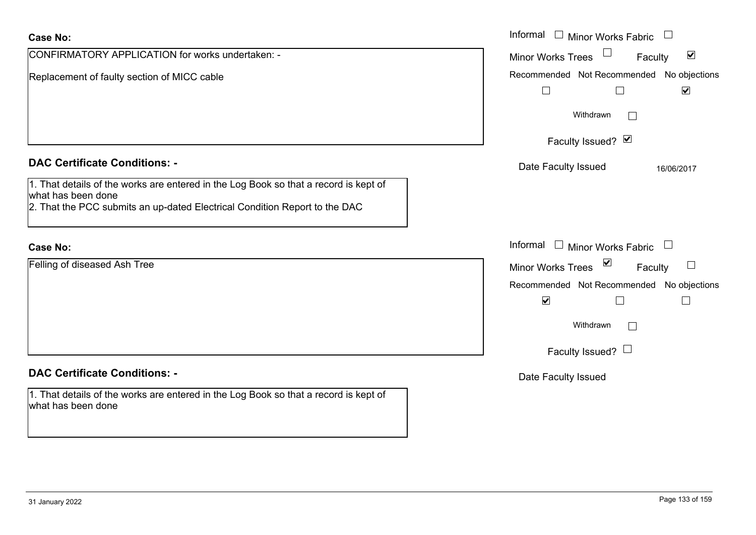| <b>Case No:</b>                                                                                                                                                                                                                  | Informal $\Box$ Minor Works Fabric $\Box$                                                                                                          |
|----------------------------------------------------------------------------------------------------------------------------------------------------------------------------------------------------------------------------------|----------------------------------------------------------------------------------------------------------------------------------------------------|
| CONFIRMATORY APPLICATION for works undertaken: -                                                                                                                                                                                 | $\blacktriangledown$<br><b>Minor Works Trees</b><br>Faculty                                                                                        |
| Replacement of faulty section of MICC cable                                                                                                                                                                                      | Recommended Not Recommended No objections<br>$\blacktriangledown$<br>$\Box$<br>$\perp$                                                             |
|                                                                                                                                                                                                                                  | Withdrawn<br>$\mathbb{R}^n$                                                                                                                        |
|                                                                                                                                                                                                                                  | Faculty Issued? Ø                                                                                                                                  |
| <b>DAC Certificate Conditions: -</b><br>1. That details of the works are entered in the Log Book so that a record is kept of<br>what has been done<br>2. That the PCC submits an up-dated Electrical Condition Report to the DAC | Date Faculty Issued<br>16/06/2017                                                                                                                  |
| <b>Case No:</b>                                                                                                                                                                                                                  | Informal<br>Minor Works Fabric L<br>$\mathbf{1}$                                                                                                   |
| Felling of diseased Ash Tree                                                                                                                                                                                                     | $\blacktriangledown$<br><b>Minor Works Trees</b><br>Faculty<br>Recommended Not Recommended No objections<br>$\blacktriangledown$<br>П<br>Withdrawn |
|                                                                                                                                                                                                                                  | Faculty Issued? $\Box$                                                                                                                             |
| <b>DAC Certificate Conditions: -</b>                                                                                                                                                                                             | Date Faculty Issued                                                                                                                                |
| 1. That details of the works are entered in the Log Book so that a record is kept of<br>what has been done                                                                                                                       |                                                                                                                                                    |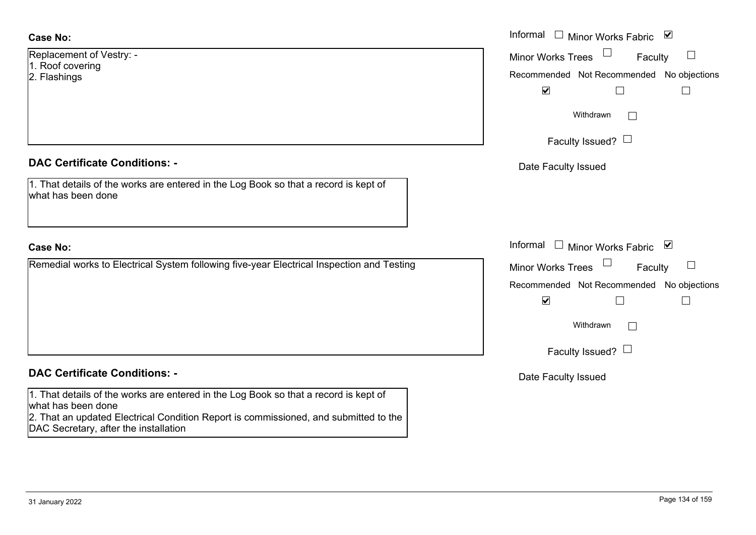#### **Case No:**

| Replacement of Vestry: - |  |  |  |
|--------------------------|--|--|--|
| 1. Roof covering         |  |  |  |
| 2. Flashings             |  |  |  |
|                          |  |  |  |

#### **DAC Certificate Conditions: -**

1. That details of the works are entered in the Log Book so that a record is kept of what has been done

#### **Case No:**

Remedial works to Electrical System following five-year Electrical Inspection and Testing

#### **DAC Certificate Conditions: -**

1. That details of the works are entered in the Log Book so that a record is kept of what has been done

2. That an updated Electrical Condition Report is commissioned, and submitted to the DAC Secretary, after the installation

|                                                                                          | Informal $\Box$ Minor Works Fabric $\Box$                                                                                       |
|------------------------------------------------------------------------------------------|---------------------------------------------------------------------------------------------------------------------------------|
| nent of Vestry: -<br>overing<br>าgs                                                      | Minor Works Trees<br>$\Box$<br>Faculty<br>Recommended Not Recommended No objections                                             |
|                                                                                          | $\blacktriangledown$<br>Withdrawn                                                                                               |
|                                                                                          | Faculty Issued? $\Box$                                                                                                          |
| rtificate Conditions: -                                                                  | Date Faculty Issued                                                                                                             |
| etails of the works are entered in the Log Book so that a record is kept of<br>been done |                                                                                                                                 |
|                                                                                          | Informal<br>□ Minor Works Fabric $\vert \mathbf{v} \vert$                                                                       |
| I works to Electrical System following five-year Electrical Inspection and Testing       | Minor Works Trees $\Box$<br>$\Box$<br>Faculty<br>Recommended Not Recommended No objections<br>$\blacktriangledown$<br>Withdrawn |
|                                                                                          | Faculty Issued? $\Box$                                                                                                          |

Date Faculty Issued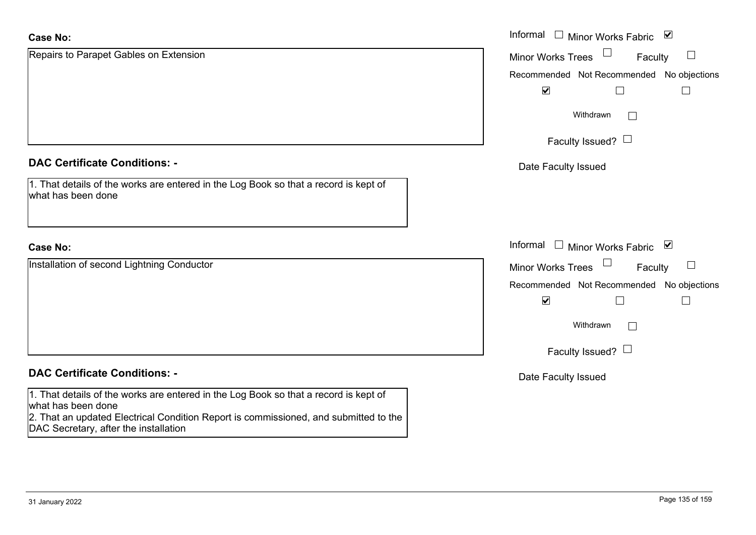| <b>Case No:</b>                                                                                                               | Informal $\square$<br>Minor Works Fabric ⊠    |
|-------------------------------------------------------------------------------------------------------------------------------|-----------------------------------------------|
| Repairs to Parapet Gables on Extension                                                                                        | <b>Minor Works Trees</b><br>$\Box$<br>Faculty |
|                                                                                                                               | Recommended Not Recommended No objections     |
|                                                                                                                               | $\blacktriangledown$                          |
|                                                                                                                               | Withdrawn<br>$\Box$                           |
|                                                                                                                               | Faculty Issued? $\Box$                        |
| <b>DAC Certificate Conditions: -</b>                                                                                          | Date Faculty Issued                           |
| 1. That details of the works are entered in the Log Book so that a record is kept of<br>what has been done                    |                                               |
| <b>Case No:</b>                                                                                                               | Informal $\square$<br>Minor Works Fabric ⊠    |
| Installation of second Lightning Conductor                                                                                    | $\Box$<br><b>Minor Works Trees</b><br>Faculty |
|                                                                                                                               | Recommended Not Recommended No objections     |
|                                                                                                                               | $\blacktriangledown$<br>$\Box$                |
|                                                                                                                               | Withdrawn<br>$\Box$                           |
|                                                                                                                               | Faculty Issued? $\Box$                        |
| <b>DAC Certificate Conditions: -</b>                                                                                          | Date Faculty Issued                           |
| 1. That details of the works are entered in the Log Book so that a record is kept of<br>what has been done                    |                                               |
| 2. That an updated Electrical Condition Report is commissioned, and submitted to the<br>DAC Secretary, after the installation |                                               |

÷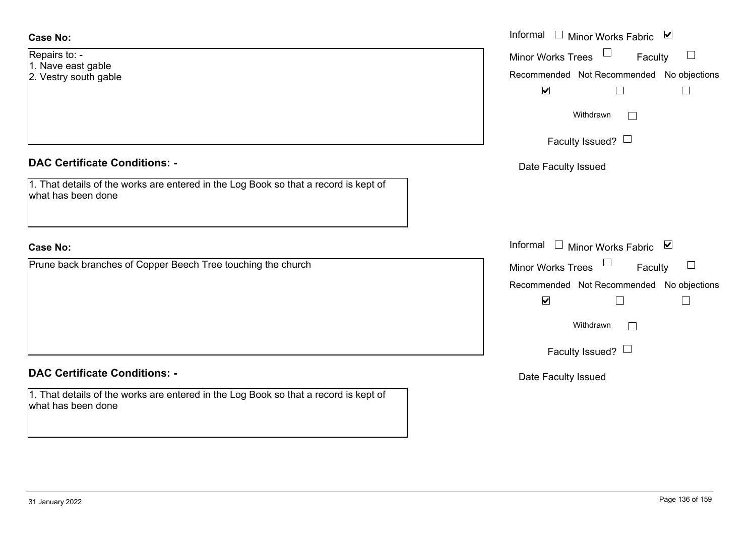#### **Case No:**

- Repairs to: 1. Nave east gable
- 2. Vestry south gable

# **DAC Certificate Conditions: -**

| 1. That details of the works are entered in the Log Book so that a record is kept of |  |
|--------------------------------------------------------------------------------------|--|
| what has been done                                                                   |  |

#### **Case No:**

Prune back branches of Copper Beech Tree touching the church

# **DAC Certificate Conditions: -**

1. That details of the works are entered in the Log Book so that a record is kept of what has been done

|                                                                                          | Informal □ Minor Works Fabric ☑                                                                                                                              |
|------------------------------------------------------------------------------------------|--------------------------------------------------------------------------------------------------------------------------------------------------------------|
| 0:<br>east gable<br>south gable                                                          | Minor Works Trees $\Box$ Faculty<br>$\Box$<br>Recommended Not Recommended No objections<br>$\blacktriangledown$<br>$\Box$                                    |
|                                                                                          | Withdrawn<br>Faculty Issued? $\Box$                                                                                                                          |
| rtificate Conditions: -                                                                  | Date Faculty Issued                                                                                                                                          |
| etails of the works are entered in the Log Book so that a record is kept of<br>been done |                                                                                                                                                              |
|                                                                                          | Informal □ Minor Works Fabric ⊠                                                                                                                              |
| ck branches of Copper Beech Tree touching the church                                     | Minor Works Trees<br>Faculty<br>$\Box$<br>Recommended Not Recommended No objections<br>$\blacktriangledown$<br>$\Box$<br>Withdrawn<br>Faculty Issued? $\Box$ |
| rtificate Conditions: -                                                                  | Date Faculty Issued                                                                                                                                          |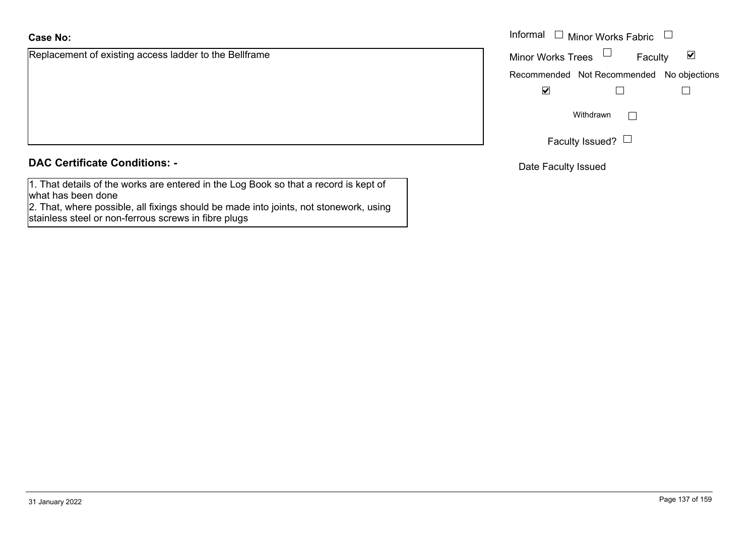Replacement of existing access ladder to the Bellframe

#### **DAC Certificate Conditions: -**

1. That details of the works are entered in the Log Book so that a record is kept of what has been done

2. That, where possible, all fixings should be made into joints, not stonework, using stainless steel or non-ferrous screws in fibre plugs

|                                                 | Informal $\Box$ Minor Works Fabric $\Box$ |                        |         |   |  |
|-------------------------------------------------|-------------------------------------------|------------------------|---------|---|--|
| nent of existing access ladder to the Bellframe | Minor Works Trees $\Box$                  |                        | Faculty | ⊻ |  |
|                                                 | Recommended Not Recommended No objections |                        |         |   |  |
|                                                 | <u>V</u>                                  |                        |         |   |  |
|                                                 |                                           | Withdrawn              |         |   |  |
|                                                 |                                           | Faculty Issued? $\Box$ |         |   |  |

Date Faculty Issued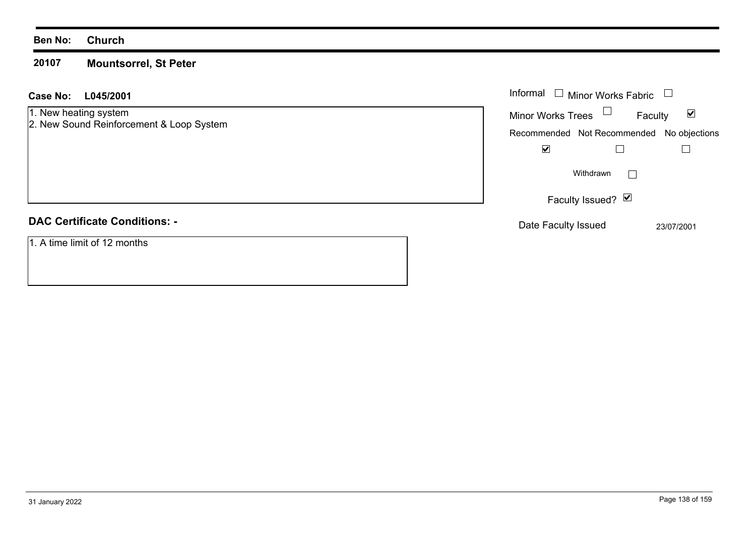#### **Ben No: Church**

#### **20107Mountsorrel, St Peter**

| Case No: L045/2001 |  | Informal |
|--------------------|--|----------|
|                    |  |          |

## 1. New heating system

2. New Sound Reinforcement & Loop System

# **DAC Certificate Conditions: -**

1. A time limit of 12 months

| Informal<br><b>Minor Works Fabric</b>     |              |
|-------------------------------------------|--------------|
| <b>Minor Works Trees</b>                  | M<br>Faculty |
| Recommended Not Recommended No objections |              |
|                                           |              |
| Withdrawn                                 |              |
| Faculty Issued? Ø                         |              |
| Date Faculty Issued                       | 23/07/2001   |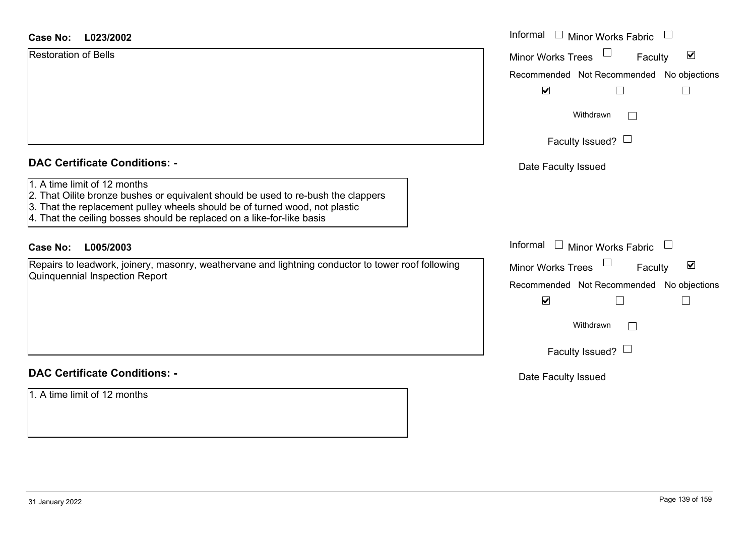| <b>Restoration of Bells</b> |
|-----------------------------|
|                             |
|                             |

#### **DAC Certificate Conditions: -**

- 1. A time limit of 12 months
- 2. That Oilite bronze bushes or equivalent should be used to re-bush the clappers
- 3. That the replacement pulley wheels should be of turned wood, not plastic
- 4. That the ceiling bosses should be replaced on a like-for-like basis

# **DAC Certificate Conditions: -**

1. A time limit of 12 months

| <b>Case No:</b><br>L023/2002                                                                                                                                                                                                               | Informal $\Box$ Minor Works Fabric                                                                                                                                                      |
|--------------------------------------------------------------------------------------------------------------------------------------------------------------------------------------------------------------------------------------------|-----------------------------------------------------------------------------------------------------------------------------------------------------------------------------------------|
| <b>Restoration of Bells</b><br><b>DAC Certificate Conditions: -</b><br>1. A time limit of 12 months                                                                                                                                        | $\blacktriangledown$<br>Minor Works Trees<br>Faculty<br>Recommended Not Recommended No objections<br>$\blacktriangledown$<br>Withdrawn<br>Faculty Issued? $\Box$<br>Date Faculty Issued |
| 2. That Oilite bronze bushes or equivalent should be used to re-bush the clappers<br>3. That the replacement pulley wheels should be of turned wood, not plastic<br>4. That the ceiling bosses should be replaced on a like-for-like basis |                                                                                                                                                                                         |
| <b>Case No:</b><br>L005/2003                                                                                                                                                                                                               | Informal $\Box$ Minor Works Fabric                                                                                                                                                      |
| Repairs to leadwork, joinery, masonry, weathervane and lightning conductor to tower roof following<br>Quinquennial Inspection Report                                                                                                       | $\blacktriangledown$<br><b>Minor Works Trees</b><br>Faculty<br>Recommended Not Recommended No objections<br>$\blacktriangledown$<br>Withdrawn                                           |
|                                                                                                                                                                                                                                            | Faculty Issued? $\Box$                                                                                                                                                                  |
| <b>DAC Certificate Conditions: -</b>                                                                                                                                                                                                       | Date Faculty Issued                                                                                                                                                                     |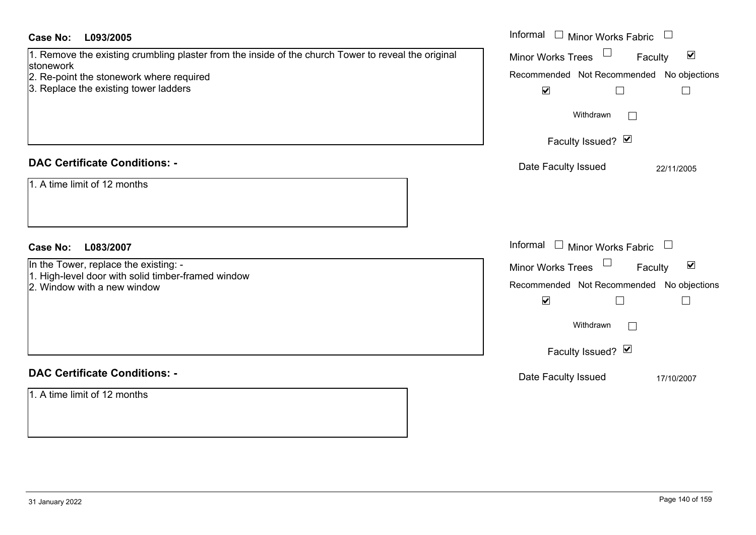| <b>Case No:</b><br>L093/2005                                                                                     | Informal $\Box$ Minor Works Fabric $\Box$                   |
|------------------------------------------------------------------------------------------------------------------|-------------------------------------------------------------|
| 1. Remove the existing crumbling plaster from the inside of the church Tower to reveal the original<br>stonework | $\blacktriangledown$<br><b>Minor Works Trees</b><br>Faculty |
| 2. Re-point the stonework where required                                                                         | Recommended Not Recommended No objections                   |
| 3. Replace the existing tower ladders                                                                            | $\blacktriangledown$<br>$\Box$<br>$\Box$                    |
|                                                                                                                  | Withdrawn<br>$\Box$                                         |
|                                                                                                                  | Faculty Issued? Ø                                           |
| <b>DAC Certificate Conditions: -</b>                                                                             | Date Faculty Issued<br>22/11/2005                           |
| 1. A time limit of 12 months                                                                                     |                                                             |
| <b>Case No:</b><br>L083/2007                                                                                     | Informal $\Box$ Minor Works Fabric $\Box$                   |
| In the Tower, replace the existing: -                                                                            | Minor Works Trees<br>$\blacktriangledown$<br>Faculty        |
| 1. High-level door with solid timber-framed window                                                               | Recommended Not Recommended No objections                   |
| 2. Window with a new window                                                                                      |                                                             |
|                                                                                                                  | $\blacktriangledown$<br>$\Box$<br>$\Box$                    |
|                                                                                                                  | Withdrawn<br>$\Box$                                         |
|                                                                                                                  | Faculty Issued? Ø                                           |
| <b>DAC Certificate Conditions: -</b>                                                                             | Date Faculty Issued<br>17/10/2007                           |
| 1. A time limit of 12 months                                                                                     |                                                             |
|                                                                                                                  |                                                             |
|                                                                                                                  |                                                             |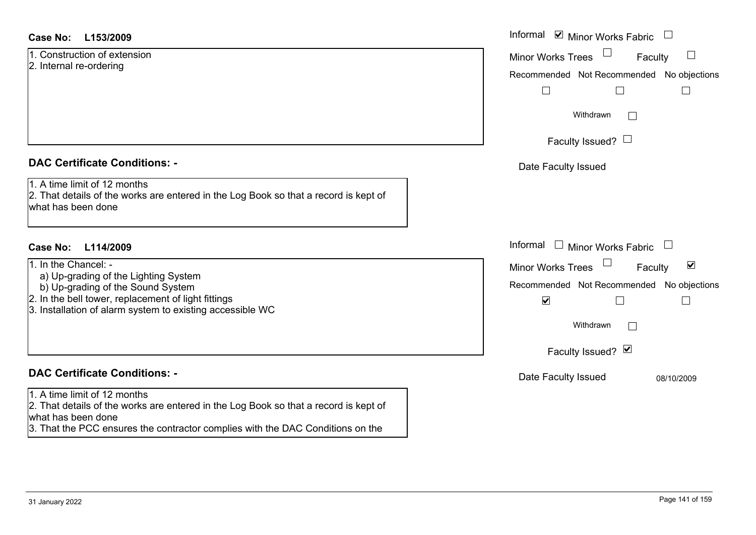#### **L153/2009Case No:** Informal

1. Construction of extension2. Internal re-ordering

#### **DAC Certificate Conditions: -**

1. A time limit of 12 months

2. That details of the works are entered in the Log Book so that a record is kept of what has been done

# **L114/2009Case No:** Informal

- 1. In the Chancel: -
- a) Up-grading of the Lighting System
- b) Up-grading of the Sound System
- 2. In the bell tower, replacement of light fittings
- 3. Installation of alarm system to existing accessible WC

# **DAC Certificate Conditions: -**

#### 1. A time limit of 12 months

2. That details of the works are entered in the Log Book so that a record is kept of what has been done

3. That the PCC ensures the contractor complies with the DAC Conditions on the

| Informal ☑ Minor Works Fabric                  |  |
|------------------------------------------------|--|
| <b>Minor Works Trees</b><br>Faculty            |  |
| Recommended Not Recommended No objections      |  |
| Withdrawn                                      |  |
| Faculty Issued? $\Box$                         |  |
| Date Faculty Issued                            |  |
|                                                |  |
| Informal<br>$\Box$ Minor Works Fabric          |  |
| ⊻<br><b>Minor Works Trees</b><br>Faculty       |  |
| Recommended Not Recommended No objections<br>V |  |
| Withdrawn                                      |  |
| Faculty Issued? Ø                              |  |
| Date Faculty Issued<br>08/10/2009              |  |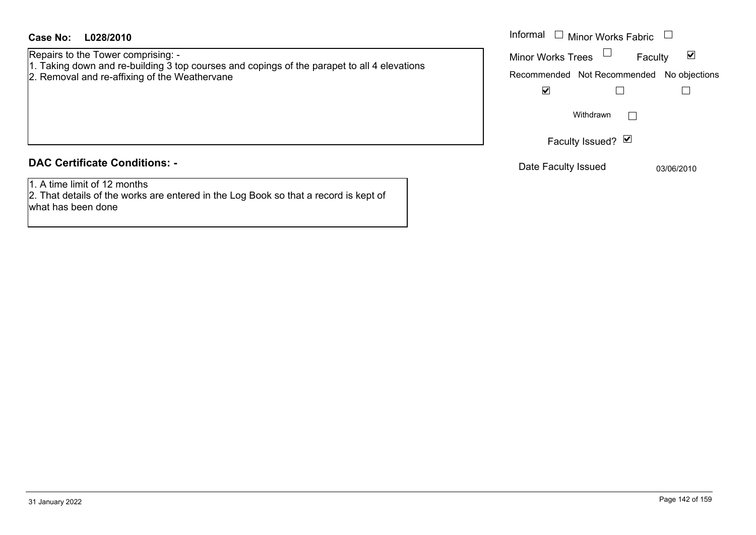Repairs to the Tower comprising: - 1. Taking down and re-building 3 top courses and copings of the parapet to all 4 elevations

- 
- 2. Removal and re-affixing of the Weathervane

#### **DAC Certificate Conditions: -**

1. A time limit of 12 months

2. That details of the works are entered in the Log Book so that a record is kept of what has been done

| Informal<br>Minor Works Fabric            |                   |         |            |  |
|-------------------------------------------|-------------------|---------|------------|--|
| <b>Minor Works Trees</b>                  |                   | Faculty | M          |  |
| Recommended Not Recommended No objections |                   |         |            |  |
|                                           |                   |         |            |  |
|                                           | Withdrawn         |         |            |  |
|                                           | Faculty Issued? Ø |         |            |  |
| Date Faculty Issued                       |                   |         | 03/06/2010 |  |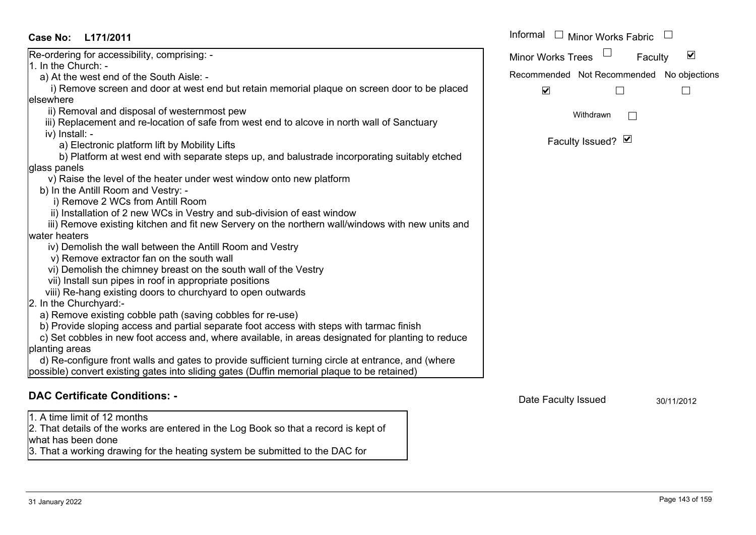| <b>Case No:</b>        | L171/2011                                                                                          | Informal             |                     | <b>Minor Works Fabric</b> |                                           |
|------------------------|----------------------------------------------------------------------------------------------------|----------------------|---------------------|---------------------------|-------------------------------------------|
|                        | Re-ordering for accessibility, comprising: -                                                       | Minor Works Trees    |                     | Faculty                   | $\blacktriangledown$                      |
| 1. In the Church: -    |                                                                                                    |                      |                     |                           |                                           |
|                        | a) At the west end of the South Aisle: -                                                           |                      |                     |                           | Recommended Not Recommended No objections |
|                        | i) Remove screen and door at west end but retain memorial plaque on screen door to be placed       | $\blacktriangledown$ |                     |                           |                                           |
| elsewhere              |                                                                                                    |                      |                     |                           |                                           |
|                        | ii) Removal and disposal of westernmost pew                                                        |                      | Withdrawn           |                           |                                           |
|                        | iii) Replacement and re-location of safe from west end to alcove in north wall of Sanctuary        |                      |                     |                           |                                           |
| iv) Install: -         |                                                                                                    |                      |                     |                           |                                           |
|                        | a) Electronic platform lift by Mobility Lifts                                                      |                      | Faculty Issued? Ø   |                           |                                           |
|                        | b) Platform at west end with separate steps up, and balustrade incorporating suitably etched       |                      |                     |                           |                                           |
| glass panels           |                                                                                                    |                      |                     |                           |                                           |
|                        | v) Raise the level of the heater under west window onto new platform                               |                      |                     |                           |                                           |
|                        | b) In the Antill Room and Vestry: -                                                                |                      |                     |                           |                                           |
|                        | i) Remove 2 WCs from Antill Room                                                                   |                      |                     |                           |                                           |
|                        | ii) Installation of 2 new WCs in Vestry and sub-division of east window                            |                      |                     |                           |                                           |
|                        | iii) Remove existing kitchen and fit new Servery on the northern wall/windows with new units and   |                      |                     |                           |                                           |
| water heaters          |                                                                                                    |                      |                     |                           |                                           |
|                        | iv) Demolish the wall between the Antill Room and Vestry                                           |                      |                     |                           |                                           |
|                        | v) Remove extractor fan on the south wall                                                          |                      |                     |                           |                                           |
|                        | vi) Demolish the chimney breast on the south wall of the Vestry                                    |                      |                     |                           |                                           |
|                        | vii) Install sun pipes in roof in appropriate positions                                            |                      |                     |                           |                                           |
|                        | viii) Re-hang existing doors to churchyard to open outwards                                        |                      |                     |                           |                                           |
| 2. In the Churchyard:- |                                                                                                    |                      |                     |                           |                                           |
|                        | a) Remove existing cobble path (saving cobbles for re-use)                                         |                      |                     |                           |                                           |
|                        | b) Provide sloping access and partial separate foot access with steps with tarmac finish           |                      |                     |                           |                                           |
|                        | c) Set cobbles in new foot access and, where available, in areas designated for planting to reduce |                      |                     |                           |                                           |
| planting areas         | d) Re-configure front walls and gates to provide sufficient turning circle at entrance, and (where |                      |                     |                           |                                           |
|                        |                                                                                                    |                      |                     |                           |                                           |
|                        | possible) convert existing gates into sliding gates (Duffin memorial plaque to be retained)        |                      |                     |                           |                                           |
|                        | <b>DAC Certificate Conditions: -</b>                                                               |                      |                     |                           |                                           |
|                        |                                                                                                    |                      | Date Faculty Issued |                           | 30/11/2012                                |

1. A time limit of 12 months

2. That details of the works are entered in the Log Book so that a record is kept of what has been done

3. That a working drawing for the heating system be submitted to the DAC for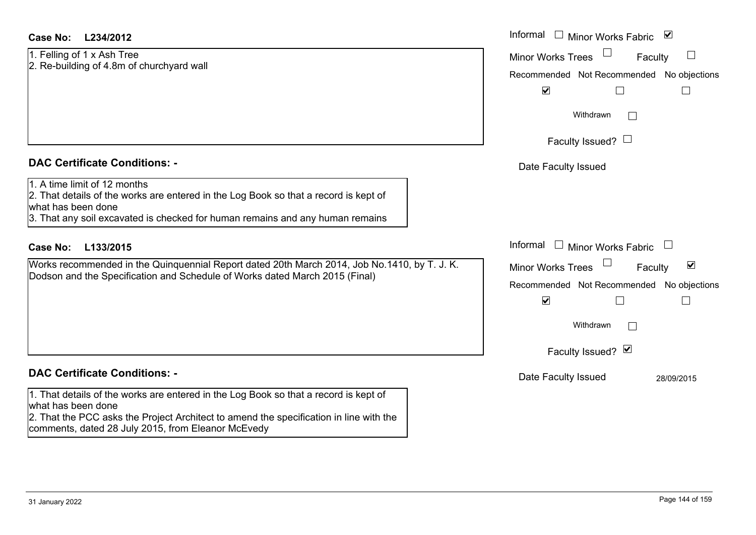| Case No: | L234/2012 |
|----------|-----------|
|----------|-----------|

#### 1. Felling of 1 x Ash Tree 2. Re-building of 4.8m of churchyard wall

#### **DAC Certificate Conditions: -**

#### 1. A time limit of 12 months

## **DAC Certificate Conditions: -**

1. That details of the works are entered in the Log Book so that a record is kept of what has been done 2. That the PCC asks the Project Architect to amend the specification in line with the

comments, dated 28 July 2015, from Eleanor McEvedy

| <b>Case No:</b><br>L234/2012                                                                                                                                                                                                | Informal $\Box$ Minor Works Fabric $\Box$                                                                                           |  |  |  |  |
|-----------------------------------------------------------------------------------------------------------------------------------------------------------------------------------------------------------------------------|-------------------------------------------------------------------------------------------------------------------------------------|--|--|--|--|
| 1. Felling of 1 x Ash Tree<br>2. Re-building of 4.8m of churchyard wall                                                                                                                                                     | <b>Minor Works Trees</b><br>$\Box$<br>Faculty<br>Recommended Not Recommended No objections                                          |  |  |  |  |
|                                                                                                                                                                                                                             | $\blacktriangledown$<br>$\Box$                                                                                                      |  |  |  |  |
|                                                                                                                                                                                                                             | Withdrawn                                                                                                                           |  |  |  |  |
|                                                                                                                                                                                                                             | Faculty Issued? $\Box$                                                                                                              |  |  |  |  |
| <b>DAC Certificate Conditions: -</b>                                                                                                                                                                                        | Date Faculty Issued                                                                                                                 |  |  |  |  |
| 1. A time limit of 12 months<br>2. That details of the works are entered in the Log Book so that a record is kept of<br>what has been done<br>3. That any soil excavated is checked for human remains and any human remains |                                                                                                                                     |  |  |  |  |
| <b>Case No:</b><br>L133/2015                                                                                                                                                                                                | Informal $\Box$ Minor Works Fabric $\Box$                                                                                           |  |  |  |  |
| Works recommended in the Quinquennial Report dated 20th March 2014, Job No.1410, by T. J. K.<br>Dodson and the Specification and Schedule of Works dated March 2015 (Final)                                                 | $\blacktriangledown$<br>Minor Works Trees<br>Faculty<br>Recommended Not Recommended No objections<br>$\blacktriangledown$<br>$\Box$ |  |  |  |  |
|                                                                                                                                                                                                                             | Withdrawn                                                                                                                           |  |  |  |  |
|                                                                                                                                                                                                                             | Faculty Issued? Ø                                                                                                                   |  |  |  |  |
| <b>DAC Certificate Conditions: -</b>                                                                                                                                                                                        | Date Faculty Issued<br>28/09/2015                                                                                                   |  |  |  |  |
| 1. That details of the works are entered in the Log Book so that a record is kept of                                                                                                                                        |                                                                                                                                     |  |  |  |  |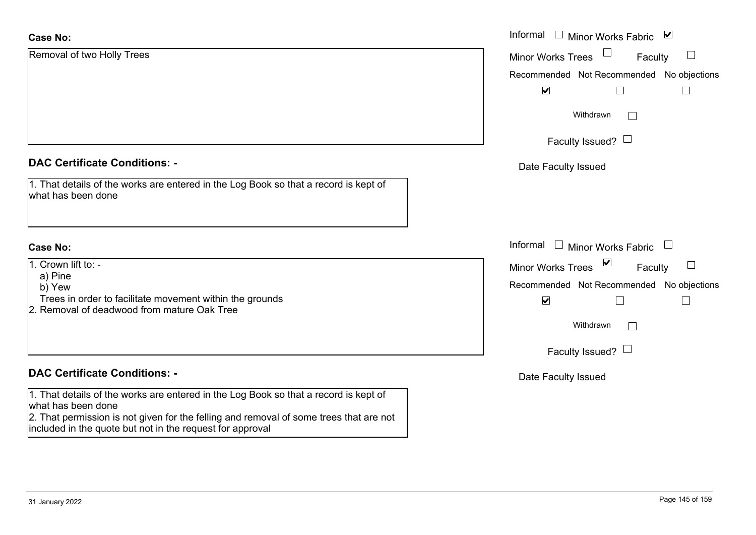| <b>Case No:</b>                                                                                              | Informal<br>Minor Works Fabric ⊠<br>$\mathcal{L}$           |
|--------------------------------------------------------------------------------------------------------------|-------------------------------------------------------------|
| Removal of two Holly Trees                                                                                   | <b>Minor Works Trees</b><br>Faculty                         |
|                                                                                                              | Recommended Not Recommended No                              |
|                                                                                                              | $\blacktriangledown$                                        |
|                                                                                                              | Withdrawn                                                   |
|                                                                                                              | Faculty Issued? $\Box$                                      |
| <b>DAC Certificate Conditions: -</b>                                                                         | Date Faculty Issued                                         |
| 1. That details of the works are entered in the Log Book so that a record is kept of<br>what has been done   |                                                             |
| <b>Case No:</b>                                                                                              | Informal $\Box$ Minor Works Fabric $\Box$                   |
| 1. Crown lift to: -                                                                                          | $\boxed{\mathbf{v}}$<br><b>Minor Works Trees</b><br>Faculty |
| a) Pine<br>b) Yew                                                                                            | Recommended Not Recommended No                              |
| Trees in order to facilitate movement within the grounds                                                     | $\blacktriangledown$<br>L                                   |
| 2. Removal of deadwood from mature Oak Tree                                                                  |                                                             |
|                                                                                                              | Withdrawn<br>$\Box$                                         |
|                                                                                                              | Faculty Issued? $\Box$                                      |
| <b>DAC Certificate Conditions: -</b>                                                                         | Date Faculty Issued                                         |
| 1. That details of the works are entered in the Log Book so that a record is kept of                         |                                                             |
| what has been done<br>2. That permission is not given for the felling and removal of some trees that are not |                                                             |
| included in the quote but not in the request for approval                                                    |                                                             |
|                                                                                                              |                                                             |

objections

 $\Box$ 

 $\Box$ 

objections

 $\hfill \square$ 

 $\Box$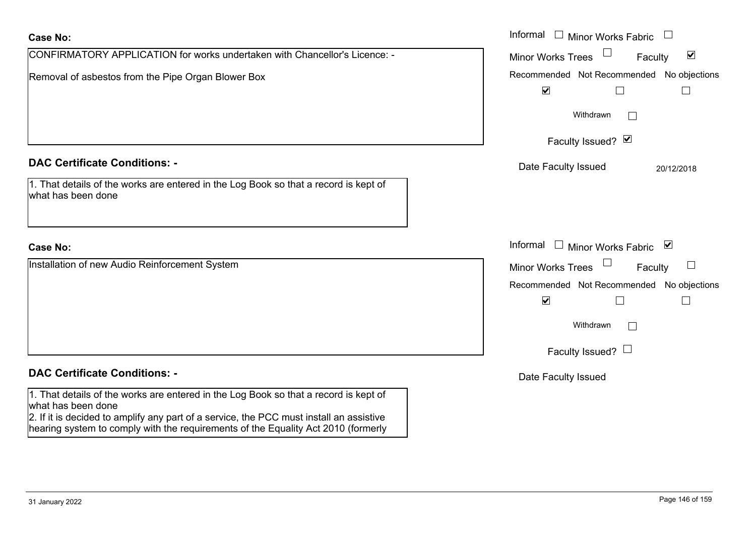| <b>Case No:</b>                                                                                                                                                                                       | Informal $\Box$ Minor Works Fabric $\Box$                                   |
|-------------------------------------------------------------------------------------------------------------------------------------------------------------------------------------------------------|-----------------------------------------------------------------------------|
| CONFIRMATORY APPLICATION for works undertaken with Chancellor's Licence: -                                                                                                                            | $\blacktriangledown$<br><b>Minor Works Trees</b><br>Faculty                 |
| Removal of asbestos from the Pipe Organ Blower Box                                                                                                                                                    | Recommended Not Recommended No objections<br>$\blacktriangledown$<br>$\Box$ |
|                                                                                                                                                                                                       | Withdrawn                                                                   |
|                                                                                                                                                                                                       | Faculty Issued? Ø                                                           |
| <b>DAC Certificate Conditions: -</b>                                                                                                                                                                  | Date Faculty Issued<br>20/12/2018                                           |
| 1. That details of the works are entered in the Log Book so that a record is kept of<br>what has been done                                                                                            |                                                                             |
| <b>Case No:</b>                                                                                                                                                                                       | Informal □ Minor Works Fabric ⊠                                             |
| Installation of new Audio Reinforcement System                                                                                                                                                        | $\sqcup$<br><b>Minor Works Trees</b><br>Faculty                             |
|                                                                                                                                                                                                       | Recommended Not Recommended No objections                                   |
|                                                                                                                                                                                                       | $\blacktriangledown$<br>L                                                   |
|                                                                                                                                                                                                       | Withdrawn                                                                   |
|                                                                                                                                                                                                       | Faculty Issued? $\Box$                                                      |
| <b>DAC Certificate Conditions: -</b>                                                                                                                                                                  | Date Faculty Issued                                                         |
| 1. That details of the works are entered in the Log Book so that a record is kept of<br>what has been done<br>2. If it is decided to amplify any part of a service, the PCC must install an assistive |                                                                             |

hearing system to comply with the requirements of the Equality Act 2010 (formerly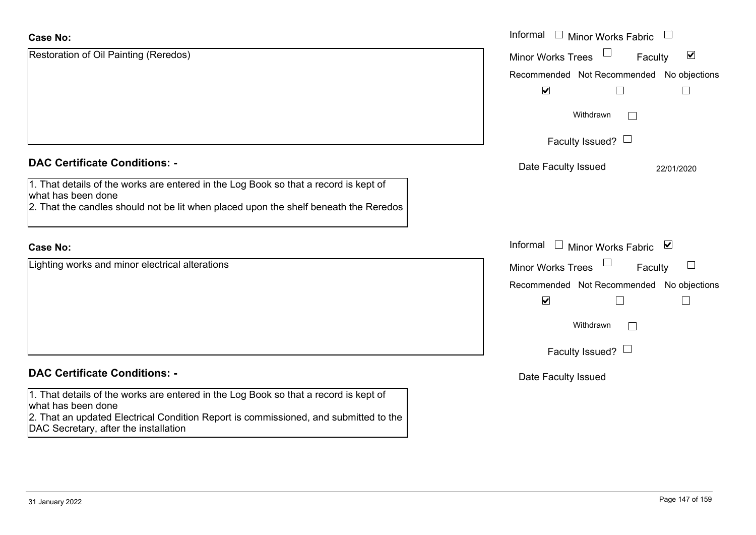| <b>Case No:</b>                                                                                                                                                                                    | Informal $\Box$ Minor Works Fabric $\Box$                             |
|----------------------------------------------------------------------------------------------------------------------------------------------------------------------------------------------------|-----------------------------------------------------------------------|
| Restoration of Oil Painting (Reredos)                                                                                                                                                              | $\Box$<br>$\blacktriangledown$<br><b>Minor Works Trees</b><br>Faculty |
|                                                                                                                                                                                                    | Recommended Not Recommended No objections                             |
|                                                                                                                                                                                                    | $\blacktriangledown$<br>$\perp$                                       |
|                                                                                                                                                                                                    | Withdrawn<br>$\vert \ \ \vert$                                        |
|                                                                                                                                                                                                    | Faculty Issued? $\Box$                                                |
| <b>DAC Certificate Conditions: -</b>                                                                                                                                                               | Date Faculty Issued<br>22/01/2020                                     |
| 1. That details of the works are entered in the Log Book so that a record is kept of<br>what has been done<br>2. That the candles should not be lit when placed upon the shelf beneath the Reredos |                                                                       |
| <b>Case No:</b>                                                                                                                                                                                    | Informal<br>$\Box$ Minor Works Fabric $\boxtimes$                     |
| Lighting works and minor electrical alterations                                                                                                                                                    | Minor Works Trees<br>Faculty                                          |
|                                                                                                                                                                                                    | Recommended Not Recommended No objections                             |
|                                                                                                                                                                                                    | $\blacktriangledown$<br>L                                             |
|                                                                                                                                                                                                    | Withdrawn                                                             |
|                                                                                                                                                                                                    | Faculty Issued? $\Box$                                                |
| <b>DAC Certificate Conditions: -</b>                                                                                                                                                               | Date Faculty Issued                                                   |
| 1. That details of the works are entered in the Log Book so that a record is kept of<br>what has been done<br>2. That an updated Electrical Condition Report is commissioned, and submitted to the |                                                                       |
| DAC Secretary, after the installation                                                                                                                                                              |                                                                       |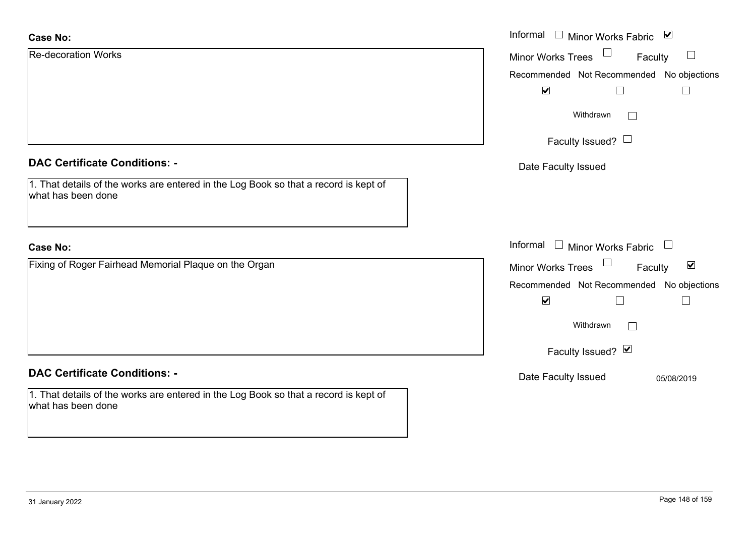| <b>Case No:</b>                                                                                            | Informal $\Box$ Minor Works Fabric $\Box$            |
|------------------------------------------------------------------------------------------------------------|------------------------------------------------------|
| <b>Re-decoration Works</b>                                                                                 | $\Box$<br>Minor Works Trees<br>Faculty               |
|                                                                                                            | Recommended Not Recommended No objections            |
|                                                                                                            | $\blacktriangledown$                                 |
|                                                                                                            | Withdrawn<br>$\vert \ \ \vert$                       |
|                                                                                                            | Faculty Issued? $\Box$                               |
| <b>DAC Certificate Conditions: -</b>                                                                       | Date Faculty Issued                                  |
| 1. That details of the works are entered in the Log Book so that a record is kept of<br>what has been done |                                                      |
| <b>Case No:</b>                                                                                            | Informal $\Box$ Minor Works Fabric $\Box$            |
| Fixing of Roger Fairhead Memorial Plaque on the Organ                                                      | Minor Works Trees<br>$\blacktriangledown$<br>Faculty |
|                                                                                                            | Recommended Not Recommended No objections            |
|                                                                                                            | $\blacktriangledown$<br>$\mathbf{I}$                 |
|                                                                                                            | Withdrawn<br>$\Box$                                  |
|                                                                                                            | Faculty Issued? Ø                                    |
| <b>DAC Certificate Conditions: -</b>                                                                       | Date Faculty Issued<br>05/08/2019                    |
| 1. That details of the works are entered in the Log Book so that a record is kept of<br>what has been done |                                                      |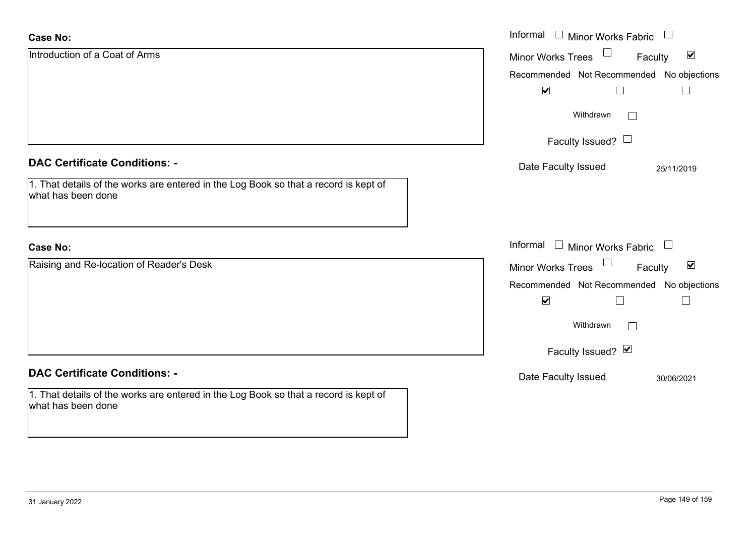| <b>Case No:</b>                                                                                            | Informal<br><b>Minor Works Fabric</b>                       |
|------------------------------------------------------------------------------------------------------------|-------------------------------------------------------------|
| Introduction of a Coat of Arms                                                                             | $\blacktriangledown$<br>Minor Works Trees<br>Faculty        |
|                                                                                                            | Recommended Not Recommended<br>No objections                |
|                                                                                                            | $\blacktriangledown$                                        |
|                                                                                                            | Withdrawn                                                   |
|                                                                                                            | Faculty Issued? $\Box$                                      |
| <b>DAC Certificate Conditions: -</b>                                                                       | Date Faculty Issued<br>25/11/2019                           |
| 1. That details of the works are entered in the Log Book so that a record is kept of<br>what has been done |                                                             |
| <b>Case No:</b>                                                                                            | Informal $\Box$ Minor Works Fabric $\Box$                   |
| Raising and Re-location of Reader's Desk                                                                   | $\blacktriangledown$<br><b>Minor Works Trees</b><br>Faculty |
|                                                                                                            | Recommended Not Recommended No objections                   |
|                                                                                                            | $\blacktriangledown$<br>$\perp$                             |
|                                                                                                            | Withdrawn                                                   |
|                                                                                                            | Faculty Issued? Ø                                           |
| <b>DAC Certificate Conditions: -</b>                                                                       | Date Faculty Issued<br>30/06/2021                           |
| 1. That details of the works are entered in the Log Book so that a record is kept of<br>what has been done |                                                             |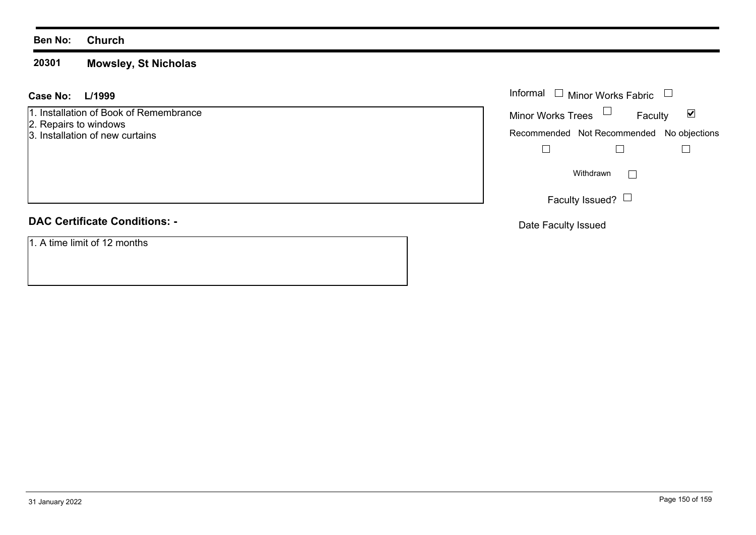### **Ben No: Church**

#### **20301Mowsley, St Nicholas**

#### **L/1999 Case No:**

1. Installation of Book of Remembrance

- 2. Repairs to windows
- 3. Installation of new curtains

# **DAC Certificate Conditions: -**

1. A time limit of 12 months

| L/1999<br>$\mathbf{L}$                       |                          |                        | Informal $\Box$ Minor Works Fabric $\Box$ |                                           |
|----------------------------------------------|--------------------------|------------------------|-------------------------------------------|-------------------------------------------|
| ation of Book of Remembrance<br>s to windows | Minor Works Trees $\Box$ |                        | Faculty                                   | ⊻                                         |
| ation of new curtains                        |                          |                        |                                           | Recommended Not Recommended No objections |
|                                              |                          |                        |                                           |                                           |
|                                              |                          | Withdrawn              |                                           |                                           |
|                                              |                          | Faculty Issued? $\Box$ |                                           |                                           |

Date Faculty Issued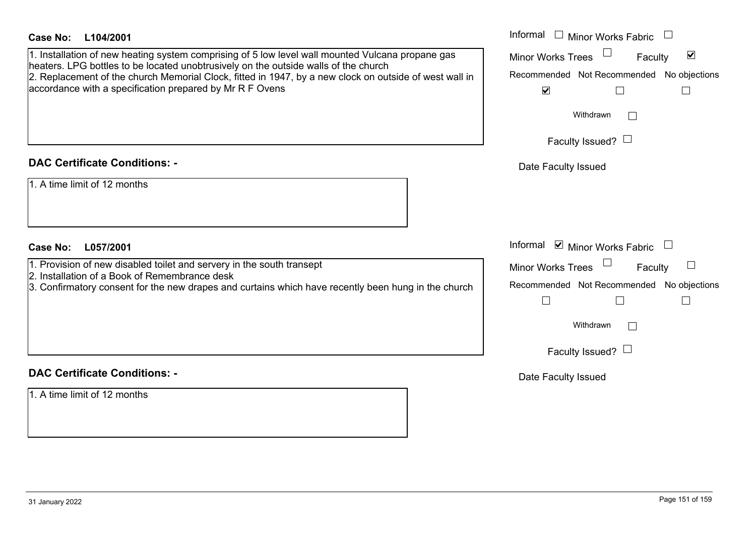| <b>Case No:</b><br>L104/2001                                                                                                                                                                                                                                                                      | Informal $\Box$ Minor Works Fabric $\Box$                                                         |
|---------------------------------------------------------------------------------------------------------------------------------------------------------------------------------------------------------------------------------------------------------------------------------------------------|---------------------------------------------------------------------------------------------------|
| 1. Installation of new heating system comprising of 5 low level wall mounted Vulcana propane gas<br>heaters. LPG bottles to be located unobtrusively on the outside walls of the church<br>2. Replacement of the church Memorial Clock, fitted in 1947, by a new clock on outside of west wall in | Minor Works Trees<br>$\blacktriangledown$<br>Faculty<br>Recommended Not Recommended No objections |
| accordance with a specification prepared by Mr R F Ovens                                                                                                                                                                                                                                          | $\blacktriangledown$<br>$\Box$                                                                    |
|                                                                                                                                                                                                                                                                                                   | Withdrawn                                                                                         |
|                                                                                                                                                                                                                                                                                                   | Faculty Issued? $\Box$                                                                            |
| <b>DAC Certificate Conditions: -</b>                                                                                                                                                                                                                                                              | Date Faculty Issued                                                                               |
| 1. A time limit of 12 months                                                                                                                                                                                                                                                                      |                                                                                                   |
|                                                                                                                                                                                                                                                                                                   |                                                                                                   |
| <b>Case No:</b><br>L057/2001                                                                                                                                                                                                                                                                      | Informal $\blacksquare$ Minor Works Fabric $\Box$                                                 |
| 1. Provision of new disabled toilet and servery in the south transept<br>2. Installation of a Book of Remembrance desk                                                                                                                                                                            | <b>Minor Works Trees</b><br>Faculty                                                               |
| 3. Confirmatory consent for the new drapes and curtains which have recently been hung in the church                                                                                                                                                                                               | Recommended Not Recommended No objections<br>$\Box$<br>$\Box$                                     |
|                                                                                                                                                                                                                                                                                                   | Withdrawn                                                                                         |
|                                                                                                                                                                                                                                                                                                   | Faculty Issued? $\Box$                                                                            |
| <b>DAC Certificate Conditions: -</b>                                                                                                                                                                                                                                                              | Date Faculty Issued                                                                               |
| 1. A time limit of 12 months                                                                                                                                                                                                                                                                      |                                                                                                   |
|                                                                                                                                                                                                                                                                                                   |                                                                                                   |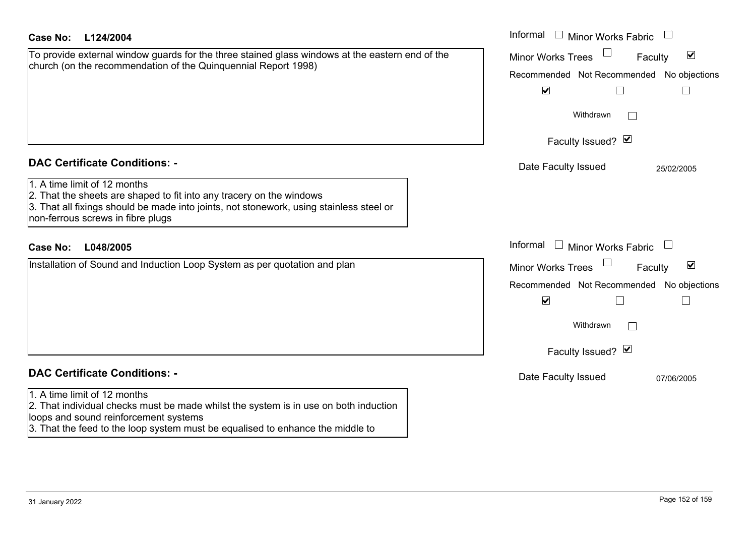| <b>Case No:</b><br>L124/2004                                                                                                                                                                                                                                                 | Informal $\Box$ Minor Works Fabric $\Box$                                                                                                                          |
|------------------------------------------------------------------------------------------------------------------------------------------------------------------------------------------------------------------------------------------------------------------------------|--------------------------------------------------------------------------------------------------------------------------------------------------------------------|
| To provide external window guards for the three stained glass windows at the eastern end of the<br>church (on the recommendation of the Quinquennial Report 1998)                                                                                                            | $\blacktriangledown$<br><b>Minor Works Trees</b><br>Faculty<br>Recommended Not Recommended No objections<br>$\blacktriangledown$<br>Withdrawn                      |
|                                                                                                                                                                                                                                                                              | Faculty Issued? Ø                                                                                                                                                  |
| <b>DAC Certificate Conditions: -</b><br>1. A time limit of 12 months<br>2. That the sheets are shaped to fit into any tracery on the windows<br>3. That all fixings should be made into joints, not stonework, using stainless steel or<br>non-ferrous screws in fibre plugs | Date Faculty Issued<br>25/02/2005                                                                                                                                  |
| <b>Case No:</b><br>L048/2005                                                                                                                                                                                                                                                 | Informal<br>$\Box$ Minor Works Fabric<br>$\begin{array}{c} \square \end{array}$                                                                                    |
| Installation of Sound and Induction Loop System as per quotation and plan                                                                                                                                                                                                    | $\blacktriangledown$<br><b>Minor Works Trees</b><br>Faculty<br>Recommended Not Recommended No objections<br>$\blacktriangledown$<br>Withdrawn<br>Faculty Issued? Ø |
| <b>DAC Certificate Conditions: -</b>                                                                                                                                                                                                                                         | Date Faculty Issued<br>07/06/2005                                                                                                                                  |
| 1. A time limit of 12 months<br>2. That individual checks must be made whilst the system is in use on both induction<br>loops and sound reinforcement systems<br>3. That the feed to the loop system must be equalised to enhance the middle to                              |                                                                                                                                                                    |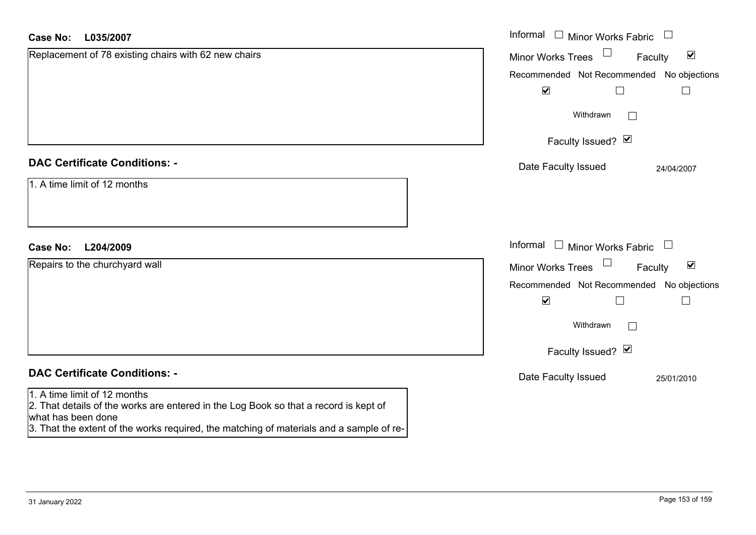| Case No:<br>L035/2007                                                                                                                                                                                                                 | Informal $\Box$ Minor Works Fabric $\Box$                                               |
|---------------------------------------------------------------------------------------------------------------------------------------------------------------------------------------------------------------------------------------|-----------------------------------------------------------------------------------------|
| Replacement of 78 existing chairs with 62 new chairs                                                                                                                                                                                  | Minor Works Trees<br>$\blacktriangledown$<br>Faculty                                    |
|                                                                                                                                                                                                                                       | Recommended Not Recommended No objections<br>$\blacktriangledown$<br>$\Box$<br>$\sqcup$ |
|                                                                                                                                                                                                                                       | Withdrawn<br>$\Box$                                                                     |
|                                                                                                                                                                                                                                       | Faculty Issued? Ø                                                                       |
| <b>DAC Certificate Conditions: -</b>                                                                                                                                                                                                  | Date Faculty Issued<br>24/04/2007                                                       |
| 1. A time limit of 12 months                                                                                                                                                                                                          |                                                                                         |
| L204/2009<br><b>Case No:</b>                                                                                                                                                                                                          | Informal<br>$\Box$<br>Minor Works Fabric $\quad \Box$                                   |
| Repairs to the churchyard wall                                                                                                                                                                                                        | $\blacktriangledown$<br><b>Minor Works Trees</b><br>Faculty                             |
|                                                                                                                                                                                                                                       | Recommended Not Recommended No objections<br>$\blacktriangledown$<br>$\Box$<br>$\Box$   |
|                                                                                                                                                                                                                                       | Withdrawn<br>$\vert \ \ \vert$                                                          |
|                                                                                                                                                                                                                                       | Faculty Issued? Ø                                                                       |
| <b>DAC Certificate Conditions: -</b>                                                                                                                                                                                                  | Date Faculty Issued<br>25/01/2010                                                       |
| 1. A time limit of 12 months<br>2. That details of the works are entered in the Log Book so that a record is kept of<br>what has been done<br>3. That the extent of the works required, the matching of materials and a sample of re- |                                                                                         |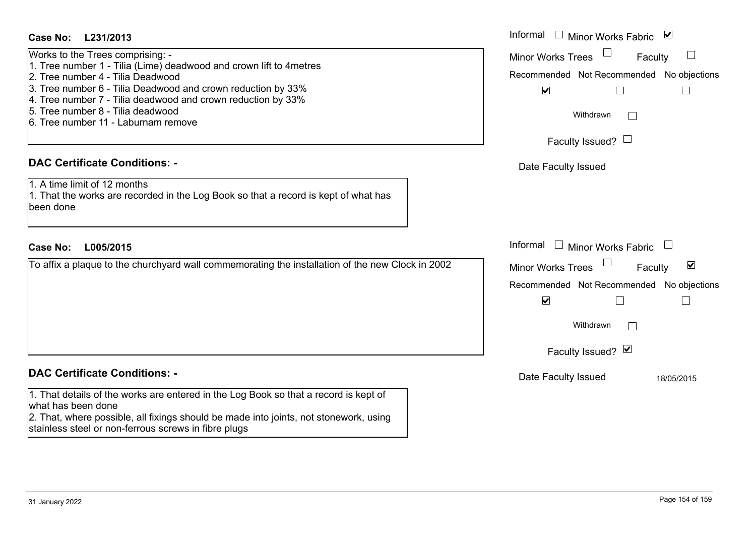## **L231/2013Case No:** Informal

| Works to the Trees comprising: -                                    |
|---------------------------------------------------------------------|
| 1. Tree number 1 - Tilia (Lime) deadwood and crown lift to 4 metres |
| 2. Tree number 4 - Tilia Deadwood                                   |
| 3. Tree number 6 - Tilia Deadwood and crown reduction by 33%        |
| 4. Tree number 7 - Tilia deadwood and crown reduction by 33%        |
| 5. Tree number 8 - Tilia deadwood                                   |
| 6. Tree number 11 - Laburnam remove                                 |
|                                                                     |

## **DAC Certificate Conditions: -**

1. A time limit of 12 months1. That the works are recorded in the Log Book so that a record is kept of what has been done

## **L005/2015Case No:** Informal

To affix a plaque to the churchyard wall commemorating the installation of the new Clock in 2002

## **DAC Certificate Conditions: -**

1. That details of the works are entered in the Log Book so that a record is kept of what has been done

2. That, where possible, all fixings should be made into joints, not stonework, using stainless steel or non-ferrous screws in fibre plugs

| Informal<br>⊻<br><b>Minor Works Fabric</b><br><b>Minor Works Trees</b><br>Faculty<br>Recommended Not Recommended No objections<br>$\blacktriangledown$<br>Withdrawn<br>Faculty Issued? I<br>Date Faculty Issued |
|-----------------------------------------------------------------------------------------------------------------------------------------------------------------------------------------------------------------|
| Informal<br><b>Minor Works Fabric</b><br>⊻<br><b>Minor Works Trees</b><br>Faculty<br>Recommended Not Recommended No objections<br>$\blacktriangledown$<br>Withdrawn                                             |
| Faculty Issued? Ø                                                                                                                                                                                               |
| Date Faculty Issued<br>18/05/2015                                                                                                                                                                               |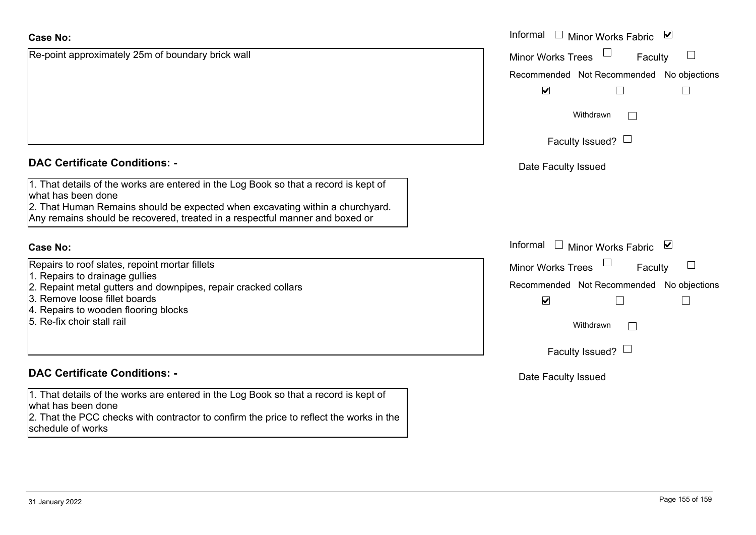| <b>Case No:</b>                                                                                                                                                                                                                                                             | Informal $\Box$ Minor Works Fabric $\Box$                  |
|-----------------------------------------------------------------------------------------------------------------------------------------------------------------------------------------------------------------------------------------------------------------------------|------------------------------------------------------------|
| Re-point approximately 25m of boundary brick wall                                                                                                                                                                                                                           | Minor Works Trees<br>Faculty                               |
|                                                                                                                                                                                                                                                                             | Recommended Not Recommended No objections                  |
|                                                                                                                                                                                                                                                                             | $\blacktriangledown$<br>$\Box$<br>$\overline{\phantom{a}}$ |
|                                                                                                                                                                                                                                                                             | Withdrawn                                                  |
|                                                                                                                                                                                                                                                                             | Faculty Issued? $\Box$                                     |
| <b>DAC Certificate Conditions: -</b>                                                                                                                                                                                                                                        | Date Faculty Issued                                        |
| 1. That details of the works are entered in the Log Book so that a record is kept of<br>what has been done<br>2. That Human Remains should be expected when excavating within a churchyard.<br>Any remains should be recovered, treated in a respectful manner and boxed or |                                                            |
| <b>Case No:</b>                                                                                                                                                                                                                                                             | Informal<br>$\Box$ Minor Works Fabric $\Box$               |
| Repairs to roof slates, repoint mortar fillets                                                                                                                                                                                                                              | <b>Minor Works Trees</b><br>Faculty                        |
| 1. Repairs to drainage gullies<br>2. Repaint metal gutters and downpipes, repair cracked collars                                                                                                                                                                            | Recommended Not Recommended No objections                  |
| 3. Remove loose fillet boards                                                                                                                                                                                                                                               | $\blacktriangledown$<br>$\Box$<br>$\Box$                   |
| 4. Repairs to wooden flooring blocks<br>5. Re-fix choir stall rail                                                                                                                                                                                                          | Withdrawn                                                  |
|                                                                                                                                                                                                                                                                             | Faculty Issued? $\Box$                                     |
| <b>DAC Certificate Conditions: -</b>                                                                                                                                                                                                                                        | Date Faculty Issued                                        |
| 1. That details of the works are entered in the Log Book so that a record is kept of<br>what has been done<br>2. That the PCC checks with contractor to confirm the price to reflect the works in the<br>schedule of works                                                  |                                                            |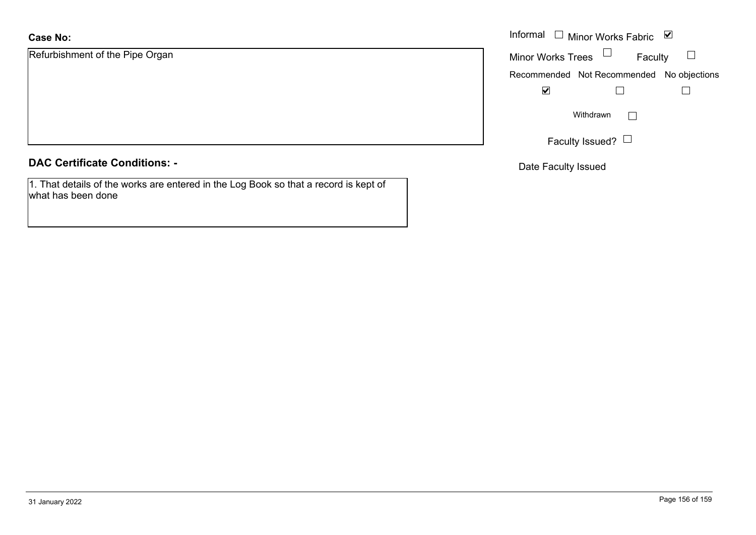# **Case No:**

Refurbishment of the Pipe Organ

## **DAC Certificate Conditions: -**

1. That details of the works are entered in the Log Book so that a record is kept of what has been done

|                         | Informal $\Box$ Minor Works Fabric $\Box$ |  |  |
|-------------------------|-------------------------------------------|--|--|
| iment of the Pipe Organ | Faculty<br>Minor Works Trees              |  |  |
|                         | Recommended Not Recommended No objections |  |  |
|                         | $\blacktriangledown$                      |  |  |
|                         | Withdrawn<br>Faculty Issued? $\Box$       |  |  |
|                         |                                           |  |  |

Date Faculty Issued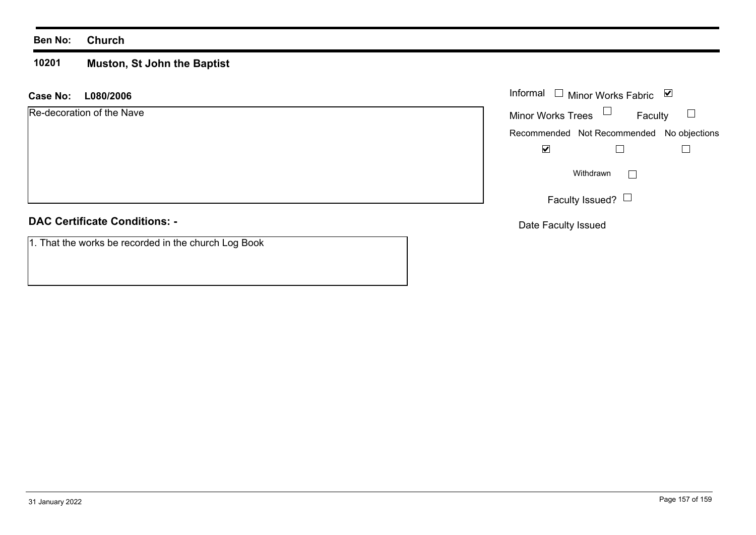## **Ben No: Church**

#### **10201 Muston, St John the Baptist**

## **L080/2006 Case No:** Informal

| Re-decoration of the Nave |  |  |
|---------------------------|--|--|
|---------------------------|--|--|

## **DAC Certificate Conditions: -**

| 1. That the works be recorded in the church Log Book |
|------------------------------------------------------|
|------------------------------------------------------|

| Informal                 | $\Box$ Minor Works Fabric                 | び |  |
|--------------------------|-------------------------------------------|---|--|
| <b>Minor Works Trees</b> | Faculty                                   |   |  |
|                          | Recommended Not Recommended No objections |   |  |
|                          |                                           |   |  |
| Withdrawn                |                                           |   |  |
|                          | Faculty Issued?                           |   |  |

Date Faculty Issued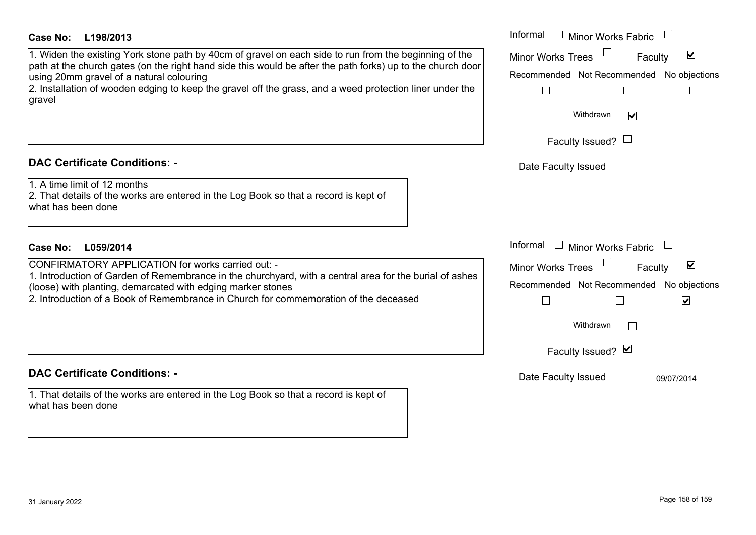## **DAC Certificate Conditions: -**

#### **L059/2014Case No:**

## **DAC Certificate Conditions: -**

1. That details of the works are entered in the Log Book so that a record is kept of what has been done

| <b>Case No:</b><br>L198/2013                                                                                                                                                                                                                                                                                                                                                           | Informal<br><b>Minor Works Fabric</b><br>$\Box$                                                                                                                    |
|----------------------------------------------------------------------------------------------------------------------------------------------------------------------------------------------------------------------------------------------------------------------------------------------------------------------------------------------------------------------------------------|--------------------------------------------------------------------------------------------------------------------------------------------------------------------|
| 1. Widen the existing York stone path by 40cm of gravel on each side to run from the beginning of the<br>path at the church gates (on the right hand side this would be after the path forks) up to the church door <br>using 20mm gravel of a natural colouring<br>2. Installation of wooden edging to keep the gravel off the grass, and a weed protection liner under the<br>gravel | $\blacktriangledown$<br><b>Minor Works Trees</b><br>Faculty<br>Recommended Not Recommended No objections<br>Withdrawn<br>$\blacktriangledown$                      |
|                                                                                                                                                                                                                                                                                                                                                                                        | Faculty Issued? $\Box$                                                                                                                                             |
| <b>DAC Certificate Conditions: -</b>                                                                                                                                                                                                                                                                                                                                                   | Date Faculty Issued                                                                                                                                                |
| 1. A time limit of 12 months<br>2. That details of the works are entered in the Log Book so that a record is kept of<br>what has been done                                                                                                                                                                                                                                             |                                                                                                                                                                    |
| <b>Case No:</b><br>L059/2014                                                                                                                                                                                                                                                                                                                                                           | Informal<br>$\Box$ Minor Works Fabric                                                                                                                              |
| CONFIRMATORY APPLICATION for works carried out: -<br>1. Introduction of Garden of Remembrance in the churchyard, with a central area for the burial of ashes<br>(loose) with planting, demarcated with edging marker stones<br>2. Introduction of a Book of Remembrance in Church for commemoration of the deceased                                                                    | $\blacktriangledown$<br><b>Minor Works Trees</b><br>Faculty<br>Recommended Not Recommended No objections<br>$\blacktriangledown$<br>Withdrawn<br>Faculty Issued? Ø |
| DAC Cortificato Conditione: .                                                                                                                                                                                                                                                                                                                                                          |                                                                                                                                                                    |

Date Faculty Issued 09/07/2014